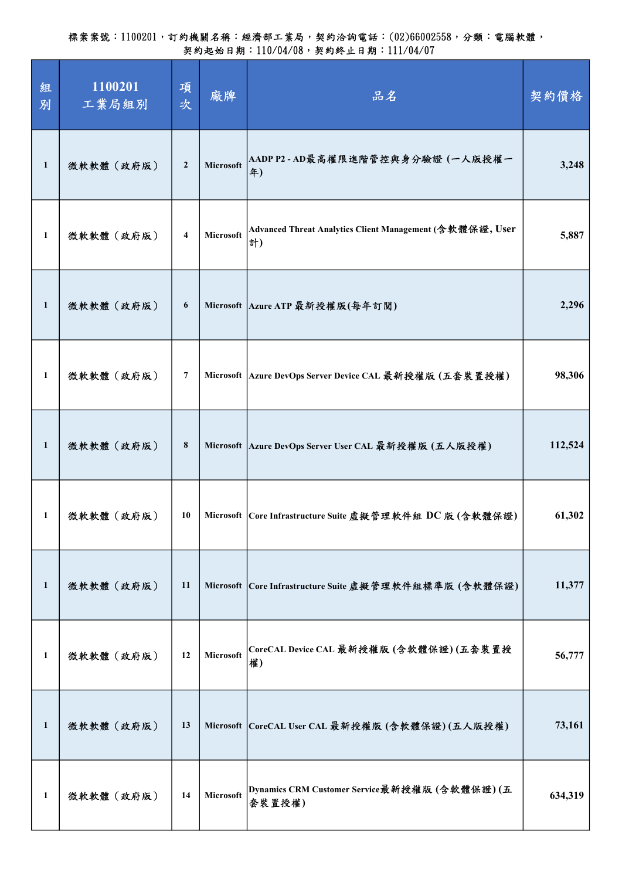| 組<br>別       | 1100201<br>工業局組別 | 項<br>次           | 廠牌        | 品名                                                             | 契約價格    |
|--------------|------------------|------------------|-----------|----------------------------------------------------------------|---------|
| $\mathbf{1}$ | 微軟軟體(政府版)        | $\boldsymbol{2}$ | Microsoft | AADPP2-AD最高權限進階管控與身分驗證(一人版授權一<br>年)                            | 3,248   |
| 1            | 微軟軟體(政府版)        | 4                | Microsoft | Advanced Threat Analytics Client Management (含軟體保證, User<br>計) | 5,887   |
| $\mathbf{1}$ | 微軟軟體(政府版)        | 6                |           | Microsoft Azure ATP 最新授權版(每年訂閱)                                | 2,296   |
| 1            | 微軟軟體(政府版)        | $\overline{7}$   |           | Microsoft Azure DevOps Server Device CAL 最新授權版 (五套裝置授權)        | 98,306  |
| $\mathbf{1}$ | 微軟軟體(政府版)        | 8                |           | Microsoft   Azure DevOps Server User CAL 最新授權版 (五人版授權)         | 112,524 |
| 1            | 微軟軟體 (政府版)       | 10               |           | Microsoft Core Infrastructure Suite 虛擬管理軟件組 DC 版 (含軟體保證)       | 61,302  |
| 1            | 微軟軟體(政府版)        | 11               |           | Microsoft Core Infrastructure Suite 虛擬管理軟件組標準版 (含軟體保證)         | 11,377  |
| 1            | 微軟軟體(政府版)        | 12               | Microsoft | CoreCAL Device CAL 最新授權版 (含軟體保證)(五套裝置授<br>權)                   | 56,777  |
| $\mathbf{1}$ | 微軟軟體(政府版)        | 13               |           | Microsoft CoreCAL User CAL 最新授權版 (含軟體保證)(五人版授權)                | 73,161  |
| 1            | 微軟軟體(政府版)        | 14               | Microsoft | Dynamics CRM Customer Service最新授權版 (含軟體保證)(五<br>套装置授權)         | 634,319 |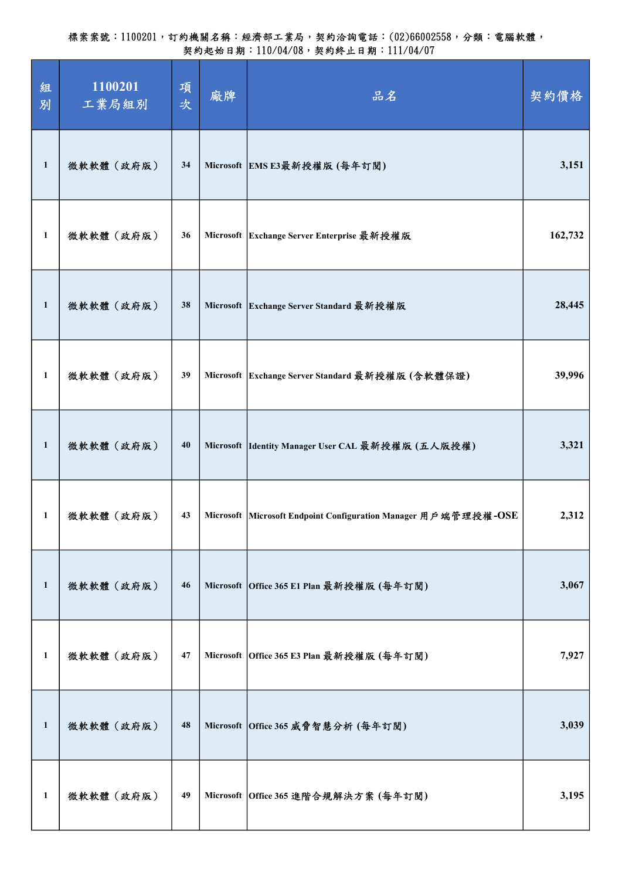| 組<br>別       | 1100201<br>工業局組別 | 項<br>次 | 廠牌 | 品名                                                             | 契約價格    |
|--------------|------------------|--------|----|----------------------------------------------------------------|---------|
| $\mathbf{1}$ | 微軟軟體(政府版)        | 34     |    | Microsoft EMS E3最新授權版 (每年訂閱)                                   | 3,151   |
| $\mathbf{1}$ | 微軟軟體(政府版)        | 36     |    | Microsoft Exchange Server Enterprise 最新授權版                     | 162,732 |
| $\mathbf{1}$ | 微軟軟體(政府版)        | 38     |    | Microsoft Exchange Server Standard 最新授權版                       | 28,445  |
| 1            | 微軟軟體(政府版)        | 39     |    | Microsoft Exchange Server Standard 最新授權版 (含軟體保證)               | 39,996  |
| $\mathbf{1}$ | 微軟軟體(政府版)        | 40     |    | Microsoft Identity Manager User CAL 最新授權版 (五人版授權)              | 3,321   |
| $\mathbf{1}$ | 微軟軟體(政府版)        | 43     |    | Microsoft Microsoft Endpoint Configuration Manager 用戶端管理授權-OSE | 2,312   |
| $\mathbf{1}$ | 微軟軟體(政府版)        | 46     |    | Microsoft Office 365 E1 Plan 最新授權版 (每年訂閱)                      | 3,067   |
| 1            | 微軟軟體(政府版)        | 47     |    | Microsoft Office 365 E3 Plan 最新授權版 (每年訂閱)                      | 7,927   |
| 1            | 微軟軟體(政府版)        | 48     |    | Microsoft Office 365 威脅智慧分析 (每年訂閱)                             | 3,039   |
| 1            | 微軟軟體(政府版)        | 49     |    | Microsoft Office 365 進階合規解決方案 (每年訂閱)                           | 3,195   |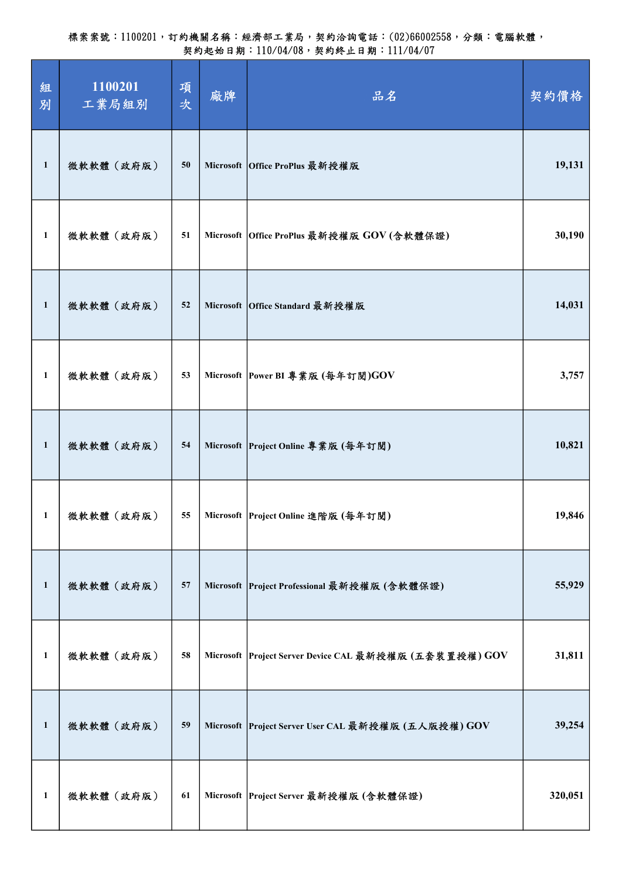| 組<br>別       | 1100201<br>工業局組別 | 項<br>次 | 廠牌 | 品名                                                     | 契約價格    |
|--------------|------------------|--------|----|--------------------------------------------------------|---------|
| $\mathbf{1}$ | 微軟軟體(政府版)        | 50     |    | Microsoft Office ProPlus 最新授權版                         | 19,131  |
| 1            | 微軟軟體(政府版)        | 51     |    | Microsoft Office ProPlus 最新授權版 GOV (含軟體保證)             | 30,190  |
| $\mathbf{1}$ | 微軟軟體(政府版)        | 52     |    | Microsoft Office Standard 最新授權版                        | 14,031  |
| 1            | 微軟軟體(政府版)        | 53     |    | Microsoft Power BI 專業版 (每年訂閱)GOV                       | 3,757   |
| $\mathbf{1}$ | 微軟軟體(政府版)        | 54     |    | Microsoft Project Online 專業版 (每年訂閱)                    | 10,821  |
| 1            | 微軟軟體(政府版)        | 55     |    | Microsoft Project Online 進階版 (每年訂閱)                    | 19,846  |
| $\mathbf{1}$ | 微軟軟體(政府版)        | 57     |    | Microsoft Project Professional 最新授權版 (含軟體保證)           | 55,929  |
| 1            | 微軟軟體(政府版)        | 58     |    | Microsoft Project Server Device CAL 最新授權版 (五套裝置授權) GOV | 31,811  |
| $\mathbf{1}$ | 微軟軟體(政府版)        | 59     |    | Microsoft Project Server User CAL 最新授權版 (五人版授權) GOV    | 39,254  |
| 1            | 微軟軟體(政府版)        | 61     |    | Microsoft Project Server 最新授權版 (含軟體保證)                 | 320,051 |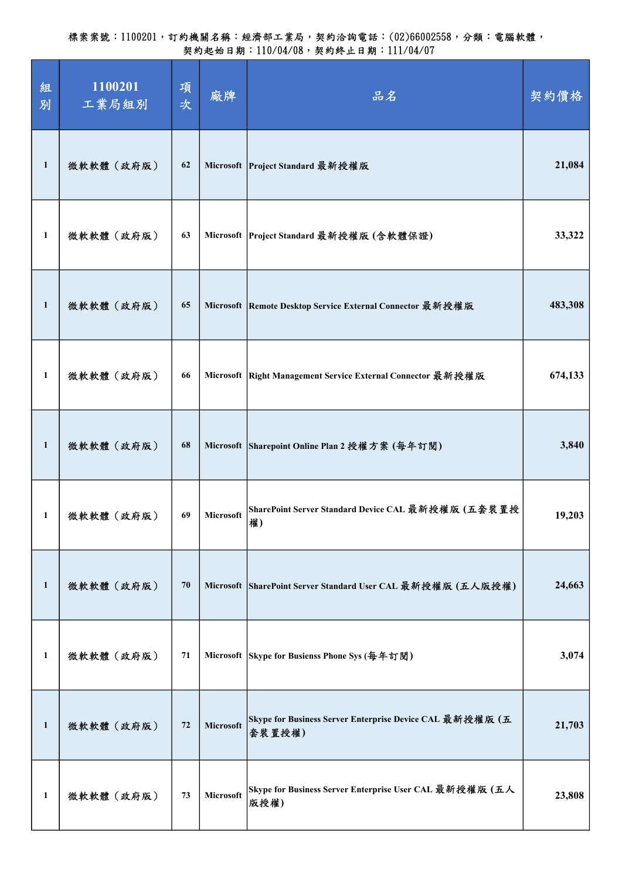| 組<br>別       | 1100201<br>工業局組別 | 項<br>次 | 廠牌        | 品名                                                                 | 契約價格    |
|--------------|------------------|--------|-----------|--------------------------------------------------------------------|---------|
| $\mathbf{1}$ | 微軟軟體(政府版)        | 62     |           | Microsoft Project Standard 最新授權版                                   | 21,084  |
| 1            | 微軟軟體(政府版)        | 63     |           | Microsoft Project Standard 最新授權版 (含軟體保證)                           | 33,322  |
| $\mathbf{1}$ | 微軟軟體(政府版)        | 65     |           | Microsoft Remote Desktop Service External Connector 最新授權版          | 483,308 |
| 1            | 微軟軟體(政府版)        | 66     |           | Microsoft Right Management Service External Connector 最新授權版        | 674,133 |
| $\mathbf{1}$ | 微軟軟體(政府版)        | 68     |           | Microsoft Sharepoint Online Plan 2 授權方案 (每年訂閱)                     | 3,840   |
| 1            | 微軟軟體(政府版)        | 69     | Microsoft | SharePoint Server Standard Device CAL 最新授權版 (五套裝置授<br>權)           | 19,203  |
| 1            | 微軟軟體(政府版)        | 70     |           | Microsoft SharePoint Server Standard User CAL 最新授權版 (五人版授權)        | 24,663  |
| 1            | 微軟軟體(政府版)        | 71     |           | Microsoft Skype for Busienss Phone Sys (每年訂閱)                      | 3,074   |
| $\mathbf{1}$ | 微軟軟體(政府版)        | 72     | Microsoft | Skype for Business Server Enterprise Device CAL 最新授權版 (五<br>套裝置授權) | 21,703  |
| 1            | 微軟軟體(政府版)        | 73     | Microsoft | Skype for Business Server Enterprise User CAL 最新授權版 (五人<br>版授權)    | 23,808  |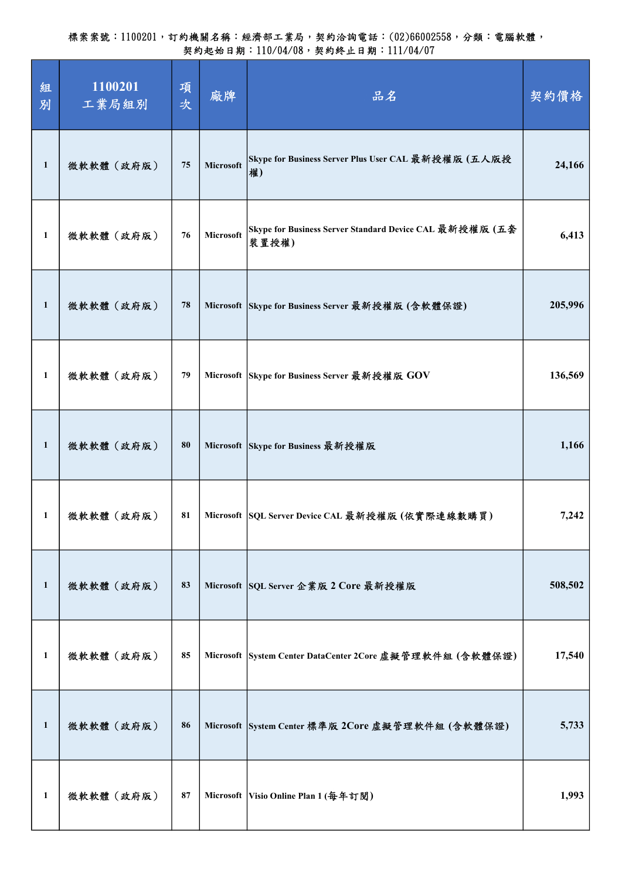| 組<br>別       | 1100201<br>工業局組別 | 項<br>次 | 廠牌        | 品名                                                               | 契約價格    |
|--------------|------------------|--------|-----------|------------------------------------------------------------------|---------|
| $\mathbf{1}$ | 微軟軟體(政府版)        | 75     | Microsoft | Skype for Business Server Plus User CAL 最新授權版 (五人版授<br>權)        | 24,166  |
| 1            | 微軟軟體(政府版)        | 76     | Microsoft | Skype for Business Server Standard Device CAL 最新授權版 (五套<br>装置授權) | 6,413   |
| $\mathbf{1}$ | 微軟軟體(政府版)        | 78     |           | Microsoft Skype for Business Server 最新授權版 (含軟體保證)                | 205,996 |
| 1            | 微軟軟體(政府版)        | 79     |           | Microsoft Skype for Business Server 最新授權版 GOV                    | 136,569 |
| $\mathbf{1}$ | 微軟軟體(政府版)        | 80     |           | Microsoft Skype for Business 最新授權版                               | 1,166   |
| 1            | 微軟軟體(政府版)        | 81     |           | Microsoft SQL Server Device CAL 最新授權版 (依實際連線數購買)                 | 7,242   |
| $\mathbf{1}$ | 微軟軟體(政府版)        | 83     |           | Microsoft SQL Server 企業版 2 Core 最新授權版                            | 508,502 |
| 1            | 微軟軟體(政府版)        | 85     |           | Microsoft System Center DataCenter 2Core 虛擬管理軟件組 (含軟體保證)         | 17,540  |
| $\mathbf{1}$ | 微軟軟體(政府版)        | 86     |           | Microsoft System Center 標準版 2Core 虛擬管理軟件組 (含軟體保證)                | 5,733   |
| 1            | 微軟軟體(政府版)        | 87     |           | Microsoft   Visio Online Plan 1 (每年訂閱)                           | 1,993   |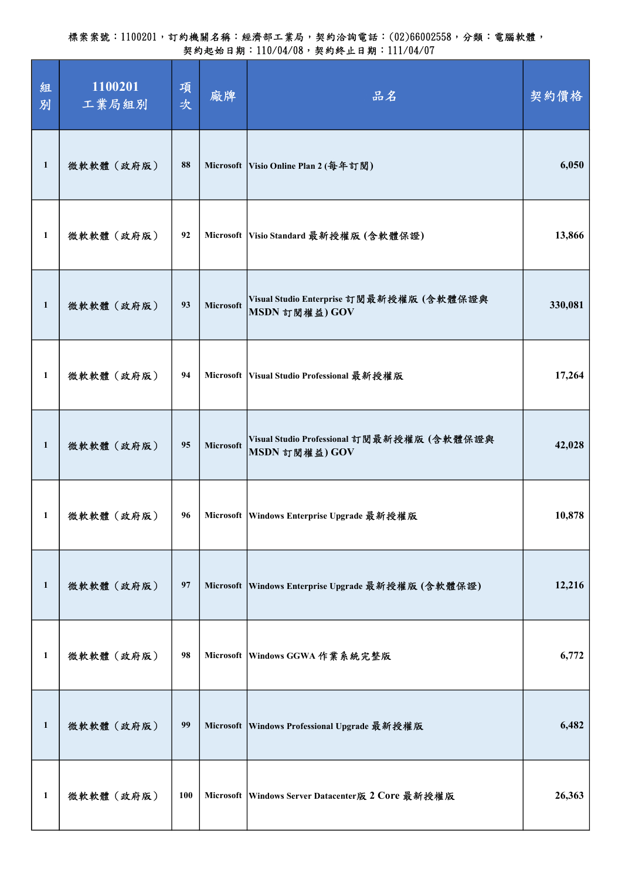| 組<br>別       | 1100201<br>工業局組別 | 項<br>次 | 廠牌        | 品名                                                           | 契約價格    |
|--------------|------------------|--------|-----------|--------------------------------------------------------------|---------|
| $\mathbf{1}$ | 微軟軟體(政府版)        | 88     |           | Microsoft Visio Online Plan 2 (每年訂閱)                         | 6,050   |
| 1            | 微軟軟體(政府版)        | 92     |           | Microsoft Visio Standard 最新授權版 (含軟體保證)                       | 13,866  |
| 1            | 微軟軟體(政府版)        | 93     | Microsoft | Visual Studio Enterprise 訂閱最新授權版 (含軟體保證與<br>MSDN 訂閱權益) GOV   | 330,081 |
| 1            | 微軟軟體(政府版)        | 94     |           | Microsoft Visual Studio Professional 最新授權版                   | 17,264  |
| 1            | 微軟軟體(政府版)        | 95     | Microsoft | Visual Studio Professional 訂閱最新授權版 (含軟體保證與<br>MSDN 訂閱權益) GOV | 42,028  |
| 1            | 微軟軟體(政府版)        | 96     |           | Microsoft   Windows Enterprise Upgrade 最新授權版                 | 10,878  |
| $\mathbf{1}$ | 微軟軟體(政府版)        | 97     |           | Microsoft Windows Enterprise Upgrade 最新授權版 (含軟體保證)           | 12,216  |
| 1            | 微軟軟體(政府版)        | 98     |           | Microsoft Windows GGWA 作業系統完整版                               | 6,772   |
| 1            | 微軟軟體(政府版)        | 99     |           | Microsoft   Windows Professional Upgrade 最新授權版               | 6,482   |
| 1            | 微軟軟體(政府版)        | 100    |           | Microsoft   Windows Server Datacenter版 2 Core 最新授權版          | 26,363  |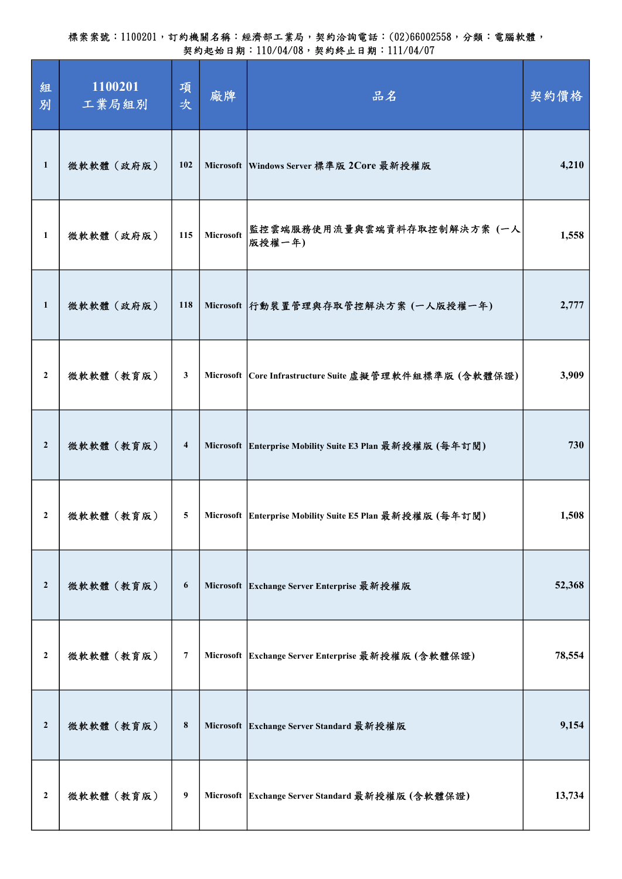| 組<br>別         | 1100201<br>工業局組別 | 項<br>次                  | 廠牌        | 品名                                                       | 契約價格   |
|----------------|------------------|-------------------------|-----------|----------------------------------------------------------|--------|
| $\mathbf{1}$   | 微軟軟體(政府版)        | 102                     |           | Microsoft Windows Server 標準版 2Core 最新授權版                 | 4,210  |
| 1              | 微軟軟體(政府版)        | 115                     | Microsoft | 監控雲端服務使用流量與雲端資料存取控制解決方案(一人<br>版授權一年)                     | 1,558  |
| 1              | 微軟軟體(政府版)        | 118                     |           | Microsoft 行動裝置管理與存取管控解決方案 (一人版授權一年)                      | 2,777  |
| $\mathbf{2}$   | 微軟軟體(教育版)        | 3                       |           | Microsoft Core Infrastructure Suite 虛擬管理軟件組標準版 (含軟體保證)   | 3,909  |
| $\mathbf{2}$   | 微軟軟體(教育版)        | $\overline{\mathbf{4}}$ |           | Microsoft Enterprise Mobility Suite E3 Plan 最新授權版 (每年訂閱) | 730    |
| $\mathbf{2}$   | 微軟軟體(教育版)        | 5                       |           | Microsoft Enterprise Mobility Suite E5 Plan 最新授權版 (每年訂閱) | 1,508  |
| $\mathbf{2}$   | 微軟軟體(教育版)        | 6                       |           | Microsoft Exchange Server Enterprise 最新授權版               | 52,368 |
| $\mathbf{2}$   | 微軟軟體(教育版)        | $\overline{7}$          |           | Microsoft Exchange Server Enterprise 最新授權版 (含軟體保證)       | 78,554 |
| $\overline{2}$ | 微軟軟體(教育版)        | 8                       |           | Microsoft Exchange Server Standard 最新授權版                 | 9,154  |
| $\mathbf{2}$   | 微軟軟體(教育版)        | 9                       |           | Microsoft Exchange Server Standard 最新授權版 (含軟體保證)         | 13,734 |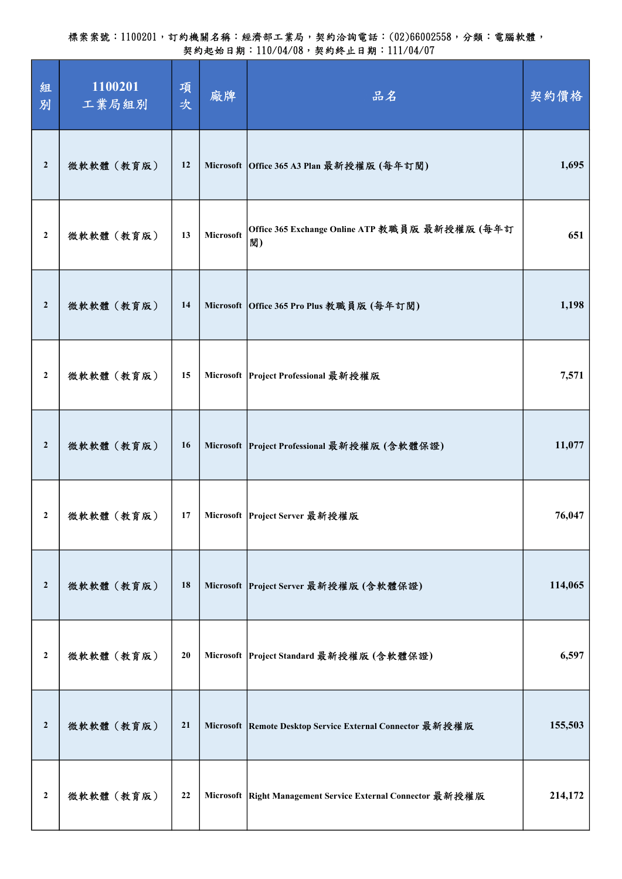| 組<br>別         | 1100201<br>工業局組別 | 項<br>次 | 廠牌        | 品名                                                          | 契約價格    |
|----------------|------------------|--------|-----------|-------------------------------------------------------------|---------|
| $\overline{2}$ | 微軟軟體(教育版)        | 12     |           | Microsoft Office 365 A3 Plan 最新授權版 (每年訂閱)                   | 1,695   |
| $\overline{2}$ | 微軟軟體(教育版)        | 13     | Microsoft | Office 365 Exchange Online ATP 教職員版 最新授權版 (每年訂<br>閲)        | 651     |
| $\overline{2}$ | 微軟軟體(教育版)        | 14     |           | Microsoft Office 365 Pro Plus 教職員版 (每年訂閱)                   | 1,198   |
| $\mathbf{2}$   | 微軟軟體(教育版)        | 15     |           | Microsoft Project Professional 最新授權版                        | 7,571   |
| $\overline{2}$ | 微軟軟體(教育版)        | 16     |           | Microsoft Project Professional 最新授權版 (含軟體保證)                | 11,077  |
| $\mathbf{2}$   | 微軟軟體(教育版)        | 17     |           | Microsoft Project Server 最新授權版                              | 76,047  |
| $\overline{2}$ | 微軟軟體(教育版)        | 18     |           | Microsoft Project Server 最新授權版 (含軟體保證)                      | 114,065 |
| $\mathbf{2}$   | 微軟軟體(教育版)        | 20     |           | Microsoft Project Standard 最新授權版 (含軟體保證)                    | 6,597   |
| $\overline{2}$ | 微軟軟體(教育版)        | 21     |           | Microsoft Remote Desktop Service External Connector 最新授權版   | 155,503 |
| $\mathbf{2}$   | 微軟軟體(教育版)        | 22     |           | Microsoft Right Management Service External Connector 最新授權版 | 214,172 |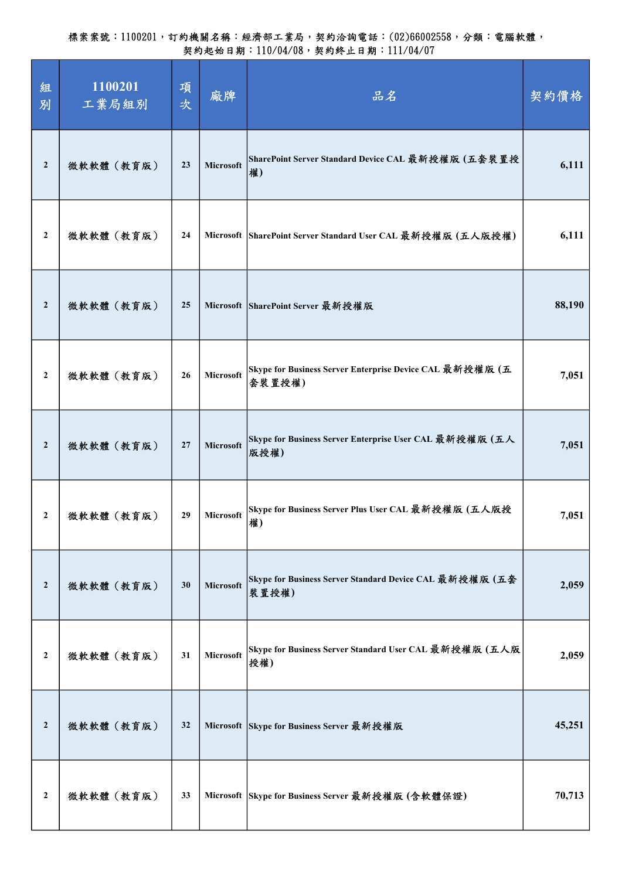| 組<br>別         | 1100201<br>工業局組別 | 項<br>次 | 廠牌        | 品名                                                                 | 契約價格   |
|----------------|------------------|--------|-----------|--------------------------------------------------------------------|--------|
| $\overline{2}$ | 微軟軟體(教育版)        | 23     | Microsoft | SharePoint Server Standard Device CAL 最新授權版 (五套裝置授<br>權)           | 6,111  |
| $\mathbf{2}$   | 微軟軟體 (教育版)       | 24     |           | Microsoft SharePoint Server Standard User CAL 最新授權版 (五人版授權)        | 6,111  |
| $\overline{2}$ | 微軟軟體(教育版)        | 25     |           | Microsoft SharePoint Server 最新授權版                                  | 88,190 |
| $\mathbf{2}$   | 微軟軟體(教育版)        | 26     | Microsoft | Skype for Business Server Enterprise Device CAL 最新授權版 (五<br>套装置授權) | 7,051  |
| $\overline{2}$ | 微軟軟體(教育版)        | 27     | Microsoft | Skype for Business Server Enterprise User CAL 最新授權版 (五人<br>版授權)    | 7,051  |
| $\mathbf{2}$   | 微軟軟體 (教育版)       | 29     | Microsoft | Skype for Business Server Plus User CAL 最新授權版 (五人版授<br>權)          | 7,051  |
| $\mathbf{2}$   | 微軟軟體(教育版)        | 30     | Microsoft | Skype for Business Server Standard Device CAL 最新授權版 (五套<br>装置授權)   | 2,059  |
| $\mathbf{2}$   | 微軟軟體(教育版)        | 31     | Microsoft | Skype for Business Server Standard User CAL 最新授權版 (五人版<br>授權)      | 2,059  |
| $\mathbf{2}$   | 微軟軟體(教育版)        | 32     |           | Microsoft Skype for Business Server 最新授權版                          | 45,251 |
| $\mathbf{2}$   | 微軟軟體(教育版)        | 33     |           | Microsoft Skype for Business Server 最新授權版 (含軟體保證)                  | 70,713 |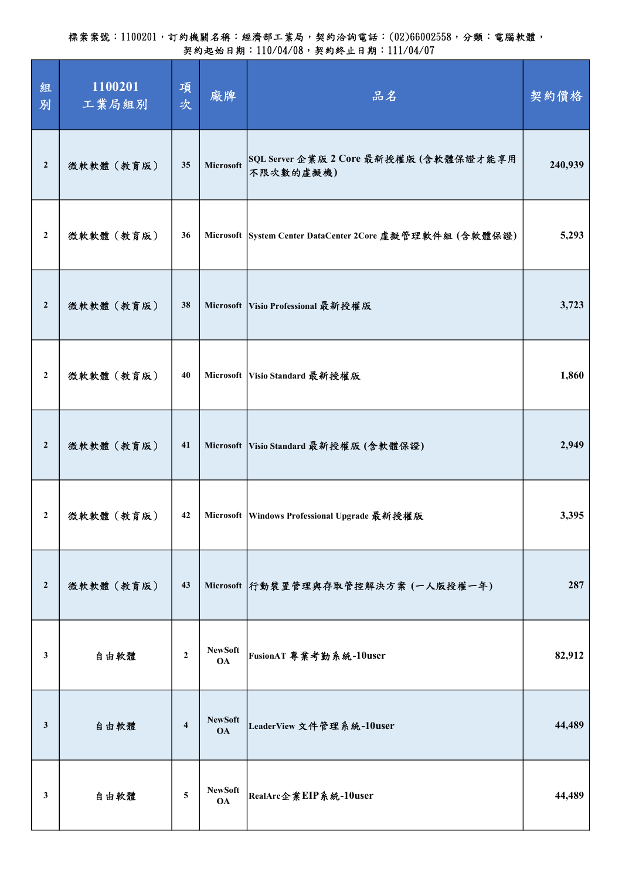| 組<br>別         | 1100201<br>工業局組別 | 項<br>次                  | 廠牌                          | 品名                                                       | 契約價格    |
|----------------|------------------|-------------------------|-----------------------------|----------------------------------------------------------|---------|
| $\overline{2}$ | 微軟軟體(教育版)        | 35                      | Microsoft                   | SQL Server 企業版 2 Core 最新授權版 (含軟體保證才能享用<br>不限次數的虛擬機)      | 240,939 |
| $\mathbf{2}$   | 微軟軟體(教育版)        | 36                      |                             | Microsoft System Center DataCenter 2Core 虚擬管理軟件組 (含軟體保證) | 5,293   |
| $\overline{2}$ | 微軟軟體(教育版)        | 38                      |                             | Microsoft Visio Professional 最新授權版                       | 3,723   |
| $\mathbf{2}$   | 微軟軟體(教育版)        | 40                      |                             | Microsoft Visio Standard 最新授權版                           | 1,860   |
| $\overline{2}$ | 微軟軟體(教育版)        | 41                      |                             | Microsoft Visio Standard 最新授權版 (含軟體保證)                   | 2,949   |
| $\mathbf{2}$   | 微軟軟體(教育版)        | 42                      |                             | Microsoft Windows Professional Upgrade 最新授權版             | 3,395   |
| $\overline{2}$ | 微軟軟體(教育版)        | 43                      |                             | Microsoft 行動裝置管理與存取管控解決方案 (一人版授權一年)                      | 287     |
| 3              | 自由軟體             | $\mathbf{2}$            | <b>NewSoft</b><br><b>OA</b> | FusionAT 專業考勤系統-10user                                   | 82,912  |
| $\mathbf{3}$   | 自由軟體             | $\overline{\mathbf{4}}$ | <b>NewSoft</b><br><b>OA</b> | LeaderView 文件管理系統-10user                                 | 44,489  |
| $\mathbf{3}$   | 自由軟體             | 5                       | <b>NewSoft</b><br><b>OA</b> | RealArc企業EIP系統-10user                                    | 44,489  |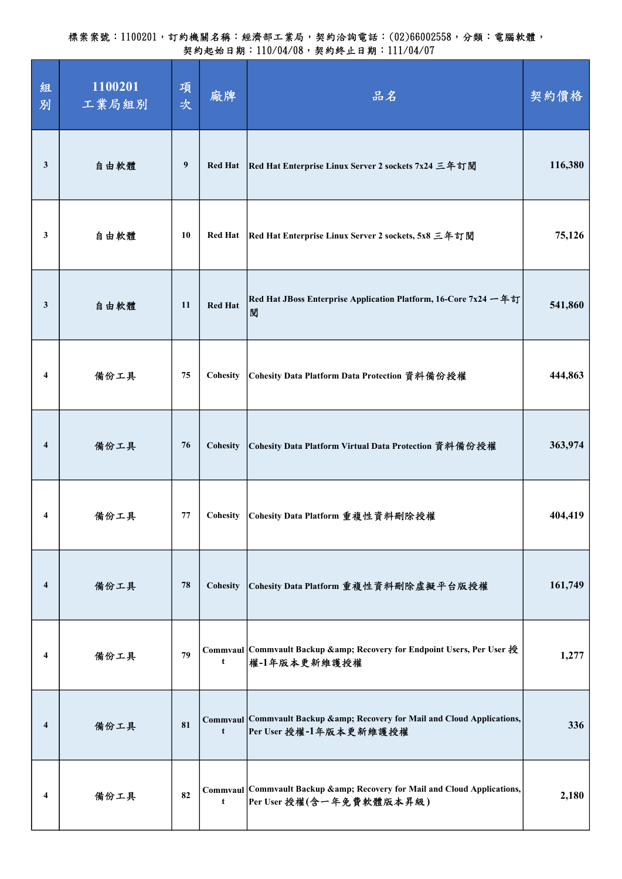| 組<br>別         | 1100201<br>工業局組別 | 項<br>次           | 廠牌             | 品名                                                                                                | 契約價格    |
|----------------|------------------|------------------|----------------|---------------------------------------------------------------------------------------------------|---------|
| $\mathbf{3}$   | 自由軟體             | $\boldsymbol{9}$ | <b>Red Hat</b> | Red Hat Enterprise Linux Server 2 sockets 7x24 三年訂閱                                               | 116,380 |
| 3              | 自由軟體             | 10               | <b>Red Hat</b> | Red Hat Enterprise Linux Server 2 sockets, 5x8 三年訂閱                                               | 75,126  |
| $\mathbf{3}$   | 自由軟體             | <b>11</b>        | <b>Red Hat</b> | Red Hat JBoss Enterprise Application Platform, 16-Core 7x24 一年訂<br>関                              | 541,860 |
| 4              | 備份工具             | 75               | Cohesity       | Cohesity Data Platform Data Protection 資料備份授權                                                     | 444,863 |
| 4              | 備份工具             | 76               | Cohesity       | Cohesity Data Platform Virtual Data Protection 資料備份授權                                             | 363,974 |
| 4              | 備份工具             | 77               | Cohesity       | Cohesity Data Platform 重複性資料刪除授權                                                                  | 404,419 |
| $\overline{4}$ | 備份工具             | 78               | Cohesity       | Cohesity Data Platform 重複性資料刪除虛擬平台版授權                                                             | 161,749 |
| 4              | 備份工具             | 79               | t              | Commvaul Commvault Backup & Recovery for Endpoint Users, Per User 授<br>權-1年版本更新維護授權               | 1,277   |
| 4              | 備份工具             | 81               | t              | Commvaul Commvault Backup & Recovery for Mail and Cloud Applications,<br>Per User 授權-1年版本更新維護授權   | 336     |
| 4              | 備份工具             | 82               | t              | Commvaul Commvault Backup & Recovery for Mail and Cloud Applications,<br>Per User 授權(含一年免費軟體版本昇級) | 2,180   |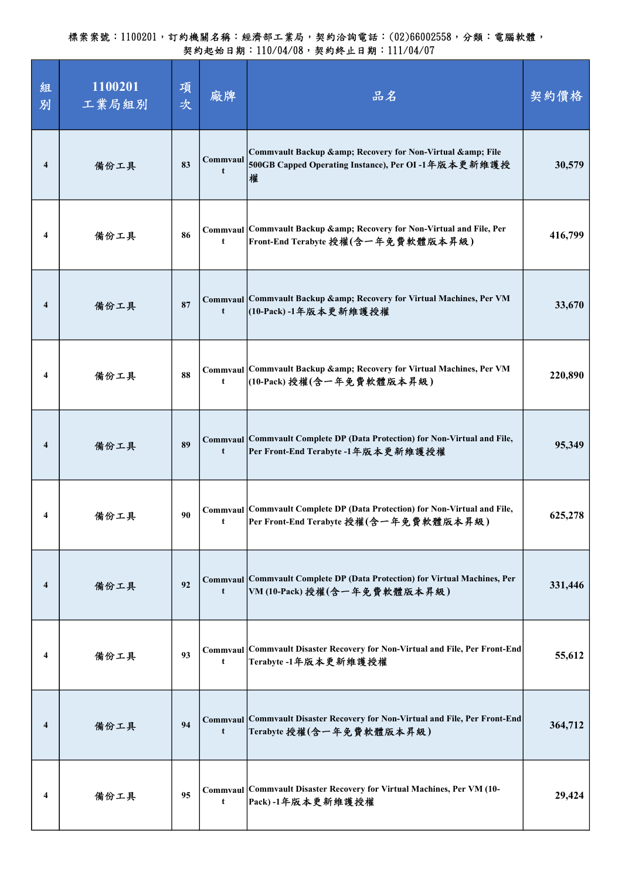| 組<br>別         | 1100201<br>工業局組別 | 項<br>次 | 廠牌            | 品名                                                                                                                   | 契約價格    |
|----------------|------------------|--------|---------------|----------------------------------------------------------------------------------------------------------------------|---------|
| 4              | 備份工具             | 83     | Commvaul<br>t | Commvault Backup & Recovery for Non-Virtual & File<br>500GB Capped Operating Instance), Per OI -1年版本更新維護授<br>權       | 30,579  |
| 4              | 備份工具             | 86     | t             | Commvaul Commvault Backup & amp; Recovery for Non-Virtual and File, Per<br>Front-End Terabyte 授權(含一年免費軟體版本昇級)        | 416,799 |
| 4              | 備份工具             | 87     | t             | Commvaul Commvault Backup & Recovery for Virtual Machines, Per VM<br>(10-Pack)-1年版本更新維護授權                            | 33,670  |
| 4              | 備份工具             | 88     | t             | Commvaul Commvault Backup & amp; Recovery for Virtual Machines, Per VM<br> (10-Pack)授權(含一年免費軟體版本昇級)                  | 220,890 |
| 4              | 備份工具             | 89     | t             | Commvaul Commvault Complete DP (Data Protection) for Non-Virtual and File,<br>Per Front-End Terabyte -1年版本更新維護授權     | 95,349  |
| 4              | 備份工具             | 90     | t             | Commvaul Commvault Complete DP (Data Protection) for Non-Virtual and File,<br>Per Front-End Terabyte 授權(含一年免費軟體版本昇級) | 625,278 |
| $\overline{4}$ | 備份工具             | 92     | t             | Commvaul Commvault Complete DP (Data Protection) for Virtual Machines, Per<br>VM (10-Pack) 授權(含一年免費軟體版本昇級)           | 331,446 |
| 4              | 備份工具             | 93     | t             | Commvaul   Commvault Disaster Recovery for Non-Virtual and File, Per Front-End<br>Terabyte-1年版本更新維護授權                | 55,612  |
| 4              | 備份工具             | 94     | t             | Commvaul Commvault Disaster Recovery for Non-Virtual and File, Per Front-End<br>Terabyte 授權(含一年免費軟體版本昇級)             | 364,712 |
| 4              | 備份工具             | 95     | t             | Commvaul Commvault Disaster Recovery for Virtual Machines, Per VM (10-<br>Pack)-1年版本更新維護授權                           | 29,424  |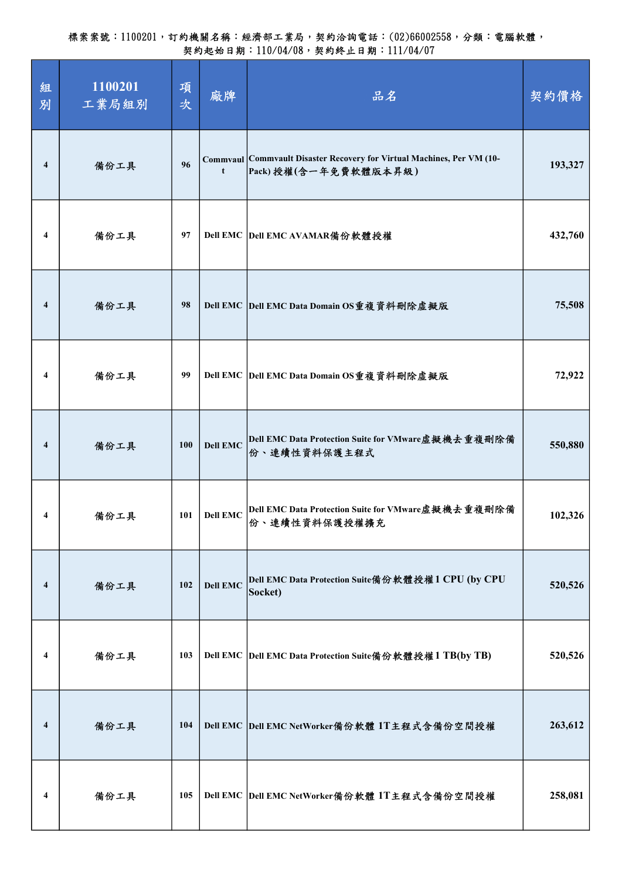| 組<br>別         | 1100201<br>工業局組別 | 項<br>次 | 廠牌              | 品名                                                                                             | 契約價格    |
|----------------|------------------|--------|-----------------|------------------------------------------------------------------------------------------------|---------|
| $\overline{4}$ | 備份工具             | 96     | t               | Commvaul Commvault Disaster Recovery for Virtual Machines, Per VM (10-<br>Pack)授權(含一年免費軟體版本昇級) | 193,327 |
| 4              | 備份工具             | 97     |                 | Dell EMC  Dell EMC AVAMAR備份軟體授權                                                                | 432,760 |
| $\overline{4}$ | 備份工具             | 98     |                 | Dell EMC Dell EMC Data Domain OS重複資料刪除虛擬版                                                      | 75,508  |
| 4              | 備份工具             | 99     |                 | Dell EMC Dell EMC Data Domain OS 重複資料刪除虛擬版                                                     | 72,922  |
| $\overline{4}$ | 備份工具             | 100    | <b>Dell EMC</b> | <b>Dell EMC Data Protection Suite for VMware虚擬機去重複刪除備</b><br>份、連續性資料保護主程式                      | 550,880 |
| 4              | 備份工具             | 101    | <b>Dell EMC</b> | Dell EMC Data Protection Suite for VMware虛擬機去重複刪除備<br>份、連續性資料保護授權擴充                            | 102,326 |
| 4              | 備份工具             | 102    | <b>Dell EMC</b> | Dell EMC Data Protection Suite備份軟體授權1 CPU (by CPU<br>Socket)                                   | 520,526 |
| 4              | 備份工具             | 103    |                 | Dell EMC Dell EMC Data Protection Suite備份軟體授權1 TB(by TB)                                       | 520,526 |
| 4              | 備份工具             | 104    |                 | Dell EMC  Dell EMC NetWorker備份軟體 1T主程式含備份空間授權                                                  | 263,612 |
| 4              | 備份工具             | 105    |                 | Dell EMC Dell EMC NetWorker備份軟體 1T主程式含備份空間授權                                                   | 258,081 |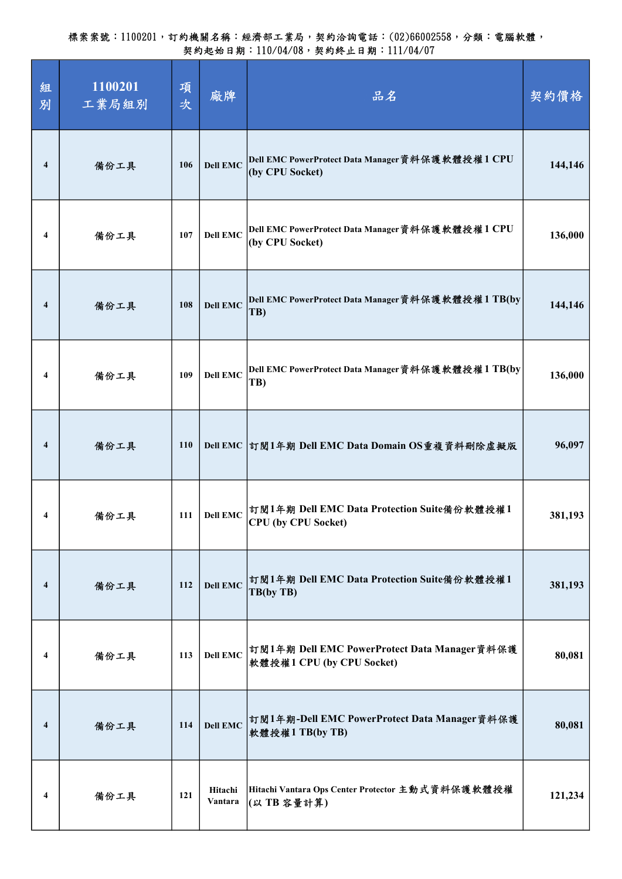| 組<br>別         | 1100201<br>工業局組別 | 項<br>次     | 廠牌                 | 品名                                                                        | 契約價格    |
|----------------|------------------|------------|--------------------|---------------------------------------------------------------------------|---------|
| 4              | 備份工具             | 106        | <b>Dell EMC</b>    | Dell EMC PowerProtect Data Manager資料保護軟體授權1 CPU<br>(by CPU Socket)        | 144,146 |
| 4              | 備份工具             | 107        | <b>Dell EMC</b>    | Dell EMC PowerProtect Data Manager 資料保護軟體授權1 CPU<br>(by CPU Socket)       | 136,000 |
| 4              | 備份工具             | 108        | <b>Dell EMC</b>    | Dell EMC PowerProtect Data Manager 資料保護軟體授權1 TB(by<br>TB)                 | 144,146 |
| 4              | 備份工具             | 109        | <b>Dell EMC</b>    | Dell EMC PowerProtect Data Manager 資料保護軟體授權1 TB(by<br>TB)                 | 136,000 |
| $\overline{4}$ | 備份工具             | <b>110</b> |                    | Dell EMC 訂閱1年期 Dell EMC Data Domain OS重複資料刪除虛擬版                           | 96,097  |
| 4              | 備份工具             | 111        | <b>Dell EMC</b>    | 訂閱1年期 Dell EMC Data Protection Suite備份軟體授權1<br><b>CPU</b> (by CPU Socket) | 381,193 |
| 4              | 備份工具             | 112        | <b>Dell EMC</b>    | 訂閱1年期 Dell EMC Data Protection Suite備份軟體授權1<br>TB(by TB)                  | 381,193 |
| 4              | 備份工具             | 113        | <b>Dell EMC</b>    | 訂閱1年期 Dell EMC PowerProtect Data Manager資料保護<br>軟體授權1 CPU (by CPU Socket) | 80,081  |
| 4              | 備份工具             | 114        | <b>Dell EMC</b>    | 訂閱1年期-Dell EMC PowerProtect Data Manager資料保護<br>軟體授權1 TB(by TB)           | 80,081  |
| 4              | 備份工具             | 121        | Hitachi<br>Vantara | Hitachi Vantara Ops Center Protector 主動式資料保護軟體授權<br> (以 TB 容量計算)          | 121,234 |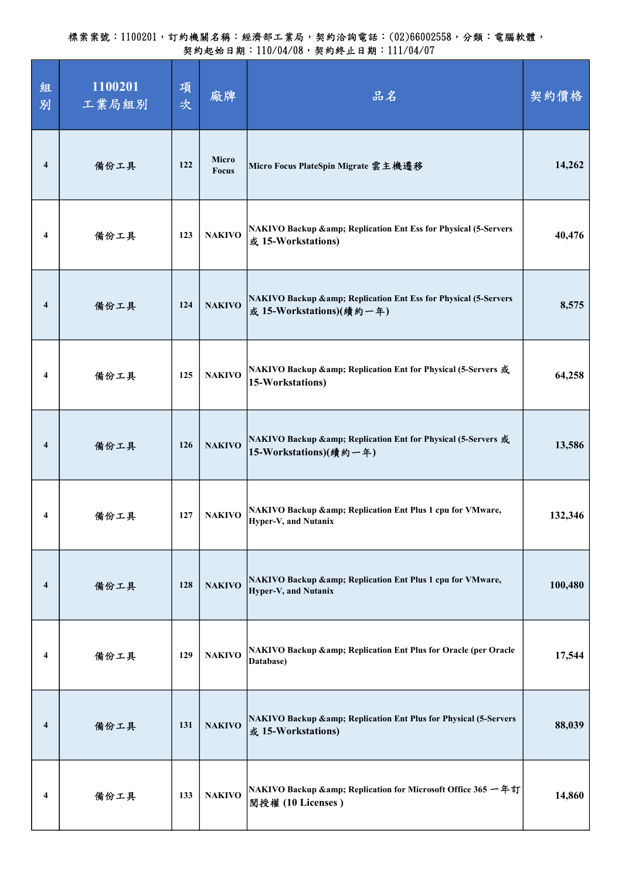| 組<br>別                  | 1100201<br>工業局組別 | 項<br>次 | 廠牌             | 品名                                                                                            | 契約價格    |
|-------------------------|------------------|--------|----------------|-----------------------------------------------------------------------------------------------|---------|
| $\overline{\mathbf{4}}$ | 備份工具             | 122    | Micro<br>Focus | Micro Focus PlateSpin Migrate 雲主機遷移                                                           | 14,262  |
| 4                       | 備份工具             | 123    | <b>NAKIVO</b>  | <b>NAKIVO Backup &amp; Replication Ent Ess for Physical (5-Servers</b><br>或 15-Workstations)  | 40,476  |
| 4                       | 備份工具             | 124    | <b>NAKIVO</b>  | NAKIVO Backup & Replication Ent Ess for Physical (5-Servers<br>或 15-Workstations)(續約一年)       | 8,575   |
| 4                       | 備份工具             | 125    | <b>NAKIVO</b>  | NAKIVO Backup & Replication Ent for Physical (5-Servers 或<br>15-Workstations)                 | 64,258  |
| 4                       | 備份工具             | 126    | <b>NAKIVO</b>  | NAKIVO Backup & Replication Ent for Physical (5-Servers 或<br>15-Workstations)(續約一年)           | 13,586  |
| 4                       | 備份工具             | 127    | <b>NAKIVO</b>  | NAKIVO Backup & Replication Ent Plus 1 cpu for VMware,<br>Hyper-V, and Nutanix                | 132,346 |
| 4                       | 備份工具             | 128    | <b>NAKIVO</b>  | NAKIVO Backup & Replication Ent Plus 1 cpu for VMware,<br><b>Hyper-V, and Nutanix</b>         | 100,480 |
| 4                       | 備份工具             | 129    | <b>NAKIVO</b>  | <b>NAKIVO Backup &amp; Replication Ent Plus for Oracle (per Oracle</b><br>Database)           | 17,544  |
| 4                       | 備份工具             | 131    | <b>NAKIVO</b>  | <b>NAKIVO Backup &amp; Replication Ent Plus for Physical (5-Servers</b><br>或 15-Workstations) | 88,039  |
| 4                       | 備份工具             | 133    | <b>NAKIVO</b>  | NAKIVO Backup & Replication for Microsoft Office 365 一年訂<br>閲授權 (10 Licenses)                 | 14,860  |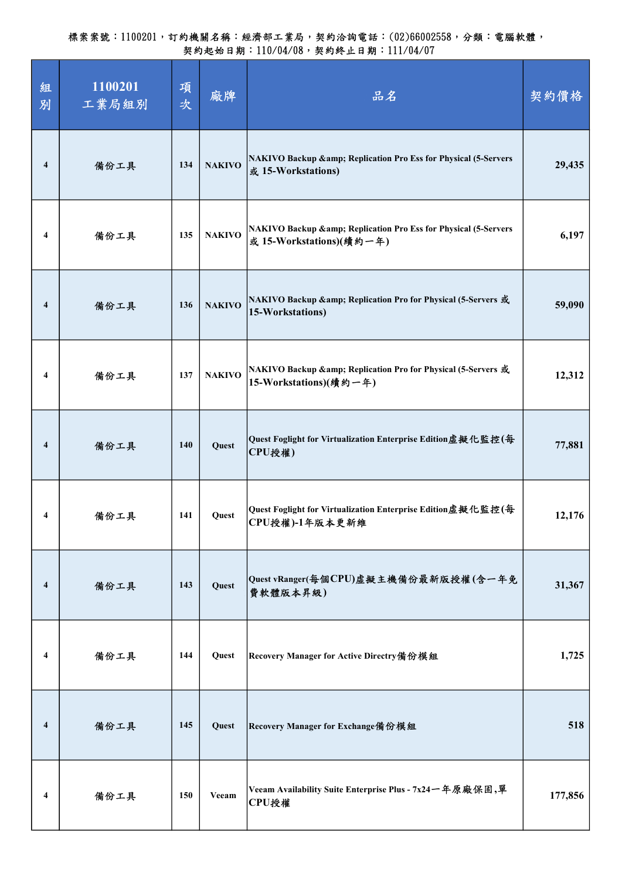| 組<br>別 | 1100201<br>工業局組別 | 項<br>次 | 廠牌            | 品名                                                                                      | 契約價格    |
|--------|------------------|--------|---------------|-----------------------------------------------------------------------------------------|---------|
| 4      | 備份工具             | 134    | <b>NAKIVO</b> | NAKIVO Backup & Replication Pro Ess for Physical (5-Servers<br>或 15-Workstations)       | 29,435  |
| 4      | 備份工具             | 135    | <b>NAKIVO</b> | NAKIVO Backup & Replication Pro Ess for Physical (5-Servers<br>或 15-Workstations)(續約一年) | 6,197   |
| 4      | 備份工具             | 136    | <b>NAKIVO</b> | NAKIVO Backup & Replication Pro for Physical (5-Servers 或<br>15-Workstations)           | 59,090  |
| 4      | 備份工具             | 137    | <b>NAKIVO</b> | NAKIVO Backup & Replication Pro for Physical (5-Servers 或<br>15-Workstations)(續約一年)     | 12,312  |
| 4      | 備份工具             | 140    | Quest         | Quest Foglight for Virtualization Enterprise Edition虛擬化監控(每<br>CPU授權)                   | 77,881  |
| 4      | 備份工具             | 141    | Quest         | Quest Foglight for Virtualization Enterprise Edition虛擬化監控(每<br>CPU授權)-1年版本更新維           | 12,176  |
| 4      | 備份工具             | 143    | Quest         | Quest vRanger(每個CPU)虛擬主機備份最新版授權(含一年免<br>費軟體版本昇級)                                        | 31,367  |
| 4      | 備份工具             | 144    | Quest         | Recovery Manager for Active Directry 備份模組                                               | 1,725   |
| 4      | 備份工具             | 145    | Quest         | Recovery Manager for Exchange備份模組                                                       | 518     |
| 4      | 備份工具             | 150    | Veeam         | Veeam Availability Suite Enterprise Plus - 7x24一年原廠保固,單<br>CPU授權                        | 177,856 |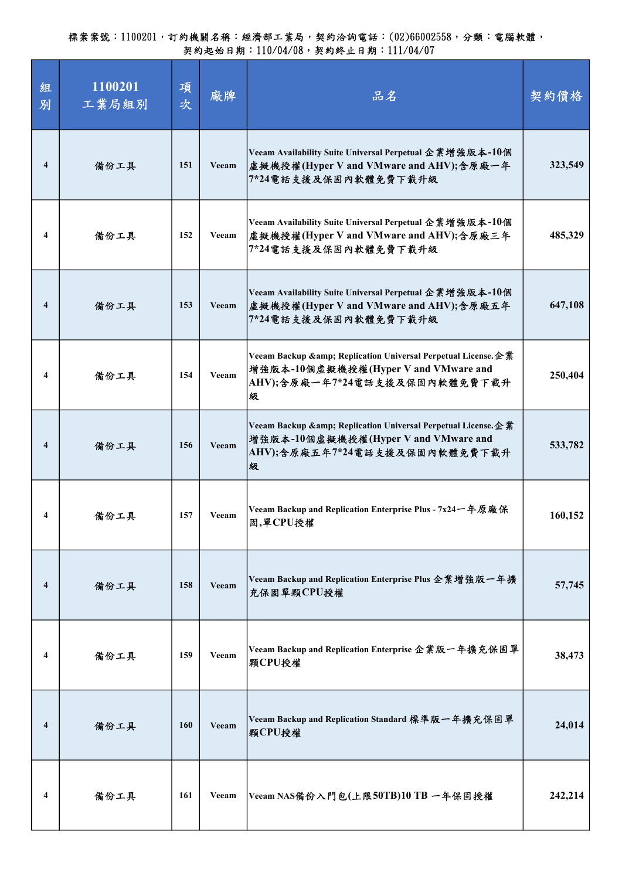| 組<br>別 | 1100201<br>工業局組別 | 項<br>次 | 廠牌    | 品名                                                                                                                                       | 契約價格    |
|--------|------------------|--------|-------|------------------------------------------------------------------------------------------------------------------------------------------|---------|
| 4      | 備份工具             | 151    | Veeam | Veeam Availability Suite Universal Perpetual 企業增強版本-10個<br>虚擬機授權(Hyper V and VMware and AHV);含原廠一年<br>7*24電話支援及保固內軟體免費下載升級               | 323,549 |
| 4      | 備份工具             | 152    | Veeam | Veeam Availability Suite Universal Perpetual 企業增強版本-10個<br>虚擬機授權(Hyper V and VMware and AHV);含原廠三年<br>7*24電話支援及保固內軟體免費下載升級               | 485,329 |
| 4      | 備份工具             | 153    | Veeam | Veeam Availability Suite Universal Perpetual 企業增強版本-10個<br>虚擬機授權(Hyper V and VMware and AHV);含原廠五年<br>7*24電話支援及保固內軟體免費下載升級               | 647,108 |
| 4      | 備份工具             | 154    | Veeam | Veeam Backup & Replication Universal Perpetual License. 企業<br>增強版本-10個虛擬機授權(Hyper V and VMware and<br>AHV);含原廠一年7*24電話支援及保固內軟體免費下載升<br>級 | 250,404 |
| 4      | 備份工具             | 156    | Veeam | Veeam Backup & Replication Universal Perpetual License. 企業<br>增強版本-10個虛擬機授權(Hyper V and VMware and<br>AHV);含原廠五年7*24電話支援及保固內軟體免費下載升<br>級 | 533,782 |
| 4      | 備份工具             | 157    | Veeam | Veeam Backup and Replication Enterprise Plus - 7x24 一年原廠保<br>固,單CPU授權                                                                    | 160,152 |
| 4      | 備份工具             | 158    | Veeam | Veeam Backup and Replication Enterprise Plus 企業增強版一年擴<br>充保固單顆CPU授權                                                                      | 57,745  |
| 4      | 備份工具             | 159    | Veeam | Veeam Backup and Replication Enterprise 企業版一年擴充保固單<br>颗CPU授權                                                                             | 38,473  |
| 4      | 備份工具             | 160    | Veeam | Veeam Backup and Replication Standard 標準版一年擴充保固單<br>顆CPU授權                                                                               | 24,014  |
| 4      | 備份工具             | 161    | Veeam | Veeam NAS備份入門包(上限50TB)10 TB 一年保固授權                                                                                                       | 242,214 |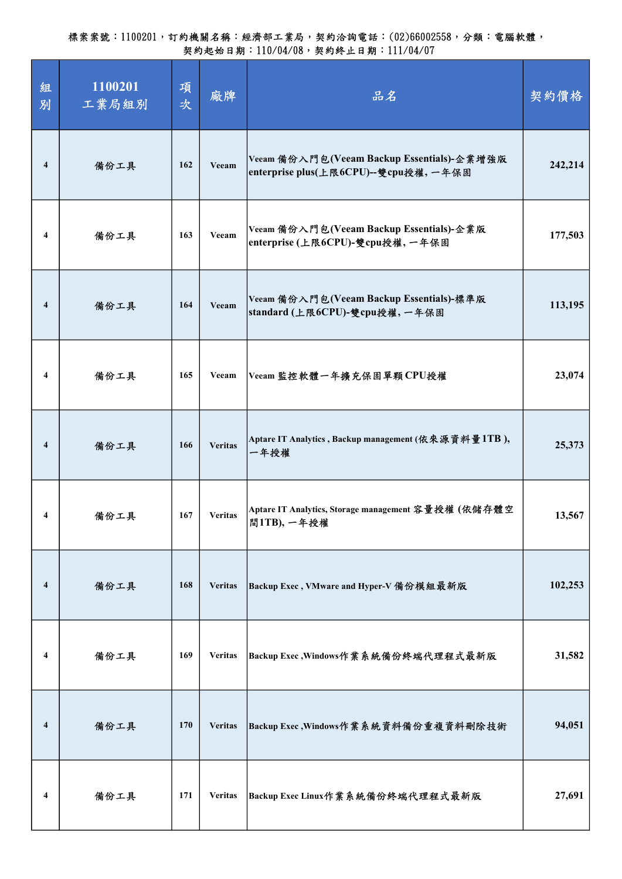| 組<br>別         | 1100201<br>工業局組別 | 項<br>次 | 廠牌             | 品名                                                                                 | 契約價格    |
|----------------|------------------|--------|----------------|------------------------------------------------------------------------------------|---------|
| $\overline{4}$ | 備份工具             | 162    | Veeam          | Veeam 備份入門包(Veeam Backup Essentials)-企業增強版<br>enterprise plus(上限6CPU)--雙cpu授權,一年保固 | 242,214 |
| 4              | 備份工具             | 163    | Veeam          | Veeam 備份入門包(Veeam Backup Essentials)-企業版<br>enterprise (上限6CPU)-雙cpu授權,一年保固        | 177,503 |
| 4              | 備份工具             | 164    | Veeam          | Veeam 備份入門包(Veeam Backup Essentials)-標準版<br>standard (上限6CPU)-雙cpu授權,一年保固          | 113,195 |
| 4              | 備份工具             | 165    | Veeam          | Veeam 監控軟體一年擴充保固單顆 CPU授權                                                           | 23,074  |
| $\overline{4}$ | 備份工具             | 166    | <b>Veritas</b> | Aptare IT Analytics, Backup management (依來源資料量1TB),<br>一年授權                        | 25,373  |
| 4              | 備份工具             | 167    | <b>Veritas</b> | Aptare IT Analytics, Storage management 容量授權 (依儲存體空<br>間1TB), 一年授權                 | 13,567  |
| 4              | 備份工具             | 168    | <b>Veritas</b> | Backup Exec, VMware and Hyper-V 備份模組最新版                                            | 102,253 |
| 4              | 備份工具             | 169    | <b>Veritas</b> | Backup Exec, Windows作業系統備份終端代理程式最新版                                                | 31,582  |
| 4              | 備份工具             | 170    | <b>Veritas</b> | Backup Exec, Windows作業系統資料備份重複資料刪除技術                                               | 94,051  |
| 4              | 備份工具             | 171    | <b>Veritas</b> | Backup Exec Linux作業系統備份終端代理程式最新版                                                   | 27,691  |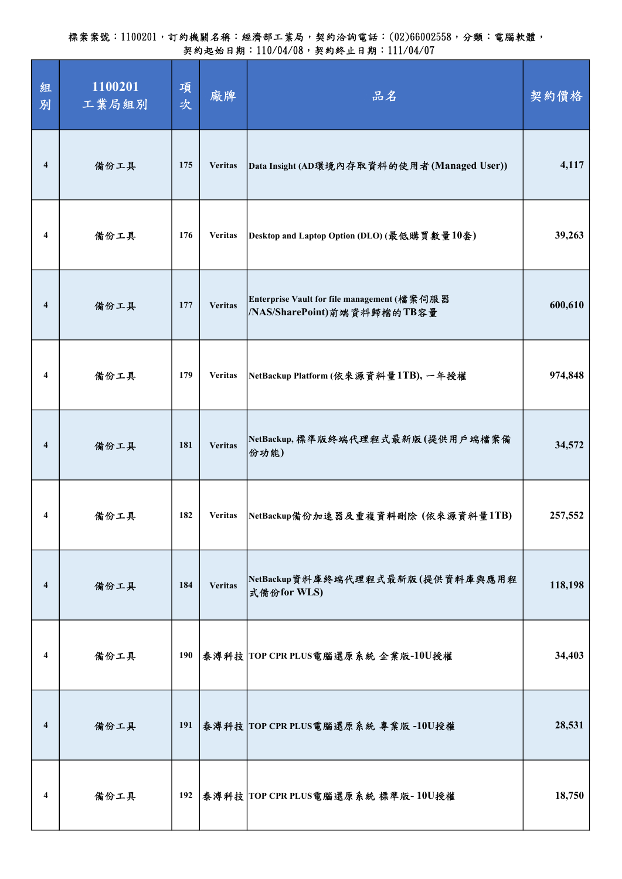| 組<br>別                  | 1100201<br>工業局組別 | 項<br>次 | 廠牌             | 品名                                                                         | 契約價格    |
|-------------------------|------------------|--------|----------------|----------------------------------------------------------------------------|---------|
| $\overline{\mathbf{4}}$ | 備份工具             | 175    | <b>Veritas</b> | Data Insight (AD環境內存取資料的使用者(Managed User))                                 | 4,117   |
| 4                       | 備份工具             | 176    | <b>Veritas</b> | Desktop and Laptop Option (DLO) (最低購買數量10套)                                | 39,263  |
| $\overline{\mathbf{4}}$ | 備份工具             | 177    | <b>Veritas</b> | Enterprise Vault for file management (檔案伺服器<br>/NAS/SharePoint)前端資料歸檔的TB容量 | 600,610 |
| $\overline{\mathbf{4}}$ | 備份工具             | 179    | <b>Veritas</b> | NetBackup Platform (依來源資料量1TB), 一年授權                                       | 974,848 |
| $\overline{4}$          | 備份工具             | 181    | <b>Veritas</b> | NetBackup,標準版終端代理程式最新版(提供用戶端檔案備<br>份功能)                                    | 34,572  |
| 4                       | 備份工具             | 182    | <b>Veritas</b> | NetBackup備份加速器及重複資料刪除 (依來源資料量1TB)                                          | 257,552 |
| 4                       | 備份工具             | 184    | <b>Veritas</b> | NetBackup資料庫終端代理程式最新版(提供資料庫與應用程<br>式備份for WLS)                             | 118,198 |
| 4                       | 備份工具             |        |                | 190 泰溥科技 TOP CPR PLUS電腦還原系統 企業版-10U授權                                      | 34,403  |
| $\overline{\mathbf{4}}$ | 備份工具             | 191    |                | 泰溥科技  TOP CPR PLUS電腦還原系統 專業版 -10U授權                                        | 28,531  |
| 4                       | 備份工具             |        |                | 192 泰溥科技 TOP CPR PLUS電腦還原系統 標準版-10U授權                                      | 18,750  |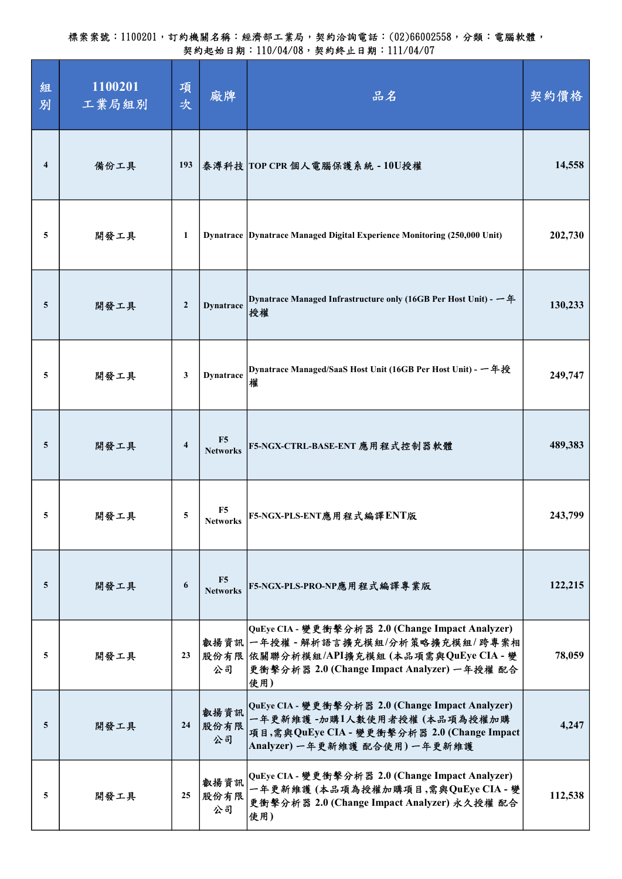| 組<br>別                  | 1100201<br>工業局組別 | 項<br>次                  | 廠牌                                | 品名                                                                                                                                                                                        | 契約價格    |
|-------------------------|------------------|-------------------------|-----------------------------------|-------------------------------------------------------------------------------------------------------------------------------------------------------------------------------------------|---------|
| $\overline{\mathbf{4}}$ | 備份工具             | 193                     |                                   | 泰溥科技 TOP CPR 個人電腦保護系統 - 10U授權                                                                                                                                                             | 14,558  |
| 5                       | 開發工具             | 1                       |                                   | Dynatrace Dynatrace Managed Digital Experience Monitoring (250,000 Unit)                                                                                                                  | 202,730 |
| 5                       | 開發工具             | $\boldsymbol{2}$        | <b>Dynatrace</b>                  | Dynatrace Managed Infrastructure only (16GB Per Host Unit) - 一年<br>授權                                                                                                                     | 130,233 |
| 5                       | 開發工具             | 3                       | <b>Dynatrace</b>                  | Dynatrace Managed/SaaS Host Unit (16GB Per Host Unit) - 一年授<br>槯                                                                                                                          | 249,747 |
| 5                       | 開發工具             | $\overline{\mathbf{4}}$ | F <sub>5</sub><br><b>Networks</b> | F5-NGX-CTRL-BASE-ENT 應用程式控制器軟體                                                                                                                                                            | 489,383 |
| 5                       | 開發工具             | 5                       | F <sub>5</sub><br><b>Networks</b> | F5-NGX-PLS-ENT應用程式編譯ENT版                                                                                                                                                                  | 243,799 |
| $\overline{5}$          | 開發工具             | 6                       | F5<br><b>Networks</b>             | F5-NGX-PLS-PRO-NP應用程式編譯專業版                                                                                                                                                                | 122,215 |
| 5                       | 開發工具             | 23                      | 公司                                | QuEye CIA - 變更衝擊分析器 2.0 (Change Impact Analyzer)<br>叡揚資訊 -年授權 - 解析語言擴充模組/分析策略擴充模組/ 跨專案相<br>股份有限 依關聯分析模組/API擴充模組 (本品項需與QuEye CIA - 變<br>更衝擊分析器 2.0 (Change Impact Analyzer) 一年授權 配合<br>使用) | 78,059  |
| 5                       | 開發工具             | 24                      | 叡揚資訊<br>股份有限<br>公司                | QuEye CIA - 變更衝擊分析器 2.0 (Change Impact Analyzer)<br>一年更新維護 -加購1人數使用者授權(本品項為授權加購<br>項目,需與QuEye CIA - 變更衝擊分析器 2.0 (Change Impact<br>Analyzer) 一年更新維護 配合使用) 一年更新維護                           | 4,247   |
| 5                       | 開發工具             | 25                      | 叡揚資訊<br>股份有限<br>公司                | QuEye CIA - 變更衝擊分析器 2.0 (Change Impact Analyzer)<br>一年更新維護(本品項為授權加購項目,需與QuEye CIA - 變<br>更衝擊分析器 2.0 (Change Impact Analyzer) 永久授權 配合<br>使用)                                               | 112,538 |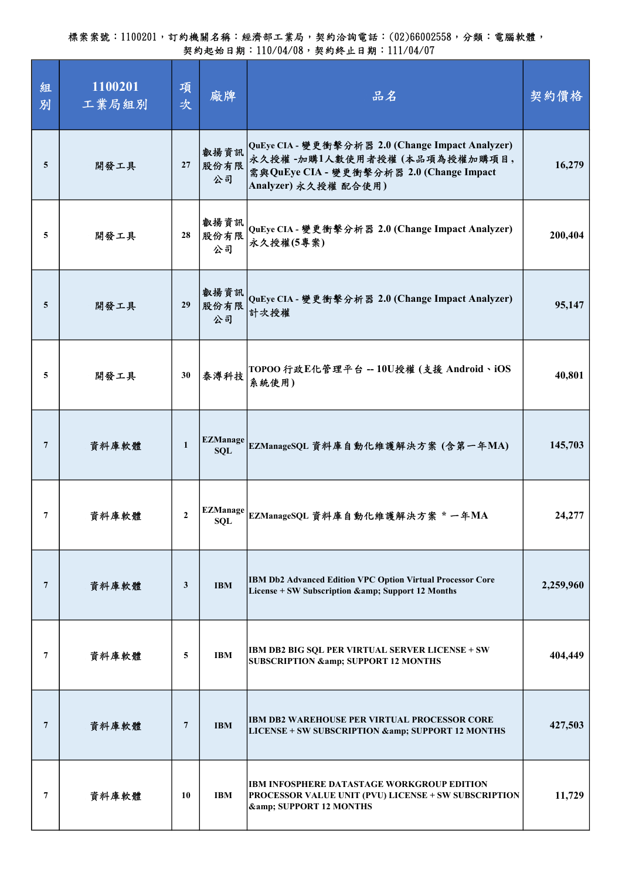| 組<br>別          | 1100201<br>工業局組別 | 項<br>次         | 廠牌                            | 品名                                                                                                                                                  | 契約價格      |
|-----------------|------------------|----------------|-------------------------------|-----------------------------------------------------------------------------------------------------------------------------------------------------|-----------|
| 5               | 開發工具             | 27             | 叡揚資訊<br>股份有限<br>公司            | QuEye CIA - 變更衝擊分析器 2.0 (Change Impact Analyzer)<br>永久授權-加購1人數使用者授權(本品項為授權加購項目,<br>需與QuEye CIA - 變更衝擊分析器 2.0 (Change Impact<br>Analyzer) 永久授權 配合使用) | 16,279    |
| 5               | 開發工具             | 28             | 叡揚資訊<br>股份有限<br>公司            | QuEye CIA - 變更衝擊分析器 2.0 (Change Impact Analyzer)<br>永久授權(5專案)                                                                                       | 200,404   |
| 5               | 開發工具             | 29             | 叡揚資訊<br>股份有限<br>公司            | QuEye CIA - 變更衝擊分析器 2.0 (Change Impact Analyzer)<br>計次授權                                                                                            | 95,147    |
| 5               | 開發工具             | 30             | 泰溥科技                          | TOPOO 行政E化管理平台 -- 10U授權 (支援 Android、iOS<br>系統使用)                                                                                                    | 40,801    |
| $7\phantom{.0}$ | 資料庫軟體            | $\mathbf{1}$   | <b>EZManage</b><br><b>SOL</b> | EZManageSQL 資料庫自動化維護解決方案 (含第一年MA)                                                                                                                   | 145,703   |
| 7               | 資料庫軟體            | $\mathbf{2}$   | <b>EZManage</b><br><b>SQL</b> | EZManageSQL 資料庫自動化維護解決方案 * 一年MA                                                                                                                     | 24,277    |
| $\overline{7}$  | 資料庫軟體            | 3              | <b>IBM</b>                    | IBM Db2 Advanced Edition VPC Option Virtual Processor Core<br>License + SW Subscription & amp; Support 12 Months                                    | 2,259,960 |
| 7               | 資料庫軟體            | 5              | <b>IBM</b>                    | IBM DB2 BIG SQL PER VIRTUAL SERVER LICENSE + SW<br><b>SUBSCRIPTION &amp; SUPPORT 12 MONTHS</b>                                                      | 404,449   |
| $\overline{7}$  | 資料庫軟體            | $\overline{7}$ | <b>IBM</b>                    | <b>IBM DB2 WAREHOUSE PER VIRTUAL PROCESSOR CORE</b><br>LICENSE + SW SUBSCRIPTION & SUPPORT 12 MONTHS                                                | 427,503   |
| 7               | 資料庫軟體            | 10             | <b>IBM</b>                    | <b>IBM INFOSPHERE DATASTAGE WORKGROUP EDITION</b><br><b>PROCESSOR VALUE UNIT (PVU) LICENSE + SW SUBSCRIPTION</b><br>& SUPPORT 12 MONTHS             | 11,729    |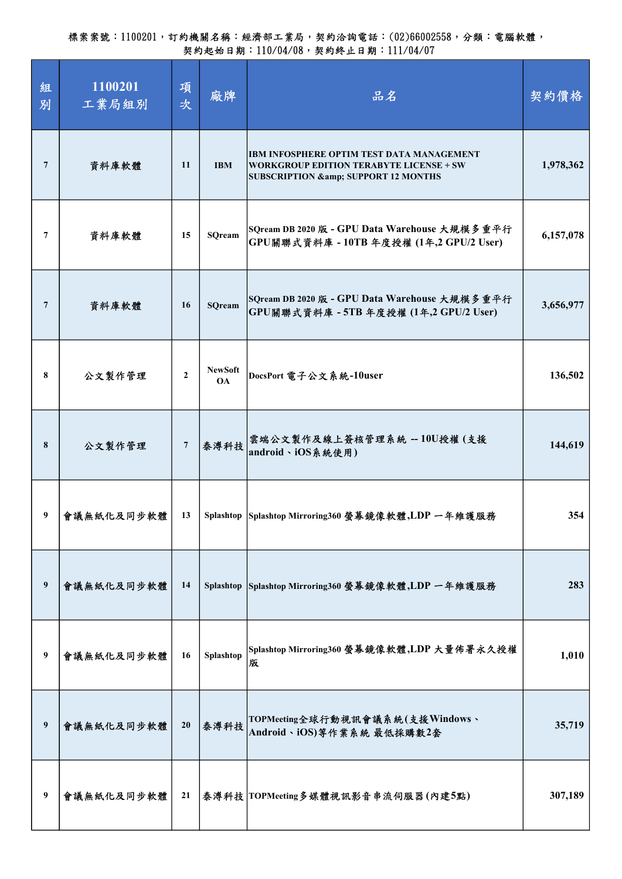| 組<br>別         | 1100201<br>工業局組別 | 項<br>次         | 廠牌                          | 品名                                                                                                                                                | 契約價格      |
|----------------|------------------|----------------|-----------------------------|---------------------------------------------------------------------------------------------------------------------------------------------------|-----------|
| $\overline{7}$ | 資料庫軟體            | 11             | <b>IBM</b>                  | <b>IBM INFOSPHERE OPTIM TEST DATA MANAGEMENT</b><br><b>WORKGROUP EDITION TERABYTE LICENSE + SW</b><br><b>SUBSCRIPTION &amp; SUPPORT 12 MONTHS</b> | 1,978,362 |
| 7              | 資料庫軟體            | 15             | <b>SQream</b>               | SQream DB 2020 版 - GPU Data Warehouse 大規模多重平行<br> GPU關聯式資料庫 - 10TB 年度授權 (1年,2 GPU/2 User)                                                         | 6,157,078 |
| $\overline{7}$ | 資料庫軟體            | 16             | <b>SQream</b>               | SQream DB 2020 版 - GPU Data Warehouse 大規模多重平行<br> GPU關聯式資料庫 - 5TB 年度授權 (1年,2 GPU/2 User)                                                          | 3,656,977 |
| 8              | 公文製作管理           | $\mathbf{2}$   | <b>NewSoft</b><br><b>OA</b> | DocsPort 電子公文系統-10user                                                                                                                            | 136,502   |
| 8              | 公文製作管理           | $\overline{7}$ |                             | 泰溥科技 黑端公文製作及線上簽核管理系統 -- 10U授權(支援<br>android、iOS系統使用)                                                                                              | 144,619   |
| 9              | 會議無紙化及同步軟體       | 13             |                             | Splashtop Splashtop Mirroring360 螢幕鏡像軟體,LDP 一年維護服務                                                                                                | 354       |
| 9              | 會議無紙化及同步軟體       | 14             |                             | Splashtop Splashtop Mirroring360 螢幕鏡像軟體,LDP 一年維護服務                                                                                                | 283       |
| 9              | 會議無紙化及同步軟體       | 16             | Splashtop                   | Splashtop Mirroring360 螢幕鏡像軟體,LDP 大量佈署永久授權<br>版                                                                                                   | 1,010     |
| 9              | 會議無紙化及同步軟體       | 20             | 泰溥科技                        | TOPMeeting全球行動視訊會議系統(支援Windows、<br>Android、iOS)等作業系統 最低採購數2套                                                                                      | 35,719    |
| 9              | 會議無紙化及同步軟體       | 21             |                             | 泰溥科技 TOPMeeting多媒體視訊影音串流伺服器(內建5點)                                                                                                                 | 307,189   |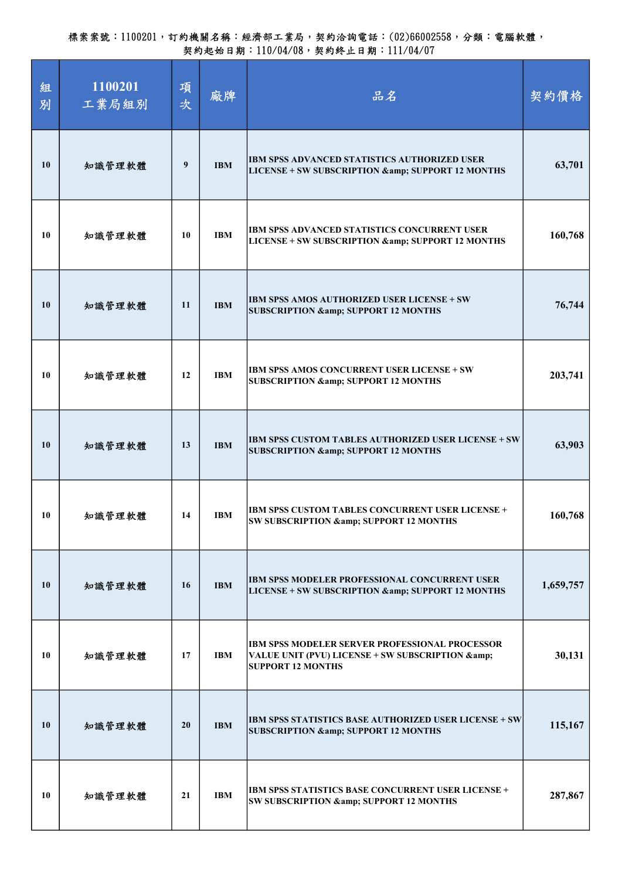| 組<br>別 | 1100201<br>工業局組別 | 項<br>次 | 廠牌         | 品名                                                                                                                                | 契約價格      |
|--------|------------------|--------|------------|-----------------------------------------------------------------------------------------------------------------------------------|-----------|
| 10     | 知識管理軟體           | 9      | <b>IBM</b> | <b>IBM SPSS ADVANCED STATISTICS AUTHORIZED USER</b><br>LICENSE + SW SUBSCRIPTION & SUPPORT 12 MONTHS                              | 63,701    |
| 10     | 知識管理軟體           | 10     | <b>IBM</b> | IBM SPSS ADVANCED STATISTICS CONCURRENT USER<br>LICENSE + SW SUBSCRIPTION & SUPPORT 12 MONTHS                                     | 160,768   |
| 10     | 知識管理軟體           | 11     | <b>IBM</b> | <b>IBM SPSS AMOS AUTHORIZED USER LICENSE + SW</b><br><b>SUBSCRIPTION &amp; SUPPORT 12 MONTHS</b>                                  | 76,744    |
| 10     | 知識管理軟體           | 12     | <b>IBM</b> | IBM SPSS AMOS CONCURRENT USER LICENSE + SW<br><b>SUBSCRIPTION &amp; SUPPORT 12 MONTHS</b>                                         | 203,741   |
| 10     | 知識管理軟體           | 13     | <b>IBM</b> | <b>IBM SPSS CUSTOM TABLES AUTHORIZED USER LICENSE + SW</b><br><b>SUBSCRIPTION &amp; SUPPORT 12 MONTHS</b>                         | 63,903    |
| 10     | 知識管理軟體           | 14     | <b>IBM</b> | IBM SPSS CUSTOM TABLES CONCURRENT USER LICENSE +<br><b>SW SUBSCRIPTION &amp; SUPPORT 12 MONTHS</b>                                | 160,768   |
| 10     | 知識管理軟體           | 16     | <b>IBM</b> | <b>IBM SPSS MODELER PROFESSIONAL CONCURRENT USER</b><br>LICENSE + SW SUBSCRIPTION & SUPPORT 12 MONTHS                             | 1,659,757 |
| 10     | 知識管理軟體           | 17     | <b>IBM</b> | <b>IBM SPSS MODELER SERVER PROFESSIONAL PROCESSOR</b><br>VALUE UNIT (PVU) LICENSE + SW SUBSCRIPTION &<br><b>SUPPORT 12 MONTHS</b> | 30,131    |
| 10     | 知識管理軟體           | 20     | <b>IBM</b> | <b>IBM SPSS STATISTICS BASE AUTHORIZED USER LICENSE + SW</b><br><b>SUBSCRIPTION &amp; SUPPORT 12 MONTHS</b>                       | 115,167   |
| 10     | 知識管理軟體           | 21     | <b>IBM</b> | IBM SPSS STATISTICS BASE CONCURRENT USER LICENSE +<br><b>SW SUBSCRIPTION &amp; SUPPORT 12 MONTHS</b>                              | 287,867   |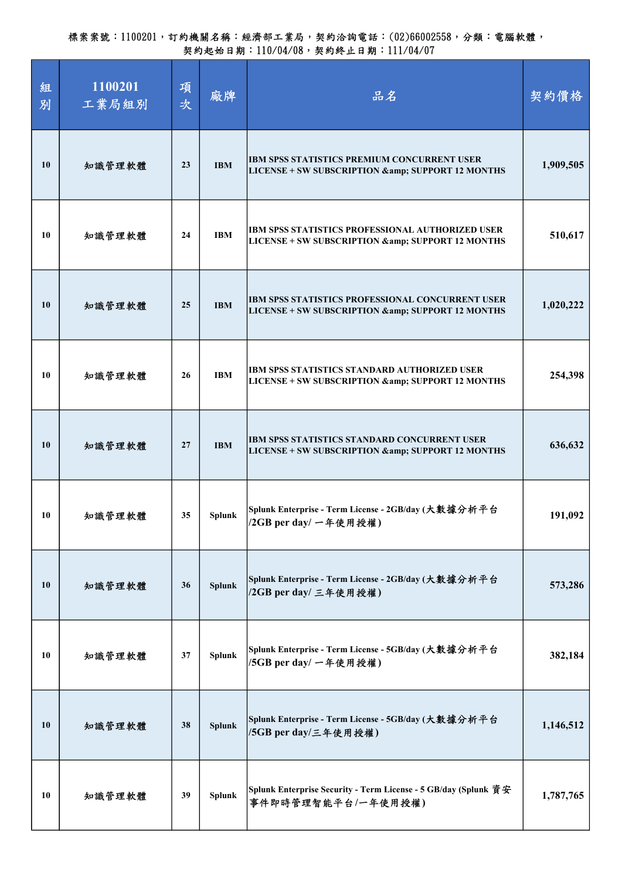| 組<br>別 | 1100201<br>工業局組別 | 項<br>次 | 廠牌            | 品名                                                                                                       | 契約價格      |
|--------|------------------|--------|---------------|----------------------------------------------------------------------------------------------------------|-----------|
| 10     | 知識管理軟體           | 23     | <b>IBM</b>    | <b>IBM SPSS STATISTICS PREMIUM CONCURRENT USER</b><br>LICENSE + SW SUBSCRIPTION & amp; SUPPORT 12 MONTHS | 1,909,505 |
| 10     | 知識管理軟體           | 24     | <b>IBM</b>    | IBM SPSS STATISTICS PROFESSIONAL AUTHORIZED USER<br>LICENSE + SW SUBSCRIPTION & SUPPORT 12 MONTHS        | 510,617   |
| 10     | 知識管理軟體           | 25     | <b>IBM</b>    | <b>IBM SPSS STATISTICS PROFESSIONAL CONCURRENT USER</b><br>LICENSE + SW SUBSCRIPTION & SUPPORT 12 MONTHS | 1,020,222 |
| 10     | 知識管理軟體           | 26     | <b>IBM</b>    | IBM SPSS STATISTICS STANDARD AUTHORIZED USER<br>LICENSE + SW SUBSCRIPTION & SUPPORT 12 MONTHS            | 254,398   |
| 10     | 知識管理軟體           | 27     | <b>IBM</b>    | <b>IBM SPSS STATISTICS STANDARD CONCURRENT USER</b><br>LICENSE + SW SUBSCRIPTION & SUPPORT 12 MONTHS     | 636,632   |
| 10     | 知識管理軟體           | 35     | <b>Splunk</b> | Splunk Enterprise - Term License - 2GB/day (大敦據分析平台<br>/2GB per day/ 一年使用授權)                             | 191,092   |
| 10     | 知識管理軟體           | 36     | <b>Splunk</b> | Splunk Enterprise - Term License - 2GB/day (大數據分析平台<br>/2GB per day/ 三年使用授權)                             | 573,286   |
| 10     | 知識管理軟體           | 37     | <b>Splunk</b> | Splunk Enterprise - Term License - 5GB/day (大敦據分析平台<br>/5GB per day/ 一年使用授權)                             | 382,184   |
| 10     | 知識管理軟體           | 38     | <b>Splunk</b> | Splunk Enterprise - Term License - 5GB/day (大敦據分析平台<br>/5GB per day/三年使用授權)                              | 1,146,512 |
| 10     | 知識管理軟體           | 39     | <b>Splunk</b> | Splunk Enterprise Security - Term License - 5 GB/day (Splunk 資安<br>事件即時管理智能平台/一年使用授權)                    | 1,787,765 |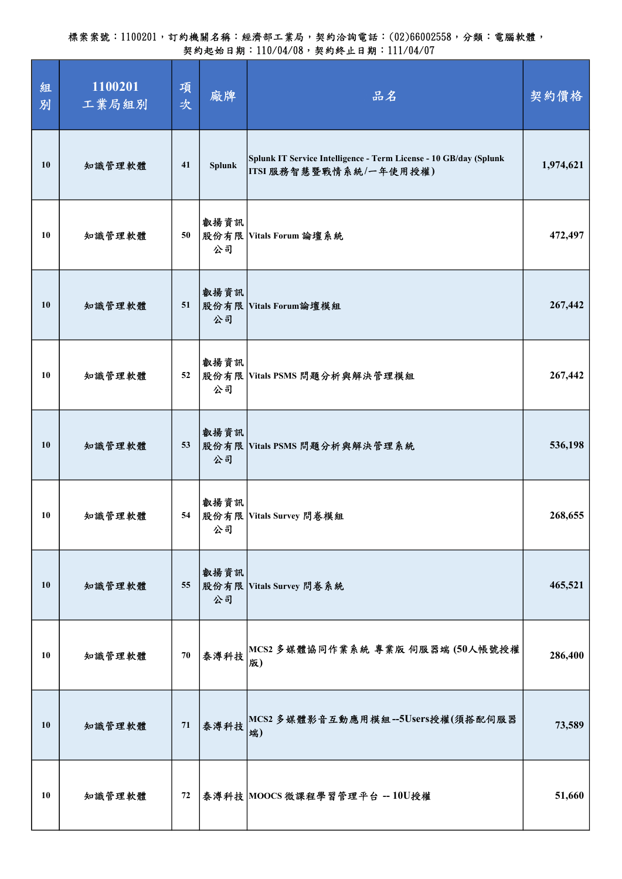| 組<br>別 | 1100201<br>工業局組別 | 項<br>次     | 廠牌            | 品名                                                                                          | 契約價格      |
|--------|------------------|------------|---------------|---------------------------------------------------------------------------------------------|-----------|
| 10     | 知識管理軟體           | 41         | <b>Splunk</b> | Splunk IT Service Intelligence - Term License - 10 GB/day (Splunk<br>ITSI 服務智慧暨戰情系統/一年使用授權) | 1,974,621 |
| 10     | 知識管理軟體           | 50         | 叡揚資訊<br>公司    | 股份有限 Vitals Forum 論壇系統                                                                      | 472,497   |
| 10     | 知識管理軟體           | 51         | 叡揚資訊<br>公司    | 股份有限 Vitals Forum論壇模組                                                                       | 267,442   |
| 10     | 知識管理軟體           | 52         | 叡揚資訊<br>公司    | 股份有限 Vitals PSMS 問題分析與解決管理模組                                                                | 267,442   |
| 10     | 知識管理軟體           | 53         | 叡揚資訊<br>公司    | 股份有限 Vitals PSMS 問題分析與解決管理系統                                                                | 536,198   |
| 10     | 知識管理軟體           | 54         | 叡揚資訊<br>公司    | 股份有限 Vitals Survey 問卷模組                                                                     | 268,655   |
| 10     | 知識管理軟體           | 55         | 叡揚資訊<br>公司    | 股份有限 Vitals Survey 問卷系統                                                                     | 465,521   |
| 10     | 知識管理軟體           | ${\bf 70}$ | 泰溥科技          | MCS2 多媒體協同作業系統 專業版 伺服器端 (50人帳號授權<br>版)                                                      | 286,400   |
| 10     | 知識管理軟體           | ${\bf 71}$ | 泰溥科技          | MCS2 多媒體影音互動應用模組 --5Users授權(須搭配伺服器<br>端)                                                    | 73,589    |
| 10     | 知識管理軟體           | 72         |               | 泰溥科技 MOOCS 微課程學習管理平台 -- 10U授權                                                               | 51,660    |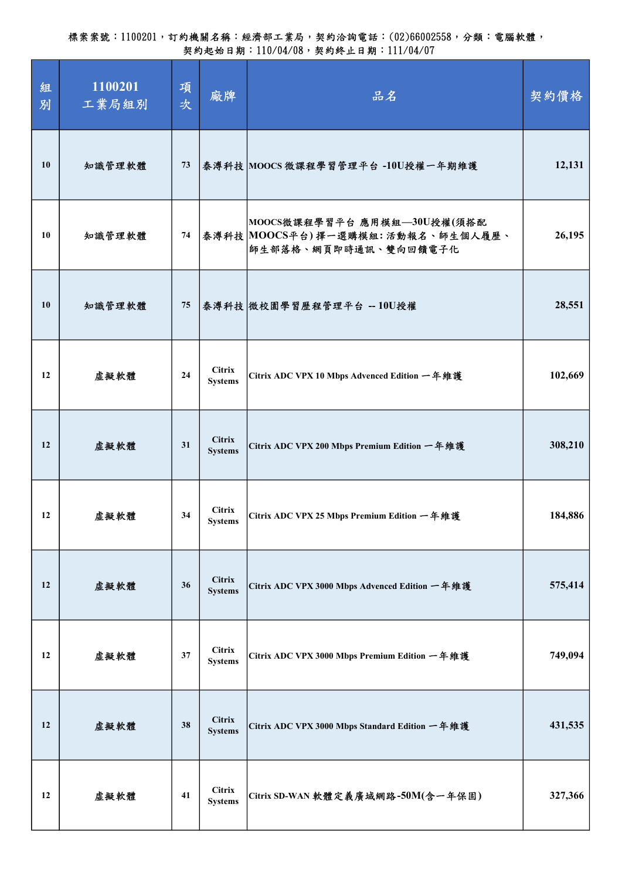| 組<br>別 | 1100201<br>工業局組別 | 項<br>次 | 廠牌                              | 品名                                                                                         | 契約價格    |
|--------|------------------|--------|---------------------------------|--------------------------------------------------------------------------------------------|---------|
| 10     | 知識管理軟體           | 73     |                                 | 泰溥科技 MOOCS 微課程學習管理平台 -10U授權一年期維護                                                           | 12,131  |
| 10     | 知識管理軟體           | 74     |                                 | MOOCS微課程學習平台 應用模組—30U授權(須搭配<br> 泰溥科技 MOOCS平台) 擇一選購模組: 活動報名、師生個人履歷、<br>師生部落格、網頁即時通訊、雙向回饋電子化 | 26,195  |
| 10     | 知識管理軟體           | 75     |                                 | 泰溥科技 微校園學習歷程管理平台 -- 10U授權                                                                  | 28,551  |
| 12     | 虛擬軟體             | 24     | <b>Citrix</b><br><b>Systems</b> | Citrix ADC VPX 10 Mbps Advenced Edition 一年維護                                               | 102,669 |
| 12     | 虛擬軟體             | 31     | <b>Citrix</b><br><b>Systems</b> | Citrix ADC VPX 200 Mbps Premium Edition 一年維護                                               | 308,210 |
| 12     | 虚擬軟體             | 34     | <b>Citrix</b><br><b>Systems</b> | Citrix ADC VPX 25 Mbps Premium Edition 一年維護                                                | 184,886 |
| 12     | 虛擬軟體             | 36     | <b>Citrix</b><br><b>Systems</b> | Citrix ADC VPX 3000 Mbps Advenced Edition 一年維護                                             | 575,414 |
| 12     | 虛擬軟體             | 37     | <b>Citrix</b><br><b>Systems</b> | Citrix ADC VPX 3000 Mbps Premium Edition 一年維護                                              | 749,094 |
| 12     | 虛擬軟體             | 38     | <b>Citrix</b><br><b>Systems</b> | Citrix ADC VPX 3000 Mbps Standard Edition 一年維護                                             | 431,535 |
| 12     | 虛擬軟體             | 41     | <b>Citrix</b><br><b>Systems</b> | Citrix SD-WAN 軟體定義廣域網路-50M(含一年保固)                                                          | 327,366 |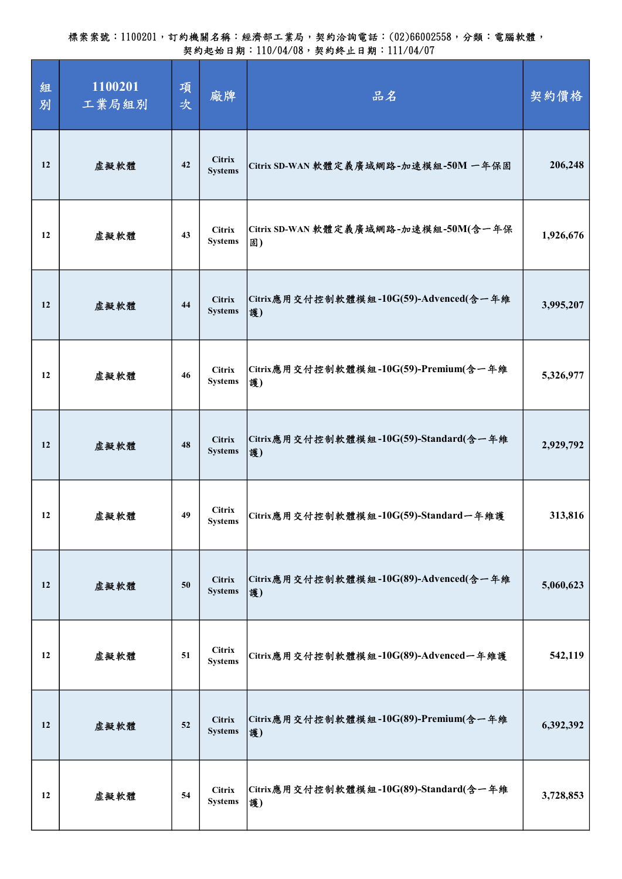| 組<br>別 | 1100201<br>工業局組別 | 項<br>次 | 廠牌                              | 品名                                           | 契約價格      |
|--------|------------------|--------|---------------------------------|----------------------------------------------|-----------|
| 12     | 虛擬軟體             | 42     | <b>Citrix</b><br><b>Systems</b> | Citrix SD-WAN 軟體定義廣域網路-加速模組-50M 一年保固         | 206,248   |
| 12     | 虛擬軟體             | 43     | <b>Citrix</b><br><b>Systems</b> | Citrix SD-WAN 軟體定義廣域網路-加速模組-50M(含一年保<br>固)   | 1,926,676 |
| 12     | 虛擬軟體             | 44     | <b>Citrix</b><br><b>Systems</b> | Citrix應用交付控制軟體模組-10G(59)-Advenced(含一年維<br>護) | 3,995,207 |
| 12     | 虛擬軟體             | 46     | <b>Citrix</b><br><b>Systems</b> | Citrix應用交付控制軟體模組-10G(59)-Premium(含一年維<br>護)  | 5,326,977 |
| 12     | 虛擬軟體             | 48     | <b>Citrix</b><br><b>Systems</b> | Citrix應用交付控制軟體模組-10G(59)-Standard(含一年維<br>護) | 2,929,792 |
| 12     | 虛擬軟體             | 49     | <b>Citrix</b><br><b>Systems</b> | Citrix應用交付控制軟體模組-10G(59)-Standard一年維護        | 313,816   |
| 12     | 虛擬軟體             | 50     | <b>Citrix</b><br><b>Systems</b> | Citrix應用交付控制軟體模組-10G(89)-Advenced(含一年維<br>護) | 5,060,623 |
| 12     | 虛擬軟體             | 51     | <b>Citrix</b><br><b>Systems</b> | Citrix應用交付控制軟體模組-10G(89)-Advenced一年維護        | 542,119   |
| 12     | 虛擬軟體             | 52     | <b>Citrix</b><br><b>Systems</b> | Citrix應用交付控制軟體模組-10G(89)-Premium(含一年維<br>護)  | 6,392,392 |
| 12     | 虛擬軟體             | 54     | <b>Citrix</b><br><b>Systems</b> | Citrix應用交付控制軟體模組-10G(89)-Standard(含一年維<br>護) | 3,728,853 |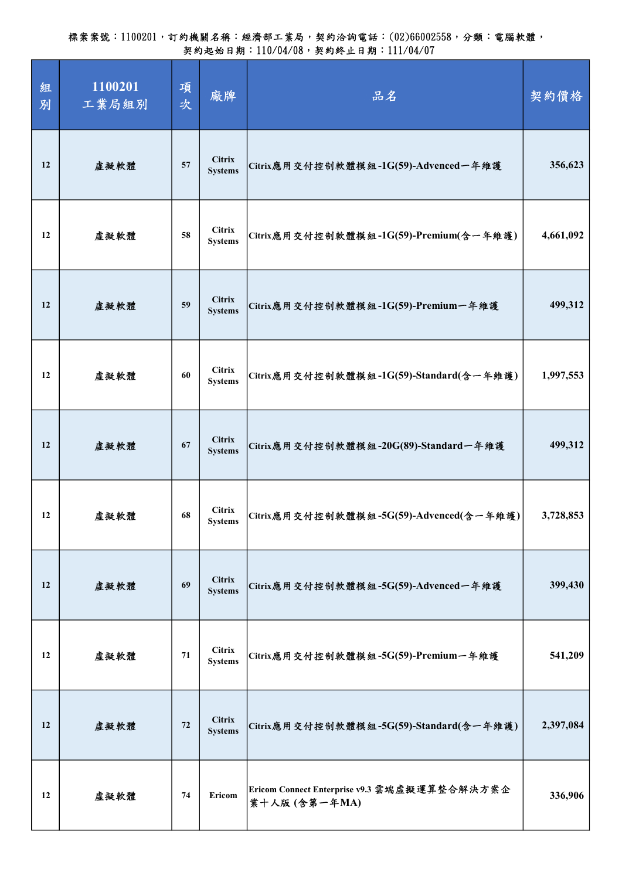| 組<br>別 | 1100201<br>工業局組別 | 項<br>次 | 廠牌                              | 品名                                                            | 契約價格      |
|--------|------------------|--------|---------------------------------|---------------------------------------------------------------|-----------|
| 12     | 虛擬軟體             | 57     | <b>Citrix</b><br><b>Systems</b> | Citrix應用交付控制軟體模組-1G(59)-Advenced一年維護                          | 356,623   |
| 12     | 虛擬軟體             | 58     | <b>Citrix</b><br><b>Systems</b> | Citrix應用交付控制軟體模組-1G(59)-Premium(含一年維護)                        | 4,661,092 |
| 12     | 虛擬軟體             | 59     | <b>Citrix</b><br><b>Systems</b> | Citrix應用交付控制軟體模組-1G(59)-Premium一年維護                           | 499,312   |
| 12     | 虛擬軟體             | 60     | <b>Citrix</b><br><b>Systems</b> | Citrix應用交付控制軟體模組-1G(59)-Standard(含一年維護)                       | 1,997,553 |
| 12     | 虛擬軟體             | 67     | <b>Citrix</b><br><b>Systems</b> | Citrix應用交付控制軟體模組-20G(89)-Standard一年維護                         | 499,312   |
| 12     | 虛擬軟體             | 68     | <b>Citrix</b><br><b>Systems</b> | Citrix應用交付控制軟體模組-5G(59)-Advenced(含一年維護)                       | 3,728,853 |
| 12     | 虛擬軟體             | 69     | <b>Citrix</b><br><b>Systems</b> | Citrix應用交付控制軟體模組-5G(59)-Advenced一年維護                          | 399,430   |
| 12     | 虛擬軟體             | 71     | <b>Citrix</b><br><b>Systems</b> | Citrix應用交付控制軟體模組-5G(59)-Premium一年維護                           | 541,209   |
| 12     | 虛擬軟體             | 72     | <b>Citrix</b><br><b>Systems</b> | Citrix應用交付控制軟體模組-5G(59)-Standard(含一年維護)                       | 2,397,084 |
| 12     | 虛擬軟體             | 74     | Ericom                          | Ericom Connect Enterprise v9.3 雲端虛擬運算整合解決方案企<br>業十人版 (含第一年MA) | 336,906   |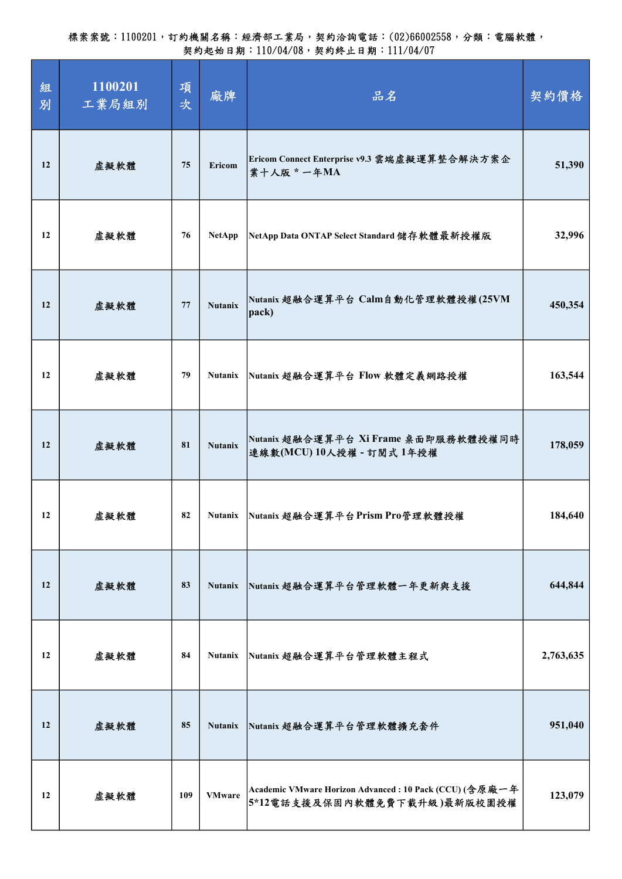| 組<br>別 | 1100201<br>工業局組別 | 項<br>次 | 廠牌             | 品名                                                                                     | 契約價格      |
|--------|------------------|--------|----------------|----------------------------------------------------------------------------------------|-----------|
| 12     | 虛擬軟體             | 75     | Ericom         | Ericom Connect Enterprise v9.3 雲端虛擬運算整合解決方案企<br>業十人版 * 一年MA                            | 51,390    |
| 12     | 虛擬軟體             | 76     | <b>NetApp</b>  | NetApp Data ONTAP Select Standard 儲存軟體最新授權版                                            | 32,996    |
| 12     | 虛擬軟體             | 77     | <b>Nutanix</b> | Nutanix 超融合運算平台 Calm自動化管理軟體授權(25VM<br>pack)                                            | 450,354   |
| 12     | 虛擬軟體             | 79     | <b>Nutanix</b> | Nutanix 超融合運算平台 Flow 軟體定義網路授權                                                          | 163,544   |
| 12     | 虛擬軟體             | 81     | <b>Nutanix</b> | Nutanix 超融合運算平台 Xi Frame 桌面即服務軟體授權同時<br>連線數(MCU)10人授權 - 訂閱式1年授權                        | 178,059   |
| 12     | 虚擬軟體             | 82     | <b>Nutanix</b> | Nutanix 超融合運算平台 Prism Pro管理軟體授權                                                        | 184,640   |
| 12     | 虛擬軟體             | 83     | <b>Nutanix</b> | Nutanix 超融合運算平台管理軟體一年更新與支援                                                             | 644,844   |
| 12     | 虛擬軟體             | 84     | <b>Nutanix</b> | Nutanix 超融合運算平台管理軟體主程式                                                                 | 2,763,635 |
| 12     | 虛擬軟體             | 85     | <b>Nutanix</b> | Nutanix 超融合運算平台管理軟體擴充套件                                                                | 951,040   |
| 12     | 虛擬軟體             | 109    | <b>VMware</b>  | Academic VMware Horizon Advanced: 10 Pack (CCU) (含原廠一年<br>5*12電話支援及保固內軟體免費下載升級)最新版校園授權 | 123,079   |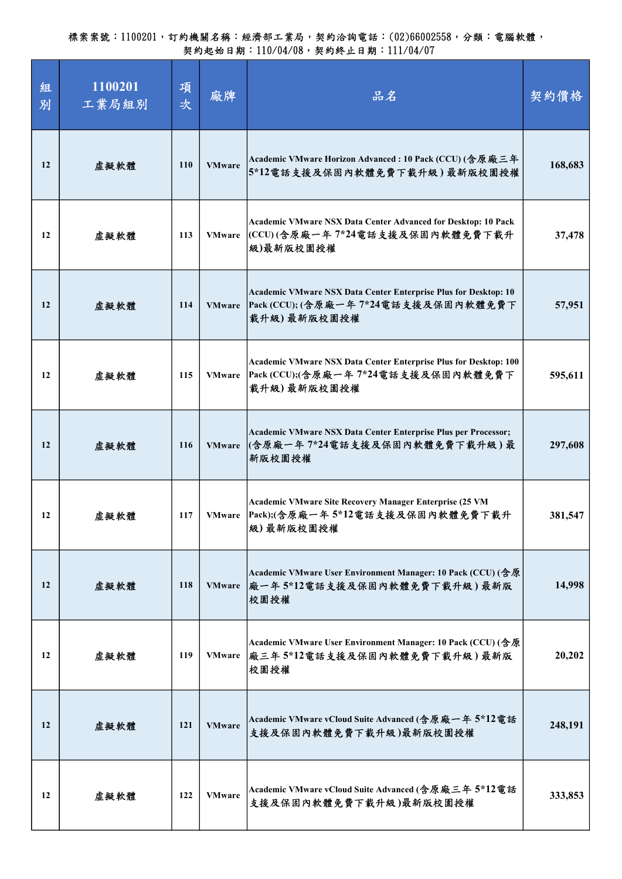| 組<br>別 | 1100201<br>工業局組別 | 項<br>次 | 廠牌            | 品名                                                                                                                    | 契約價格    |
|--------|------------------|--------|---------------|-----------------------------------------------------------------------------------------------------------------------|---------|
| 12     | 虛擬軟體             | 110    | <b>VMware</b> | Academic VMware Horizon Advanced: 10 Pack (CCU) (含原廠三年<br>5*12電話支援及保固內軟體免費下載升級)最新版校園授權                                | 168,683 |
| 12     | 虛擬軟體             | 113    | <b>VMware</b> | Academic VMware NSX Data Center Advanced for Desktop: 10 Pack<br> (CCU)(含原廠一年7*24電話支援及保固內軟體免費下載升<br>級)最新版校園授權         | 37,478  |
| 12     | 虛擬軟體             | 114    | <b>VMware</b> | Academic VMware NSX Data Center Enterprise Plus for Desktop: 10<br>Pack (CCU); (含原廠一年7*24電話支援及保固內軟體免費下<br>载升級)最新版校園授權 | 57,951  |
| 12     | 虛擬軟體             | 115    | <b>VMware</b> | Academic VMware NSX Data Center Enterprise Plus for Desktop: 100<br>Pack (CCU);(含原廠一年7*24電話支援及保固內軟體免費下<br>載升級)最新版校園授權 | 595,611 |
| 12     | 虛擬軟體             | 116    | <b>VMware</b> | Academic VMware NSX Data Center Enterprise Plus per Processor;<br>(含原廠一年7*24電話支援及保固內軟體免費下載升級)最<br>新版校園授權              | 297,608 |
| 12     | 虛擬軟體             | 117    | <b>VMware</b> | Academic VMware Site Recovery Manager Enterprise (25 VM<br>Pack);(含原廠一年5*12電話支援及保固內軟體免費下載升<br>級)最新版校園授權               | 381,547 |
| 12     | 虛擬軟體             | 118    | <b>VMware</b> | Academic VMware User Environment Manager: 10 Pack (CCU) (含原<br>廠一年5*12電話支援及保固內軟體免費下載升級)最新版<br>校園授權                    | 14,998  |
| 12     | 虛擬軟體             | 119    | <b>VMware</b> | Academic VMware User Environment Manager: 10 Pack (CCU) (含原<br>廠三年5*12電話支援及保固內軟體免費下載升級)最新版<br>校園授權                    | 20,202  |
| 12     | 虛擬軟體             | 121    | <b>VMware</b> | Academic VMware vCloud Suite Advanced (含原廠一年 5*12電話<br>支援及保固內軟體免費下載升級)最新版校園授權                                         | 248,191 |
| 12     | 虛擬軟體             | 122    | <b>VMware</b> | Academic VMware vCloud Suite Advanced (含原廠三年 5*12電話<br>支援及保固內軟體免費下載升級)最新版校園授權                                         | 333,853 |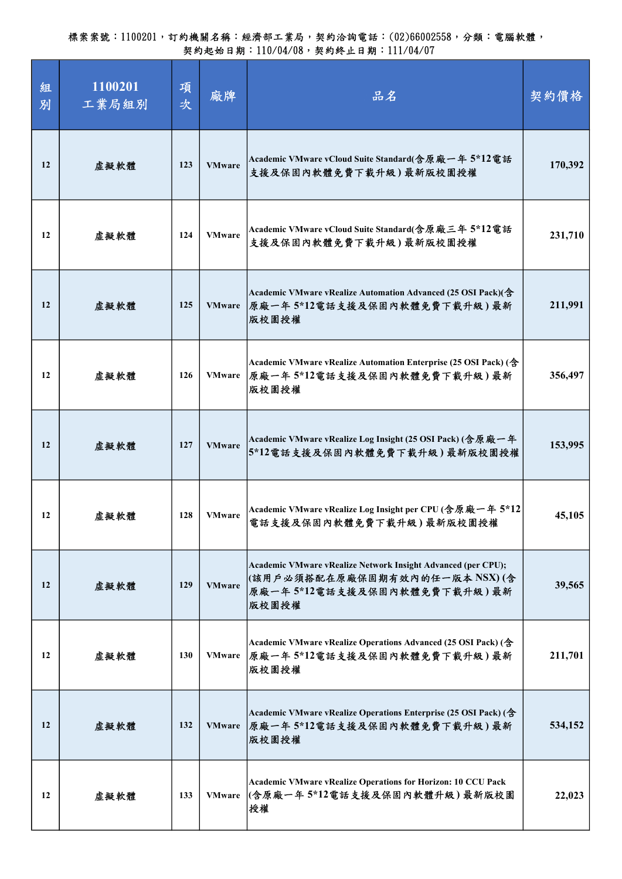| 組<br>別 | 1100201<br>工業局組別 | 項<br>次 | 廠牌            | 品名                                                                                                                                    | 契約價格    |
|--------|------------------|--------|---------------|---------------------------------------------------------------------------------------------------------------------------------------|---------|
| 12     | 虛擬軟體             | 123    | <b>VMware</b> | Academic VMware vCloud Suite Standard(含原廠一年 5*12電話<br>支援及保固內軟體免費下載升級)最新版校園授權                                                          | 170,392 |
| 12     | 虛擬軟體             | 124    | <b>VMware</b> | Academic VMware vCloud Suite Standard(含原廠三年 5*12電話<br>支援及保固內軟體免費下載升級)最新版校園授權                                                          | 231,710 |
| 12     | 虛擬軟體             | 125    | <b>VMware</b> | Academic VMware vRealize Automation Advanced (25 OSI Pack)(含<br>原廠一年5*12電話支援及保固內軟體免費下載升級)最新<br>版校園授權                                  | 211,991 |
| 12     | 虛擬軟體             | 126    | <b>VMware</b> | Academic VMware vRealize Automation Enterprise (25 OSI Pack) (含<br> 原廠一年5*12電話支援及保固內軟體免費下載升級)最新<br>版校園授權                              | 356,497 |
| 12     | 虛擬軟體             | 127    | <b>VMware</b> | Academic VMware vRealize Log Insight (25 OSI Pack) (含原廠一年<br>5*12電話支援及保固內軟體免費下載升級)最新版校園授權                                             | 153,995 |
| 12     | 虛擬軟體             | 128    | <b>VMware</b> | Academic VMware vRealize Log Insight per CPU (含原廠一年 5*12<br>電話支援及保固內軟體免費下載升級)最新版校園授權                                                  | 45,105  |
| 12     | 虛擬軟體             | 129    | <b>VMware</b> | Academic VMware vRealize Network Insight Advanced (per CPU);<br>(該用戶必須搭配在原廠保固期有效內的任一版本 NSX)(含<br>原廠一年5*12電話支援及保固內軟體免費下載升級)最新<br>版校園授權 | 39,565  |
| 12     | 虛擬軟體             | 130    | <b>VMware</b> | Academic VMware vRealize Operations Advanced (25 OSI Pack) (含<br> 原廠一年5*12電話支援及保固內軟體免費下載升級)最新<br>版校園授權                                | 211,701 |
| 12     | 虛擬軟體             | 132    | <b>VMware</b> | Academic VMware vRealize Operations Enterprise (25 OSI Pack) (含<br> 原廠一年5*12電話支援及保固內軟體免費下載升級)最新<br>版校園授權                              | 534,152 |
| 12     | 虛擬軟體             | 133    | <b>VMware</b> | Academic VMware vRealize Operations for Horizon: 10 CCU Pack<br> (含原廠一年5*12電話支援及保固內軟體升級)最新版校園<br>授權                                   | 22,023  |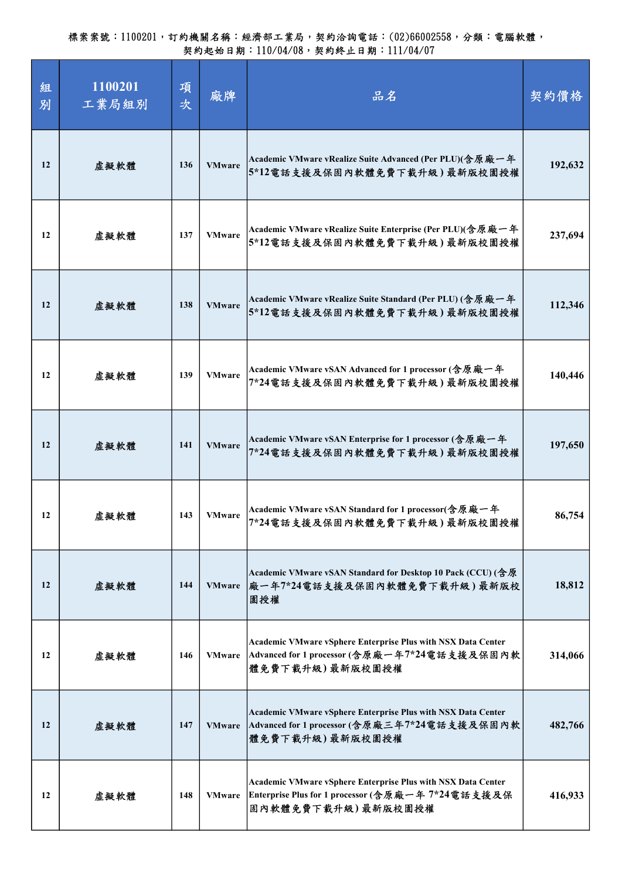| 組<br>別 | 1100201<br>工業局組別 | 項<br>次 | 廠牌            | 品名                                                                                                                                      | 契約價格    |
|--------|------------------|--------|---------------|-----------------------------------------------------------------------------------------------------------------------------------------|---------|
| 12     | 虛擬軟體             | 136    | <b>VMware</b> | Academic VMware vRealize Suite Advanced (Per PLU)(含原廠一年<br>5*12電話支援及保固內軟體免費下載升級)最新版校園授權                                                 | 192,632 |
| 12     | 虛擬軟體             | 137    | <b>VMware</b> | Academic VMware vRealize Suite Enterprise (Per PLU)(含原廠一年<br>5*12電話支援及保固內軟體免費下載升級)最新版校園授權                                               | 237,694 |
| 12     | 虛擬軟體             | 138    | <b>VMware</b> | Academic VMware vRealize Suite Standard (Per PLU) (含原廠一年<br>5*12電話支援及保固內軟體免費下載升級)最新版校園授權                                                | 112,346 |
| 12     | 虛擬軟體             | 139    | <b>VMware</b> | Academic VMware vSAN Advanced for 1 processor (含原廠一年<br>7*24電話支援及保固內軟體免費下載升級)最新版校園授權                                                    | 140,446 |
| 12     | 虛擬軟體             | 141    | <b>VMware</b> | Academic VMware vSAN Enterprise for 1 processor (含原廠一年<br>7*24電話支援及保固內軟體免費下載升級)最新版校園授權                                                  | 197,650 |
| 12     | 虛擬軟體             | 143    | <b>VMware</b> | Academic VMware vSAN Standard for 1 processor(含原廠一年<br>7*24電話支援及保固內軟體免費下載升級)最新版校園授權                                                     | 86,754  |
| 12     | 虛擬軟體             | 144    | <b>VMware</b> | Academic VMware vSAN Standard for Desktop 10 Pack (CCU) (含原<br>廠一年7*24電話支援及保固內軟體免費下載升級)最新版校<br>園授權                                      | 18,812  |
| 12     | 虛擬軟體             | 146    | <b>VMware</b> | Academic VMware vSphere Enterprise Plus with NSX Data Center<br>Advanced for 1 processor (含原廠一年7*24電話支援及保固內軟<br>體免費下載升級)最新版校園授權         | 314,066 |
| 12     | 虛擬軟體             | 147    | <b>VMware</b> | Academic VMware vSphere Enterprise Plus with NSX Data Center<br>Advanced for 1 processor (含原廠三年7*24電話支援及保固內軟<br>體免費下載升級)最新版校園授權         | 482,766 |
| 12     | 虛擬軟體             | 148    | <b>VMware</b> | Academic VMware vSphere Enterprise Plus with NSX Data Center<br>Enterprise Plus for 1 processor (含原廠一年 7*24電話支援及保<br>固内軟體免費下載升級)最新版校園授權 | 416,933 |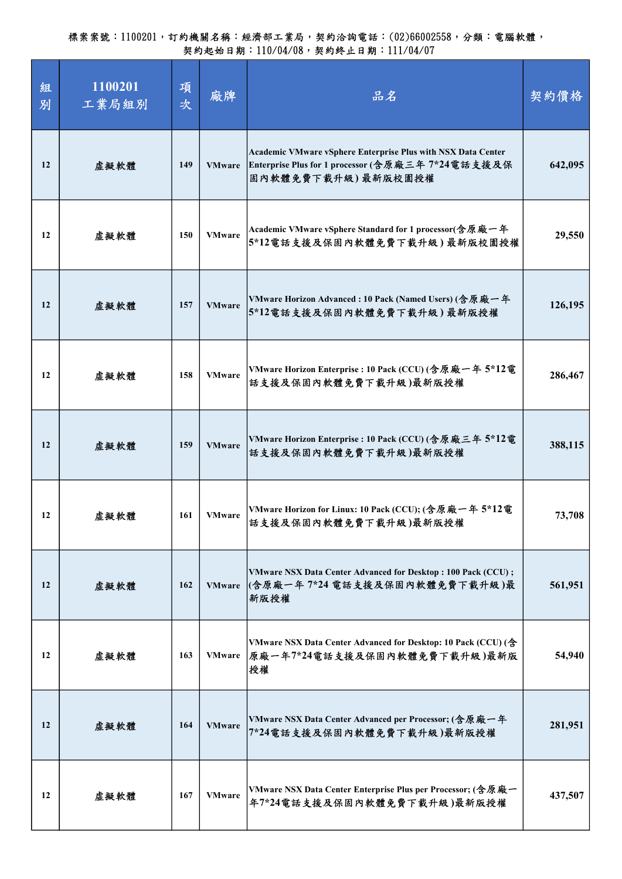| 組<br>別 | 1100201<br>工業局組別 | 項<br>次 | 廠牌            | 品名                                                                                                                                      | 契約價格    |
|--------|------------------|--------|---------------|-----------------------------------------------------------------------------------------------------------------------------------------|---------|
| 12     | 虛擬軟體             | 149    | <b>VMware</b> | Academic VMware vSphere Enterprise Plus with NSX Data Center<br>Enterprise Plus for 1 processor (含原廠三年 7*24電話支援及保<br>固内軟體免費下載升級)最新版校園授權 | 642,095 |
| 12     | 虛擬軟體             | 150    | <b>VMware</b> | Academic VMware vSphere Standard for 1 processor(含原廠一年<br>5*12電話支援及保固內軟體免費下載升級)最新版校園授權                                                  | 29,550  |
| 12     | 虛擬軟體             | 157    | <b>VMware</b> | VMware Horizon Advanced: 10 Pack (Named Users) (含原廠一年<br>5*12電話支援及保固內軟體免費下載升級)最新版授權                                                     | 126,195 |
| 12     | 虛擬軟體             | 158    | <b>VMware</b> | VMware Horizon Enterprise: 10 Pack (CCU) (含原廠一年 5*12電<br>話支援及保固內軟體免費下載升級)最新版授權                                                          | 286,467 |
| 12     | 虛擬軟體             | 159    | <b>VMware</b> | VMware Horizon Enterprise: 10 Pack (CCU) (含原廠三年 5*12電<br>話支援及保固內軟體免費下載升級)最新版授權                                                          | 388,115 |
| 12     | 虛擬軟體             | 161    | <b>VMware</b> | VMware Horizon for Linux: 10 Pack (CCU); (含原廠一年 5*12電<br>話支援及保固內軟體免費下載升級)最新版授權                                                          | 73,708  |
| 12     | 虛擬軟體             | 162    | <b>VMware</b> | VMware NSX Data Center Advanced for Desktop: 100 Pack (CCU);<br>(含原廠一年7*24 電話支援及保固內軟體免費下載升級)最<br>新版授權                                   | 561,951 |
| 12     | 虛擬軟體             | 163    | <b>VMware</b> | VMware NSX Data Center Advanced for Desktop: 10 Pack (CCU) (含<br>原廠一年7*24電話支援及保固內軟體免費下載升級)最新版<br>授權                                     | 54,940  |
| 12     | 虛擬軟體             | 164    | <b>VMware</b> | VMware NSX Data Center Advanced per Processor; (含原廠一年<br>7*24電話支援及保固內軟體免費下載升級)最新版授權                                                     | 281,951 |
| 12     | 虛擬軟體             | 167    | <b>VMware</b> | VMware NSX Data Center Enterprise Plus per Processor; (含原廠一<br>年7*24電話支援及保固內軟體免費下載升級)最新版授權                                              | 437,507 |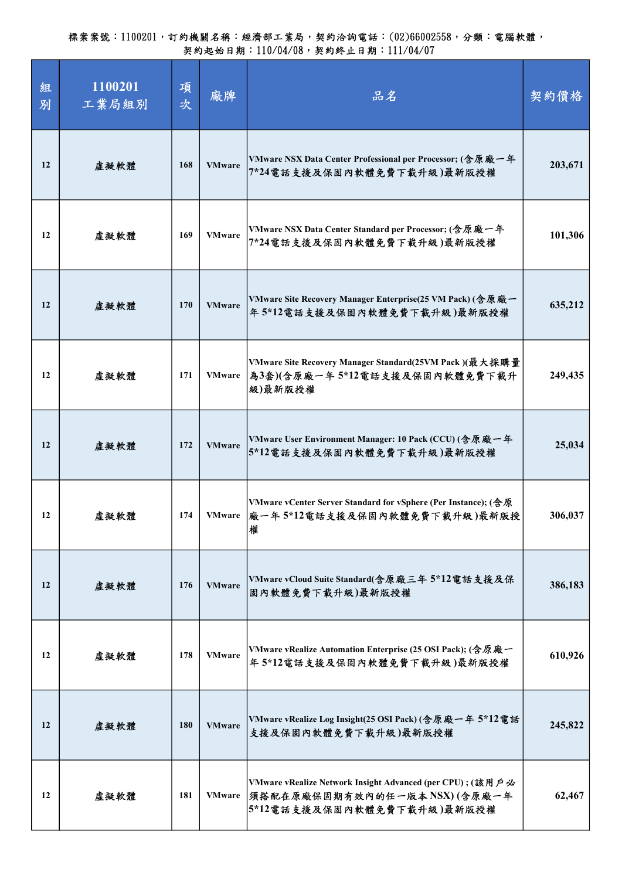| 組<br>別 | 1100201<br>工業局組別 | 項<br>次 | 廠牌            | 品名                                                                                                                      | 契約價格    |
|--------|------------------|--------|---------------|-------------------------------------------------------------------------------------------------------------------------|---------|
| 12     | 虛擬軟體             | 168    | <b>VMware</b> | VMware NSX Data Center Professional per Processor; (含原廠一年<br>7*24電話支援及保固內軟體免費下載升級)最新版授權                                 | 203,671 |
| 12     | 虛擬軟體             | 169    | <b>VMware</b> | VMware NSX Data Center Standard per Processor; (含原廠一年<br>7*24電話支援及保固內軟體免費下載升級)最新版授權                                     | 101,306 |
| 12     | 虛擬軟體             | 170    | <b>VMware</b> | VMware Site Recovery Manager Enterprise(25 VM Pack) (含原廠一<br>年5*12電話支援及保固內軟體免費下載升級)最新版授權                                | 635,212 |
| 12     | 虛擬軟體             | 171    | <b>VMware</b> | VMware Site Recovery Manager Standard(25VM Pack)(最大採購量<br> 為3套)(含原廠一年5*12電話支援及保固內軟體免費下載升<br>級)最新版授權                     | 249,435 |
| 12     | 虛擬軟體             | 172    | <b>VMware</b> | VMware User Environment Manager: 10 Pack (CCU) (含原廠一年<br>5*12電話支援及保固內軟體免費下載升級)最新版授權                                     | 25,034  |
| 12     | 虛擬軟體             | 174    | <b>VMware</b> | VMware vCenter Server Standard for vSphere (Per Instance); (含原<br> 廠一年5*12電話支援及保固內軟體免費下載升級)最新版授<br>摧                    | 306,037 |
| 12     | 虛擬軟體             | 176    | <b>VMware</b> | VMware vCloud Suite Standard(含原廠三年 5*12電話支援及保<br>固内軟體免費下載升級)最新版授權                                                       | 386,183 |
| 12     | 虛擬軟體             | 178    | <b>VMware</b> | VMware vRealize Automation Enterprise (25 OSI Pack); (含原廠一<br>年5*12電話支援及保固內軟體免費下載升級)最新版授權                               | 610,926 |
| 12     | 虛擬軟體             | 180    | <b>VMware</b> | VMware vRealize Log Insight(25 OSI Pack) (含原廠一年 5*12電話<br>支援及保固內軟體免費下載升級)最新版授權                                          | 245,822 |
| 12     | 虛擬軟體             | 181    | <b>VMware</b> | VMware vRealize Network Insight Advanced (per CPU); (該用戶必<br>須搭配在原廠保固期有效內的任一版本 NSX)(含原廠一年<br>5*12電話支援及保固內軟體免費下載升級)最新版授權 | 62,467  |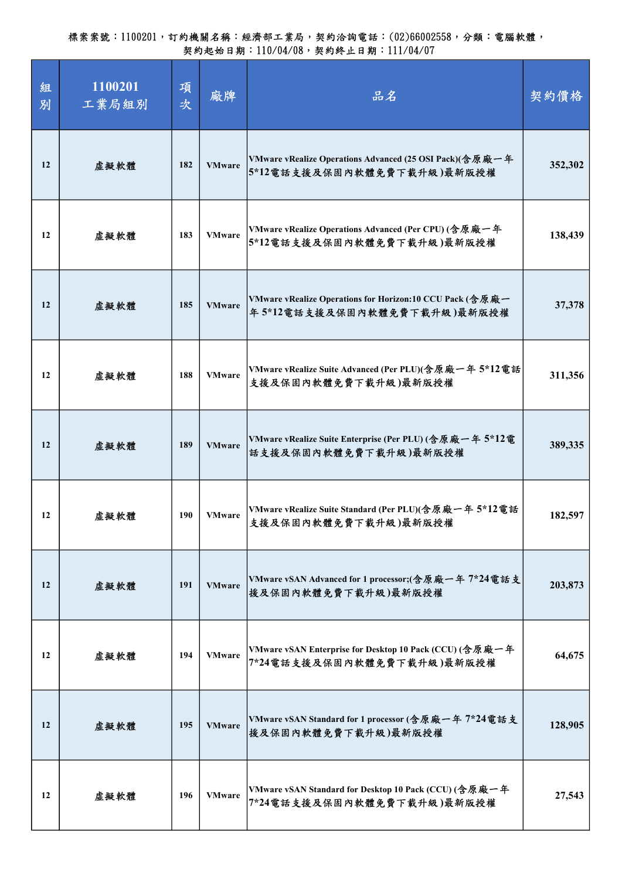| 組<br>別 | 1100201<br>工業局組別 | 項<br>次 | 廠牌            | 品名                                                                                      | 契約價格    |
|--------|------------------|--------|---------------|-----------------------------------------------------------------------------------------|---------|
| 12     | 虛擬軟體             | 182    | <b>VMware</b> | VMware vRealize Operations Advanced (25 OSI Pack)(含原廠一年<br>5*12電話支援及保固內軟體免費下載升級)最新版授權   | 352,302 |
| 12     | 虛擬軟體             | 183    | <b>VMware</b> | VMware vRealize Operations Advanced (Per CPU) (含原廠一年<br>5*12電話支援及保固內軟體免費下載升級)最新版授權      | 138,439 |
| 12     | 虛擬軟體             | 185    | <b>VMware</b> | VMware vRealize Operations for Horizon:10 CCU Pack (含原廠一<br>年5*12電話支援及保固內軟體免費下載升級)最新版授權 | 37,378  |
| 12     | 虛擬軟體             | 188    | <b>VMware</b> | VMware vRealize Suite Advanced (Per PLU)(含原廠一年 5*12電話<br>支援及保固內軟體免費下載升級)最新版授權           | 311,356 |
| 12     | 虛擬軟體             | 189    | <b>VMware</b> | VMware vRealize Suite Enterprise (Per PLU) (含原廠一年 5*12電<br>話支援及保固內軟體免費下載升級)最新版授權        | 389,335 |
| 12     | 虛擬軟體             | 190    | <b>VMware</b> | VMware vRealize Suite Standard (Per PLU)(含原廠一年 5*12電話<br>支援及保固內軟體免費下載升級)最新版授權           | 182,597 |
| 12     | 虛擬軟體             | 191    | <b>VMware</b> | VMware vSAN Advanced for 1 processor;(含原廠一年 7*24電話支<br>接及保固內軟體免費下載升級)最新版授權              | 203,873 |
| 12     | 虛擬軟體             | 194    | <b>VMware</b> | VMware vSAN Enterprise for Desktop 10 Pack (CCU) (含原廠一年<br>7*24電話支援及保固內軟體免費下載升級)最新版授權   | 64,675  |
| 12     | 虛擬軟體             | 195    | <b>VMware</b> | VMware vSAN Standard for 1 processor (含原廠一年 7*24電話支<br>援及保固內軟體免費下載升級)最新版授權              | 128,905 |
| 12     | 虛擬軟體             | 196    | <b>VMware</b> | VMware vSAN Standard for Desktop 10 Pack (CCU) (含原廠一年<br>7*24電話支援及保固內軟體免費下載升級)最新版授權     | 27,543  |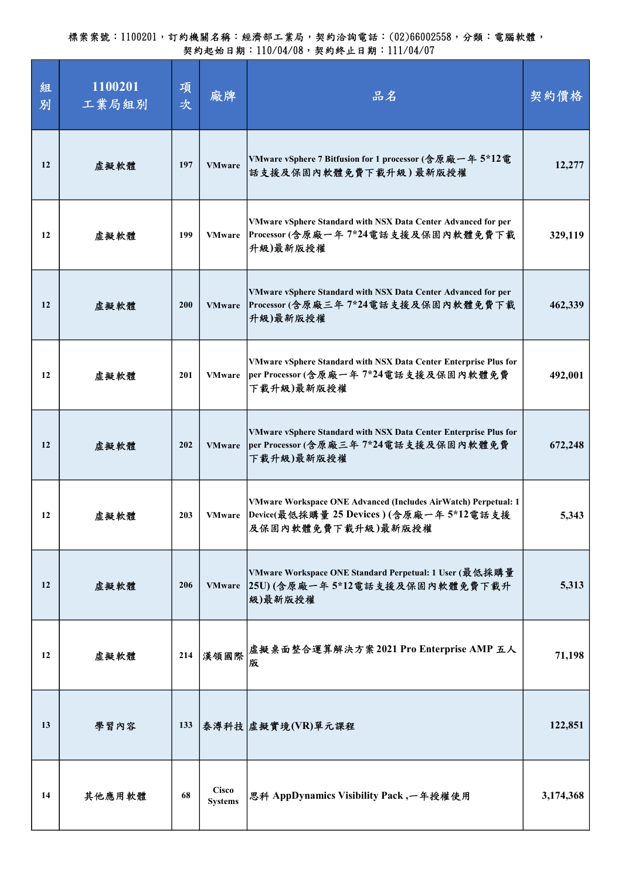| 組<br>別 | 1100201<br>工業局組別 | 項<br>次 | 廠牌                             | 品名                                                                                                                                | 契約價格      |
|--------|------------------|--------|--------------------------------|-----------------------------------------------------------------------------------------------------------------------------------|-----------|
| 12     | 虛擬軟體             | 197    | <b>VMware</b>                  | VMware vSphere 7 Bitfusion for 1 processor (含原廠一年 5*12電<br>話支援及保固內軟體免費下載升級)最新版授權                                                  | 12,277    |
| 12     | 虛擬軟體             | 199    | <b>VMware</b>                  | VMware vSphere Standard with NSX Data Center Advanced for per<br>Processor (含原廠一年 7*24電話支援及保固內軟體免費下載<br>升級)最新版授權                  | 329,119   |
| 12     | 虛擬軟體             | 200    | <b>VMware</b>                  | VMware vSphere Standard with NSX Data Center Advanced for per<br>Processor (含原廠三年 7*24電話支援及保固內軟體免費下載<br>升級)最新版授權                  | 462,339   |
| 12     | 虛擬軟體             | 201    | <b>VMware</b>                  | VMware vSphere Standard with NSX Data Center Enterprise Plus for<br>per Processor (含原廠一年 7*24電話支援及保固內軟體免費<br>下载升級)最新版授權           | 492,001   |
| 12     | 虛擬軟體             | 202    | <b>VMware</b>                  | VMware vSphere Standard with NSX Data Center Enterprise Plus for<br> per Processor(含原廠三年 7*24電話支援及保固內軟體免費<br>下载升級)最新版授權           | 672,248   |
| 12     | 虛擬軟體             | 203    | <b>VMware</b>                  | VMware Workspace ONE Advanced (Includes AirWatch) Perpetual: 1<br> Device(最低採購量 25 Devices)(含原廠一年 5*12電話支援<br> 及保固内軟體免費下載升級)最新版授權 | 5,343     |
| 12     | 虛擬軟體             | 206    | <b>VMware</b>                  | VMware Workspace ONE Standard Perpetual: 1 User (最低採購量<br>25U)(含原廠一年5*12電話支援及保固內軟體免費下載升<br>級)最新版授權                                | 5,313     |
| 12     | 虛擬軟體             | 214    | 漢領國際                           | 虚擬桌面整合運算解決方案2021 Pro Enterprise AMP 五人<br>版                                                                                       | 71,198    |
| 13     | 學習內容             | 133    |                                | 泰溥科技 虚擬實境(VR)單元課程                                                                                                                 | 122,851   |
| 14     | 其他應用軟體           | 68     | <b>Cisco</b><br><b>Systems</b> | 思科 AppDynamics Visibility Pack, 一年授權使用                                                                                            | 3,174,368 |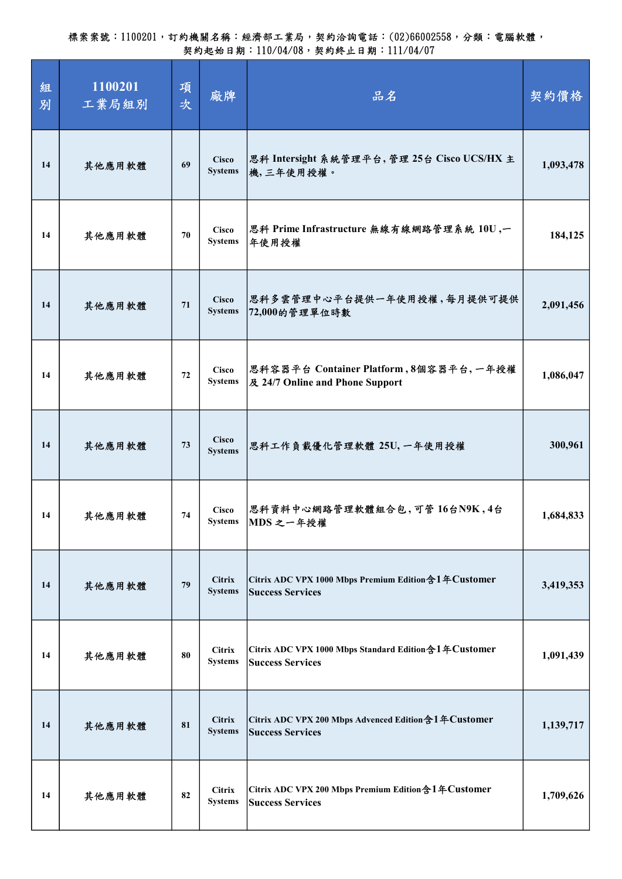| 組<br>別 | 1100201<br>工業局組別 | 項<br>次 | 廠牌                              | 品名                                                                              | 契約價格      |
|--------|------------------|--------|---------------------------------|---------------------------------------------------------------------------------|-----------|
| 14     | 其他應用軟體           | 69     | <b>Cisco</b><br><b>Systems</b>  | 思科 Intersight 系統管理平台, 管理 25台 Cisco UCS/HX 主<br>機,三年使用授權。                        | 1,093,478 |
| 14     | 其他應用軟體           | 70     | Cisco<br><b>Systems</b>         | 思科 Prime Infrastructure 無線有線網路管理系統 10U,一<br>年使用授權                               | 184,125   |
| 14     | 其他應用軟體           | 71     | <b>Cisco</b><br><b>Systems</b>  | 思科多雲管理中心平台提供一年使用授權,每月提供可提供<br>72,000的管理單位時數                                     | 2,091,456 |
| 14     | 其他應用軟體           | 72     | <b>Cisco</b><br><b>Systems</b>  | 思科容器平台 Container Platform, 8個容器平台, 一年授權<br>及 24/7 Online and Phone Support      | 1,086,047 |
| 14     | 其他應用軟體           | 73     | <b>Cisco</b><br><b>Systems</b>  | 思科工作負載優化管理軟體 25U, 一年使用授權                                                        | 300,961   |
| 14     | 其他應用軟體           | 74     | <b>Cisco</b><br><b>Systems</b>  | 思科資料中心網路管理軟體組合包,可管16台N9K,4台<br>MDS 之一年授權                                        | 1,684,833 |
| 14     | 其他應用軟體           | 79     | <b>Citrix</b><br><b>Systems</b> | Citrix ADC VPX 1000 Mbps Premium Edition含1年Customer<br><b>Success Services</b>  | 3,419,353 |
| 14     | 其他應用軟體           | 80     | <b>Citrix</b><br><b>Systems</b> | Citrix ADC VPX 1000 Mbps Standard Edition含1年Customer<br><b>Success Services</b> | 1,091,439 |
| 14     | 其他應用軟體           | 81     | <b>Citrix</b><br><b>Systems</b> | Citrix ADC VPX 200 Mbps Advenced Edition 含1年Customer<br><b>Success Services</b> | 1,139,717 |
| 14     | 其他應用軟體           | 82     | <b>Citrix</b><br><b>Systems</b> | Citrix ADC VPX 200 Mbps Premium Edition含1年Customer<br><b>Success Services</b>   | 1,709,626 |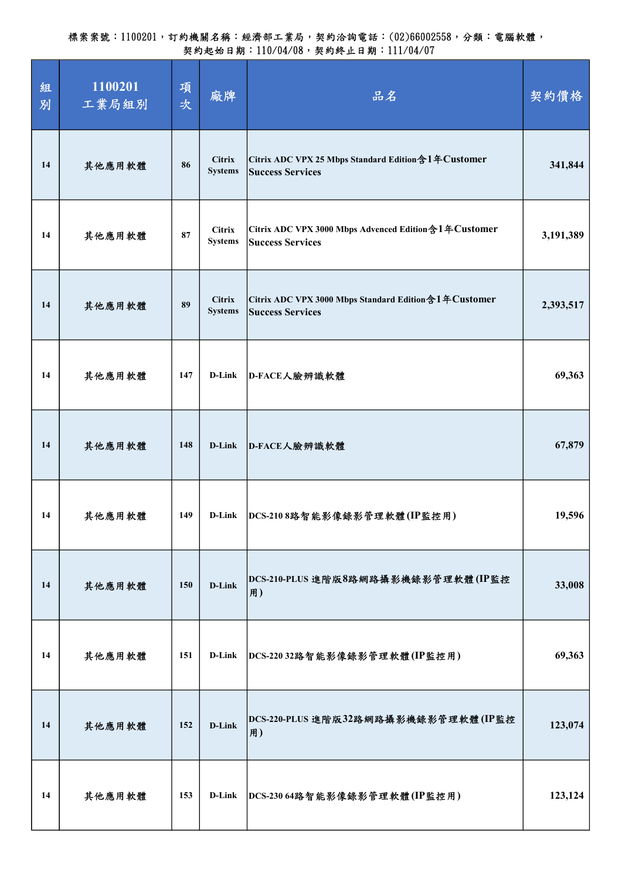| 組<br>別 | 1100201<br>工業局組別 | 項<br>次 | 廠牌                              | 品名                                                                              | 契約價格      |
|--------|------------------|--------|---------------------------------|---------------------------------------------------------------------------------|-----------|
| 14     | 其他應用軟體           | 86     | <b>Citrix</b><br><b>Systems</b> | Citrix ADC VPX 25 Mbps Standard Edition 含1年Customer<br><b>Success Services</b>  | 341,844   |
| 14     | 其他應用軟體           | 87     | <b>Citrix</b><br><b>Systems</b> | Citrix ADC VPX 3000 Mbps Advenced Edition含1年Customer<br><b>Success Services</b> | 3,191,389 |
| 14     | 其他應用軟體           | 89     | <b>Citrix</b><br><b>Systems</b> | Citrix ADC VPX 3000 Mbps Standard Edition含1年Customer<br><b>Success Services</b> | 2,393,517 |
| 14     | 其他應用軟體           | 147    | D-Link                          | D-FACE人臉辨識軟體                                                                    | 69,363    |
| 14     | 其他應用軟體           | 148    | D-Link                          | D-FACE人臉辨識軟體                                                                    | 67,879    |
| 14     | 其他應用軟體           | 149    | D-Link                          | DCS-2108路智能影像錄影管理軟體(IP監控用)                                                      | 19,596    |
| 14     | 其他應用軟體           | 150    | D-Link                          | DCS-210-PLUS 進階版8路網路攝影機錄影管理軟體(IP監控<br>用)                                        | 33,008    |
| 14     | 其他應用軟體           | 151    | D-Link                          | DCS-22032路智能影像錄影管理軟體(IP監控用)                                                     | 69,363    |
| 14     | 其他應用軟體           | 152    | D-Link                          | DCS-220-PLUS 進階版32路網路攝影機錄影管理軟體(IP監控<br>用)                                       | 123,074   |
| 14     | 其他應用軟體           | 153    | D-Link                          | DCS-23064路智能影像錄影管理軟體(IP監控用)                                                     | 123,124   |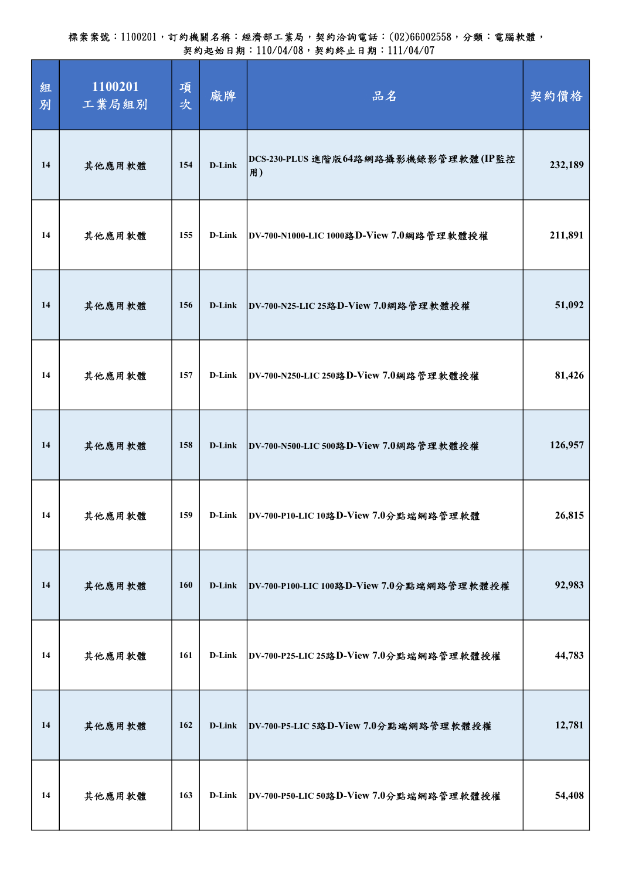| 組<br>別 | 1100201<br>工業局組別 | 項<br>次 | 廠牌     | 品名                                        | 契約價格    |
|--------|------------------|--------|--------|-------------------------------------------|---------|
| 14     | 其他應用軟體           | 154    | D-Link | DCS-230-PLUS 進階版64路網路攝影機錄影管理軟體(IP監控<br>用) | 232,189 |
| 14     | 其他應用軟體           | 155    | D-Link | DV-700-N1000-LIC 1000路D-View 7.0網路管理軟體授權  | 211,891 |
| 14     | 其他應用軟體           | 156    | D-Link | DV-700-N25-LIC 25路D-View 7.0網路管理軟體授權      | 51,092  |
| 14     | 其他應用軟體           | 157    | D-Link | DV-700-N250-LIC 250路D-View 7.0網路管理軟體授權    | 81,426  |
| 14     | 其他應用軟體           | 158    | D-Link | DV-700-N500-LIC 500路D-View 7.0網路管理軟體授權    | 126,957 |
| 14     | 其他應用軟體           | 159    | D-Link | DV-700-P10-LIC 10路D-View 7.0分點端網路管理軟體     | 26,815  |
| 14     | 其他應用軟體           | 160    | D-Link | DV-700-P100-LIC 100路D-View 7.0分點端網路管理軟體授權 | 92,983  |
| 14     | 其他應用軟體           | 161    | D-Link | DV-700-P25-LIC 25路D-View 7.0分點端網路管理軟體授權   | 44,783  |
| 14     | 其他應用軟體           | 162    | D-Link | DV-700-P5-LIC 5路D-View 7.0分點端網路管理軟體授權     | 12,781  |
| 14     | 其他應用軟體           | 163    | D-Link | DV-700-P50-LIC 50路D-View 7.0分點端網路管理軟體授權   | 54,408  |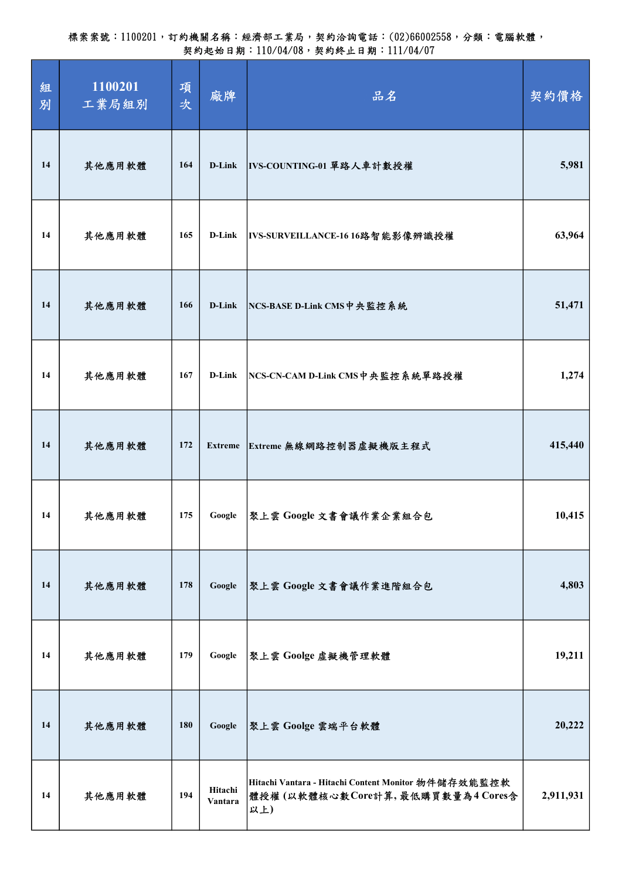| 組<br>別 | 1100201<br>工業局組別 | 項<br>次 | 廠牌                 | 品名                                                                                             | 契約價格      |
|--------|------------------|--------|--------------------|------------------------------------------------------------------------------------------------|-----------|
| 14     | 其他應用軟體           | 164    | D-Link             | IVS-COUNTING-01 單路人車計數授權                                                                       | 5,981     |
| 14     | 其他應用軟體           | 165    | D-Link             | IVS-SURVEILLANCE-16 16路智能影像辨識授權                                                                | 63,964    |
| 14     | 其他應用軟體           | 166    | D-Link             | NCS-BASE D-Link CMS中央監控系統                                                                      | 51,471    |
| 14     | 其他應用軟體           | 167    | D-Link             | NCS-CN-CAM D-Link CMS中央監控系統單路授權                                                                | 1,274     |
| 14     | 其他應用軟體           | 172    | <b>Extreme</b>     | Extreme 無線網路控制器虛擬機版主程式                                                                         | 415,440   |
| 14     | 其他應用軟體           | 175    | Google             | 聚上雲 Google 文書會議作業企業組合包                                                                         | 10,415    |
| 14     | 其他應用軟體           | 178    | Google             | 聚上雲 Google 文書會議作業進階組合包                                                                         | 4,803     |
| 14     | 其他應用軟體           | 179    | Google             | 聚上雲 Goolge 虛擬機管理軟體                                                                             | 19,211    |
| 14     | 其他應用軟體           | 180    | Google             | 聚上雲 Goolge 雲端平台軟體                                                                              | 20,222    |
| 14     | 其他應用軟體           | 194    | Hitachi<br>Vantara | Hitachi Vantara - Hitachi Content Monitor 物件储存效能監控軟<br>體授權(以軟體核心數Core計算,最低購買數量為4 Cores含<br>以上) | 2,911,931 |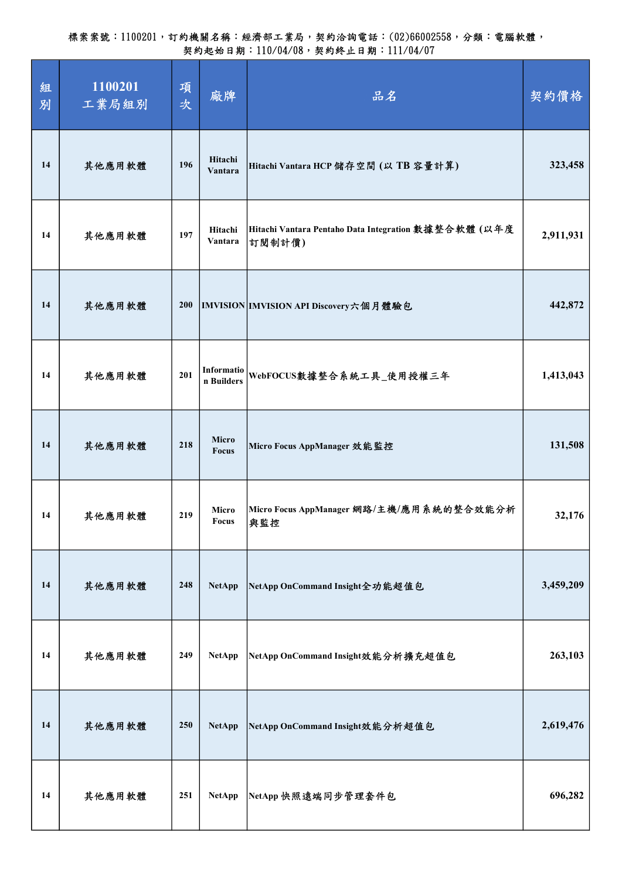| 組<br>別 | 1100201<br>工業局組別 | 項<br>次 | 廠牌                       | 品名                                                             | 契約價格      |
|--------|------------------|--------|--------------------------|----------------------------------------------------------------|-----------|
| 14     | 其他應用軟體           | 196    | Hitachi<br>Vantara       | Hitachi Vantara HCP 儲存空間 (以 TB 容量計算)                           | 323,458   |
| 14     | 其他應用軟體           | 197    | Hitachi<br>Vantara       | Hitachi Vantara Pentaho Data Integration 敦據整合軟體 (以年度<br>訂閱制計價) | 2,911,931 |
| 14     | 其他應用軟體           | 200    |                          | IMVISION IMVISION API Discovery六個月體驗包                          | 442,872   |
| 14     | 其他應用軟體           | 201    | Informatio<br>n Builders | WebFOCUS數據整合系統工具_使用授權三年                                        | 1,413,043 |
| 14     | 其他應用軟體           | 218    | Micro<br><b>Focus</b>    | Micro Focus AppManager 效能監控                                    | 131,508   |
| 14     | 其他應用軟體           | 219    | Micro<br><b>Focus</b>    | Micro Focus AppManager 網路/主機/應用系統的整合效能分析<br>奥監控                | 32,176    |
| 14     | 其他應用軟體           | 248    | <b>NetApp</b>            | NetApp OnCommand Insight全功能超值包                                 | 3,459,209 |
| 14     | 其他應用軟體           | 249    | <b>NetApp</b>            | NetApp OnCommand Insight效能分析擴充超值包                              | 263,103   |
| 14     | 其他應用軟體           | 250    | <b>NetApp</b>            | NetApp OnCommand Insight效能分析超值包                                | 2,619,476 |
| 14     | 其他應用軟體           | 251    | <b>NetApp</b>            | NetApp 快照遠端同步管理套件包                                             | 696,282   |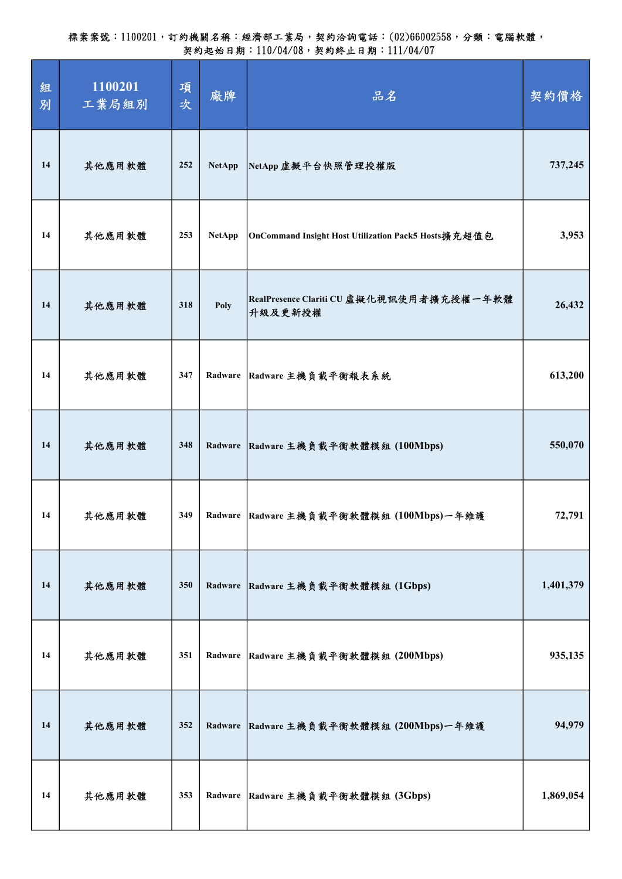| 組<br>別 | 1100201<br>工業局組別 | 項<br>次 | 廠牌            | 品名                                                  | 契約價格      |
|--------|------------------|--------|---------------|-----------------------------------------------------|-----------|
| 14     | 其他應用軟體           | 252    | <b>NetApp</b> | NetApp 虚擬平台快照管理授權版                                  | 737,245   |
| 14     | 其他應用軟體           | 253    | <b>NetApp</b> | OnCommand Insight Host Utilization Pack5 Hosts擴充超值包 | 3,953     |
| 14     | 其他應用軟體           | 318    | Poly          | RealPresence Clariti CU 虛擬化視訊使用者擴充授權一年軟體<br>升級及更新授權 | 26,432    |
| 14     | 其他應用軟體           | 347    | Radware       | Radware 主機負載平衡報表系統                                  | 613,200   |
| 14     | 其他應用軟體           | 348    | Radware       | Radware 主機負載平衡軟體模組 (100Mbps)                        | 550,070   |
| 14     | 其他應用軟體           | 349    | Radware       | Radware 主機負載平衡軟體模組 (100Mbps)一年維護                    | 72,791    |
| 14     | 其他應用軟體           | 350    | Radware       | Radware 主機負載平衡軟體模組 (1Gbps)                          | 1,401,379 |
| 14     | 其他應用軟體           | 351    | Radware       | Radware 主機負載平衡軟體模組 (200Mbps)                        | 935,135   |
| 14     | 其他應用軟體           | 352    |               | Radware Radware 主機負載平衡軟體模組 (200Mbps)一年維護            | 94,979    |
| 14     | 其他應用軟體           | 353    | Radware       | Radware 主機負載平衡軟體模組 (3Gbps)                          | 1,869,054 |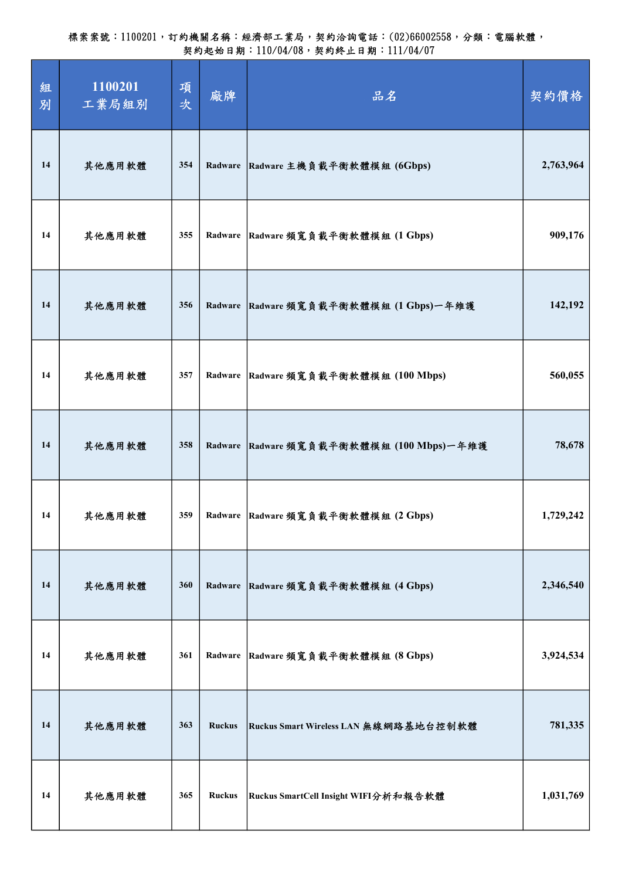| 組<br>別 | 1100201<br>工業局組別 | 項<br>次 | 廠牌            | 品名                                        | 契約價格      |
|--------|------------------|--------|---------------|-------------------------------------------|-----------|
| 14     | 其他應用軟體           | 354    | Radware       | Radware 主機負載平衡軟體模組 (6Gbps)                | 2,763,964 |
| 14     | 其他應用軟體           | 355    | Radware       | Radware 頻寬負載平衡軟體模組 (1 Gbps)               | 909,176   |
| 14     | 其他應用軟體           | 356    | Radware       | Radware 頻寬負載平衡軟體模組 (1 Gbps)一年維護           | 142,192   |
| 14     | 其他應用軟體           | 357    | Radware       | Radware 頻寬負載平衡軟體模組 (100 Mbps)             | 560,055   |
| 14     | 其他應用軟體           | 358    |               | Radware Radware 頻寬負載平衡軟體模組 (100 Mbps)一年維護 | 78,678    |
| 14     | 其他應用軟體           | 359    | Radware       | Radware 頻寬負載平衡軟體模組(2 Gbps)                | 1,729,242 |
| 14     | 其他應用軟體           | 360    | Radware       | Radware 頻寬負載平衡軟體模組 (4 Gbps)               | 2,346,540 |
| 14     | 其他應用軟體           | 361    | Radware       | Radware 頻寬負載平衡軟體模組 (8 Gbps)               | 3,924,534 |
| 14     | 其他應用軟體           | 363    | <b>Ruckus</b> | Ruckus Smart Wireless LAN 無線網路基地台控制軟體     | 781,335   |
| 14     | 其他應用軟體           | 365    | <b>Ruckus</b> | Ruckus SmartCell Insight WIFI分析和報告軟體      | 1,031,769 |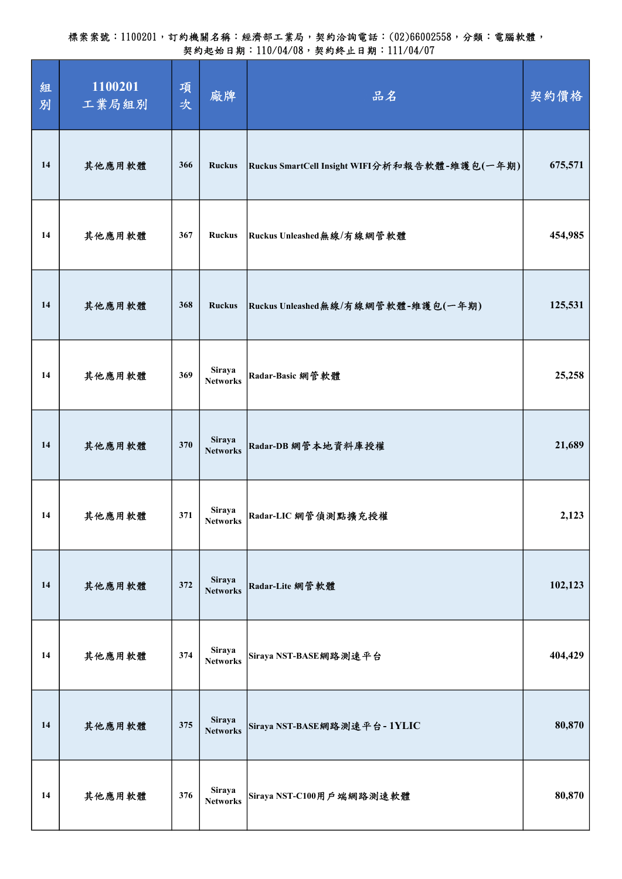| 組<br>別 | 1100201<br>工業局組別 | 項<br>次 | 廠牌                        | 品名                                            | 契約價格    |
|--------|------------------|--------|---------------------------|-----------------------------------------------|---------|
| 14     | 其他應用軟體           | 366    | <b>Ruckus</b>             | Ruckus SmartCell Insight WIFI分析和報告軟體-維護包(一年期) | 675,571 |
| 14     | 其他應用軟體           | 367    | <b>Ruckus</b>             | Ruckus Unleashed無線/有線網管軟體                     | 454,985 |
| 14     | 其他應用軟體           | 368    | <b>Ruckus</b>             | Ruckus Unleashed無線/有線網管軟體-維護包(一年期)            | 125,531 |
| 14     | 其他應用軟體           | 369    | Siraya<br><b>Networks</b> | Radar-Basic 網管軟體                              | 25,258  |
| 14     | 其他應用軟體           | 370    | Siraya<br><b>Networks</b> | Radar-DB 網管本地資料庫授權                            | 21,689  |
| 14     | 其他應用軟體           | 371    | Siraya<br><b>Networks</b> | Radar-LIC 網管偵測點擴充授權                           | 2,123   |
| 14     | 其他應用軟體           | 372    | Siraya<br><b>Networks</b> | Radar-Lite 網管軟體                               | 102,123 |
| 14     | 其他應用軟體           | 374    | Siraya<br><b>Networks</b> | Siraya NST-BASE網路測速平台                         | 404,429 |
| 14     | 其他應用軟體           | 375    | Siraya<br><b>Networks</b> | Siraya NST-BASE網路測速平台-1YLIC                   | 80,870  |
| 14     | 其他應用軟體           | 376    | Siraya<br><b>Networks</b> | Siraya NST-C100用户端網路測速軟體                      | 80,870  |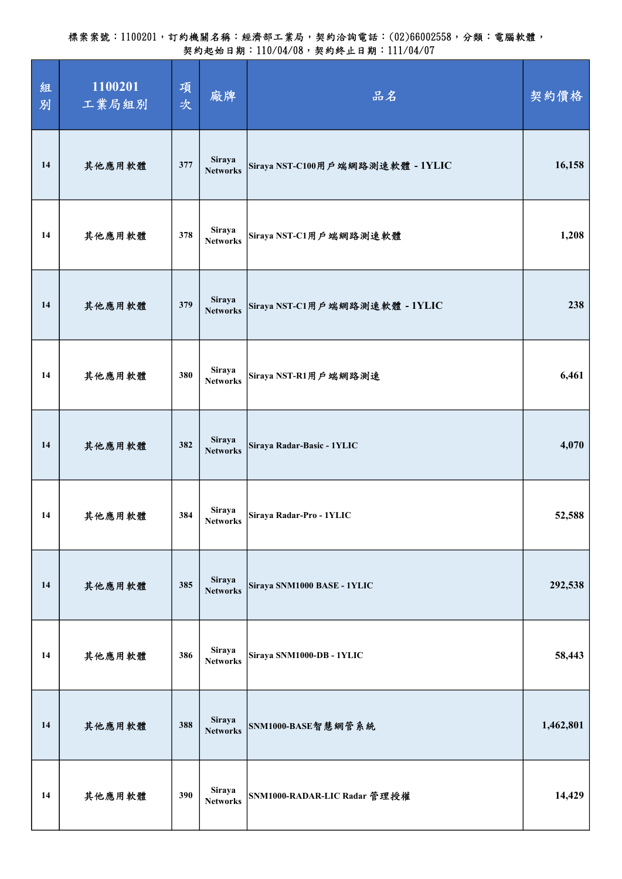| 組<br>別 | 1100201<br>工業局組別 | 項<br>次 | 廠牌                               | 品名                               | 契約價格      |
|--------|------------------|--------|----------------------------------|----------------------------------|-----------|
| 14     | 其他應用軟體           | 377    | Siraya<br><b>Networks</b>        | Siraya NST-C100用戶端網路測速軟體 - 1YLIC | 16,158    |
| 14     | 其他應用軟體           | 378    | Siraya<br><b>Networks</b>        | Siraya NST-C1用戶端網路測速軟體           | 1,208     |
| 14     | 其他應用軟體           | 379    | Siraya<br><b>Networks</b>        | Siraya NST-C1用戶端網路測速軟體 - 1YLIC   | 238       |
| 14     | 其他應用軟體           | 380    | Siraya<br><b>Networks</b>        | Siraya NST-R1用户端網路測速             | 6,461     |
| 14     | 其他應用軟體           | 382    | Siraya<br><b>Networks</b>        | Siraya Radar-Basic - 1YLIC       | 4,070     |
| 14     | 其他應用軟體           | 384    | Siraya<br><b>Networks</b>        | Siraya Radar-Pro - 1YLIC         | 52,588    |
| 14     | 其他應用軟體           | 385    | Siraya<br><b>Networks</b>        | Siraya SNM1000 BASE - 1YLIC      | 292,538   |
| 14     | 其他應用軟體           | 386    | <b>Siraya</b><br><b>Networks</b> | Siraya SNM1000-DB - 1YLIC        | 58,443    |
| 14     | 其他應用軟體           | 388    | Siraya<br><b>Networks</b>        | SNM1000-BASE智慧網管系統               | 1,462,801 |
| 14     | 其他應用軟體           | 390    | Siraya<br><b>Networks</b>        | SNM1000-RADAR-LIC Radar 管理授權     | 14,429    |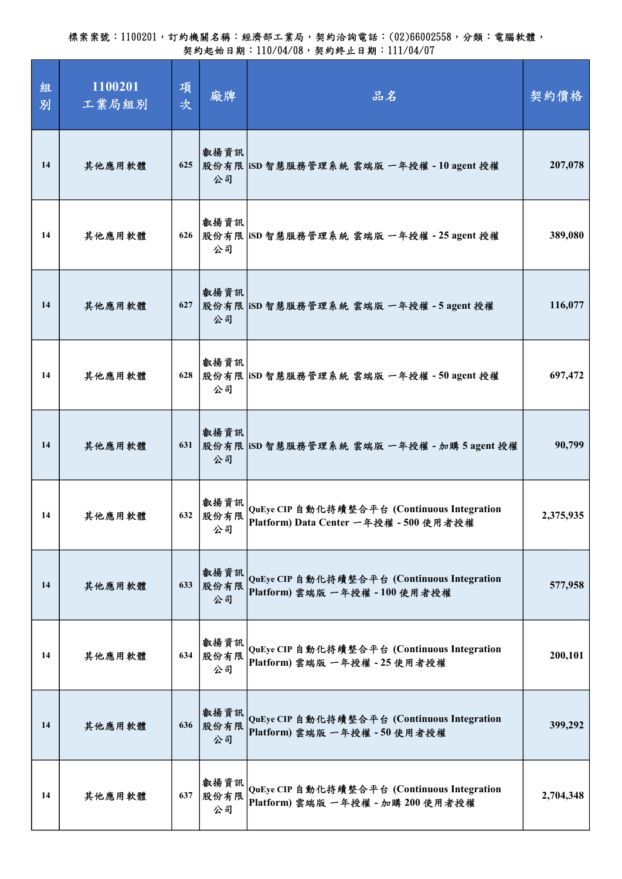| 組<br>別 | 1100201<br>工業局組別 | 項<br>次 | 廠牌                 | 品名                                                                                    | 契約價格      |
|--------|------------------|--------|--------------------|---------------------------------------------------------------------------------------|-----------|
| 14     | 其他應用軟體           | 625    | 叡揚資訊<br>公司         | 股份有限   iSD 智慧服務管理系統 雲端版 一年授權 - 10 agent 授權                                            | 207,078   |
| 14     | 其他應用軟體           | 626    | 叡揚資訊<br>公司         | 股份有限   iSD 智慧服務管理系統 雲端版 一年授權 - 25 agent 授權                                            | 389,080   |
| 14     | 其他應用軟體           | 627    | 叡揚資訊<br>公司         | 股份有限   iSD 智慧服務管理系統 雲端版 一年授權 - 5 agent 授權                                             | 116,077   |
| 14     | 其他應用軟體           | 628    | 叡揚資訊<br>公司         | 股份有限   iSD 智慧服務管理系統 雲端版 一年授權 - 50 agent 授權                                            | 697,472   |
| 14     | 其他應用軟體           | 631    | 叡揚資訊<br>公司         | 股份有限  iSD 智慧服務管理系統 雲端版 一年授權 - 加購 5 agent 授權                                           | 90,799    |
| 14     | 其他應用軟體           | 632    | 叡揚資訊<br>股份有限<br>公司 | QuEye CIP 自動化持續整合平台 (Continuous Integration<br>Platform) Data Center 一年授權 - 500 使用者授權 | 2,375,935 |
| 14     | 其他應用軟體           | 633    | 叡揚資訊<br>股份有限<br>公司 | QuEye CIP 自動化持續整合平台 (Continuous Integration<br>Platform) 雲端版 一年授權 - 100 使用者授權         | 577,958   |
| 14     | 其他應用軟體           | 634    | 叡揚資訊<br>股份有限<br>公司 | QuEye CIP 自動化持續整合平台 (Continuous Integration<br>Platform) 雲端版 一年授權 - 25 使用者授權          | 200,101   |
| 14     | 其他應用軟體           | 636    | 叡揚資訊<br>股份有限<br>公司 | QuEye CIP 自動化持續整合平台 (Continuous Integration<br>Platform) 雲端版 一年授權 - 50 使用者授權          | 399,292   |
| 14     | 其他應用軟體           | 637    | 叡揚資訊<br>股份有限<br>公司 | QuEye CIP 自動化持續整合平台 (Continuous Integration<br>Platform) 雲端版 一年授權 - 加購 200 使用者授權      | 2,704,348 |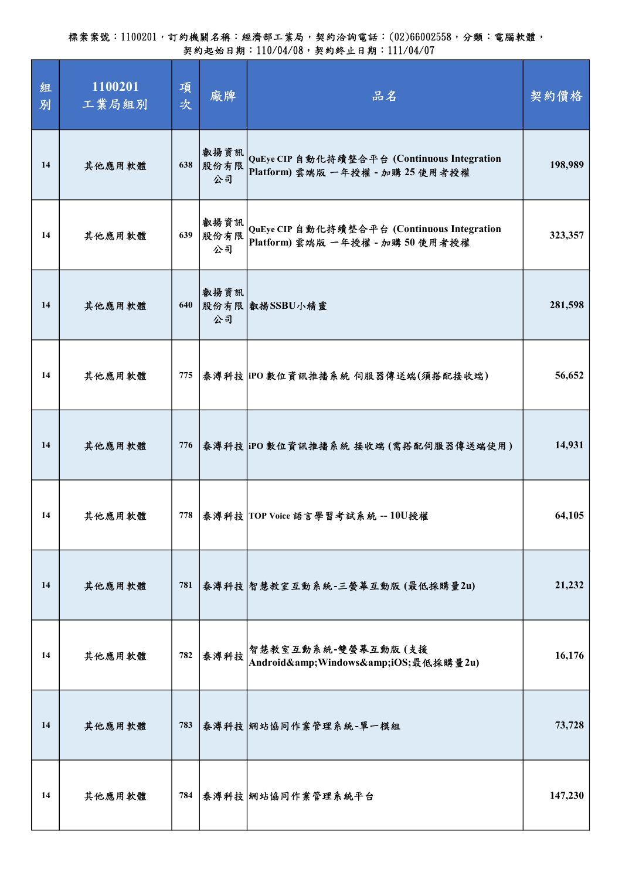| 組<br>別 | 1100201<br>工業局組別 | 項<br>次 | 廠牌                 | 品名                                                                              | 契約價格    |
|--------|------------------|--------|--------------------|---------------------------------------------------------------------------------|---------|
| 14     | 其他應用軟體           | 638    | 叡揚資訊<br>股份有限<br>公司 | QuEye CIP 自動化持續整合平台 (Continuous Integration<br>Platform) 雲端版 一年授權 - 加購 25 使用者授權 | 198,989 |
| 14     | 其他應用軟體           | 639    | 叡揚資訊<br>股份有限<br>公司 | QuEye CIP 自動化持續整合平台 (Continuous Integration<br>Platform) 雲端版 一年授權 - 加購 50 使用者授權 | 323,357 |
| 14     | 其他應用軟體           |        | 叡揚資訊<br>公司         | 640 股份有限 叡揚SSBU小精靈                                                              | 281,598 |
| 14     | 其他應用軟體           | 775    |                    | 泰溥科技 iPO 數位資訊推播系統 伺服器傳送端(須搭配接收端)                                                | 56,652  |
| 14     | 其他應用軟體           |        |                    | 776 秦溥科技 iPO 數位資訊推播系統 接收端 (需搭配伺服器傳送端使用)                                         | 14,931  |
| 14     | 其他應用軟體           |        |                    | 778  泰溥科技   TOP Voice 語言學習考試系統 -- 10U授權                                         | 64,105  |
| 14     | 其他應用軟體           | 781    |                    | 泰溥科技 智慧教室互動系統-三螢幕互動版(最低採購量2u)                                                   | 21,232  |
| 14     | 其他應用軟體           | 782    | 泰溥科技               | 智慧教室互動系統-雙螢幕互動版(支援)<br>Android&Windows&iOS最低採購量2u)                              | 16,176  |
| 14     | 其他應用軟體           | 783    |                    | 泰溥科技 網站協同作業管理系統-單一模組                                                            | 73,728  |
| 14     | 其他應用軟體           |        |                    | 784 泰溥科技 網站協同作業管理系統平台                                                           | 147,230 |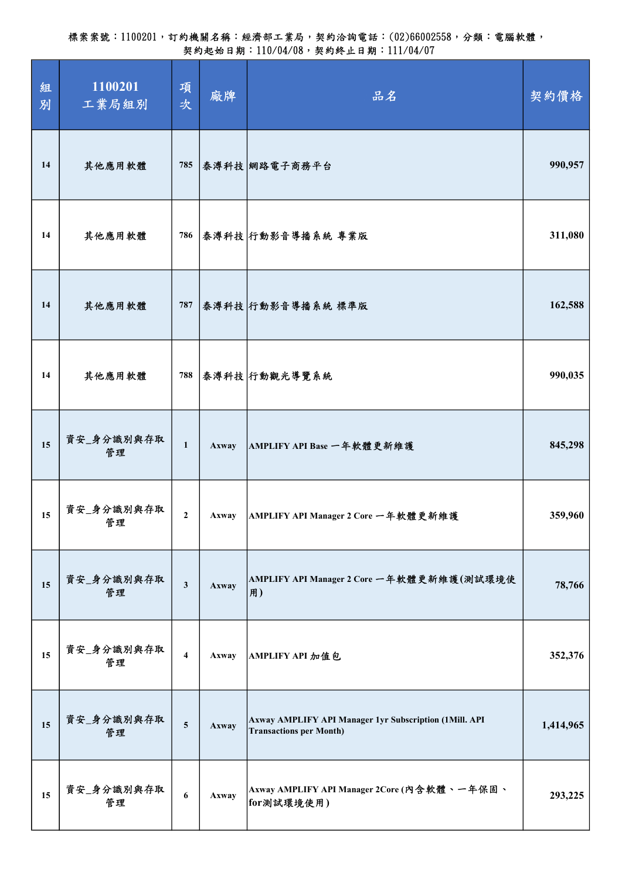| 組<br>別 | 1100201<br>工業局組別 | 項<br>次          | 廠牌    | 品名                                                                                       | 契約價格      |
|--------|------------------|-----------------|-------|------------------------------------------------------------------------------------------|-----------|
| 14     | 其他應用軟體           |                 |       | 785 泰溥科技 網路電子商務平台                                                                        | 990,957   |
| 14     | 其他應用軟體           | 786             |       | 泰溥科技 行動影音導播系統 專業版                                                                        | 311,080   |
| 14     | 其他應用軟體           |                 |       | 787 泰溥科技 行動影音導播系統 標準版                                                                    | 162,588   |
| 14     | 其他應用軟體           | 788             |       | 泰溥科技 行動觀光導覽系統                                                                            | 990,035   |
| 15     | 資安_身分識別與存取<br>管理 | $\mathbf{1}$    | Axway | AMPLIFY API Base 一年軟體更新維護                                                                | 845,298   |
| 15     | 資安_身分識別與存取<br>管理 | $\mathbf{2}$    | Axway | AMPLIFY API Manager 2 Core 一年軟體更新維護                                                      | 359,960   |
| 15     | 資安_身分識別與存取<br>管理 | $\mathbf{3}$    | Axway | AMPLIFY API Manager 2 Core 一年軟體更新維護(測試環境使<br>用)                                          | 78,766    |
| 15     | 資安_身分識別與存取<br>管理 | $\overline{4}$  | Axway | AMPLIFY API 加值包                                                                          | 352,376   |
| 15     | 資安_身分識別與存取<br>管理 | $5\overline{)}$ | Axway | Axway AMPLIFY API Manager 1yr Subscription (1Mill. API<br><b>Transactions per Month)</b> | 1,414,965 |
| 15     | 資安_身分識別與存取<br>管理 | 6               | Axway | Axway AMPLIFY API Manager 2Core (內含軟體、一年保固、<br>for测試環境使用)                                | 293,225   |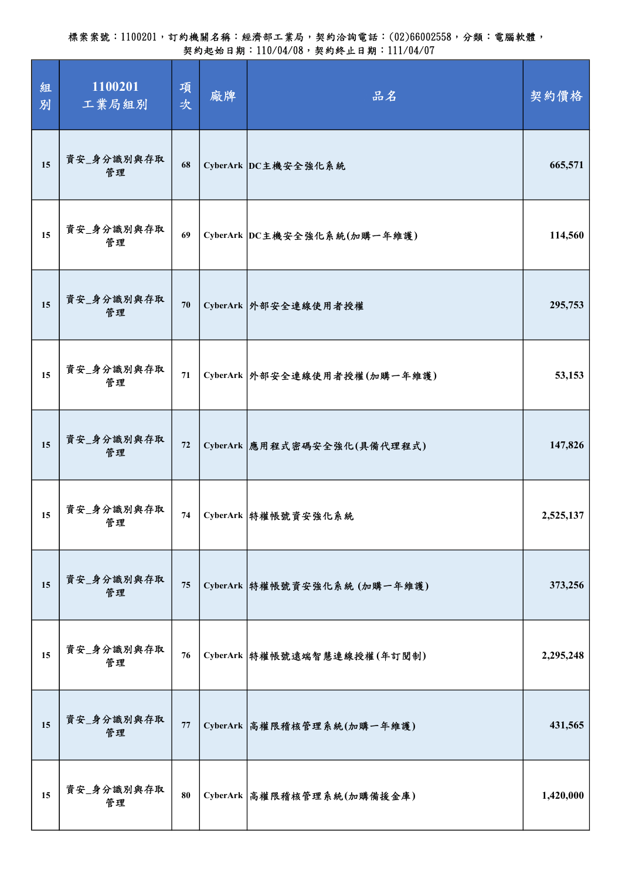| 組<br>別 | 1100201<br>工業局組別 | 項<br>次 | 廠牌 | 品名                           | 契約價格      |
|--------|------------------|--------|----|------------------------------|-----------|
| 15     | 資安_身分識別與存取<br>管理 | 68     |    | CyberArk DC主機安全強化系統          | 665,571   |
| 15     | 資安_身分識別與存取<br>管理 | 69     |    | CyberArk DC主機安全強化系統(加購一年維護)  | 114,560   |
| 15     | 資安_身分識別與存取<br>管理 | 70     |    | CyberArk 外部安全連線使用者授權         | 295,753   |
| 15     | 資安_身分識別與存取<br>管理 | 71     |    | CyberArk 外部安全連線使用者授權(加購一年維護) | 53,153    |
| 15     | 資安_身分識別與存取<br>管理 | 72     |    | CyberArk 應用程式密碼安全強化(具備代理程式)  | 147,826   |
| 15     | 資安_身分識別與存取<br>管理 | 74     |    | CyberArk 特權帳號資安強化系統          | 2,525,137 |
| 15     | 資安_身分識別與存取<br>管理 | 75     |    | CyberArk 特權帳號資安強化系統 (加購一年維護) | 373,256   |
| 15     | 資安_身分識別與存取<br>管理 | 76     |    | CyberArk 特權帳號遠端智慧連線授權(年訂閱制)  | 2,295,248 |
| 15     | 資安_身分識別與存取<br>管理 | 77     |    | CyberArk 高權限稽核管理系統(加購一年維護)   | 431,565   |
| 15     | 資安_身分識別與存取<br>管理 | 80     |    | CyberArk 高權限稽核管理系統(加購備援金庫)   | 1,420,000 |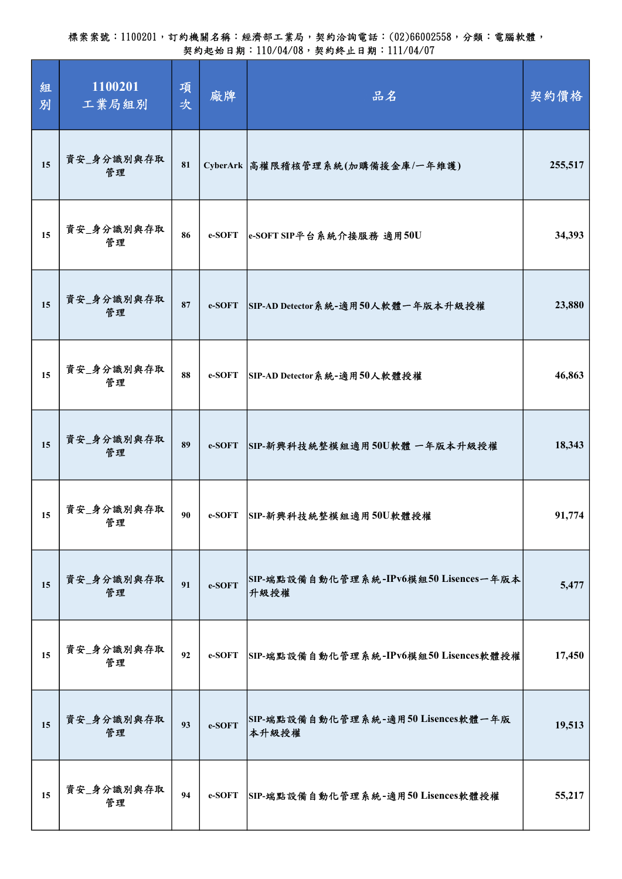| 組<br>別 | 1100201<br>工業局組別 | 項<br>次 | 廠牌     | 品名                                            | 契約價格    |
|--------|------------------|--------|--------|-----------------------------------------------|---------|
| 15     | 資安_身分識別與存取<br>管理 | 81     |        | CyberArk 高權限稽核管理系統(加購備援金庫/一年維護)               | 255,517 |
| 15     | 資安_身分識別與存取<br>管理 | 86     | e-SOFT | e-SOFT SIP平台系統介接服務 適用50U                      | 34,393  |
| 15     | 資安_身分識別與存取<br>管理 | 87     | e-SOFT | SIP-AD Detector系統-適用50人軟體一年版本升級授權             | 23,880  |
| 15     | 資安_身分識別與存取<br>管理 | 88     | e-SOFT | SIP-AD Detector 系統-適用50人軟體授權                  | 46,863  |
| 15     | 資安_身分識別與存取<br>管理 | 89     | e-SOFT | SIP-新興科技統整模組適用50U軟體 一年版本升級授權                  | 18,343  |
| 15     | 資安_身分識別與存取<br>管理 | 90     | e-SOFT | SIP-新興科技統整模組適用50U軟體授權                         | 91,774  |
| 15     | 資安_身分識別與存取<br>管理 | 91     | e-SOFT | SIP-端點設備自動化管理系統-IPv6模組50 Lisences一年版本<br>升級授權 | 5,477   |
| 15     | 資安_身分識別與存取<br>管理 | 92     | e-SOFT | SIP-端點設備自動化管理系統-IPv6模組50 Lisences軟體授權         | 17,450  |
| 15     | 資安_身分識別與存取<br>管理 | 93     | e-SOFT | SIP-端點設備自動化管理系統-適用50 Lisences軟體一年版<br>本升級授權   | 19,513  |
| 15     | 資安_身分識別與存取<br>管理 | 94     | e-SOFT | SIP-端點設備自動化管理系統-適用50 Lisences軟體授權             | 55,217  |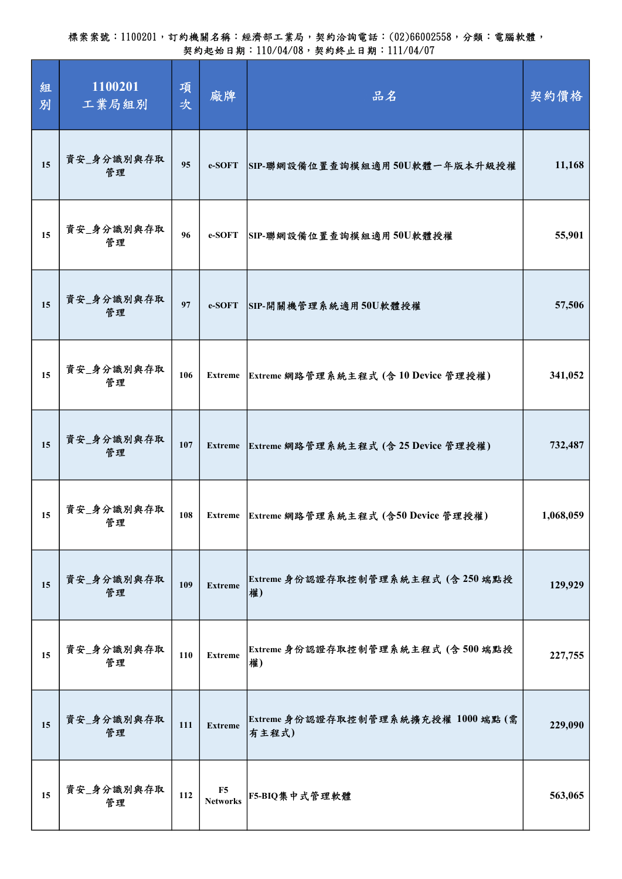| 組<br>別 | 1100201<br>工業局組別 | 項<br>次 | 廠牌                                | 品名                                           | 契約價格      |
|--------|------------------|--------|-----------------------------------|----------------------------------------------|-----------|
| 15     | 資安_身分識別與存取<br>管理 | 95     | e-SOFT                            | SIP-聯網設備位置查詢模組適用50U軟體一年版本升級授權                | 11,168    |
| 15     | 資安_身分識別與存取<br>管理 | 96     | e-SOFT                            | SIP-聯網設備位置查詢模組適用50U軟體授權                      | 55,901    |
| 15     | 資安_身分識別與存取<br>管理 | 97     | e-SOFT                            | SIP-開關機管理系統適用50U軟體授權                         | 57,506    |
| 15     | 資安_身分識別與存取<br>管理 | 106    | <b>Extreme</b>                    | Extreme 網路管理系統主程式 (含10 Device 管理授權)          | 341,052   |
| 15     | 資安_身分識別與存取<br>管理 | 107    | <b>Extreme</b>                    | Extreme 網路管理系統主程式 (含 25 Device 管理授權)         | 732,487   |
| 15     | 資安_身分識別與存取<br>管理 | 108    | <b>Extreme</b>                    | Extreme 網路管理系統主程式 (含50 Device 管理授權)          | 1,068,059 |
| 15     | 資安_身分識別與存取<br>管理 | 109    | <b>Extreme</b>                    | Extreme 身份認證存取控制管理系統主程式 (含250端點授<br>權)       | 129,929   |
| 15     | 資安_身分識別與存取<br>管理 | 110    | <b>Extreme</b>                    | Extreme 身份認證存取控制管理系統主程式 (含500端點授<br>權)       | 227,755   |
| 15     | 資安_身分識別與存取<br>管理 | 111    | <b>Extreme</b>                    | Extreme 身份認證存取控制管理系統擴充授權 1000 端點 (需<br>有主程式) | 229,090   |
| 15     | 資安_身分識別與存取<br>管理 | 112    | F <sub>5</sub><br><b>Networks</b> | F5-BIQ集中式管理軟體                                | 563,065   |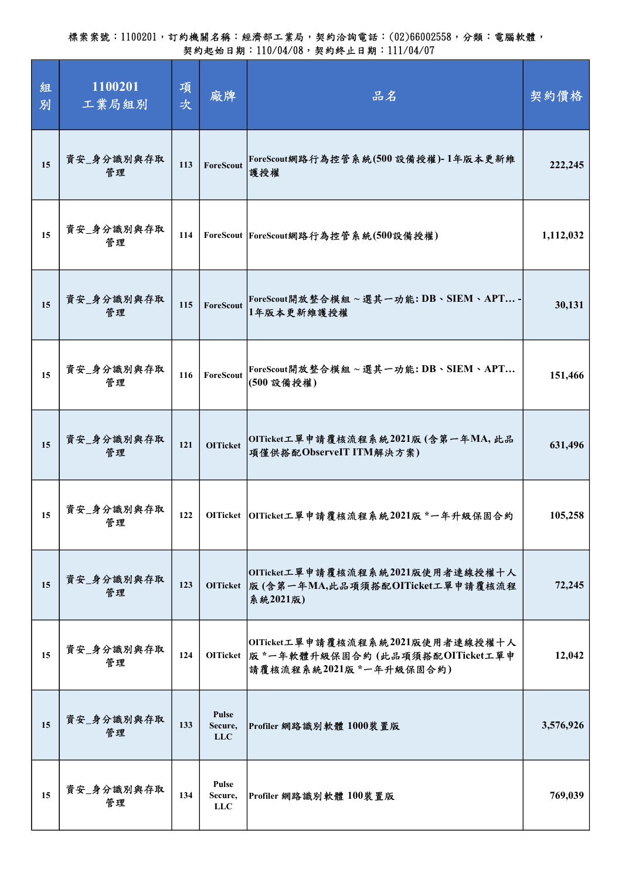| 組<br>別 | 1100201<br>工業局組別 | 項<br>次 | 廠牌                                    | 品名                                                                                                       | 契約價格      |
|--------|------------------|--------|---------------------------------------|----------------------------------------------------------------------------------------------------------|-----------|
| 15     | 資安_身分識別與存取<br>管理 | 113    | ForeScout                             | ForeScout網路行為控管系統(500設備授權)-1年版本更新維<br>護授權                                                                | 222,245   |
| 15     | 資安_身分識別與存取<br>管理 | 114    |                                       | ForeScout ForeScout網路行為控管系統(500設備授權)                                                                     | 1,112,032 |
| 15     | 資安_身分識別與存取<br>管理 | 115    | ForeScout                             | ForeScout開放整合模組~選其一功能: DB、SIEM、APT-<br>1年版本更新維護授權                                                        | 30,131    |
| 15     | 資安_身分識別與存取<br>管理 | 116    | ForeScout                             | ForeScout開放整合模組~選其一功能: DB、SIEM、APT<br>(500 設備授權)                                                         | 151,466   |
| 15     | 資安_身分識別與存取<br>管理 | 121    | <b>OITicket</b>                       | OITicket工單申請覆核流程系統2021版(含第一年MA,此品<br>項僅供搭配ObserveIT ITM解決方案)                                             | 631,496   |
| 15     | 資安_身分識別與存取<br>管理 | 122    |                                       | OITicket OITicket工單申請覆核流程系統2021版 *一年升級保固合約                                                               | 105,258   |
| 15     | 資安_身分識別與存取<br>管理 | 123    |                                       | OITicket工單申請覆核流程系統2021版使用者連線授權十人<br>OITicket  版(含第一年MA,此品項須搭配OITicket工單申請覆核流程<br>系統2021版)                | 72,245    |
| 15     | 資安_身分識別與存取<br>管理 | 124    |                                       | OITicket工單申請覆核流程系統2021版使用者連線授權十人<br>OITicket  版*一年軟體升級保固合約 (此品項須搭配OITicket工單申<br>請覆核流程系統2021版 *一年升級保固合約) | 12,042    |
| 15     | 資安_身分識別與存取<br>管理 | 133    | <b>Pulse</b><br>Secure,<br><b>LLC</b> | Profiler 網路識別軟體 1000裝置版                                                                                  | 3,576,926 |
| 15     | 資安_身分識別與存取<br>管理 | 134    | Pulse<br>Secure,<br><b>LLC</b>        | Profiler 網路識別軟體 100裝置版                                                                                   | 769,039   |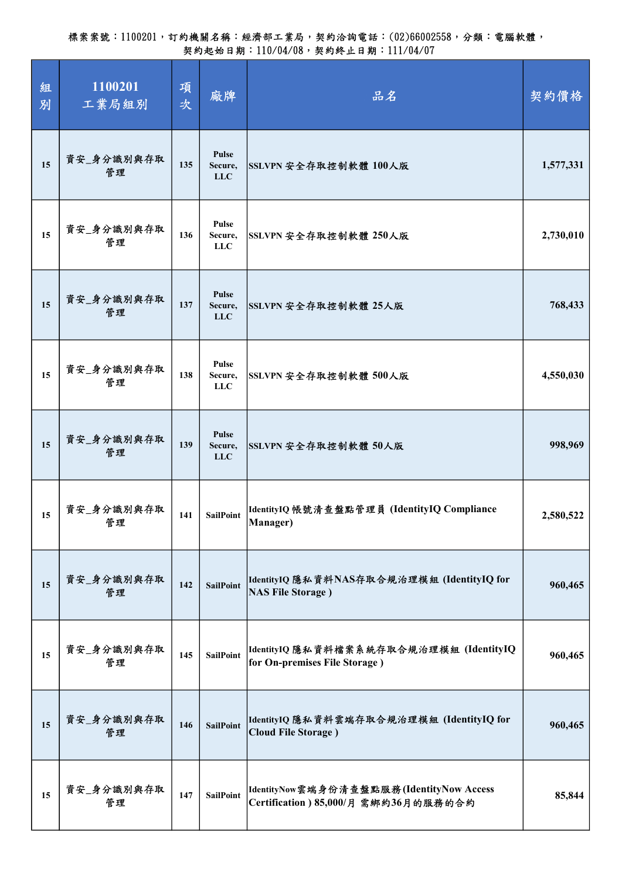| 組<br>別 | 1100201<br>工業局組別 | 項<br>次 | 廠牌                                    | 品名                                                                               | 契約價格      |
|--------|------------------|--------|---------------------------------------|----------------------------------------------------------------------------------|-----------|
| 15     | 資安_身分識別與存取<br>管理 | 135    | Pulse<br>Secure,<br><b>LLC</b>        | SSLVPN 安全存取控制軟體 100人版                                                            | 1,577,331 |
| 15     | 資安_身分識別與存取<br>管理 | 136    | Pulse<br>Secure,<br><b>LLC</b>        | SSLVPN 安全存取控制軟體 250人版                                                            | 2,730,010 |
| 15     | 資安_身分識別與存取<br>管理 | 137    | <b>Pulse</b><br>Secure,<br><b>LLC</b> | SSLVPN 安全存取控制軟體 25人版                                                             | 768,433   |
| 15     | 資安_身分識別與存取<br>管理 | 138    | Pulse<br>Secure,<br><b>LLC</b>        | SSLVPN 安全存取控制軟體 500人版                                                            | 4,550,030 |
| 15     | 資安_身分識別與存取<br>管理 | 139    | Pulse<br>Secure,<br><b>LLC</b>        | SSLVPN 安全存取控制軟體 50人版                                                             | 998,969   |
| 15     | 資安_身分識別與存取<br>管理 | 141    | <b>SailPoint</b>                      | IdentityIQ 帳號清查盤點管理員 (IdentityIQ Compliance<br>Manager)                          | 2,580,522 |
| 15     | 資安_身分識別與存取<br>管理 | 142    | <b>SailPoint</b>                      | IdentityIQ 隱私資料NAS存取合規治理模組 (IdentityIQ for<br><b>NAS File Storage</b> )          | 960,465   |
| 15     | 資安_身分識別與存取<br>管理 | 145    | <b>SailPoint</b>                      | IdentityIQ 隱私資料檔案系統存取合規治理模組 (IdentityIQ<br>for On-premises File Storage)         | 960,465   |
| 15     | 資安_身分識別與存取<br>管理 | 146    | <b>SailPoint</b>                      | IdentityIQ 隱私資料雲端存取合規治理模組 (IdentityIQ for<br><b>Cloud File Storage</b> )         | 960,465   |
| 15     | 資安_身分識別與存取<br>管理 | 147    | <b>SailPoint</b>                      | IdentityNow雲端身份清查盤點服務(IdentityNow Access<br>Certification) 85,000/月 需綁約36月的服務的合約 | 85,844    |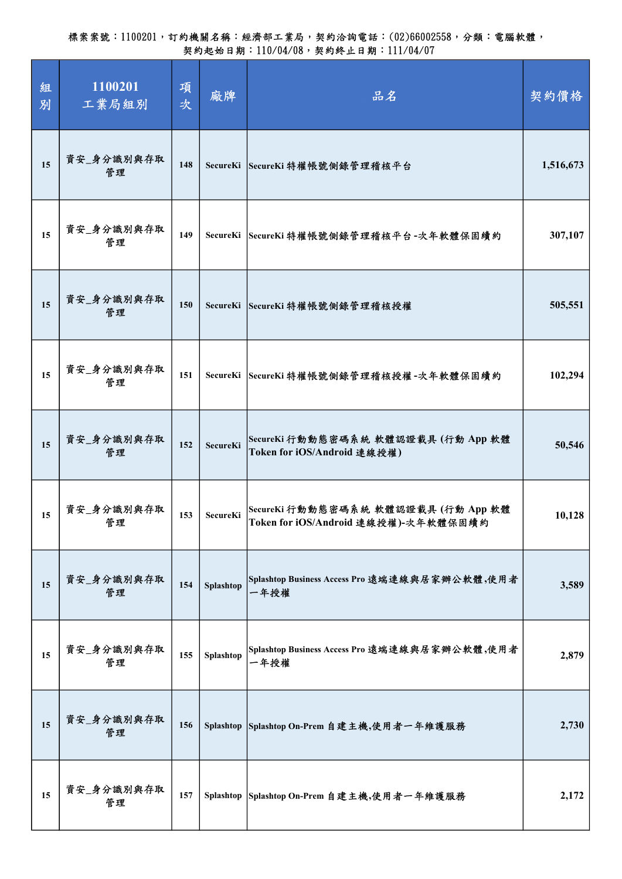| 組<br>別 | 1100201<br>工業局組別 | 項<br>次 | 廠牌              | 品名                                                                         | 契約價格      |
|--------|------------------|--------|-----------------|----------------------------------------------------------------------------|-----------|
| 15     | 資安_身分識別與存取<br>管理 | 148    |                 | SecureKi SecureKi 特權帳號側錄管理稽核平台                                             | 1,516,673 |
| 15     | 資安_身分識別與存取<br>管理 | 149    |                 | SecureKi SecureKi 特權帳號側錄管理稽核平台-次年軟體保固續約                                    | 307,107   |
| 15     | 資安_身分識別與存取<br>管理 | 150    |                 | SecureKi SecureKi 特權帳號側錄管理稽核授權                                             | 505,551   |
| 15     | 資安_身分識別與存取<br>管理 | 151    |                 | SecureKi SecureKi 特權帳號側錄管理稽核授權-次年軟體保固續約                                    | 102,294   |
| 15     | 資安_身分識別與存取<br>管理 | 152    | <b>SecureKi</b> | SecureKi 行動動態密碼系統 軟體認證載具(行動 App 軟體<br>Token for iOS/Android 連線授權)          | 50,546    |
| 15     | 資安_身分識別與存取<br>管理 | 153    | <b>SecureKi</b> | SecureKi 行動動態密碼系統 軟體認證載具(行動 App 軟體<br>Token for iOS/Android 連線授權)-次年軟體保固續約 | 10,128    |
| 15     | 資安_身分識別與存取<br>管理 | 154    | Splashtop       | Splashtop Business Access Pro 遠端連線與居家辦公軟體,使用者<br>一年授權                      | 3,589     |
| 15     | 資安_身分識別與存取<br>管理 | 155    | Splashtop       | Splashtop Business Access Pro 遠端連線與居家辦公軟體,使用者<br>一年授權                      | 2,879     |
| 15     | 資安_身分識別與存取<br>管理 | 156    |                 | Splashtop Splashtop On-Prem 自建主機,使用者一年維護服務                                 | 2,730     |
| 15     | 資安_身分識別與存取<br>管理 | 157    |                 | Splashtop Splashtop On-Prem 自建主機,使用者一年維護服務                                 | 2,172     |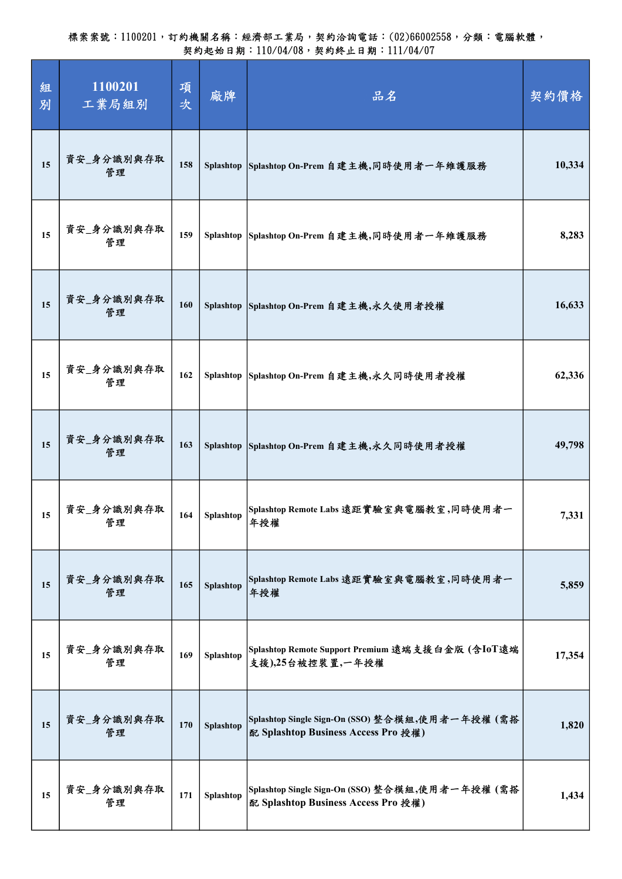| 組<br>別 | 1100201<br>工業局組別 | 項<br>次 | 廠牌        | 品名                                                                                     | 契約價格   |
|--------|------------------|--------|-----------|----------------------------------------------------------------------------------------|--------|
| 15     | 資安_身分識別與存取<br>管理 | 158    | Splashtop | Splashtop On-Prem 自建主機,同時使用者一年維護服務                                                     | 10,334 |
| 15     | 資安_身分識別與存取<br>管理 | 159    |           | Splashtop Splashtop On-Prem 自建主機,同時使用者一年維護服務                                           | 8,283  |
| 15     | 資安_身分識別與存取<br>管理 | 160    |           | Splashtop Splashtop On-Prem 自建主機,永久使用者授權                                               | 16,633 |
| 15     | 資安_身分識別與存取<br>管理 | 162    |           | Splashtop Splashtop On-Prem 自建主機,永久同時使用者授權                                             | 62,336 |
| 15     | 資安_身分識別與存取<br>管理 | 163    |           | Splashtop Splashtop On-Prem 自建主機,永久同時使用者授權                                             | 49,798 |
| 15     | 資安_身分識別與存取<br>管理 | 164    | Splashtop | Splashtop Remote Labs 遠距實驗室與電腦教室,同時使用者一<br>年授權                                         | 7,331  |
| 15     | 資安_身分識別與存取<br>管理 | 165    | Splashtop | Splashtop Remote Labs 遠距實驗室與電腦教室,同時使用者一<br>年授權                                         | 5,859  |
| 15     | 資安_身分識別與存取<br>管理 | 169    | Splashtop | Splashtop Remote Support Premium 遠端支援白金版 (含IoT遠端<br>支援),25台被控裝置,一年授權                   | 17,354 |
| 15     | 資安_身分識別與存取<br>管理 | 170    | Splashtop | Splashtop Single Sign-On (SSO) 整合模組,使用者一年授權 (需搭<br>配 Splashtop Business Access Pro 授權) | 1,820  |
| 15     | 資安_身分識別與存取<br>管理 | 171    | Splashtop | Splashtop Single Sign-On (SSO) 整合模組,使用者一年授權 (需搭<br>配 Splashtop Business Access Pro 授權) | 1,434  |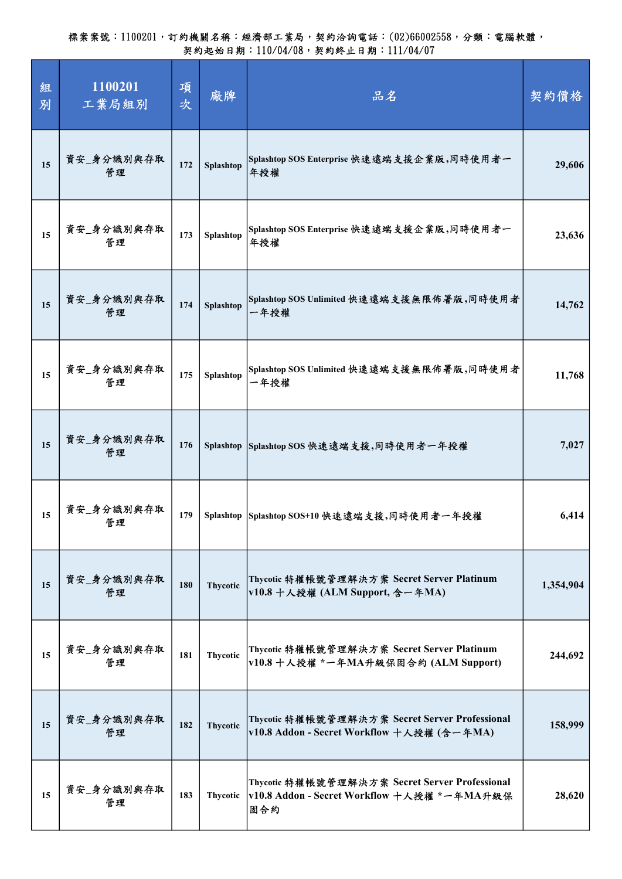| 組<br>別 | 1100201<br>工業局組別 | 項<br>次 | 廠牌              | 品名                                                                                                    | 契約價格      |
|--------|------------------|--------|-----------------|-------------------------------------------------------------------------------------------------------|-----------|
| 15     | 資安_身分識別與存取<br>管理 | 172    | Splashtop       | Splashtop SOS Enterprise 快速遠端支援企業版,同時使用者一<br>年授權                                                      | 29,606    |
| 15     | 資安_身分識別與存取<br>管理 | 173    | Splashtop       | Splashtop SOS Enterprise 快速遠端支援企業版,同時使用者一<br>年授權                                                      | 23,636    |
| 15     | 資安_身分識別與存取<br>管理 | 174    | Splashtop       | Splashtop SOS Unlimited 快速遠端支援無限佈署版,同時使用者<br>一年授權                                                     | 14,762    |
| 15     | 資安_身分識別與存取<br>管理 | 175    | Splashtop       | Splashtop SOS Unlimited 快速遠端支援無限佈署版,同時使用者<br>一年授權                                                     | 11,768    |
| 15     | 資安_身分識別與存取<br>管理 | 176    | Splashtop       | Splashtop SOS 快速遠端支援,同時使用者一年授權                                                                        | 7,027     |
| 15     | 資安_身分識別與存取<br>管理 | 179    | Splashtop       | Splashtop SOS+10 快速遠端支援,同時使用者一年授權                                                                     | 6,414     |
| 15     | 資安_身分識別與存取<br>管理 | 180    | Thycotic        | Thycotic 特權帳號管理解決方案 Secret Server Platinum<br>v10.8 十人授權 (ALM Support, 含一年MA)                         | 1,354,904 |
| 15     | 資安_身分識別與存取<br>管理 | 181    | <b>Thycotic</b> | Thycotic 特權帳號管理解決方案 Secret Server Platinum<br>v10.8 十人授權 *一年MA升級保固合約 (ALM Support)                    | 244,692   |
| 15     | 資安_身分識別與存取<br>管理 | 182    | Thycotic        | Thycotic 特權帳號管理解決方案 Secret Server Professional<br>v10.8 Addon - Secret Workflow 十人授權 (含一年MA)          | 158,999   |
| 15     | 資安_身分識別與存取<br>管理 | 183    | Thycotic        | Thycotic 特權帳號管理解決方案 Secret Server Professional<br> v10.8 Addon - Secret Workflow 十人授權 *一年MA升級保<br>固合約 | 28,620    |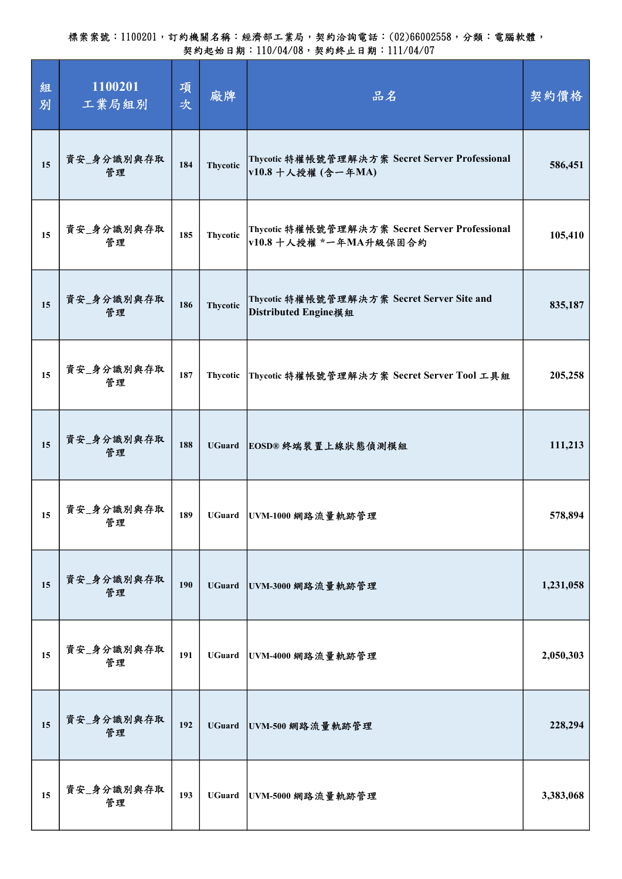| 組<br>別 | 1100201<br>工業局組別 | 項<br>次 | 廠牌              | 品名                                                                       | 契約價格      |
|--------|------------------|--------|-----------------|--------------------------------------------------------------------------|-----------|
| 15     | 資安_身分識別與存取<br>管理 | 184    | <b>Thycotic</b> | Thycotic 特權帳號管理解決方案 Secret Server Professional<br> v10.8 十人授權 (含一年MA)    | 586,451   |
| 15     | 資安_身分識別與存取<br>管理 | 185    | <b>Thycotic</b> | Thycotic 特權帳號管理解決方案 Secret Server Professional<br>v10.8 十人授權 *一年MA升級保固合約 | 105,410   |
| 15     | 資安_身分識別與存取<br>管理 | 186    | <b>Thycotic</b> | Thycotic 特權帳號管理解決方案 Secret Server Site and<br>Distributed Engine模組       | 835,187   |
| 15     | 資安_身分識別與存取<br>管理 | 187    | <b>Thycotic</b> | Thycotic 特權帳號管理解決方案 Secret Server Tool 工具組                               | 205,258   |
| 15     | 資安_身分識別與存取<br>管理 | 188    | <b>UGuard</b>   | EOSD® 终端装置上線狀態偵測模組                                                       | 111,213   |
| 15     | 資安_身分識別與存取<br>管理 | 189    | <b>UGuard</b>   | UVM-1000 網路流量軌跡管理                                                        | 578,894   |
| 15     | 資安_身分識別與存取<br>管理 | 190    | <b>UGuard</b>   | UVM-3000 網路流量軌跡管理                                                        | 1,231,058 |
| 15     | 資安_身分識別與存取<br>管理 | 191    | <b>UGuard</b>   | UVM-4000 網路流量軌跡管理                                                        | 2,050,303 |
| 15     | 資安_身分識別與存取<br>管理 | 192    | <b>UGuard</b>   | UVM-500 網路流量軌跡管理                                                         | 228,294   |
| 15     | 資安_身分識別與存取<br>管理 | 193    | <b>UGuard</b>   | UVM-5000 網路流量軌跡管理                                                        | 3,383,068 |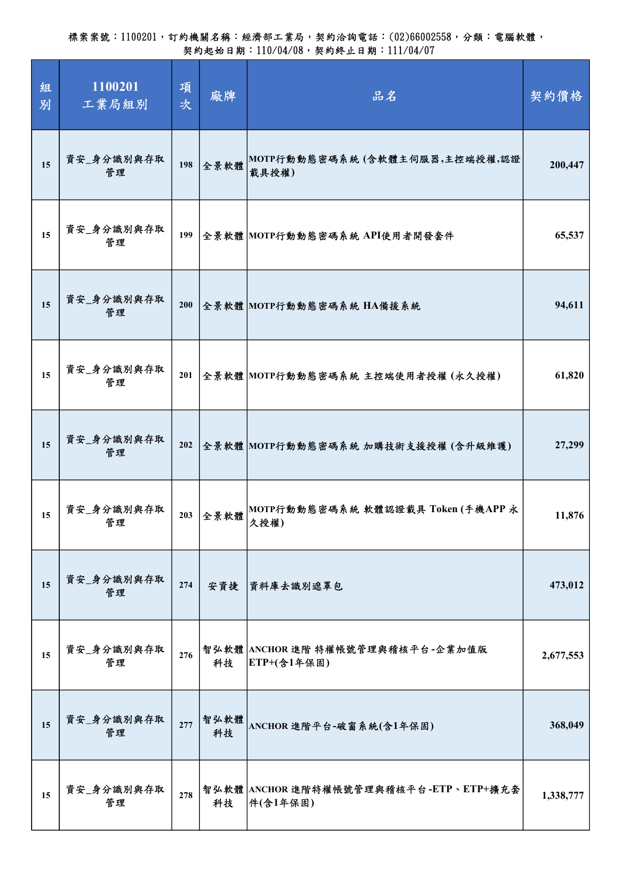| 組<br>別 | 1100201<br>工業局組別 | 項<br>次 | 廠牌         | 品名                                                | 契約價格      |
|--------|------------------|--------|------------|---------------------------------------------------|-----------|
| 15     | 資安_身分識別與存取<br>管理 | 198    | 全景軟體       | MOTP行動動態密碼系統(含軟體主伺服器,主控端授權,認證<br>載具授權)            | 200,447   |
| 15     | 資安_身分識別與存取<br>管理 | 199    |            | 全景軟體 MOTP行動動態密碼系統 API使用者開發套件                      | 65,537    |
| 15     | 資安_身分識別與存取<br>管理 | 200    |            | 全景軟體 MOTP行動動態密碼系統 HA備援系統                          | 94,611    |
| 15     | 資安_身分識別與存取<br>管理 | 201    |            | 全景軟體 MOTP行動動態密碼系統 主控端使用者授權(永久授權)                  | 61,820    |
| 15     | 資安_身分識別與存取<br>管理 | 202    |            | 全景軟體 MOTP行動動態密碼系統 加購技術支援授權(含升級維護)                 | 27,299    |
| 15     | 資安_身分識別與存取<br>管理 | 203    | 全景軟體       | MOTP行動動態密碼系統 軟體認證載具 Token (手機APP 永<br>久授權)        | 11,876    |
| 15     | 資安_身分識別與存取<br>管理 | 274    | 安資捷        | 資料庫去識別遮罩包                                         | 473,012   |
| 15     | 資安_身分識別與存取<br>管理 | 276    | 科技         | 智弘軟體 ANCHOR 進階 特權帳號管理與稽核平台-企業加值版<br>ETP+(含1年保固)   | 2,677,553 |
| 15     | 資安_身分識別與存取<br>管理 | 277    | 智弘軟體<br>科技 | ANCHOR 進階平台-破窗系統(含1年保固)                           | 368,049   |
| 15     | 資安_身分識別與存取<br>管理 | 278    | 科技         | 智弘軟體 ANCHOR 進階特權帳號管理與稽核平台-ETP、ETP+擴充套<br>件(含1年保固) | 1,338,777 |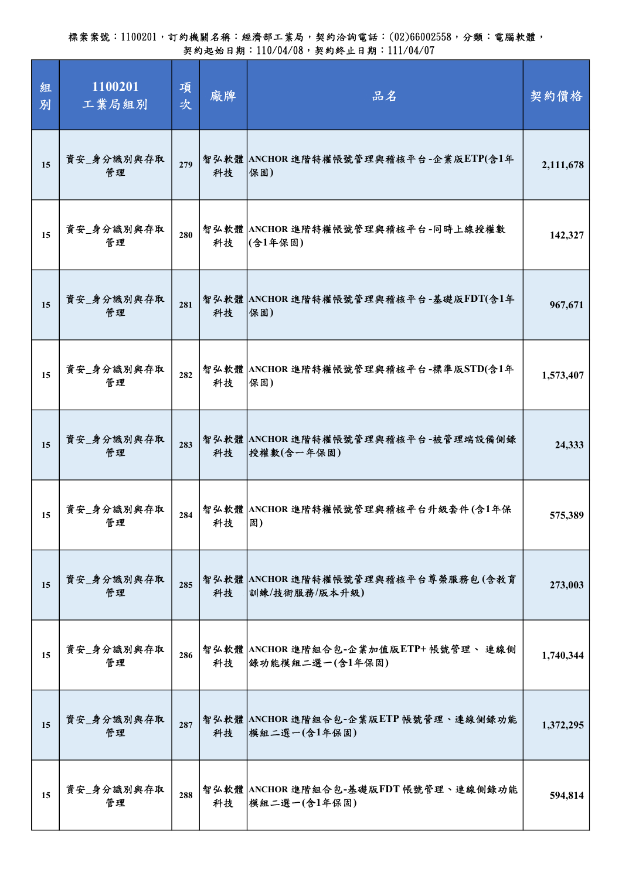| 組<br>別 | 1100201<br>工業局組別 | 項<br>次 | 廠牌 | 品名                                                      | 契約價格      |
|--------|------------------|--------|----|---------------------------------------------------------|-----------|
| 15     | 資安_身分識別與存取<br>管理 | 279    | 科技 | 智弘軟體  ANCHOR 進階特權帳號管理與稽核平台-企業版ETP(含1年<br>保固)            | 2,111,678 |
| 15     | 資安_身分識別與存取<br>管理 | 280    | 科技 | 智弘軟體 ANCHOR 進階特權帳號管理與稽核平台-同時上線授權數<br> (含1年保固)           | 142,327   |
| 15     | 資安_身分識別與存取<br>管理 | 281    | 科技 | 智弘軟體 ANCHOR 進階特權帳號管理與稽核平台-基礎版FDT(含1年<br>保固)             | 967,671   |
| 15     | 資安_身分識別與存取<br>管理 | 282    | 科技 | 智弘軟體  ANCHOR 進階特權帳號管理與稽核平台-標準版STD(含1年<br>保固)            | 1,573,407 |
| 15     | 資安_身分識別與存取<br>管理 | 283    | 科技 | 智弘軟體 ANCHOR 進階特權帳號管理與稽核平台-被管理端設備側錄<br> 授權數(含一年保固)       | 24,333    |
| 15     | 資安_身分識別與存取<br>管理 | 284    | 科技 | 智弘軟體  ANCHOR 進階特權帳號管理與稽核平台升級套件(含1年保<br>固)               | 575,389   |
| 15     | 資安_身分識別與存取<br>管理 | 285    | 科技 | 智弘軟體 ANCHOR 進階特權帳號管理與稽核平台尊榮服務包(含教育<br> 訓練/技術服務/版本升級)    | 273,003   |
| 15     | 資安_身分識別與存取<br>管理 | 286    | 科技 | 智弘軟體 ANCHOR 進階組合包-企業加值版ETP+帳號管理、 連線側<br>錄功能模組二選一(含1年保固) | 1,740,344 |
| 15     | 資安_身分識別與存取<br>管理 | 287    | 科技 | 智弘軟體 ANCHOR 進階組合包-企業版ETP 帳號管理、連線側錄功能<br> 模組二選一(含1年保固)   | 1,372,295 |
| 15     | 資安_身分識別與存取<br>管理 | 288    | 科技 | 智弘軟體 ANCHOR 進階組合包-基礎版FDT 帳號管理、連線側錄功能<br> 模組二選一(含1年保固)   | 594,814   |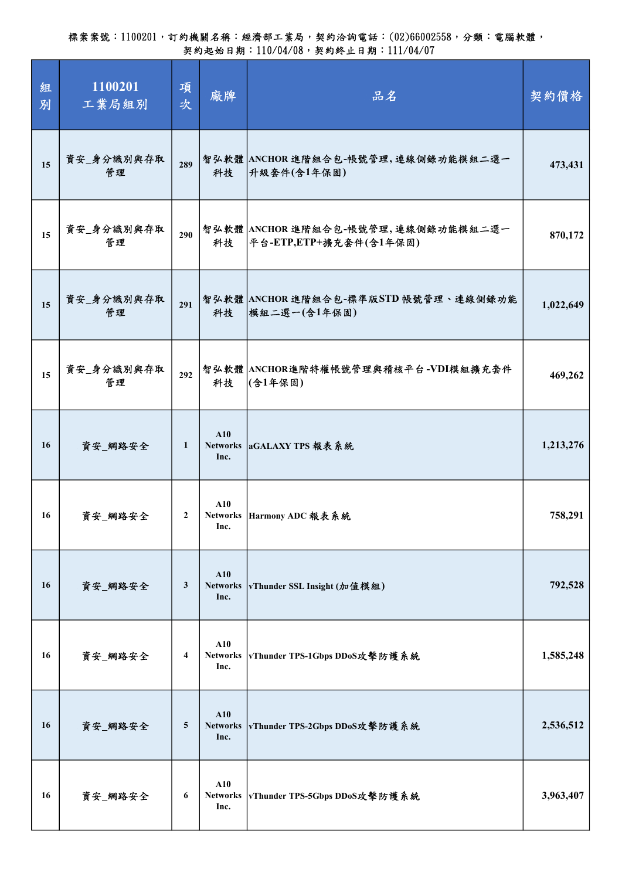| 組<br>別 | 1100201<br>工業局組別 | 項<br>次       | 廠牌                             | 品名                                                            | 契約價格      |
|--------|------------------|--------------|--------------------------------|---------------------------------------------------------------|-----------|
| 15     | 資安_身分識別與存取<br>管理 | 289          | 科技                             | 智弘軟體 ANCHOR 進階組合包-帳號管理,連線側錄功能模組二選一<br> 升級套件(含1年保固)            | 473,431   |
| 15     | 資安_身分識別與存取<br>管理 | 290          | 科技                             | 智弘軟體 ANCHOR 進階組合包-帳號管理,連線側錄功能模組二選一<br> 平台-ETP,ETP+擴充套件(含1年保固) | 870,172   |
| 15     | 資安_身分識別與存取<br>管理 | 291          | 科技                             | 智弘軟體 ANCHOR 進階組合包-標準版STD 帳號管理、連線側錄功能<br>模組二選一(含1年保固)          | 1,022,649 |
| 15     | 資安_身分識別與存取<br>管理 | 292          | 科技                             | 智弘軟體 ANCHOR進階特權帳號管理與稽核平台-VDI模組擴充套件<br> (含1年保固)                | 469,262   |
| 16     | 資安_網路安全          | 1            | A10<br><b>Networks</b><br>Inc. | aGALAXY TPS 報表系統                                              | 1,213,276 |
| 16     | 資安_網路安全          | $\mathbf{2}$ | A10<br><b>Networks</b><br>Inc. | Harmony ADC 報表系統                                              | 758,291   |
| 16     | 資安_網路安全          | 3            | A10<br><b>Networks</b><br>Inc. | vThunder SSL Insight (加值模組)                                   | 792,528   |
| 16     | 資安_網路安全          | 4            | A10<br><b>Networks</b><br>Inc. | <b>VThunder TPS-1Gbps DDoS攻擊防護系統</b>                          | 1,585,248 |
| 16     | 資安_網路安全          | 5            | A10<br><b>Networks</b><br>Inc. | vThunder TPS-2Gbps DDoS攻擊防護系統                                 | 2,536,512 |
| 16     | 資安_網路安全          | 6            | A10<br><b>Networks</b><br>Inc. | <b>VThunder TPS-5Gbps DDoS攻擊防護系統</b>                          | 3,963,407 |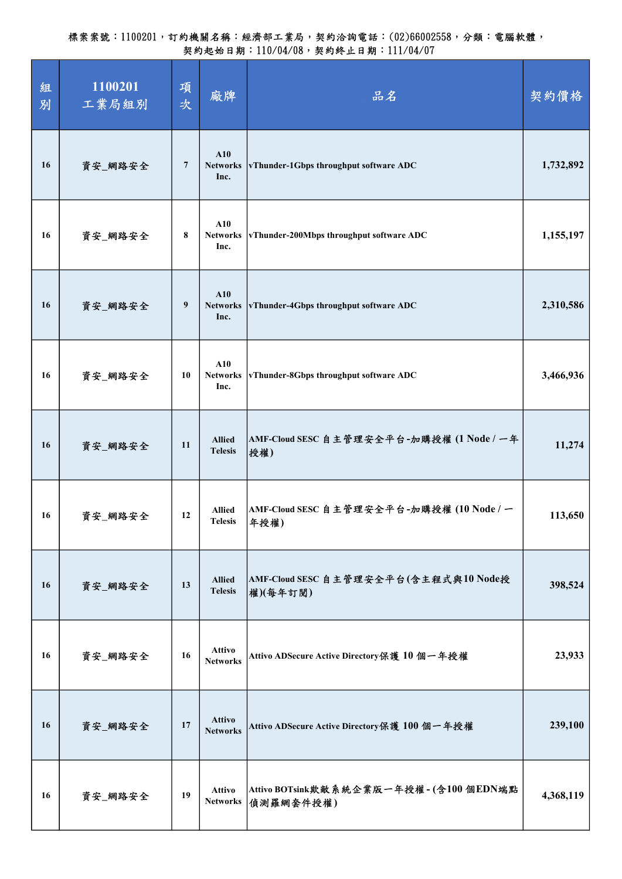| 組<br>別 | 1100201<br>工業局組別 | 項<br>次         | 廠牌                               | 品名                                                 | 契約價格      |
|--------|------------------|----------------|----------------------------------|----------------------------------------------------|-----------|
| 16     | 資安_網路安全          | $\overline{7}$ | A10<br><b>Networks</b><br>Inc.   | vThunder-1Gbps throughput software ADC             | 1,732,892 |
| 16     | 資安_網路安全          | 8              | A10<br><b>Networks</b><br>Inc.   | vThunder-200Mbps throughput software ADC           | 1,155,197 |
| 16     | 資安_網路安全          | 9              | A10<br><b>Networks</b><br>Inc.   | vThunder-4Gbps throughput software ADC             | 2,310,586 |
| 16     | 資安_網路安全          | 10             | A10<br><b>Networks</b><br>Inc.   | vThunder-8Gbps throughput software ADC             | 3,466,936 |
| 16     | 資安_網路安全          | 11             | <b>Allied</b><br><b>Telesis</b>  | AMF-Cloud SESC 自主管理安全平台-加購授權(1 Node / 一年<br>授權)    | 11,274    |
| 16     | 資安_網路安全          | 12             | <b>Allied</b><br><b>Telesis</b>  | AMF-Cloud SESC 自主管理安全平台-加購授權(10 Node / 一<br>年授權)   | 113,650   |
| 16     | 資安_網路安全          | 13             | <b>Allied</b><br><b>Telesis</b>  | AMF-Cloud SESC 自主管理安全平台(含主程式與10 Node授<br>權)(每年訂閱)  | 398,524   |
| 16     | 資安_網路安全          | 16             | <b>Attivo</b><br><b>Networks</b> | Attivo ADSecure Active Directory保護 10 個一年授權        | 23,933    |
| 16     | 資安_網路安全          | 17             | <b>Attivo</b><br><b>Networks</b> | Attivo ADSecure Active Directory保護 100 個一年授權       | 239,100   |
| 16     | 資安_網路安全          | 19             | <b>Attivo</b><br><b>Networks</b> | Attivo BOTsink欺敵系統企業版一年授權-(含100個EDN端點<br>偵測羅網套件授權) | 4,368,119 |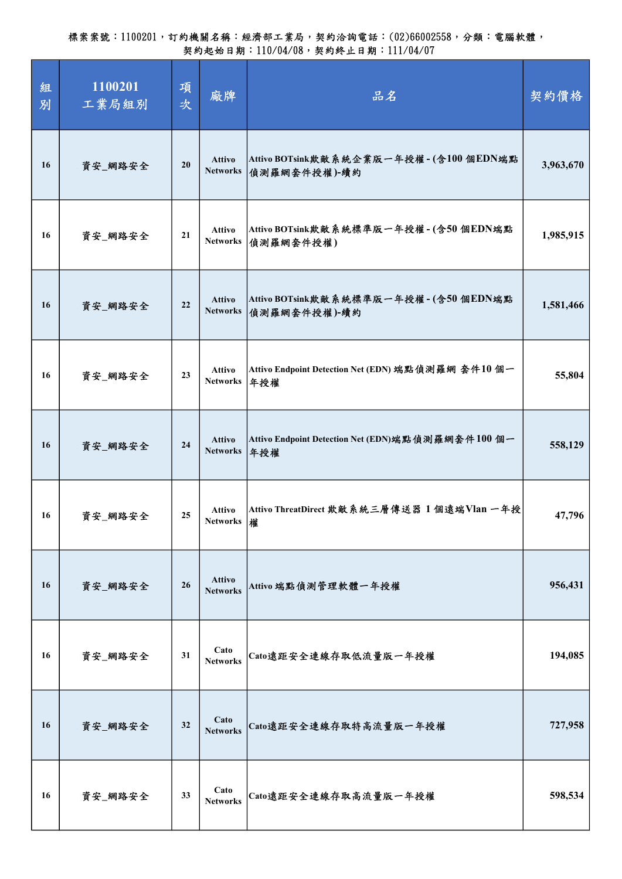| 組<br>別 | 1100201<br>工業局組別 | 項<br>次 | 廠牌                               | 品名                                                         | 契約價格      |
|--------|------------------|--------|----------------------------------|------------------------------------------------------------|-----------|
| 16     | 資安_網路安全          | 20     | <b>Attivo</b><br><b>Networks</b> | Attivo BOTsink欺敵系統企業版一年授權-(含100 個EDN端點<br>偵測羅網套件授權)-續約     | 3,963,670 |
| 16     | 資安_網路安全          | 21     | <b>Attivo</b><br><b>Networks</b> | Attivo BOTsink欺敵系統標準版一年授權-(含50個EDN端點<br>偵測羅網套件授權)          | 1,985,915 |
| 16     | 資安_網路安全          | 22     | <b>Attivo</b><br><b>Networks</b> | Attivo BOTsink欺敵系統標準版一年授權-(含50個EDN端點<br>偵測羅網套件授權)-續約       | 1,581,466 |
| 16     | 資安_網路安全          | 23     | <b>Attivo</b><br><b>Networks</b> | Attivo Endpoint Detection Net (EDN) 端點偵測羅網 套件10 個一<br> 年授權 | 55,804    |
| 16     | 資安_網路安全          | 24     | <b>Attivo</b><br><b>Networks</b> | Attivo Endpoint Detection Net (EDN)端點偵測羅網套件100個一<br> 年授權   | 558,129   |
| 16     | 資安_網路安全          | 25     | <b>Attivo</b><br><b>Networks</b> | Attivo ThreatDirect 欺敵系統三層傳送器 1 個遠端Vlan 一年授 <br>槯          | 47,796    |
| 16     | 資安_網路安全          | 26     | <b>Attivo</b><br><b>Networks</b> | Attivo 端點偵測管理軟體一年授權                                        | 956,431   |
| 16     | 資安_網路安全          | 31     | Cato<br><b>Networks</b>          | Cato遠距安全連線存取低流量版一年授權                                       | 194,085   |
| 16     | 資安_網路安全          | 32     | Cato<br><b>Networks</b>          | Cato遠距安全連線存取特高流量版一年授權                                      | 727,958   |
| 16     | 資安_網路安全          | 33     | Cato<br><b>Networks</b>          | Cato遠距安全連線存取高流量版一年授權                                       | 598,534   |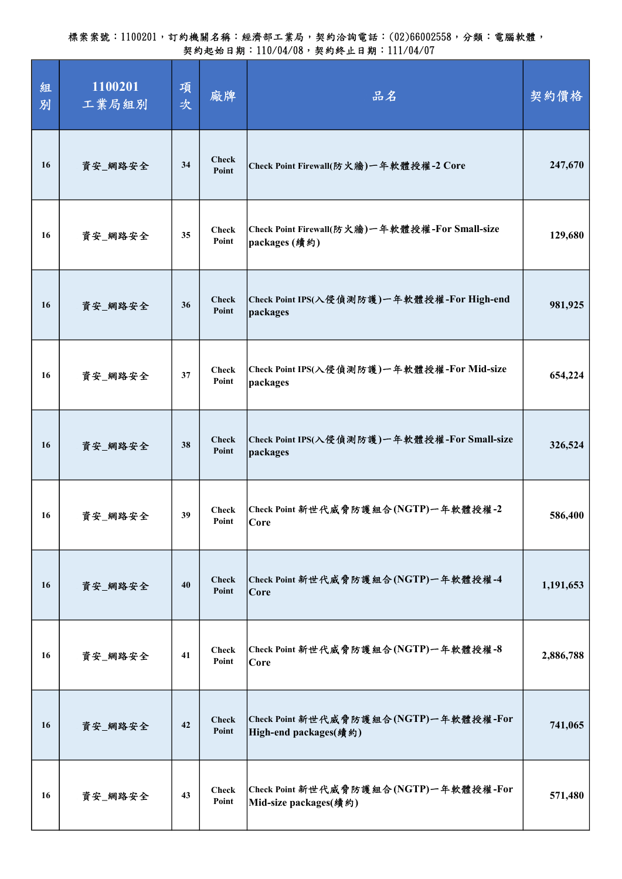| 組<br>別 | 1100201<br>工業局組別 | 項<br>次 | 廠牌                    | 品名                                                              | 契約價格      |
|--------|------------------|--------|-----------------------|-----------------------------------------------------------------|-----------|
| 16     | 資安_網路安全          | 34     | <b>Check</b><br>Point | Check Point Firewall(防火牆)一年軟體授權-2 Core                          | 247,670   |
| 16     | 資安_網路安全          | 35     | <b>Check</b><br>Point | Check Point Firewall(防火牆)一年軟體授權-For Small-size<br>packages (績約) | 129,680   |
| 16     | 資安_網路安全          | 36     | <b>Check</b><br>Point | Check Point IPS(入侵偵測防護)一年軟體授權-For High-end<br>packages          | 981,925   |
| 16     | 資安_網路安全          | 37     | <b>Check</b><br>Point | Check Point IPS(入侵偵測防護)一年軟體授權-For Mid-size<br>packages          | 654,224   |
| 16     | 資安_網路安全          | 38     | <b>Check</b><br>Point | Check Point IPS(入侵偵測防護)一年軟體授權-For Small-size<br>packages        | 326,524   |
| 16     | 資安_網路安全          | 39     | <b>Check</b><br>Point | Check Point 新世代威脅防護組合(NGTP)一年軟體授權-2<br>Core                     | 586,400   |
| 16     | 資安_網路安全          | 40     | <b>Check</b><br>Point | Check Point 新世代威脅防護組合(NGTP)一年軟體授權-4<br>Core                     | 1,191,653 |
| 16     | 資安_網路安全          | 41     | <b>Check</b><br>Point | Check Point 新世代威脅防護組合(NGTP)一年軟體授權-8<br>Core                     | 2,886,788 |
| 16     | 資安_網路安全          | 42     | <b>Check</b><br>Point | Check Point 新世代威脅防護組合(NGTP)一年軟體授權-For<br>High-end packages(續約)  | 741,065   |
| 16     | 資安_網路安全          | 43     | <b>Check</b><br>Point | Check Point 新世代威脅防護組合(NGTP)一年軟體授權-For<br>Mid-size packages(绩约)  | 571,480   |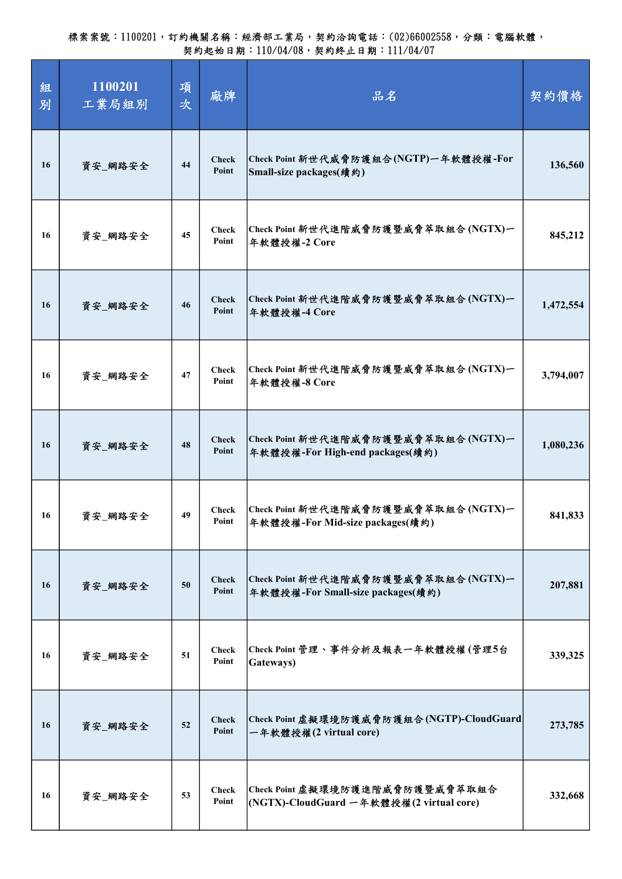| 組<br>別 | 1100201<br>工業局組別 | 項<br>次 | 廠牌                    | 品名                                                                           | 契約價格      |
|--------|------------------|--------|-----------------------|------------------------------------------------------------------------------|-----------|
| 16     | 資安_網路安全          | 44     | <b>Check</b><br>Point | Check Point 新世代威脅防護組合(NGTP)一年軟體授權-For<br>Small-size packages(續約)             | 136,560   |
| 16     | 資安_網路安全          | 45     | <b>Check</b><br>Point | Check Point 新世代進階威脅防護暨威脅萃取組合(NGTX)一<br>年軟體授權-2 Core                          | 845,212   |
| 16     | 資安_網路安全          | 46     | <b>Check</b><br>Point | Check Point 新世代進階威脅防護暨威脅萃取組合(NGTX)一<br>年軟體授權-4 Core                          | 1,472,554 |
| 16     | 資安_網路安全          | 47     | <b>Check</b><br>Point | Check Point 新世代進階威脅防護暨威脅萃取組合(NGTX)一<br>年軟體授權-8 Core                          | 3,794,007 |
| 16     | 資安_網路安全          | 48     | <b>Check</b><br>Point | Check Point 新世代進階威脅防護暨威脅萃取組合(NGTX)一<br>年軟體授權-For High-end packages(續約)       | 1,080,236 |
| 16     | 資安_網路安全          | 49     | <b>Check</b><br>Point | Check Point 新世代進階威脅防護暨威脅萃取組合(NGTX)一<br>年軟體授權-For Mid-size packages(續約)       | 841,833   |
| 16     | 資安_網路安全          | 50     | <b>Check</b><br>Point | Check Point 新世代進階威脅防護暨威脅萃取組合(NGTX)一<br>年軟體授權-For Small-size packages(續約)     | 207,881   |
| 16     | 資安_網路安全          | 51     | <b>Check</b><br>Point | Check Point 管理、事件分析及報表一年軟體授權(管理5台<br>Gateways)                               | 339,325   |
| 16     | 資安_網路安全          | 52     | <b>Check</b><br>Point | Check Point 虛擬環境防護威脅防護組合(NGTP)-CloudGuard<br>一年軟體授權(2 virtual core)          | 273,785   |
| 16     | 資安_網路安全          | 53     | <b>Check</b><br>Point | Check Point 虛擬環境防護進階威脅防護暨威脅萃取組合<br> (NGTX)-CloudGuard 一年軟體授權(2 virtual core) | 332,668   |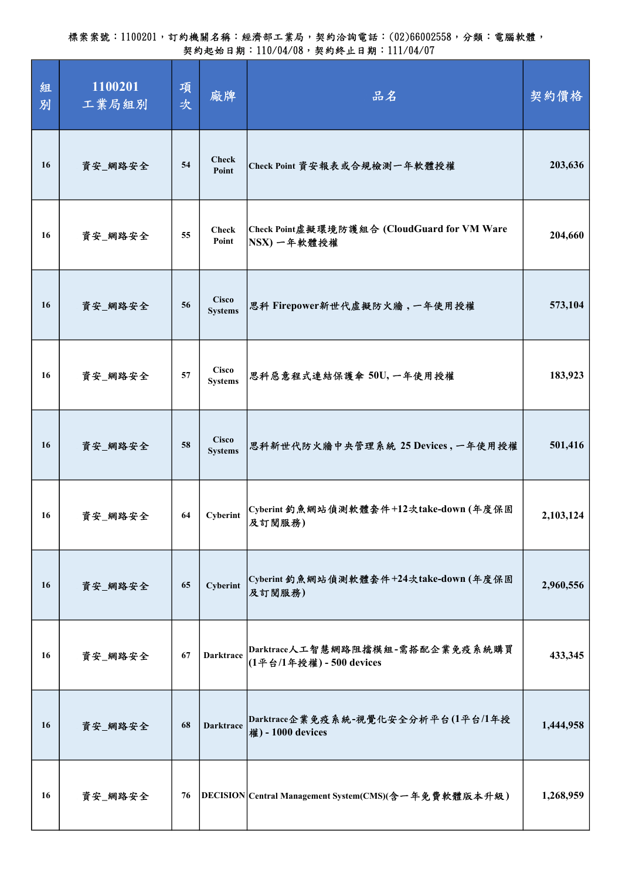| 組<br>別 | 1100201<br>工業局組別 | 項<br>次 | 廠牌                             | 品名                                                          | 契約價格      |
|--------|------------------|--------|--------------------------------|-------------------------------------------------------------|-----------|
| 16     | 資安_網路安全          | 54     | <b>Check</b><br>Point          | Check Point 資安報表或合規檢測一年軟體授權                                 | 203,636   |
| 16     | 資安_網路安全          | 55     | <b>Check</b><br>Point          | Check Point虚擬環境防護組合 (CloudGuard for VM Ware<br>NSX) 一年軟體授權  | 204,660   |
| 16     | 資安_網路安全          | 56     | <b>Cisco</b><br><b>Systems</b> | 思科 Firepower新世代虚擬防火牆,一年使用授權                                 | 573,104   |
| 16     | 資安_網路安全          | 57     | <b>Cisco</b><br><b>Systems</b> | 思科惡意程式連結保護傘 50U,一年使用授權                                      | 183,923   |
| 16     | 資安_網路安全          | 58     | <b>Cisco</b><br><b>Systems</b> | 思科新世代防火牆中央管理系統 25 Devices, 一年使用授權                           | 501,416   |
| 16     | 資安_網路安全          | 64     | Cyberint                       | Cyberint 釣魚網站偵測軟體套件+12次take-down (年度保固<br>及訂閱服務)            | 2,103,124 |
| 16     | 資安_網路安全          | 65     | Cyberint                       | Cyberint 釣魚網站偵測軟體套件+24次take-down (年度保固<br>及訂閱服務)            | 2,960,556 |
| 16     | 資安_網路安全          | 67     | <b>Darktrace</b>               | Darktrace人工智慧網路阻擋模組-需搭配企業免疫系統購買<br>(1平台/1年授權) - 500 devices | 433,345   |
| 16     | 資安_網路安全          | 68     | <b>Darktrace</b>               | Darktrace企業免疫系統-視覺化安全分析平台(1平台/1年授<br>權) - 1000 devices      | 1,444,958 |
| 16     | 資安_網路安全          | 76     |                                | DECISION Central Management System(CMS)(含一年免費軟體版本升級)        | 1,268,959 |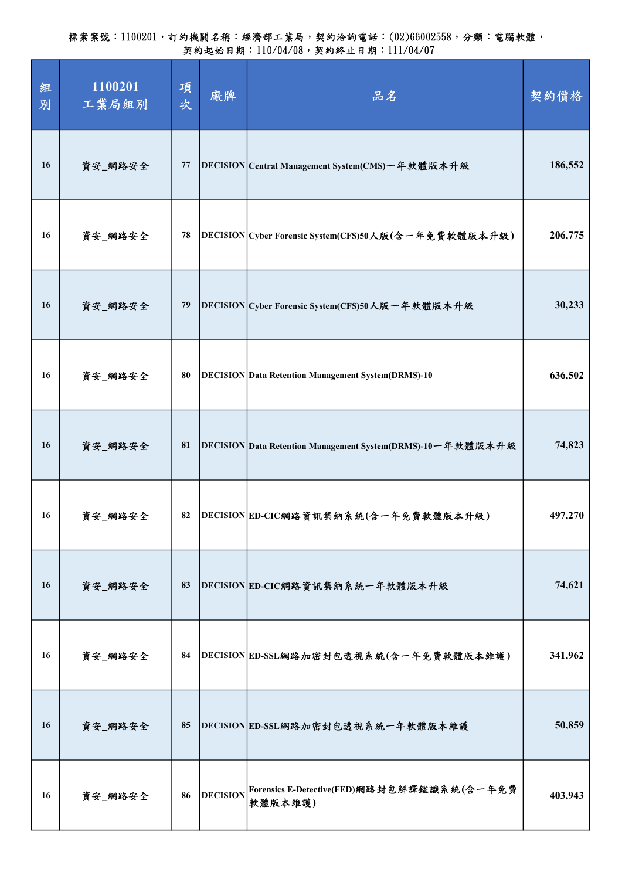| 組<br>別 | 1100201<br>工業局組別 | 項<br>次 | 廠牌              | 品名                                                         | 契約價格    |
|--------|------------------|--------|-----------------|------------------------------------------------------------|---------|
| 16     | 資安_網路安全          | 77     |                 | DECISION Central Management System(CMS)一年軟體版本升級            | 186,552 |
| 16     | 資安_網路安全          | 78     |                 | DECISION Cyber Forensic System(CFS)50人版(含一年免費軟體版本升級)       | 206,775 |
| 16     | 資安_網路安全          | 79     |                 | DECISION Cyber Forensic System(CFS)50人版一年軟體版本升級            | 30,233  |
| 16     | 資安_網路安全          | 80     |                 | <b>DECISION</b> Data Retention Management System(DRMS)-10  | 636,502 |
| 16     | 資安_網路安全          | 81     |                 | DECISION Data Retention Management System(DRMS)-10一年軟體版本升級 | 74,823  |
| 16     | 資安_網路安全          | 82     |                 | DECISION ED-CIC網路資訊集納系統(含一年免費軟體版本升級)                       | 497,270 |
| 16     | 資安_網路安全          | 83     |                 | DECISION ED-CIC網路資訊集納系統一年軟體版本升級                            | 74,621  |
| 16     | 資安_網路安全          | 84     |                 | DECISION ED-SSL網路加密封包透視系統(含一年免費軟體版本維護)                     | 341,962 |
| 16     | 資安_網路安全          | 85     |                 | DECISION ED-SSL網路加密封包透視系統一年軟體版本維護                          | 50,859  |
| 16     | 資安_網路安全          | 86     | <b>DECISION</b> | Forensics E-Detective(FED)網路封包解譯鑑識系統(含一年免費<br>軟體版本維護)      | 403,943 |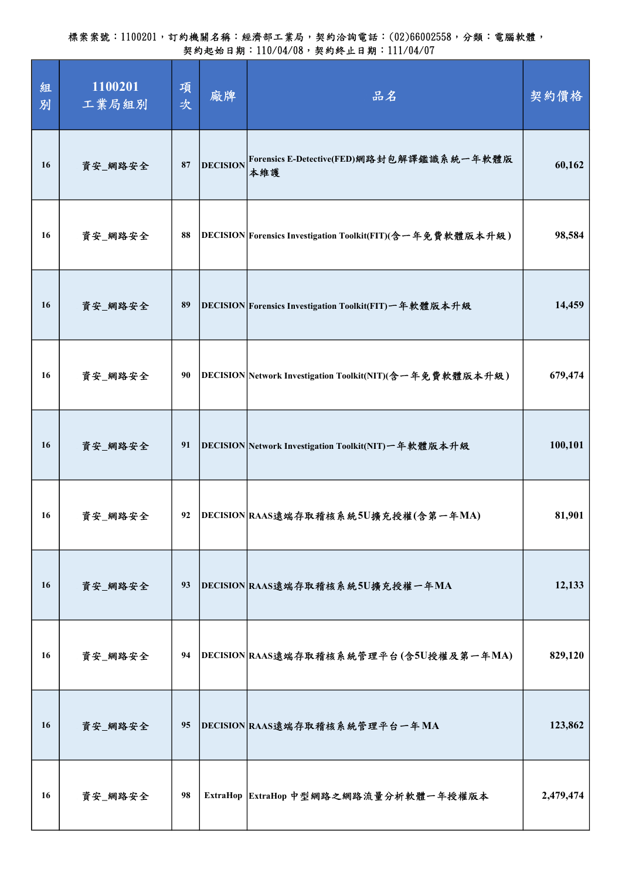| 組<br>別 | 1100201<br>工業局組別 | 項<br>次 | 廠牌              | 品名                                                         | 契約價格      |
|--------|------------------|--------|-----------------|------------------------------------------------------------|-----------|
| 16     | 資安_網路安全          | 87     | <b>DECISION</b> | Forensics E-Detective(FED)網路封包解譯鑑識系統一年軟體版<br>本維護           | 60,162    |
| 16     | 資安_網路安全          | 88     |                 | DECISION Forensics Investigation Toolkit(FIT)(含一年免費軟體版本升級) | 98,584    |
| 16     | 資安_網路安全          | 89     |                 | DECISION Forensics Investigation Toolkit(FIT)一年軟體版本升級      | 14,459    |
| 16     | 資安_網路安全          | 90     |                 | DECISION Network Investigation Toolkit(NIT)(含一年免費軟體版本升級)   | 679,474   |
| 16     | 資安_網路安全          | 91     |                 | DECISION Network Investigation Toolkit(NIT)一年軟體版本升級        | 100,101   |
| 16     | 資安_網路安全          | 92     |                 | DECISION RAAS遠端存取稽核系統5U擴充授權(含第一年MA)                        | 81,901    |
| 16     | 資安_網路安全          | 93     |                 | DECISION RAAS遠端存取稽核系統5U擴充授權一年MA                            | 12,133    |
| 16     | 資安_網路安全          | 94     |                 | DECISION RAAS遠端存取稽核系統管理平台(含5U授權及第一年MA)                     | 829,120   |
| 16     | 資安_網路安全          | 95     |                 | DECISION RAAS遠端存取稽核系統管理平台一年MA                              | 123,862   |
| 16     | 資安_網路安全          | 98     |                 | ExtraHop ExtraHop 中型網路之網路流量分析軟體一年授權版本                      | 2,479,474 |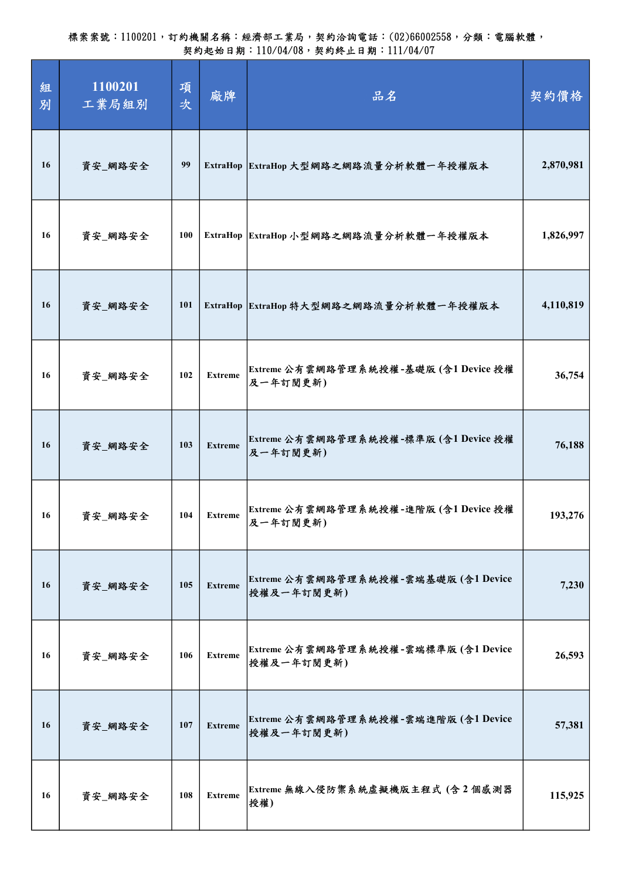| 組<br>別 | 1100201<br>工業局組別 | 項<br>次     | 廠牌             | 品名                                                 | 契約價格      |
|--------|------------------|------------|----------------|----------------------------------------------------|-----------|
| 16     | 資安_網路安全          | 99         |                | ExtraHop ExtraHop 大型網路之網路流量分析軟體一年授權版本              | 2,870,981 |
| 16     | 資安_網路安全          | 100        |                | ExtraHop ExtraHop 小型網路之網路流量分析軟體一年授權版本              | 1,826,997 |
| 16     | 資安_網路安全          | <b>101</b> |                | ExtraHop ExtraHop 特大型網路之網路流量分析軟體一年授權版本             | 4,110,819 |
| 16     | 資安_網路安全          | 102        | <b>Extreme</b> | Extreme 公有雲網路管理系統授權-基礎版(含1 Device 授權<br>及一年訂閱更新)   | 36,754    |
| 16     | 資安_網路安全          | 103        | <b>Extreme</b> | Extreme 公有雲網路管理系統授權-標準版(含1 Device 授權<br>及一年訂閱更新)   | 76,188    |
| 16     | 資安_網路安全          | 104        | <b>Extreme</b> | Extreme 公有雲網路管理系統授權-進階版(含1 Device 授權<br>及一年訂閱更新)   | 193,276   |
| 16     | 資安_網路安全          | 105        | <b>Extreme</b> | Extreme 公有雲網路管理系統授權-雲端基礎版 (含1 Device<br>授權及一年訂閱更新) | 7,230     |
| 16     | 資安_網路安全          | 106        | <b>Extreme</b> | Extreme 公有雲網路管理系統授權-雲端標準版(含1 Device<br>授權及一年訂閱更新)  | 26,593    |
| 16     | 資安_網路安全          | 107        | <b>Extreme</b> | Extreme 公有雲網路管理系統授權-雲端進階版(含1 Device<br>授權及一年訂閱更新)  | 57,381    |
| 16     | 資安_網路安全          | 108        | <b>Extreme</b> | Extreme 無線入侵防禦系統虛擬機版主程式 (含2個感測器<br>授權)             | 115,925   |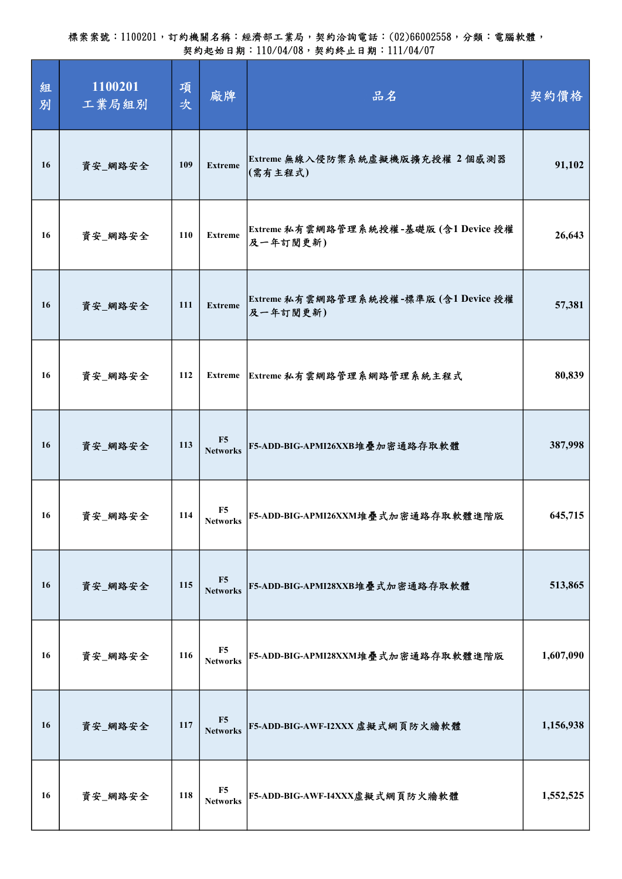| 組<br>別 | 1100201<br>工業局組別 | 項<br>次 | 廠牌                                | 品名                                                | 契約價格      |
|--------|------------------|--------|-----------------------------------|---------------------------------------------------|-----------|
| 16     | 資安_網路安全          | 109    | <b>Extreme</b>                    | Extreme 無線入侵防禦系統虛擬機版擴充授權 2個感測器<br>(需有主程式)         | 91,102    |
| 16     | 資安_網路安全          | 110    | <b>Extreme</b>                    | Extreme 私有雲網路管理系統授權-基礎版(含1 Device 授權<br>及一年訂閱更新)  | 26,643    |
| 16     | 資安_網路安全          | 111    | <b>Extreme</b>                    | Extreme 私有雲網路管理系統授權-標準版 (含1 Device 授權<br>及一年訂閱更新) | 57,381    |
| 16     | 資安_網路安全          | 112    | <b>Extreme</b>                    | Extreme 私有雲網路管理系網路管理系統主程式                         | 80,839    |
| 16     | 資安_網路安全          | 113    | F <sub>5</sub><br><b>Networks</b> | F5-ADD-BIG-APMI26XXB堆疊加密通路存取軟體                    | 387,998   |
| 16     | 資安_網路安全          | 114    | F <sub>5</sub><br><b>Networks</b> | F5-ADD-BIG-APMI26XXM堆叠式加密通路存取軟體進階版                | 645,715   |
| 16     | 資安_網路安全          | 115    | F5<br><b>Networks</b>             | F5-ADD-BIG-APMI28XXB堆叠式加密通路存取軟體                   | 513,865   |
| 16     | 資安_網路安全          | 116    | F5<br><b>Networks</b>             | F5-ADD-BIG-APMI28XXM堆叠式加密通路存取軟體進階版                | 1,607,090 |
| 16     | 資安_網路安全          | 117    | F5<br><b>Networks</b>             | F5-ADD-BIG-AWF-I2XXX 虛擬式網頁防火牆軟體                   | 1,156,938 |
| 16     | 資安_網路安全          | 118    | F5<br><b>Networks</b>             | F5-ADD-BIG-AWF-I4XXX虚擬式網頁防火牆軟體                    | 1,552,525 |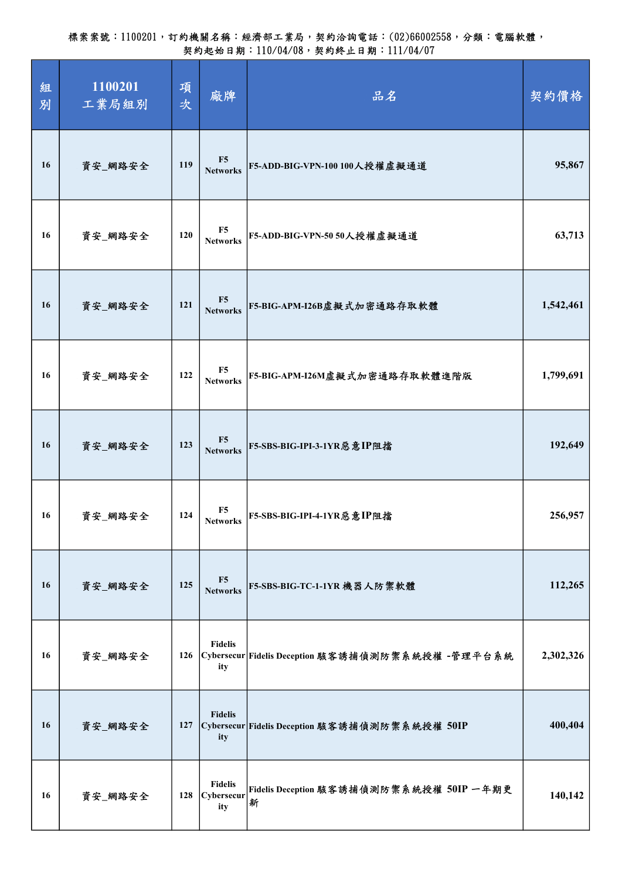| 組<br>別 | 1100201<br>工業局組別 | 項<br>次 | 廠牌                                         | 品名                                                      | 契約價格      |
|--------|------------------|--------|--------------------------------------------|---------------------------------------------------------|-----------|
| 16     | 資安_網路安全          | 119    | F5<br><b>Networks</b>                      | F5-ADD-BIG-VPN-100 100人授權虛擬通道                           | 95,867    |
| 16     | 資安_網路安全          | 120    | F5<br><b>Networks</b>                      | F5-ADD-BIG-VPN-50 50人授權虛擬通道                             | 63,713    |
| 16     | 資安_網路安全          | 121    | F5<br><b>Networks</b>                      | F5-BIG-APM-I26B虚擬式加密通路存取軟體                              | 1,542,461 |
| 16     | 資安_網路安全          | 122    | F5<br><b>Networks</b>                      | F5-BIG-APM-I26M虛擬式加密通路存取軟體進階版                           | 1,799,691 |
| 16     | 資安_網路安全          | 123    | F5<br><b>Networks</b>                      | F5-SBS-BIG-IPI-3-1YR惡意IP阻擋                              | 192,649   |
| 16     | 資安_網路安全          | 124    | F <sub>5</sub><br><b>Networks</b>          | F5-SBS-BIG-IPI-4-1YR惡意IP阻擋                              | 256,957   |
| 16     | 資安_網路安全          | 125    | F5<br><b>Networks</b>                      | F5-SBS-BIG-TC-1-1YR 機器人防禦軟體                             | 112,265   |
| 16     | 資安_網路安全          |        | <b>Fidelis</b><br>ity                      | 126   Cybersecur Fidelis Deception 駭客誘捕偵測防禦系統授權 -管理平台系統 | 2,302,326 |
| 16     | 資安_網路安全          | 127    | <b>Fidelis</b><br>ity                      | Cybersecur Fidelis Deception 駭客誘捕偵測防禦系統授權 50IP          | 400,404   |
| 16     | 資安_網路安全          | 128    | <b>Fidelis</b><br><b>Cybersecur</b><br>ity | Fidelis Deception 駭客誘捕偵測防禦系統授權 50IP 一年期更<br>新           | 140,142   |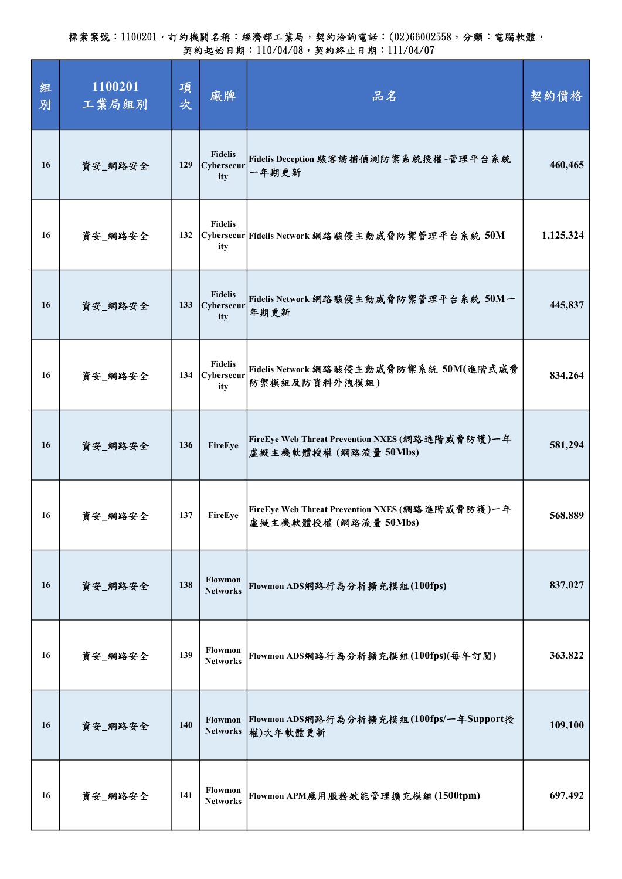| 組<br>別 | 1100201<br>工業局組別 | 項<br>次 | 廠牌                                  | 品名                                                                       | 契約價格      |
|--------|------------------|--------|-------------------------------------|--------------------------------------------------------------------------|-----------|
| 16     | 資安_網路安全          | 129    | <b>Fidelis</b><br>Cybersecur<br>ity | Fidelis Deception 駭客誘捕偵測防禦系統授權-管理平台系統<br>一年期更新                           | 460,465   |
| 16     | 資安_網路安全          | 132    | <b>Fidelis</b><br>ity               | Cybersecur Fidelis Network 網路駭侵主動威脅防禦管理平台系統 50M                          | 1,125,324 |
| 16     | 資安_網路安全          | 133    | <b>Fidelis</b><br>Cybersecur<br>ity | Fidelis Network 網路駭侵主動威脅防禦管理平台系統 50M一<br>年期更新                            | 445,837   |
| 16     | 資安_網路安全          | 134    | <b>Fidelis</b><br>Cybersecur<br>ity | Fidelis Network 網路駭侵主動威脅防禦系統 50M(進階式威脅<br>防禦模組及防資料外洩模組)                  | 834,264   |
| 16     | 資安_網路安全          | 136    | FireEye                             | FireEye Web Threat Prevention NXES (網路進階威脅防護)一年<br>虛擬主機軟體授權 (網路流量 50Mbs) | 581,294   |
| 16     | 資安_網路安全          | 137    | FireEye                             | FireEye Web Threat Prevention NXES (網路進階威脅防護)一年<br>虛擬主機軟體授權 (網路流量 50Mbs) | 568,889   |
| 16     | 資安_網路安全          | 138    | <b>Flowmon</b><br><b>Networks</b>   | Flowmon ADS網路行為分析擴充模組(100fps)                                            | 837,027   |
| 16     | 資安_網路安全          | 139    | <b>Flowmon</b><br><b>Networks</b>   | Flowmon ADS網路行為分析擴充模組(100fps)(每年訂閱)                                      | 363,822   |
| 16     | 資安_網路安全          | 140    | Flowmon<br><b>Networks</b>          | Flowmon ADS網路行為分析擴充模組(100fps/一年Support授<br>權)次年軟體更新                      | 109,100   |
| 16     | 資安_網路安全          | 141    | <b>Flowmon</b><br><b>Networks</b>   | Flowmon APM應用服務效能管理擴充模組(1500tpm)                                         | 697,492   |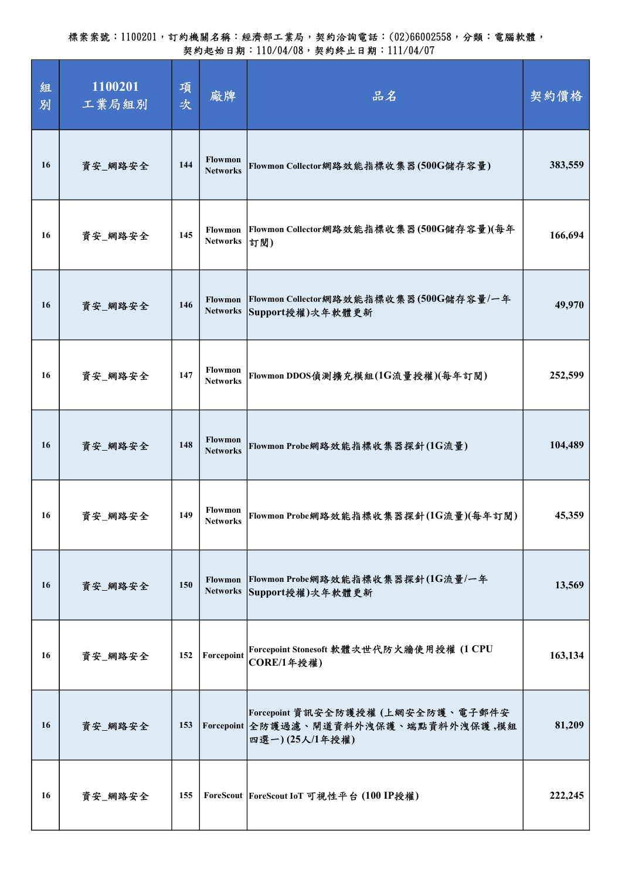| 組<br>別 | 1100201<br>工業局組別 | 項<br>次 | 廠牌                                | 品名                                                                                           | 契約價格    |
|--------|------------------|--------|-----------------------------------|----------------------------------------------------------------------------------------------|---------|
| 16     | 資安_網路安全          | 144    | <b>Flowmon</b><br><b>Networks</b> | Flowmon Collector網路效能指標收集器(500G儲存容量)                                                         | 383,559 |
| 16     | 資安_網路安全          | 145    | Flowmon<br><b>Networks</b>        | Flowmon Collector網路效能指標收集器(500G儲存容量)(每年<br>訂閱)                                               | 166,694 |
| 16     | 資安_網路安全          | 146    | Flowmon<br><b>Networks</b>        | Flowmon Collector網路效能指標收集器(500G儲存容量/一年<br>Support授權)次年軟體更新                                   | 49,970  |
| 16     | 資安_網路安全          | 147    | <b>Flowmon</b><br><b>Networks</b> | Flowmon DDOS偵測擴充模組(1G流量授權)(每年訂閱)                                                             | 252,599 |
| 16     | 資安_網路安全          | 148    | <b>Flowmon</b><br><b>Networks</b> | Flowmon Probe網路效能指標收集器探針(1G流量)                                                               | 104,489 |
| 16     | 資安_網路安全          | 149    | <b>Flowmon</b><br><b>Networks</b> | Flowmon Probe網路效能指標收集器探針(1G流量)(每年訂閱)                                                         | 45,359  |
| 16     | 資安_網路安全          | 150    | Flowmon<br><b>Networks</b>        | Flowmon Probe網路效能指標收集器探針(1G流量/一年<br>Support授權)次年軟體更新                                         | 13,569  |
| 16     | 資安_網路安全          | 152    | Forcepoint                        | Forcepoint Stonesoft 軟體次世代防火牆使用授權 (1 CPU<br><b>CORE/1年授權)</b>                                | 163,134 |
| 16     | 資安_網路安全          | 153    |                                   | Forcepoint 資訊安全防護授權 (上網安全防護、電子郵件安<br>Forcepoint 全防護過濾、閘道資料外洩保護、端點資料外洩保護,模組<br>四選一)(25人/1年授權) | 81,209  |
| 16     | 資安_網路安全          | 155    |                                   | ForeScout  ForeScout IoT 可視性平台 (100 IP授權)                                                    | 222,245 |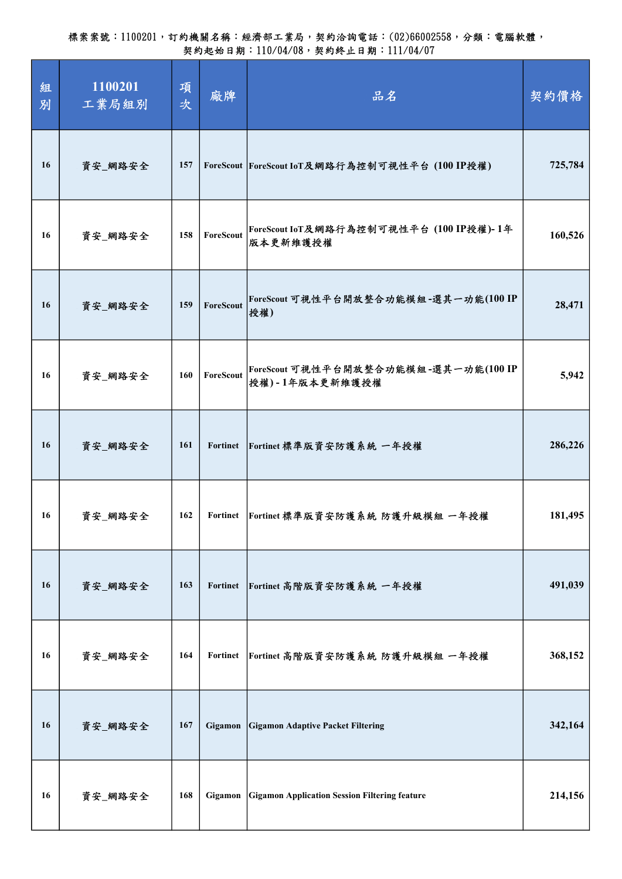| 組<br>別 | 1100201<br>工業局組別 | 項<br>次 | 廠牌              | 品名                                                     | 契約價格    |
|--------|------------------|--------|-----------------|--------------------------------------------------------|---------|
| 16     | 資安_網路安全          | 157    |                 | ForeScout ForeScout IoT及網路行為控制可視性平台 (100 IP授權)         | 725,784 |
| 16     | 資安_網路安全          | 158    | ForeScout       | ForeScout IoT及網路行為控制可視性平台 (100 IP授權)-1年<br>版本更新維護授權    | 160,526 |
| 16     | 資安_網路安全          | 159    | ForeScout       | ForeScout 可視性平台開放整合功能模組-選其一功能(100 IP<br>授權)            | 28,471  |
| 16     | 資安_網路安全          | 160    | ForeScout       | ForeScout 可視性平台開放整合功能模組-選其一功能(100 IP<br>授權)-1年版本更新維護授權 | 5,942   |
| 16     | 資安_網路安全          | 161    | Fortinet        | Fortinet 標準版資安防護系統 一年授權                                | 286,226 |
| 16     | 資安_網路安全          | 162    | Fortinet        | Fortinet 標準版資安防護系統 防護升級模組 一年授權                         | 181,495 |
| 16     | 資安_網路安全          | 163    | <b>Fortinet</b> | Fortinet 高階版資安防護系統 一年授權                                | 491,039 |
| 16     | 資安_網路安全          | 164    | <b>Fortinet</b> | Fortinet 高階版資安防護系統 防護升級模組 一年授權                         | 368,152 |
| 16     | 資安_網路安全          | 167    | Gigamon         | <b>Gigamon Adaptive Packet Filtering</b>               | 342,164 |
| 16     | 資安_網路安全          | 168    | Gigamon         | <b>Gigamon Application Session Filtering feature</b>   | 214,156 |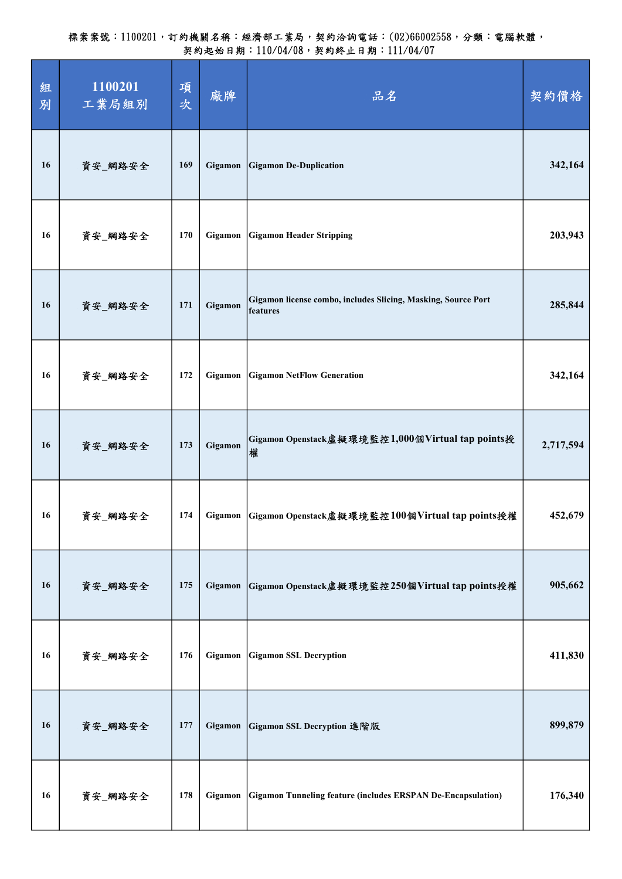| 組<br>別 | 1100201<br>工業局組別 | 項<br>次 | 廠牌      | 品名                                                                        | 契約價格      |
|--------|------------------|--------|---------|---------------------------------------------------------------------------|-----------|
| 16     | 資安_網路安全          | 169    | Gigamon | Gigamon De-Duplication                                                    | 342,164   |
| 16     | 資安_網路安全          | 170    | Gigamon | <b>Gigamon Header Stripping</b>                                           | 203,943   |
| 16     | 資安_網路安全          | 171    | Gigamon | Gigamon license combo, includes Slicing, Masking, Source Port<br>features | 285,844   |
| 16     | 資安_網路安全          | 172    | Gigamon | <b>Gigamon NetFlow Generation</b>                                         | 342,164   |
| 16     | 資安_網路安全          | 173    | Gigamon | Gigamon Openstack虛擬環境監控1,000個Virtual tap points授<br>權                     | 2,717,594 |
| 16     | 資安_網路安全          | 174    | Gigamon | Gigamon Openstack虛擬環境監控100個Virtual tap points授權                           | 452,679   |
| 16     | 資安_網路安全          | 175    | Gigamon | Gigamon Openstack虛擬環境監控250個Virtual tap points授權                           | 905,662   |
| 16     | 資安_網路安全          | 176    | Gigamon | <b>Gigamon SSL Decryption</b>                                             | 411,830   |
| 16     | 資安_網路安全          | 177    | Gigamon | Gigamon SSL Decryption 進階版                                                | 899,879   |
| 16     | 資安_網路安全          | 178    | Gigamon | Gigamon Tunneling feature (includes ERSPAN De-Encapsulation)              | 176,340   |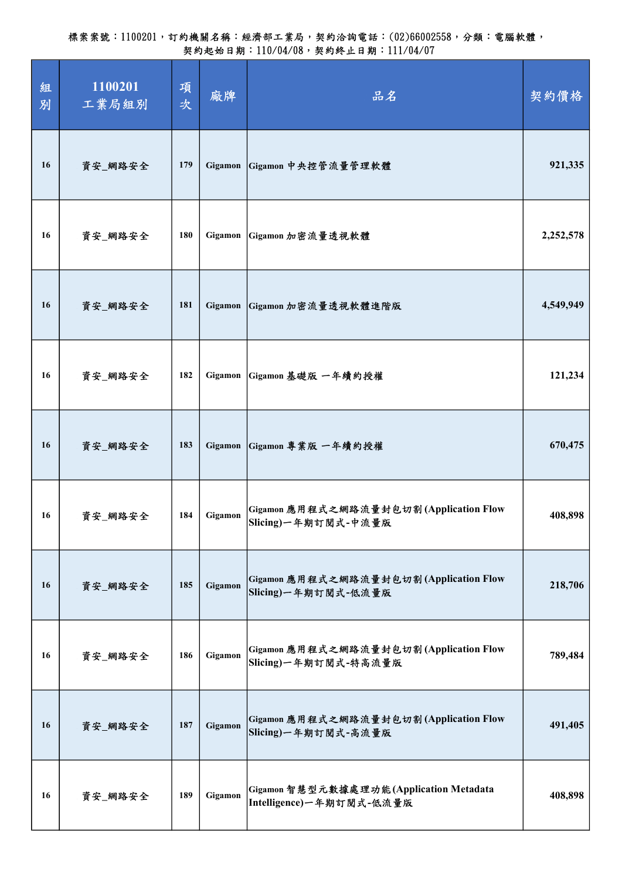| 組<br>別 | 1100201<br>工業局組別 | 項<br>次 | 廠牌      | 品名                                                                  | 契約價格      |
|--------|------------------|--------|---------|---------------------------------------------------------------------|-----------|
| 16     | 資安_網路安全          | 179    | Gigamon | Gigamon 中央控管流量管理軟體                                                  | 921,335   |
| 16     | 資安_網路安全          | 180    | Gigamon | Gigamon 加密流量透視軟體                                                    | 2,252,578 |
| 16     | 資安_網路安全          | 181    | Gigamon | Gigamon 加密流量透視軟體進階版                                                 | 4,549,949 |
| 16     | 資安_網路安全          | 182    | Gigamon | Gigamon 基礎版 一年續約授權                                                  | 121,234   |
| 16     | 資安_網路安全          | 183    |         | Gigamon Gigamon 專業版 一年續約授權                                          | 670,475   |
| 16     | 資安_網路安全          | 184    | Gigamon | Gigamon 應用程式之網路流量封包切割(Application Flow<br> Slicing)一年期訂閱式-中流量版      | 408,898   |
| 16     | 資安_網路安全          | 185    | Gigamon | Gigamon 應用程式之網路流量封包切割(Application Flow<br>Slicing)一年期訂閱式-低流量版       | 218,706   |
| 16     | 資安_網路安全          | 186    | Gigamon | Gigamon 應用程式之網路流量封包切割(Application Flow<br> Slicing)一年期訂閱式-特高流量版     | 789,484   |
| 16     | 資安_網路安全          | 187    | Gigamon | Gigamon 應用程式之網路流量封包切割(Application Flow<br>Slicing)一年期訂閱式-高流量版       | 491,405   |
| 16     | 資安_網路安全          | 189    | Gigamon | Gigamon 智慧型元數據處理功能(Application Metadata<br>Intelligence)一年期訂閱式-低流量版 | 408,898   |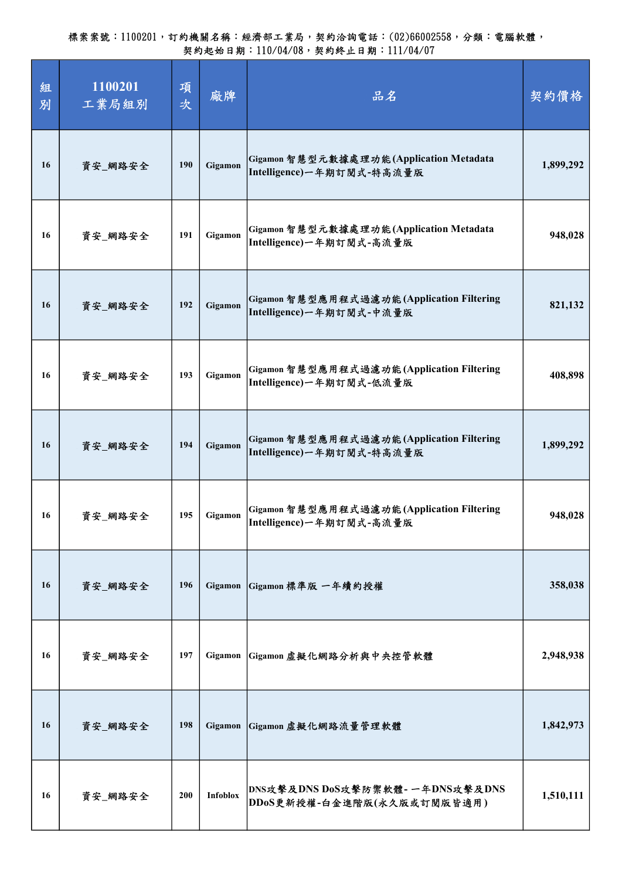| 組<br>別 | 1100201<br>工業局組別 | 項<br>次 | 廠牌              | 品名                                                                     | 契約價格      |
|--------|------------------|--------|-----------------|------------------------------------------------------------------------|-----------|
| 16     | 資安_網路安全          | 190    | Gigamon         | Gigamon 智慧型元數據處理功能(Application Metadata<br>Intelligence)一年期訂閱式-特高流量版   | 1,899,292 |
| 16     | 資安_網路安全          | 191    | Gigamon         | Gigamon 智慧型元數據處理功能(Application Metadata<br>Intelligence)一年期訂閱式-高流量版    | 948,028   |
| 16     | 資安 網路安全          | 192    | Gigamon         | Gigamon 智慧型應用程式過濾功能(Application Filtering<br>Intelligence)一年期訂閱式-中流量版  | 821,132   |
| 16     | 資安_網路安全          | 193    | Gigamon         | Gigamon 智慧型應用程式過濾功能(Application Filtering<br>Intelligence)一年期訂閱式-低流量版  | 408,898   |
| 16     | 資安_網路安全          | 194    | Gigamon         | Gigamon 智慧型應用程式過濾功能(Application Filtering<br>Intelligence)一年期訂閱式-特高流量版 | 1,899,292 |
| 16     | 資安_網路安全          | 195    | Gigamon         | Gigamon 智慧型應用程式過濾功能(Application Filtering<br>Intelligence)一年期訂閱式-高流量版  | 948,028   |
| 16     | 資安_網路安全          | 196    | Gigamon         | Gigamon 標準版 一年續約授權                                                     | 358,038   |
| 16     | 資安_網路安全          | 197    | Gigamon         | Gigamon 虚擬化網路分析與中央控管軟體                                                 | 2,948,938 |
| 16     | 資安_網路安全          | 198    | Gigamon         | Gigamon 虛擬化網路流量管理軟體                                                    | 1,842,973 |
| 16     | 資安_網路安全          | 200    | <b>Infoblox</b> | DNS攻擊及DNS DoS攻擊防禦軟體- 一年DNS攻擊及DNS<br>DDoS更新授權-白金進階版(永久版或訂閱版皆適用)         | 1,510,111 |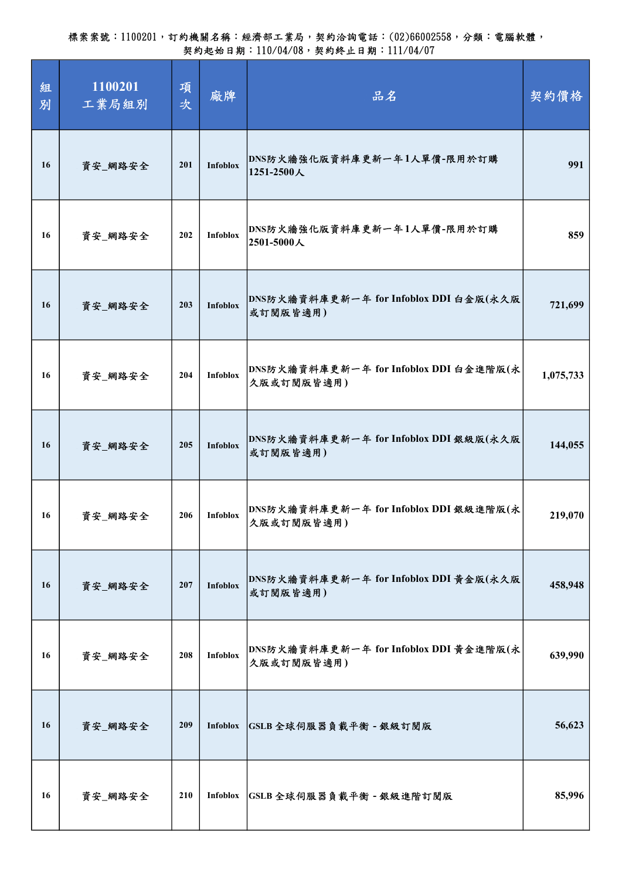| 組<br>別 | 1100201<br>工業局組別 | 項<br>次 | 廠牌              | 品名                                                   | 契約價格      |
|--------|------------------|--------|-----------------|------------------------------------------------------|-----------|
| 16     | 資安_網路安全          | 201    | <b>Infoblox</b> | DNS防火牆強化版資料庫更新一年1人單價-限用於訂購<br>1251-2500人             | 991       |
| 16     | 資安_網路安全          | 202    | Infoblox        | DNS防火牆強化版資料庫更新一年1人單價-限用於訂購<br>2501-5000人             | 859       |
| 16     | 資安_網路安全          | 203    | <b>Infoblox</b> | DNS防火牆資料庫更新一年 for Infoblox DDI 白金版(永久版<br>或訂閱版皆適用)   | 721,699   |
| 16     | 資安_網路安全          | 204    | Infoblox        | DNS防火牆資料庫更新一年 for Infoblox DDI 白金進階版(永<br>久版或訂閱版皆適用) | 1,075,733 |
| 16     | 資安_網路安全          | 205    | Infoblox        | DNS防火牆資料庫更新一年 for Infoblox DDI 銀級版(永久版<br>或訂閱版皆適用)   | 144,055   |
| 16     | 資安_網路安全          | 206    | Infoblox        | DNS防火牆資料庫更新一年 for Infoblox DDI 銀級進階版(永<br>久版或訂閱版皆適用) | 219,070   |
| 16     | 資安_網路安全          | 207    | <b>Infoblox</b> | DNS防火牆資料庫更新一年 for Infoblox DDI 黄金版(永久版<br>或訂閱版皆適用)   | 458,948   |
| 16     | 資安_網路安全          | 208    | Infoblox        | DNS防火牆資料庫更新一年 for Infoblox DDI 黃金進階版(永<br>久版或訂閱版皆適用) | 639,990   |
| 16     | 資安_網路安全          | 209    | Infoblox        | GSLB全球伺服器負載平衡 - 銀級訂閱版                                | 56,623    |
| 16     | 資安_網路安全          | 210    | Infoblox        | GSLB全球伺服器負載平衡 - 銀級進階訂閱版                              | 85,996    |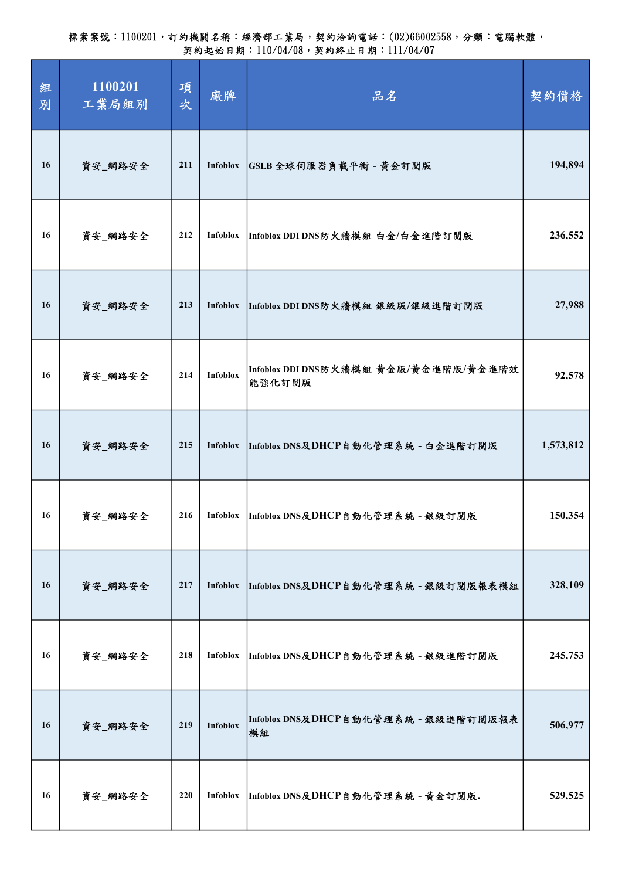| 組<br>別 | 1100201<br>工業局組別 | 項<br>次 | 廠牌              | 品名                                              | 契約價格      |
|--------|------------------|--------|-----------------|-------------------------------------------------|-----------|
| 16     | 資安_網路安全          | 211    | Infoblox        | GSLB 全球伺服器負載平衡 - 黃金訂閱版                          | 194,894   |
| 16     | 資安_網路安全          | 212    | Infoblox        | Infoblox DDI DNS防火牆模組 白金/白金進階訂閱版                | 236,552   |
| 16     | 資安_網路安全          | 213    | Infoblox        | Infoblox DDI DNS防火牆模組 銀級版/銀級進階訂閱版               | 27,988    |
| 16     | 資安_網路安全          | 214    | <b>Infoblox</b> | Infoblox DDI DNS防火牆模組 黃金版/黃金進階版/黃金進階效<br>能強化訂閱版 | 92,578    |
| 16     | 資安_網路安全          | 215    | Infoblox        | Infoblox DNS及DHCP自動化管理系統 - 白金進階訂閱版              | 1,573,812 |
| 16     | 資安_網路安全          | 216    | Infoblox        | Infoblox DNS及DHCP自動化管理系統 - 銀級訂閱版                | 150,354   |
| 16     | 資安_網路安全          | 217    | <b>Infoblox</b> | Infoblox DNS及DHCP自動化管理系統 - 銀級訂閱版報表模組            | 328,109   |
| 16     | 資安_網路安全          | 218    | Infoblox        | Infoblox DNS及DHCP自動化管理系統 - 銀級進階訂閱版              | 245,753   |
| 16     | 資安_網路安全          | 219    | Infoblox        | Infoblox DNS及DHCP自動化管理系統 - 銀級進階訂閱版報表<br> 模組     | 506,977   |
| 16     | 資安_網路安全          | 220    | Infoblox        | Infoblox DNS及DHCP自動化管理系統 - 黃金訂閱版.               | 529,525   |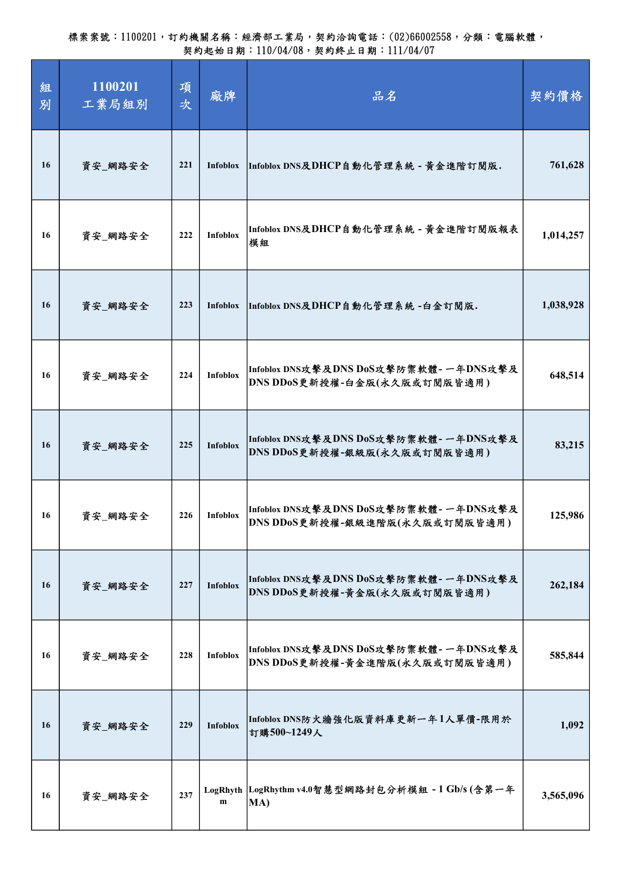| 組<br>別 | 1100201<br>工業局組別 | 項<br>次 | 廠牌              | 品名                                                                      | 契約價格      |
|--------|------------------|--------|-----------------|-------------------------------------------------------------------------|-----------|
| 16     | 資安_網路安全          | 221    | Infoblox        | Infoblox DNS及DHCP自動化管理系統 - 黃金進階訂閱版.                                     | 761,628   |
| 16     | 資安_網路安全          | 222    | Infoblox        | Infoblox DNS及DHCP自動化管理系統 - 黃金進階訂閱版報表<br>模組                              | 1,014,257 |
| 16     | 資安_網路安全          | 223    | Infoblox        | Infoblox DNS及DHCP自動化管理系統-白金訂閱版.                                         | 1,038,928 |
| 16     | 資安_網路安全          | 224    | <b>Infoblox</b> | Infoblox DNS攻擊及DNS DoS攻擊防禦軟體- 一年DNS攻擊及<br>DNS DDoS更新授權-白金版(永久版或訂閱版皆適用)  | 648,514   |
| 16     | 資安_網路安全          | 225    | Infoblox        | Infoblox DNS攻擊及DNS DoS攻擊防禦軟體- 一年DNS攻擊及<br>DNS DDoS更新授權-銀級版(永久版或訂閱版皆適用)  | 83,215    |
| 16     | 資安_網路安全          | 226    | Infoblox        | Infoblox DNS攻擊及DNS DoS攻擊防禦軟體-一年DNS攻擊及<br>DNS DDoS更新授權-銀級進階版(永久版或訂閱版皆適用) | 125,986   |
| 16     | 資安_網路安全          | 227    | Infoblox        | Infoblox DNS攻擊及DNS DoS攻擊防禦軟體- 一年DNS攻擊及<br>DNS DDoS更新授權-黃金版(永久版或訂閱版皆適用)  | 262,184   |
| 16     | 資安_網路安全          | 228    | Infoblox        | Infoblox DNS攻擊及DNS DoS攻擊防禦軟體-一年DNS攻擊及<br>DNS DDoS更新授權-黃金進階版(永久版或訂閱版皆適用) | 585,844   |
| 16     | 資安_網路安全          | 229    | <b>Infoblox</b> | Infoblox DNS防火牆強化版資料庫更新一年1人單價-限用於<br>訂購500~1249人                        | 1,092     |
| 16     | 資安_網路安全          | 237    | m               | LogRhyth LogRhythm v4.0智慧型網路封包分析模組 - 1 Gb/s (含第一年<br>MA)                | 3,565,096 |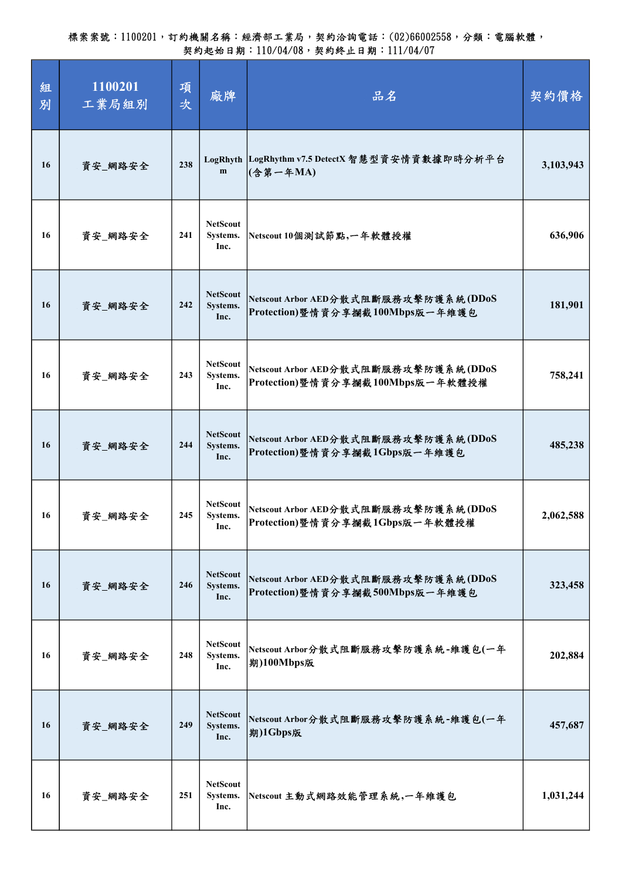| 組<br>別 | 1100201<br>工業局組別 | 項<br>次 | 廠牌                                  | 品名                                                                       | 契約價格      |
|--------|------------------|--------|-------------------------------------|--------------------------------------------------------------------------|-----------|
| 16     | 資安_網路安全          | 238    | m                                   | LogRhyth LogRhythm v7.5 DetectX 智慧型資安情資數據即時分析平台<br>(含第一年MA)              | 3,103,943 |
| 16     | 資安_網路安全          | 241    | <b>NetScout</b><br>Systems.<br>Inc. | Netscout 10個測試節點,一年軟體授權                                                  | 636,906   |
| 16     | 資安_網路安全          | 242    | <b>NetScout</b><br>Systems.<br>Inc. | Netscout Arbor AED分散式阻断服務攻擊防護系統(DDoS<br>Protection)暨情資分享攔截100Mbps版一年維護包  | 181,901   |
| 16     | 資安_網路安全          | 243    | <b>NetScout</b><br>Systems.<br>Inc. | Netscout Arbor AED分散式阻断服務攻擊防護系統(DDoS<br>Protection)暨情資分享攔截100Mbps版一年軟體授權 | 758,241   |
| 16     | 資安_網路安全          | 244    | <b>NetScout</b><br>Systems.<br>Inc. | Netscout Arbor AED分散式阻断服務攻擊防護系統(DDoS<br>Protection)暨情資分享攔截1Gbps版一年維護包    | 485,238   |
| 16     | 資安_網路安全          | 245    | <b>NetScout</b><br>Systems.<br>Inc. | Netscout Arbor AED分散式阻断服務攻擊防護系統(DDoS<br>Protection)暨情資分享欄截1Gbps版一年軟體授權   | 2,062,588 |
| 16     | 資安_網路安全          | 246    | <b>NetScout</b><br>Systems.<br>Inc. | Netscout Arbor AED分散式阻断服務攻擊防護系統(DDoS<br>Protection)暨情資分享攔截500Mbps版一年維護包  | 323,458   |
| 16     | 資安_網路安全          | 248    | <b>NetScout</b><br>Systems.<br>Inc. | Netscout Arbor分散式阻斷服務攻擊防護系統-維護包(一年<br>期)100Mbps版                         | 202,884   |
| 16     | 資安_網路安全          | 249    | <b>NetScout</b><br>Systems.<br>Inc. | Netscout Arbor分散式阻斷服務攻擊防護系統-維護包(一年<br>期)1Gbps版                           | 457,687   |
| 16     | 資安_網路安全          | 251    | <b>NetScout</b><br>Systems.<br>Inc. | Netscout 主動式網路效能管理系統,一年維護包                                               | 1,031,244 |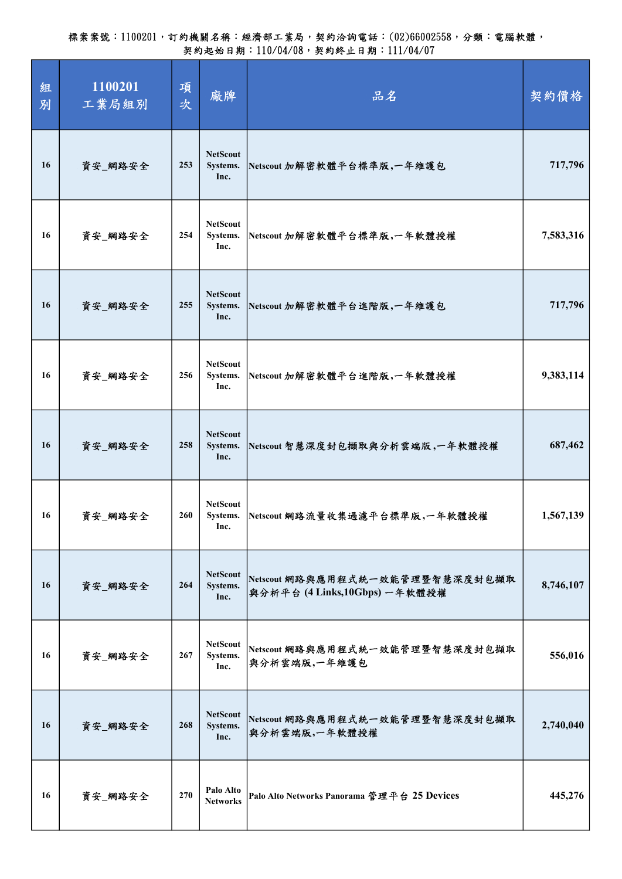| 組<br>別 | 1100201<br>工業局組別 | 項<br>次 | 廠牌                                  | 品名                                                              | 契約價格      |
|--------|------------------|--------|-------------------------------------|-----------------------------------------------------------------|-----------|
| 16     | 資安_網路安全          | 253    | <b>NetScout</b><br>Systems.<br>Inc. | Netscout 加解密軟體平台標準版,一年維護包                                       | 717,796   |
| 16     | 資安_網路安全          | 254    | <b>NetScout</b><br>Systems.<br>Inc. | Netscout 加解密軟體平台標準版,一年軟體授權                                      | 7,583,316 |
| 16     | 資安_網路安全          | 255    | <b>NetScout</b><br>Systems.<br>Inc. | Netscout 加解密軟體平台進階版,一年維護包                                       | 717,796   |
| 16     | 資安_網路安全          | 256    | <b>NetScout</b><br>Systems.<br>Inc. | Netscout 加解密軟體平台進階版,一年軟體授權                                      | 9,383,114 |
| 16     | 資安_網路安全          | 258    | <b>NetScout</b><br>Systems.<br>Inc. | Netscout 智慧深度封包撷取與分析雲端版,一年軟體授權                                  | 687,462   |
| 16     | 資安_網路安全          | 260    | <b>NetScout</b><br>Systems.<br>Inc. | Netscout 網路流量收集過濾平台標準版,一年軟體授權                                   | 1,567,139 |
| 16     | 資安_網路安全          | 264    | <b>NetScout</b><br>Systems.<br>Inc. | Netscout 網路與應用程式統一效能管理暨智慧深度封包擷取<br>與分析平台(4 Links,10Gbps) 一年軟體授權 | 8,746,107 |
| 16     | 資安_網路安全          | 267    | <b>NetScout</b><br>Systems.<br>Inc. | Netscout 網路與應用程式統一效能管理暨智慧深度封包擷取<br>奥分析雲端版,一年維護包                 | 556,016   |
| 16     | 資安_網路安全          | 268    | <b>NetScout</b><br>Systems.<br>Inc. | Netscout 網路與應用程式統一效能管理暨智慧深度封包擷取<br>與分析雲端版,一年軟體授權                | 2,740,040 |
| 16     | 資安_網路安全          | 270    | Palo Alto<br><b>Networks</b>        | Palo Alto Networks Panorama 管理平台 25 Devices                     | 445,276   |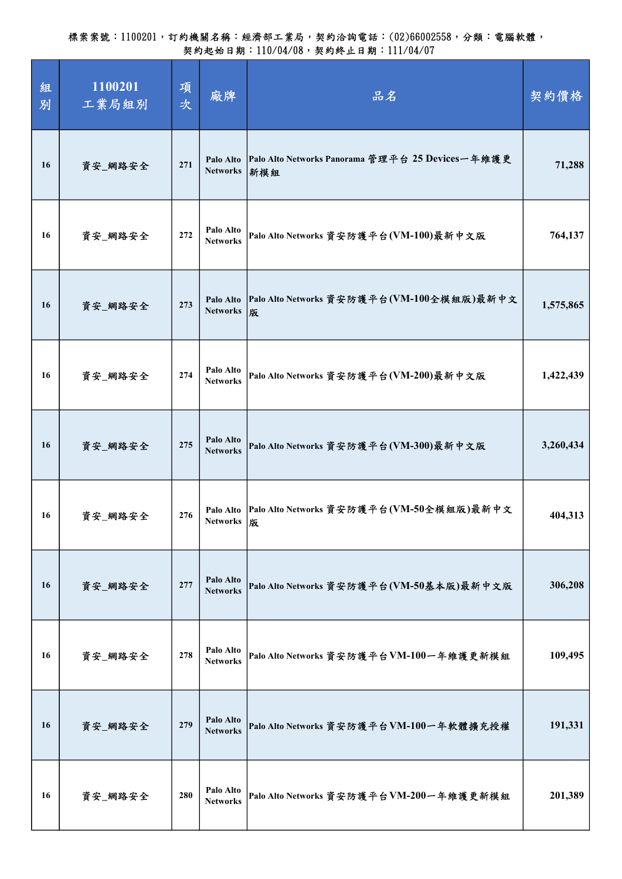| 組<br>別 | 1100201<br>工業局組別 | 項<br>次 | 廠牌                           | 品名                                                      | 契約價格      |
|--------|------------------|--------|------------------------------|---------------------------------------------------------|-----------|
| 16     | 資安_網路安全          | 271    | Palo Alto<br><b>Networks</b> | Palo Alto Networks Panorama 管理平台 25 Devices一年維護更<br>新模組 | 71,288    |
| 16     | 資安_網路安全          | 272    | Palo Alto<br><b>Networks</b> | Palo Alto Networks 資安防護平台(VM-100)最新中文版                  | 764,137   |
| 16     | 資安_網路安全          | 273    | Palo Alto<br><b>Networks</b> | Palo Alto Networks 資安防護平台(VM-100全模組版)最新中文<br>版          | 1,575,865 |
| 16     | 資安_網路安全          | 274    | Palo Alto<br><b>Networks</b> | Palo Alto Networks 資安防護平台(VM-200)最新中文版                  | 1,422,439 |
| 16     | 資安_網路安全          | 275    | Palo Alto<br><b>Networks</b> | Palo Alto Networks 資安防護平台(VM-300)最新中文版                  | 3,260,434 |
| 16     | 資安_網路安全          | 276    | Palo Alto<br><b>Networks</b> | Palo Alto Networks 資安防護平台(VM-50全模組版)最新中文<br>版           | 404,313   |
| 16     | 資安_網路安全          | 277    | Palo Alto<br><b>Networks</b> | Palo Alto Networks 資安防護平台(VM-50基本版)最新中文版                | 306,208   |
| 16     | 資安_網路安全          | 278    | Palo Alto<br><b>Networks</b> | Palo Alto Networks 資安防護平台VM-100一年維護更新模組                 | 109,495   |
| 16     | 資安_網路安全          | 279    | Palo Alto<br><b>Networks</b> | Palo Alto Networks 資安防護平台VM-100一年軟體擴充授權                 | 191,331   |
| 16     | 資安_網路安全          | 280    | Palo Alto<br><b>Networks</b> | Palo Alto Networks 資安防護平台VM-200一年維護更新模組                 | 201,389   |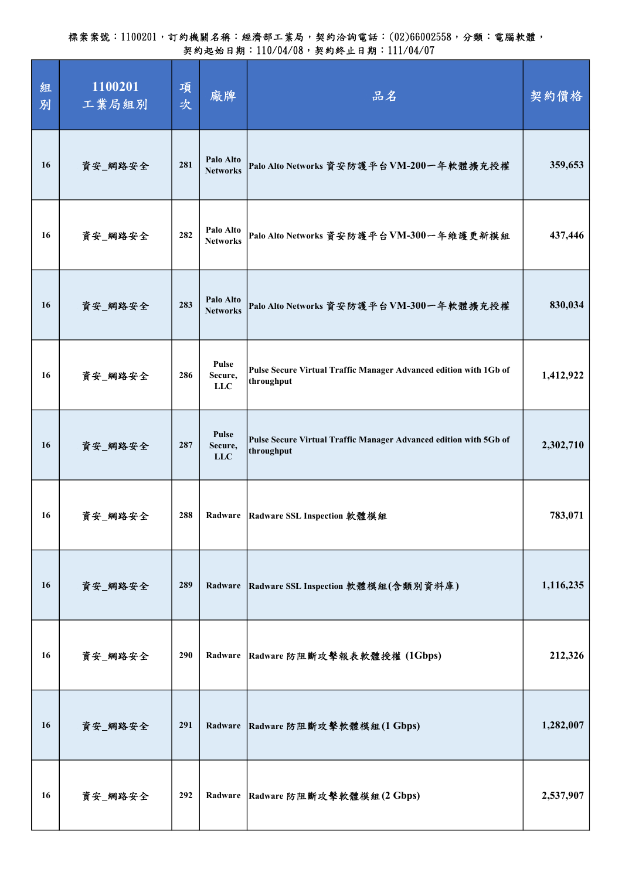| 組<br>別 | 1100201<br>工業局組別 | 項<br>次 | 廠牌                             | 品名                                                                              | 契約價格      |
|--------|------------------|--------|--------------------------------|---------------------------------------------------------------------------------|-----------|
| 16     | 資安_網路安全          | 281    | Palo Alto<br><b>Networks</b>   | Palo Alto Networks 資安防護平台VM-200一年軟體擴充授權                                         | 359,653   |
| 16     | 資安_網路安全          | 282    | Palo Alto<br><b>Networks</b>   | Palo Alto Networks 資安防護平台VM-300一年維護更新模組                                         | 437,446   |
| 16     | 資安_網路安全          | 283    | Palo Alto<br><b>Networks</b>   | Palo Alto Networks 資安防護平台VM-300一年軟體擴充授權                                         | 830,034   |
| 16     | 資安_網路安全          | 286    | Pulse<br>Secure,<br><b>LLC</b> | Pulse Secure Virtual Traffic Manager Advanced edition with 1Gb of<br>throughput | 1,412,922 |
| 16     | 資安_網路安全          | 287    | Pulse<br>Secure,<br><b>LLC</b> | Pulse Secure Virtual Traffic Manager Advanced edition with 5Gb of<br>throughput | 2,302,710 |
| 16     | 資安_網路安全          | 288    | Radware                        | Radware SSL Inspection 軟體模組                                                     | 783,071   |
| 16     | 資安_網路安全          | 289    | Radware                        | Radware SSL Inspection 軟體模組(含類別資料庫)                                             | 1,116,235 |
| 16     | 資安_網路安全          | 290    | Radware                        | Radware 防阻斷攻擊報表軟體授權 (1Gbps)                                                     | 212,326   |
| 16     | 資安_網路安全          | 291    | Radware                        | Radware 防阻斷攻擊軟體模組(1 Gbps)                                                       | 1,282,007 |
| 16     | 資安_網路安全          | 292    | Radware                        | Radware 防阻斷攻擊軟體模組(2 Gbps)                                                       | 2,537,907 |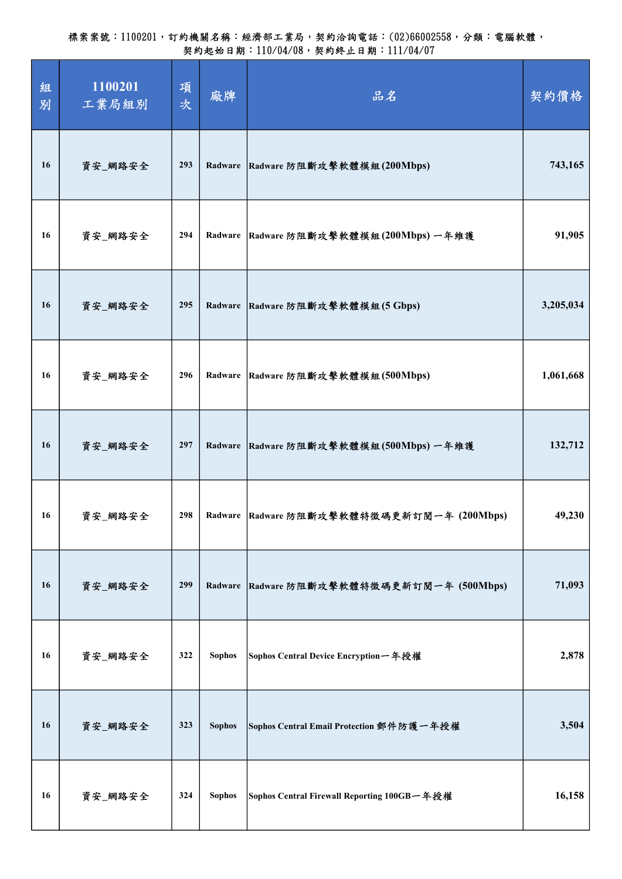| 組<br>別 | 1100201<br>工業局組別 | 項<br>次 | 廠牌            | 品名                                          | 契約價格      |
|--------|------------------|--------|---------------|---------------------------------------------|-----------|
| 16     | 資安_網路安全          | 293    | Radware       | Radware 防阻斷攻擊軟體模組(200Mbps)                  | 743,165   |
| 16     | 資安_網路安全          | 294    | Radware       | Radware 防阻斷攻擊軟體模組(200Mbps)一年維護              | 91,905    |
| 16     | 資安_網路安全          | 295    | Radware       | Radware 防阻斷攻擊軟體模組(5 Gbps)                   | 3,205,034 |
| 16     | 資安_網路安全          | 296    | Radware       | Radware 防阻斷攻擊軟體模組(500Mbps)                  | 1,061,668 |
| 16     | 資安_網路安全          | 297    | Radware       | Radware 防阻斷攻擊軟體模組(500Mbps) 一年維護             | 132,712   |
| 16     | 資安_網路安全          | 298    | Radware       | Radware 防阻斷攻擊軟體特徵碼更新訂閱一年 (200Mbps)          | 49,230    |
| 16     | 資安_網路安全          | 299    | Radware       | Radware 防阻斷攻擊軟體特徵碼更新訂閱一年 (500Mbps)          | 71,093    |
| 16     | 資安_網路安全          | 322    | <b>Sophos</b> | Sophos Central Device Encryption 一年授權       | 2,878     |
| 16     | 資安_網路安全          | 323    | <b>Sophos</b> | Sophos Central Email Protection 郵件防護一年授權    | 3,504     |
| 16     | 資安_網路安全          | 324    | <b>Sophos</b> | Sophos Central Firewall Reporting 100GB-年授權 | 16,158    |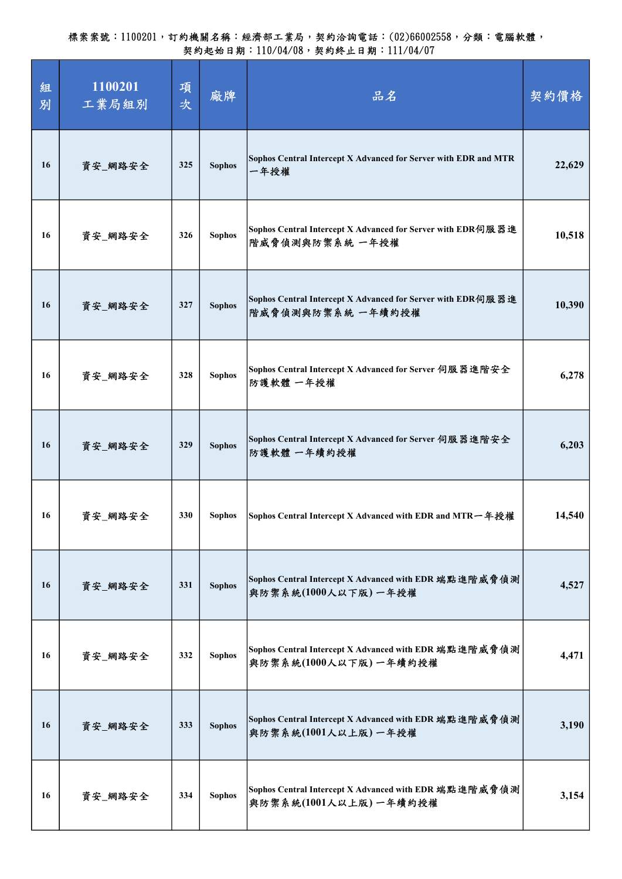| 組<br>別 | 1100201<br>工業局組別 | 項<br>次 | 廠牌            | 品名                                                                                | 契約價格   |
|--------|------------------|--------|---------------|-----------------------------------------------------------------------------------|--------|
| 16     | 資安_網路安全          | 325    | <b>Sophos</b> | Sophos Central Intercept X Advanced for Server with EDR and MTR<br>一年授權           | 22,629 |
| 16     | 資安_網路安全          | 326    | <b>Sophos</b> | Sophos Central Intercept X Advanced for Server with EDR伺服器進<br>階威脅偵測與防禦系統 一年授權    | 10,518 |
| 16     | 資安_網路安全          | 327    | <b>Sophos</b> | Sophos Central Intercept X Advanced for Server with EDR伺服 器進<br>階威脅偵測與防禦系統 一年續約授權 | 10,390 |
| 16     | 資安_網路安全          | 328    | <b>Sophos</b> | Sophos Central Intercept X Advanced for Server 伺服器進階安全<br>防護軟體 一年授權               | 6,278  |
| 16     | 資安_網路安全          | 329    | <b>Sophos</b> | Sophos Central Intercept X Advanced for Server 伺服器進階安全<br>防護軟體 一年續約授權             | 6,203  |
| 16     | 資安_網路安全          | 330    | <b>Sophos</b> | Sophos Central Intercept X Advanced with EDR and MTR-年授權                          | 14,540 |
| 16     | 資安_網路安全          | 331    | <b>Sophos</b> | Sophos Central Intercept X Advanced with EDR 端點進階威脅偵測<br>與防禦系統(1000人以下版)一年授權      | 4,527  |
| 16     | 資安_網路安全          | 332    | <b>Sophos</b> | Sophos Central Intercept X Advanced with EDR 端點進階威脅偵測<br>與防禦系統(1000人以下版)一年續約授權    | 4,471  |
| 16     | 資安_網路安全          | 333    | <b>Sophos</b> | Sophos Central Intercept X Advanced with EDR 端點進階威脅偵測<br>與防禦系統(1001人以上版)一年授權      | 3,190  |
| 16     | 資安_網路安全          | 334    | <b>Sophos</b> | Sophos Central Intercept X Advanced with EDR 端點進階威脅偵測<br>與防禦系統(1001人以上版)一年續約授權    | 3,154  |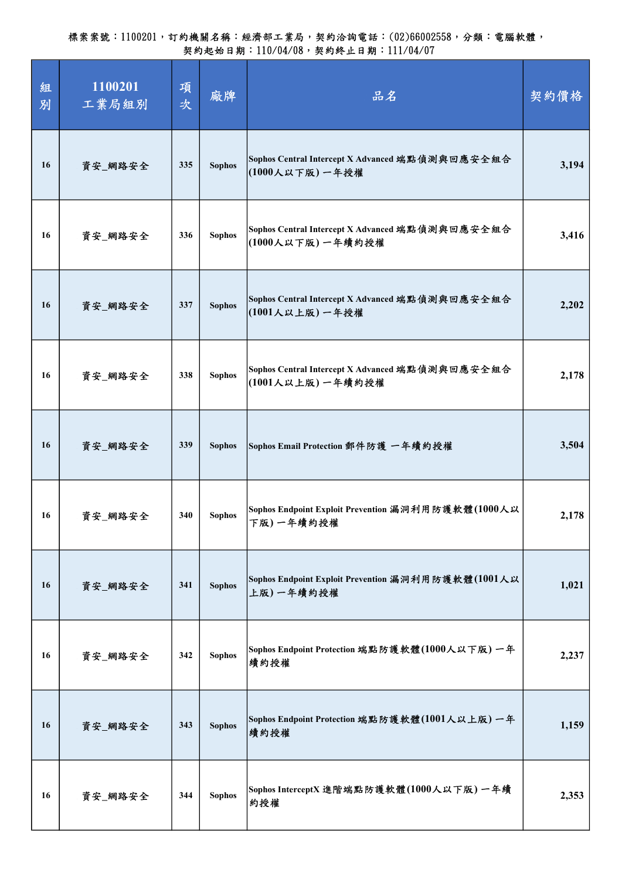| 組<br>別 | 1100201<br>工業局組別 | 項<br>次 | 廠牌            | 品名                                                                  | 契約價格  |
|--------|------------------|--------|---------------|---------------------------------------------------------------------|-------|
| 16     | 資安_網路安全          | 335    | <b>Sophos</b> | Sophos Central Intercept X Advanced 端點偵測與回應安全組合<br>(1000人以下版)一年授權   | 3,194 |
| 16     | 資安_網路安全          | 336    | <b>Sophos</b> | Sophos Central Intercept X Advanced 端點偵測與回應安全組合<br>(1000人以下版)一年續約授權 | 3,416 |
| 16     | 資安_網路安全          | 337    | <b>Sophos</b> | Sophos Central Intercept X Advanced 端點偵測與回應安全組合<br>(1001人以上版)一年授權   | 2,202 |
| 16     | 資安_網路安全          | 338    | <b>Sophos</b> | Sophos Central Intercept X Advanced 端點偵測與回應安全組合<br>(1001人以上版)一年續約授權 | 2,178 |
| 16     | 資安_網路安全          | 339    | <b>Sophos</b> | Sophos Email Protection 郵件防護 一年續約授權                                 | 3,504 |
| 16     | 資安_網路安全          | 340    | <b>Sophos</b> | Sophos Endpoint Exploit Prevention 漏洞利用防護軟體(1000人以<br>下版)一年續約授權     | 2,178 |
| 16     | 資安_網路安全          | 341    | <b>Sophos</b> | Sophos Endpoint Exploit Prevention 漏洞利用防護軟體(1001人以<br>上版)一年續約授權     | 1,021 |
| 16     | 資安_網路安全          | 342    | <b>Sophos</b> | Sophos Endpoint Protection 端點防護軟體(1000人以下版)一年<br>續約授權               | 2,237 |
| 16     | 資安_網路安全          | 343    | <b>Sophos</b> | Sophos Endpoint Protection 端點防護軟體(1001人以上版)一年<br>續約授權               | 1,159 |
| 16     | 資安_網路安全          | 344    | <b>Sophos</b> | Sophos InterceptX 進階端點防護軟體(1000人以下版)一年續<br>約授權                      | 2,353 |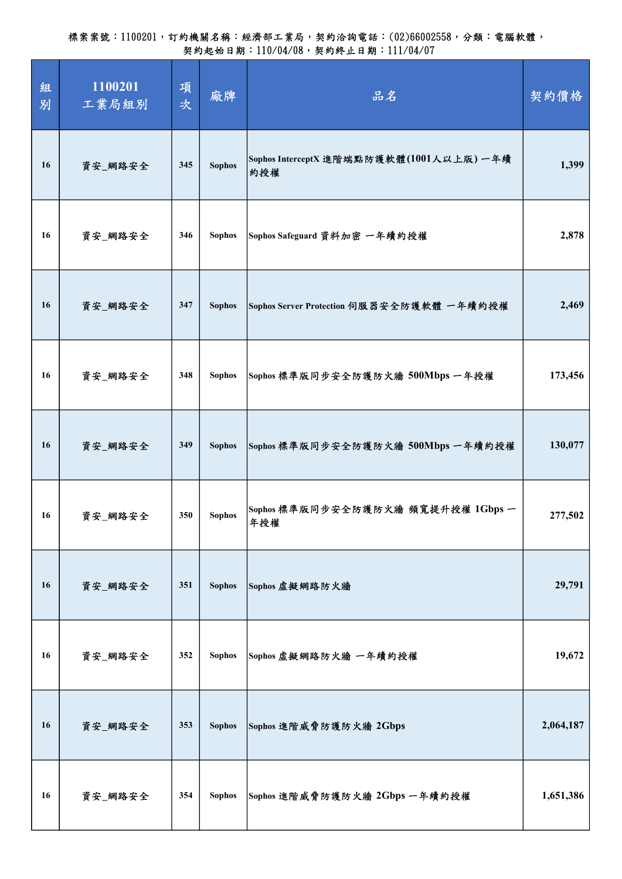| 組<br>別 | 1100201<br>工業局組別 | 項<br>次 | 廠牌            | 品名                                             | 契約價格      |
|--------|------------------|--------|---------------|------------------------------------------------|-----------|
| 16     | 資安_網路安全          | 345    | <b>Sophos</b> | Sophos InterceptX 進階端點防護軟體(1001人以上版)一年續<br>約授權 | 1,399     |
| 16     | 資安_網路安全          | 346    | <b>Sophos</b> | Sophos Safeguard 資料加密 一年續約授權                   | 2,878     |
| 16     | 資安_網路安全          | 347    | <b>Sophos</b> | Sophos Server Protection 伺服器安全防護軟體 一年續約授權      | 2,469     |
| 16     | 資安_網路安全          | 348    | <b>Sophos</b> | Sophos 標準版同步安全防護防火牆 500Mbps 一年授權               | 173,456   |
| 16     | 資安_網路安全          | 349    | <b>Sophos</b> | Sophos 標準版同步安全防護防火牆 500Mbps 一年續約授權             | 130,077   |
| 16     | 資安_網路安全          | 350    | <b>Sophos</b> | Sophos 標準版同步安全防護防火牆 頻寬提升授權 1Gbps 一<br>年授權      | 277,502   |
| 16     | 資安_網路安全          | 351    | <b>Sophos</b> | Sophos 虛擬網路防火牆                                 | 29,791    |
| 16     | 資安_網路安全          | 352    | <b>Sophos</b> | Sophos 虛擬網路防火牆 一年續約授權                          | 19,672    |
| 16     | 資安_網路安全          | 353    | <b>Sophos</b> | Sophos 進階威脅防護防火牆 2Gbps                         | 2,064,187 |
| 16     | 資安_網路安全          | 354    | <b>Sophos</b> | Sophos 進階威脅防護防火牆 2Gbps 一年續約授權                  | 1,651,386 |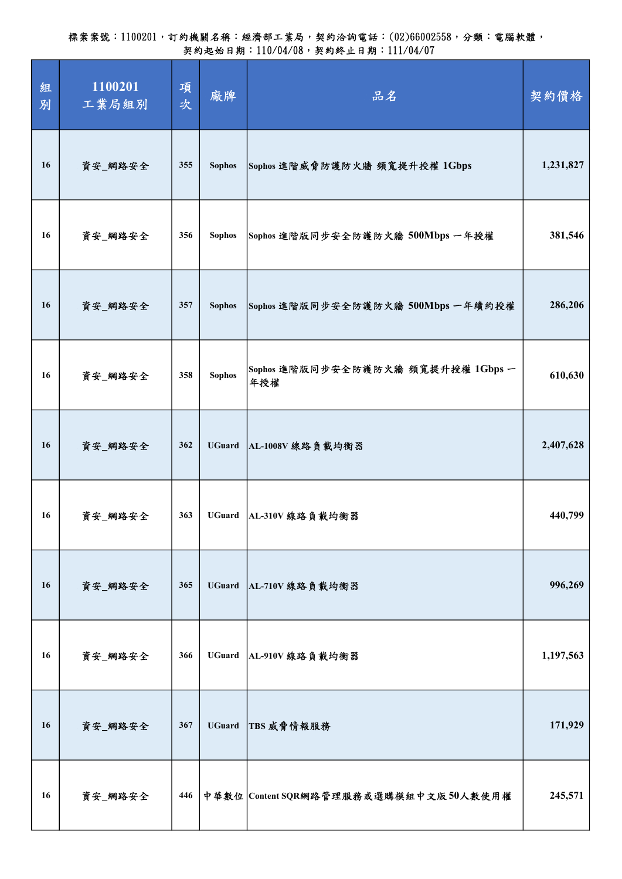| 組<br>別 | 1100201<br>工業局組別 | 項<br>次 | 廠牌            | 品名                                        | 契約價格      |
|--------|------------------|--------|---------------|-------------------------------------------|-----------|
| 16     | 資安_網路安全          | 355    | <b>Sophos</b> | Sophos 進階威脅防護防火牆 頻寬提升授權 1Gbps             | 1,231,827 |
| 16     | 資安_網路安全          | 356    | <b>Sophos</b> | Sophos 進階版同步安全防護防火牆 500Mbps 一年授權          | 381,546   |
| 16     | 資安_網路安全          | 357    | <b>Sophos</b> | Sophos 進階版同步安全防護防火牆 500Mbps 一年續約授權        | 286,206   |
| 16     | 資安_網路安全          | 358    | <b>Sophos</b> | Sophos 進階版同步安全防護防火牆 頻寬提升授權 1Gbps 一<br>年授權 | 610,630   |
| 16     | 資安_網路安全          | 362    | <b>UGuard</b> | AL-1008V 線路負載均衡器                          | 2,407,628 |
| 16     | 資安_網路安全          | 363    | <b>UGuard</b> | AL-310V 線路負載均衡器                           | 440,799   |
| 16     | 資安_網路安全          | 365    | <b>UGuard</b> | AL-710V 線路負載均衡器                           | 996,269   |
| 16     | 資安_網路安全          | 366    | <b>UGuard</b> | AL-910V 線路負載均衡器                           | 1,197,563 |
| 16     | 資安_網路安全          | 367    | <b>UGuard</b> | TBS 威脅情報服務                                | 171,929   |
| 16     | 資安_網路安全          | 446    |               | 中華數位 Content SQR網路管理服務或選購模組中文版50人數使用權     | 245,571   |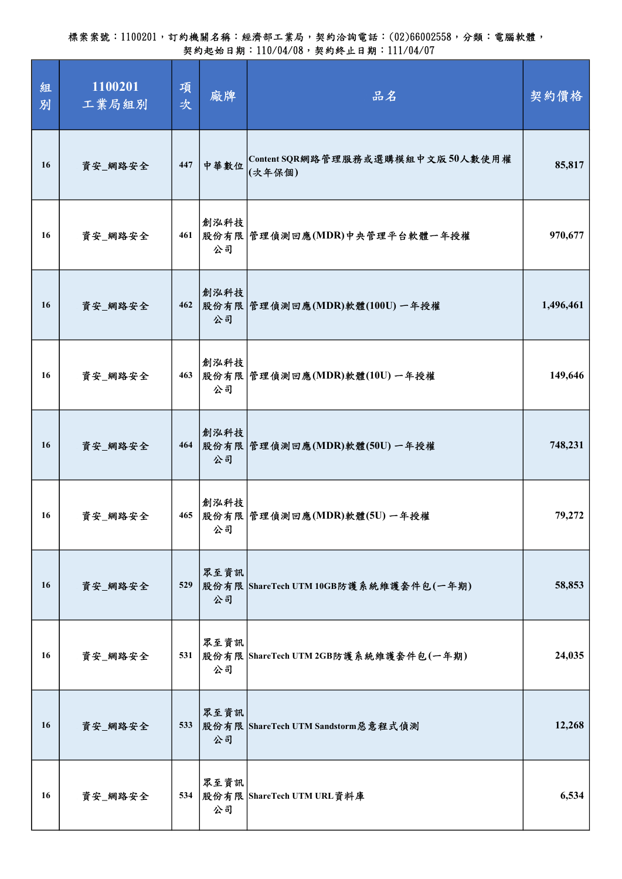| 組<br>別 | 1100201<br>工業局組別 | 項<br>次 | 廠牌         | 品名                                         | 契約價格      |
|--------|------------------|--------|------------|--------------------------------------------|-----------|
| 16     | 資安_網路安全          | 447    | 中華數位       | Content SQR網路管理服務或選購模組中文版50人數使用權<br>(次年保個) | 85,817    |
| 16     | 資安_網路安全          | 461    | 創泓科技<br>公司 | 股份有限 管理偵測回應(MDR)中央管理平台軟體一年授權               | 970,677   |
| 16     | 資安_網路安全          | 462    | 創泓科技<br>公司 | 股份有限 管理偵測回應(MDR)軟體(100U) 一年授權              | 1,496,461 |
| 16     | 資安_網路安全          | 463    | 創泓科技<br>公司 | 股份有限 管理偵測回應(MDR)軟體(10U) 一年授權               | 149,646   |
| 16     | 資安_網路安全          | 464    | 創泓科技<br>公司 | 股份有限 管理偵測回應(MDR)軟體(50U) 一年授權               | 748,231   |
| 16     | 資安_網路安全          | 465    | 創泓科技<br>公司 | 股份有限 管理偵測回應(MDR)軟體(5U) 一年授權                | 79,272    |
| 16     | 資安_網路安全          | 529    | 眾至資訊<br>公司 | 股份有限  ShareTech UTM 10GB防護系統維護套件包(一年期)     | 58,853    |
| 16     | 資安_網路安全          | 531    | 眾至資訊<br>公司 | 股份有限  ShareTech UTM 2GB防護系統維護套件包(一年期)      | 24,035    |
| 16     | 資安_網路安全          | 533    | 眾至資訊<br>公司 | 股份有限 ShareTech UTM Sandstorm惡意程式偵測         | 12,268    |
| 16     | 資安_網路安全          |        | 眾至資訊<br>公司 | 534 股份有限 ShareTech UTM URL資料庫              | 6,534     |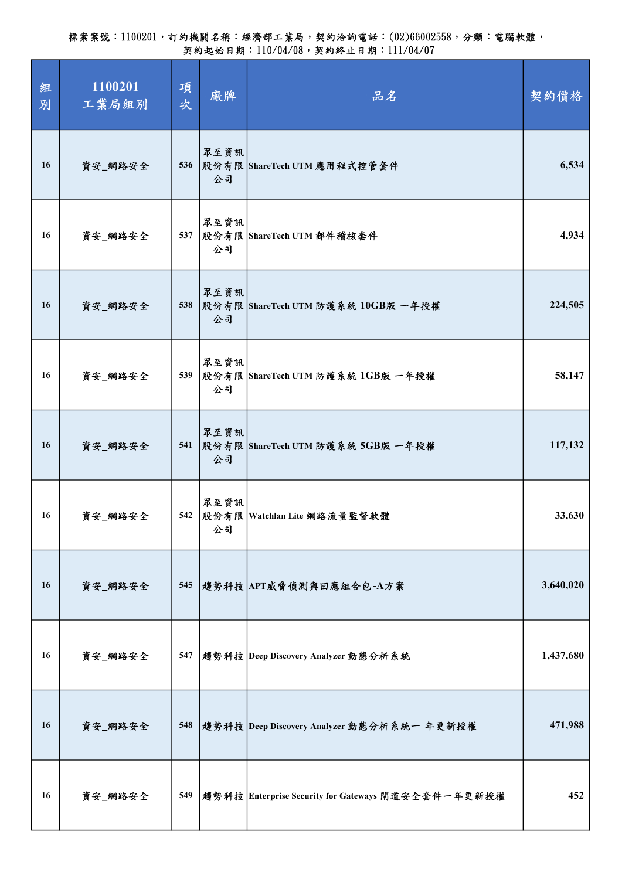| 組<br>別 | 1100201<br>工業局組別 | 項<br>次 | 廠牌         | 品名                                                 | 契約價格      |
|--------|------------------|--------|------------|----------------------------------------------------|-----------|
| 16     | 資安_網路安全          |        | 眾至資訊<br>公司 | 536 股份有限 ShareTech UTM 應用程式控管套件                    | 6,534     |
| 16     | 資安_網路安全          | 537    | 眾至資訊<br>公司 | 股份有限  ShareTech UTM 郵件稽核套件                         | 4,934     |
| 16     | 資安_網路安全          |        | 眾至資訊<br>公司 | 538  股份有限  ShareTech UTM 防護系統 10GB版 一年授權           | 224,505   |
| 16     | 資安_網路安全          |        | 眾至資訊<br>公司 | 539 股份有限 ShareTech UTM 防護系統 1GB版 一年授權              | 58,147    |
| 16     | 資安_網路安全          | 541    | 眾至資訊<br>公司 | 股份有限  ShareTech UTM 防護系統 5GB版 一年授權                 | 117,132   |
| 16     | 資安_網路安全          | 542    | 眾至資訊<br>公司 | 股份有限   Watchlan Lite 網路流量監督軟體                      | 33,630    |
| 16     | 資安_網路安全          |        |            | 545   趨勢科技   APT威脅偵測與回應組合包-A方案                     | 3,640,020 |
| 16     | 資安_網路安全          |        |            | 547  趨勢科技 Deep Discovery Analyzer 動態分析系統           | 1,437,680 |
| 16     | 資安_網路安全          |        |            | 548  趨勢科技 Deep Discovery Analyzer 動態分析系統一 年更新授權    | 471,988   |
| 16     | 資安_網路安全          | 549    |            | 趨勢科技 Enterprise Security for Gateways 閘道安全套件一年更新授權 | 452       |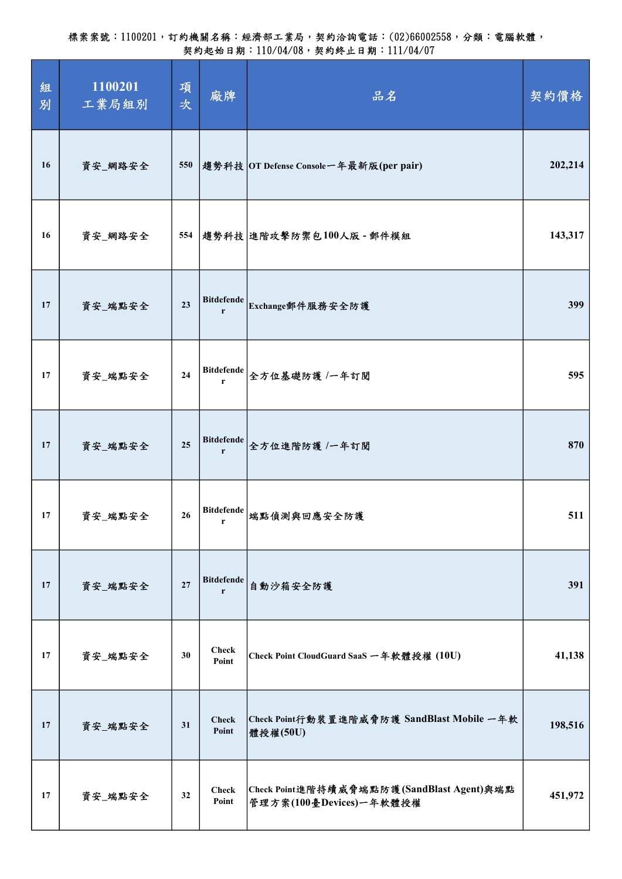| 組<br>別 | 1100201<br>工業局組別 | 項<br>次 | 廠牌                     | 品名                                                                   | 契約價格    |
|--------|------------------|--------|------------------------|----------------------------------------------------------------------|---------|
| 16     | 資安_網路安全          |        |                        | 550 機勢科技 OT Defense Console一年最新版(per pair)                           | 202,214 |
| 16     | 資安_網路安全          |        |                        | 554  趨勢科技  進階攻擊防禦包100人版 - 郵件模組                                       | 143,317 |
| 17     | 資安_端點安全          | 23     | <b>Bitdefende</b><br>r | Exchange郵件服務安全防護                                                     | 399     |
| 17     | 資安_端點安全          | 24     |                        | Bitdefende 全方位基礎防護 /一年訂閱                                             | 595     |
| 17     | 資安_端點安全          | 25     | <b>Bitdefende</b><br>r | 全方位進階防護 /一年訂閱                                                        | 870     |
| 17     | 資安_端點安全          | 26     | <b>Bitdefende</b><br>r | 端點偵測與回應安全防護                                                          | 511     |
| 17     | 資安_端點安全          | 27     | <b>Bitdefende</b><br>r | 自動沙箱安全防護                                                             | 391     |
| 17     | 資安_端點安全          | 30     | <b>Check</b><br>Point  | Check Point CloudGuard SaaS 一年軟體授權 (10U)                             | 41,138  |
| 17     | 資安_端點安全          | 31     | <b>Check</b><br>Point  | Check Point行動裝置進階威脅防護 SandBlast Mobile 一年軟<br>體授權(50U)               | 198,516 |
| 17     | 資安_端點安全          | 32     | <b>Check</b><br>Point  | Check Point進階持續威脅端點防護(SandBlast Agent)與端點<br>管理方案(100臺Devices)一年軟體授權 | 451,972 |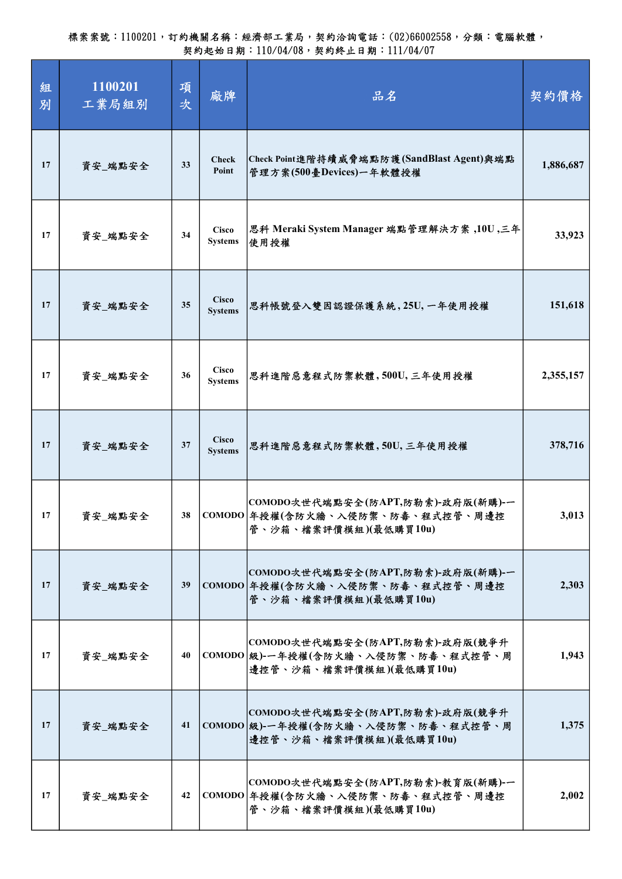| 組<br>別 | 1100201<br>工業局組別 | 項<br>次 | 廠牌                             | 品名                                                                                                | 契約價格      |
|--------|------------------|--------|--------------------------------|---------------------------------------------------------------------------------------------------|-----------|
| 17     | 資安_端點安全          | 33     | <b>Check</b><br>Point          | Check Point進階持續威脅端點防護(SandBlast Agent)與端點<br>管理方案(500臺Devices)一年軟體授權                              | 1,886,687 |
| 17     | 資安_端點安全          | 34     | <b>Cisco</b><br><b>Systems</b> | 思科 Meraki System Manager 端點管理解決方案,10U,三年<br>使用授權                                                  | 33,923    |
| 17     | 資安_端點安全          | 35     | <b>Cisco</b><br><b>Systems</b> | 思科帳號登入雙因認證保護系統, 25U, 一年使用授權                                                                       | 151,618   |
| 17     | 資安_端點安全          | 36     | <b>Cisco</b><br><b>Systems</b> | 思科進階惡意程式防禦軟體,500U,三年使用授權                                                                          | 2,355,157 |
| 17     | 資安_端點安全          | 37     | <b>Cisco</b><br><b>Systems</b> | 思科進階惡意程式防禦軟體,50U,三年使用授權                                                                           | 378,716   |
| 17     | 資安_端點安全          | 38     |                                | COMODO次世代端點安全(防APT,防勒索)-政府版(新購)-一<br>COMODO 年授權(含防火牆、入侵防禦、防毒、程式控管、周邊控<br>管、沙箱、檔案評價模組)(最低購買10u)    | 3,013     |
| 17     | 資安_端點安全          | 39     |                                | COMODO次世代端點安全(防APT,防勒索)-政府版(新購)-一<br>COMODO 年授權(含防火牆、入侵防禦、防毒、程式控管、周邊控<br>管、沙箱、檔案評價模組)(最低購買10u)    | 2,303     |
| 17     | 資安_端點安全          | 40     |                                | COMODO次世代端點安全(防APT,防勒索)-政府版(競爭升<br> COMODO 級)-一年授權(含防火牆、入侵防禦、防毒、程式控管、周<br>邊控管、沙箱、檔案評價模組)(最低購買10u) | 1,943     |
| 17     | 資安_端點安全          | 41     |                                | COMODO次世代端點安全(防APT,防勒索)-政府版(競爭升<br>COMODO 級)-一年授權(含防火牆、入侵防禦、防毒、程式控管、周<br>邊控管、沙箱、檔案評價模組)(最低購買10u)  | 1,375     |
| 17     | 資安_端點安全          | 42     |                                | COMODO次世代端點安全(防APT,防勒索)-教育版(新購)-一<br>COMODO 年授權(含防火牆、入侵防禦、防毒、程式控管、周邊控<br>管、沙箱、檔案評價模組)(最低購買10u)    | 2,002     |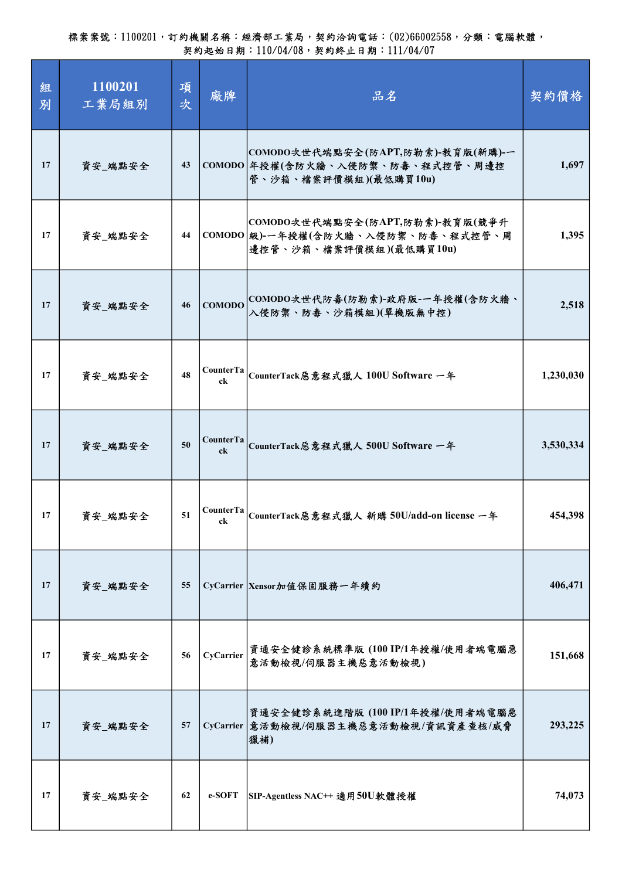| 組<br>別 | 1100201<br>工業局組別 | 項<br>次 | 廠牌                     | 品名                                                                                               | 契約價格      |
|--------|------------------|--------|------------------------|--------------------------------------------------------------------------------------------------|-----------|
| 17     | 資安_端點安全          | 43     |                        | COMODO次世代端點安全(防APT,防勒索)-教育版(新購)-一<br>COMODO 年授權(含防火牆、入侵防禦、防毒、程式控管、周邊控<br>管、沙箱、檔案評價模組)(最低購買10u)   | 1,697     |
| 17     | 資安_端點安全          | 44     |                        | COMODO次世代端點安全(防APT,防勒索)-教育版(競爭升<br>COMODO 級)-一年授權(含防火牆、入侵防禦、防毒、程式控管、周<br>邊控管、沙箱、檔案評價模組)(最低購買10u) | 1,395     |
| 17     | 資安_端點安全          | 46     | <b>COMODO</b>          | COMODO次世代防毒(防勒索)-政府版-一年授權(含防火牆、<br>入侵防禦、防毒、沙箱模組)(單機版無中控)                                         | 2,518     |
| 17     | 資安_端點安全          | 48     | <b>CounterTa</b><br>ck | CounterTack惡意程式獵人 100U Software 一年                                                               | 1,230,030 |
| 17     | 資安_端點安全          | 50     | c <sub>k</sub>         | CounterTa CounterTack 惡意程式獵人 500U Software 一年                                                    | 3,530,334 |
| 17     | 資安_端點安全          | 51     | CounterTa<br>ck        | CounterTack惡意程式獵人 新購 50U/add-on license 一年                                                       | 454,398   |
| 17     | 資安_端點安全          | 55     |                        | CyCarrier Xensor加值保固服務一年續約                                                                       | 406,471   |
| 17     | 資安_端點安全          | 56     | CyCarrier              | 資通安全健診系統標準版 (100 IP/1年授權/使用者端電腦惡<br>意活動檢視/伺服器主機惡意活動檢視)                                           | 151,668   |
| 17     | 資安_端點安全          | 57     |                        | 資通安全健診系統進階版 (100 IP/1年授權/使用者端電腦惡<br>CyCarrier  意活動檢視/伺服器主機惡意活動檢視/資訊資產查核/威脅<br>獵補)                | 293,225   |
| 17     | 資安_端點安全          | 62     | e-SOFT                 | SIP-Agentless NAC++ 適用50U軟體授權                                                                    | 74,073    |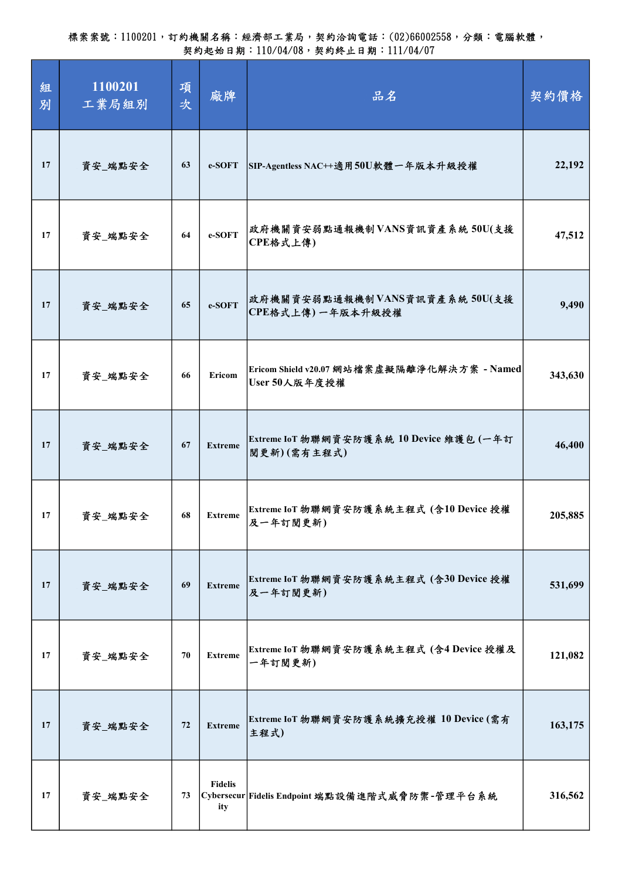| 組<br>別 | 1100201<br>工業局組別 | 項<br>次 | 廠牌                    | 品名                                                           | 契約價格    |
|--------|------------------|--------|-----------------------|--------------------------------------------------------------|---------|
| 17     | 資安_端點安全          | 63     | e-SOFT                | SIP-Agentless NAC++適用50U軟體一年版本升級授權                           | 22,192  |
| 17     | 資安_端點安全          | 64     | e-SOFT                | 政府機關資安弱點通報機制VANS資訊資產系統 50U(支援<br>CPE格式上傳)                    | 47,512  |
| 17     | 資安_端點安全          | 65     | e-SOFT                | 政府機關資安弱點通報機制 VANS資訊資產系統 50U(支援<br>CPE格式上傳)一年版本升級授權           | 9,490   |
| 17     | 資安_端點安全          | 66     | Ericom                | Ericom Shield v20.07 網站檔案虛擬隔離淨化解決方案 - Named<br>User 50人版年度授權 | 343,630 |
| 17     | 資安_端點安全          | 67     | <b>Extreme</b>        | Extreme IoT 物聯網資安防護系統 10 Device 維護包 (一年訂<br>閲更新)(需有主程式)      | 46,400  |
| 17     | 資安_端點安全          | 68     | <b>Extreme</b>        | Extreme IoT 物聯網資安防護系統主程式 (含10 Device 授權<br>及一年訂閱更新)          | 205,885 |
| 17     | 資安_端點安全          | 69     | <b>Extreme</b>        | Extreme IoT 物聯網資安防護系統主程式 (含30 Device 授權<br>及一年訂閱更新)          | 531,699 |
| 17     | 資安_端點安全          | 70     | <b>Extreme</b>        | Extreme IoT 物聯網資安防護系統主程式 (含4 Device 授權及<br>一年訂閱更新)           | 121,082 |
| 17     | 資安_端點安全          | 72     | <b>Extreme</b>        | Extreme IoT 物聯網資安防護系統擴充授權 10 Device (需有<br>主程式)              | 163,175 |
| 17     | 資安_端點安全          | 73     | <b>Fidelis</b><br>ity | Cybersecur Fidelis Endpoint 端點設備進階式威脅防禦-管理平台系統               | 316,562 |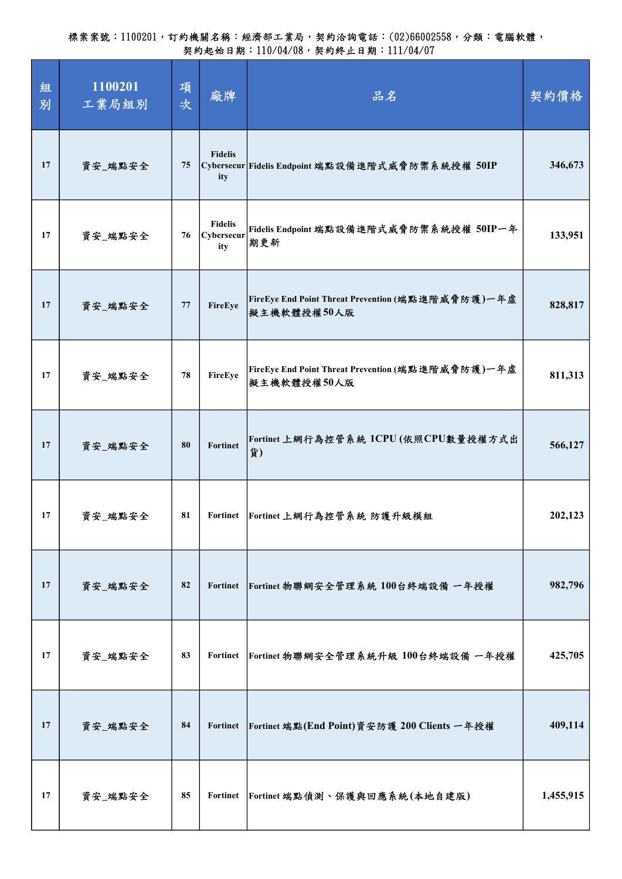| 組<br>別 | 1100201<br>工業局組別 | 項<br>次 | 廠牌                                  | 品名                                                               | 契約價格      |
|--------|------------------|--------|-------------------------------------|------------------------------------------------------------------|-----------|
| 17     | 資安_端點安全          | 75     | <b>Fidelis</b><br>ity               | Cybersecur Fidelis Endpoint 端點設備進階式威脅防禦系統授權 50IP                 | 346,673   |
| 17     | 資安_端點安全          | 76     | <b>Fidelis</b><br>Cybersecur<br>ity | Fidelis Endpoint 端點設備進階式威脅防禦系統授權 50IP一年<br>期更新                   | 133,951   |
| 17     | 資安_端點安全          | 77     | FireEye                             | FireEye End Point Threat Prevention (端點進階威脅防護)一年虛<br>擬主機軟體授權50人版 | 828,817   |
| 17     | 資安_端點安全          | 78     | FireEye                             | FireEye End Point Threat Prevention (端點進階威脅防護)一年虛<br>擬主機軟體授權50人版 | 811,313   |
| 17     | 資安_端點安全          | 80     | <b>Fortinet</b>                     | Fortinet 上網行為控管系統 1CPU (依照CPU數量授權方式出<br>貨)                       | 566,127   |
| 17     | 資安_端點安全          | 81     | Fortinet                            | Fortinet 上網行為控管系統 防護升級模組                                         | 202,123   |
| 17     | 資安_端點安全          | 82     | <b>Fortinet</b>                     | Fortinet 物聯網安全管理系統 100台終端設備 一年授權                                 | 982,796   |
| 17     | 資安_端點安全          | 83     | Fortinet                            | Fortinet 物聯網安全管理系統升級 100台終端設備 一年授權                               | 425,705   |
| 17     | 資安_端點安全          | 84     | Fortinet                            | Fortinet 端點(End Point)資安防護 200 Clients 一年授權                      | 409,114   |
| 17     | 資安_端點安全          | 85     | <b>Fortinet</b>                     | Fortinet 端點偵測、保護與回應系統(本地自建版)                                     | 1,455,915 |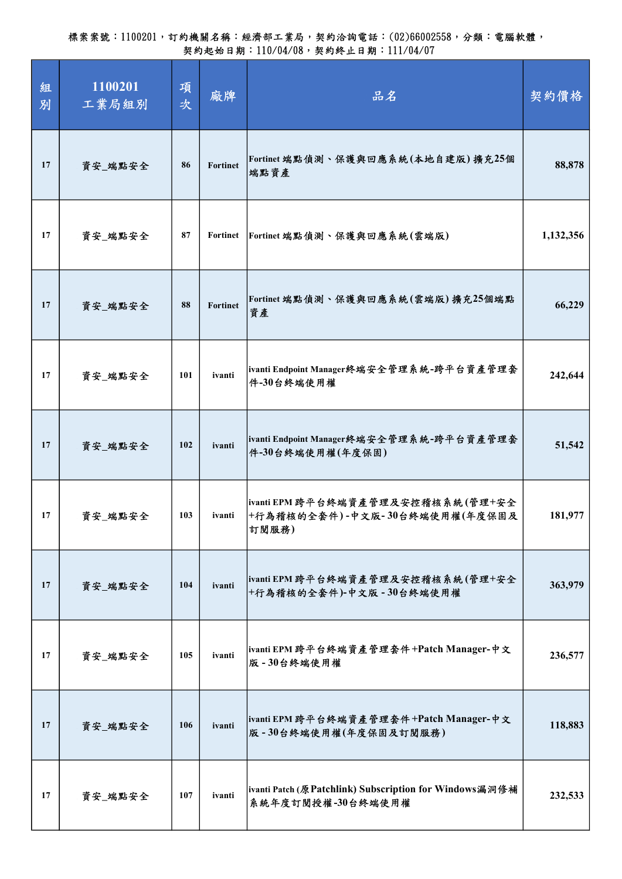| 組<br>別 | 1100201<br>工業局組別 | 項<br>次 | 廠牌              | 品名                                                                           | 契約價格      |
|--------|------------------|--------|-----------------|------------------------------------------------------------------------------|-----------|
| 17     | 資安_端點安全          | 86     | <b>Fortinet</b> | Fortinet 端點偵測、保護與回應系統(本地自建版)擴充25個<br>端點資產                                    | 88,878    |
| 17     | 資安_端點安全          | 87     | Fortinet        | Fortinet 端點偵測、保護與回應系統(雲端版)                                                   | 1,132,356 |
| 17     | 資安_端點安全          | 88     | <b>Fortinet</b> | Fortinet端點偵測、保護與回應系統(雲端版)擴充25個端點<br>資產                                       | 66,229    |
| 17     | 資安_端點安全          | 101    | ivanti          | ivanti Endpoint Manager終端安全管理系統-跨平台資產管理套<br>件-30台終端使用權                       | 242,644   |
| 17     | 資安_端點安全          | 102    | ivanti          | ivanti Endpoint Manager终端安全管理系統-跨平台資產管理套<br>件-30台終端使用權(年度保固)                 | 51,542    |
| 17     | 資安_端點安全          | 103    | ivanti          | ivanti EPM 跨平台終端資產管理及安控稽核系統(管理+安全<br> +行為稽核的全套件)-中文版-30台終端使用權(年度保固及<br>訂閱服務) | 181,977   |
| 17     | 資安_端點安全          | 104    | ivanti          | ivanti EPM 跨平台終端資產管理及安控稽核系統(管理+安全<br>+行為稽核的全套件)-中文版-30台終端使用權                 | 363,979   |
| 17     | 資安_端點安全          | 105    | ivanti          | ivanti EPM 跨平台終端資產管理套件+Patch Manager-中文<br>版-30台終端使用權                        | 236,577   |
| 17     | 資安_端點安全          | 106    | ivanti          | ivanti EPM 跨平台終端資產管理套件+Patch Manager-中文<br> 版-30台終端使用權(年度保固及訂閱服務)            | 118,883   |
| 17     | 資安_端點安全          | 107    | ivanti          | ivanti Patch (原Patchlink) Subscription for Windows漏洞修補<br> 系統年度訂閱授權-30台終端使用權 | 232,533   |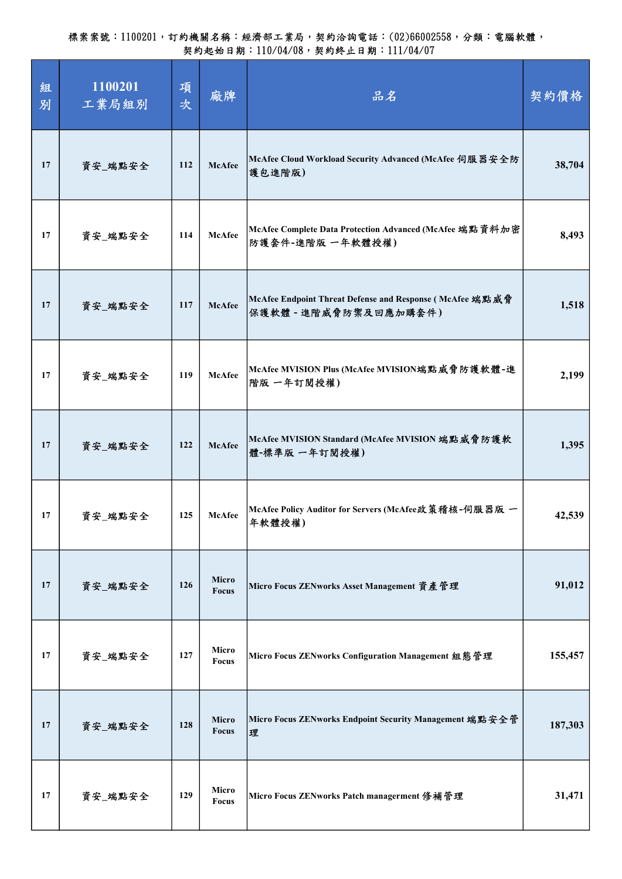| 組<br>別 | 1100201<br>工業局組別 | 項<br>次 | 廠牌             | 品名                                                                                | 契約價格    |
|--------|------------------|--------|----------------|-----------------------------------------------------------------------------------|---------|
| 17     | 資安_端點安全          | 112    | <b>McAfee</b>  | McAfee Cloud Workload Security Advanced (McAfee 伺服器安全防<br>護包進階版)                  | 38,704  |
| 17     | 資安_端點安全          | 114    | McAfee         | McAfee Complete Data Protection Advanced (McAfee 端點資料加密<br>防護套件-進階版 一年軟體授權)       | 8,493   |
| 17     | 資安_端點安全          | 117    | McAfee         | McAfee Endpoint Threat Defense and Response (McAfee 端點威脅<br>保護軟體 - 進階威脅防禦及回應加購套件) | 1,518   |
| 17     | 資安_端點安全          | 119    | <b>McAfee</b>  | McAfee MVISION Plus (McAfee MVISION端點威脅防護軟體-進<br>階版 一年訂閱授權)                       | 2,199   |
| 17     | 資安_端點安全          | 122    | <b>McAfee</b>  | McAfee MVISION Standard (McAfee MVISION 端點威脅防護軟<br>體-標準版 一年訂閱授權)                  | 1,395   |
| 17     | 資安_端點安全          | 125    | McAfee         | McAfee Policy Auditor for Servers (McAfee政策稽核-伺服器版 一<br>年軟體授權)                    | 42,539  |
| 17     | 資安_端點安全          | 126    | Micro<br>Focus | Micro Focus ZENworks Asset Management 資產管理                                        | 91,012  |
| 17     | 資安_端點安全          | 127    | Micro<br>Focus | Micro Focus ZENworks Configuration Management 組態管理                                | 155,457 |
| 17     | 資安_端點安全          | 128    | Micro<br>Focus | Micro Focus ZENworks Endpoint Security Management 端點安全管<br>理                      | 187,303 |
| 17     | 資安_端點安全          | 129    | Micro<br>Focus | Micro Focus ZENworks Patch managerment 修補管理                                       | 31,471  |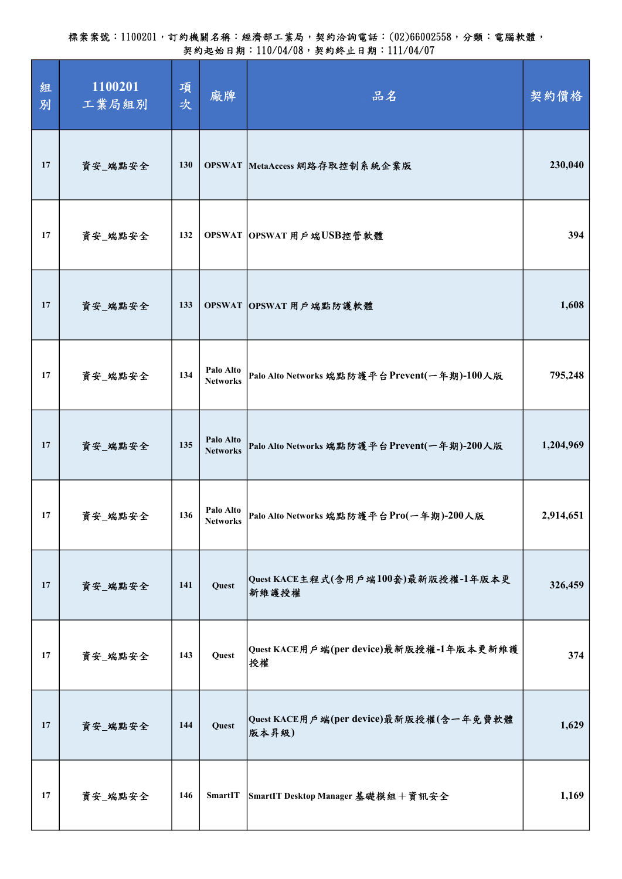| 組<br>別 | 1100201<br>工業局組別 | 項<br>次 | 廠牌                           | 品名                                              | 契約價格      |
|--------|------------------|--------|------------------------------|-------------------------------------------------|-----------|
| 17     | 資安_端點安全          | 130    |                              | OPSWAT MetaAccess 網路存取控制系統企業版                   | 230,040   |
| 17     | 資安_端點安全          | 132    |                              | OPSWAT OPSWAT 用戶端USB控管軟體                        | 394       |
| 17     | 資安_端點安全          | 133    |                              | OPSWAT OPSWAT 用戶端點防護軟體                          | 1,608     |
| 17     | 資安_端點安全          | 134    | Palo Alto<br><b>Networks</b> | Palo Alto Networks 端點防護平台Prevent(一年期)-100人版     | 795,248   |
| 17     | 資安_端點安全          | 135    | Palo Alto<br><b>Networks</b> | Palo Alto Networks 端點防護平台 Prevent(一年期)-200人版    | 1,204,969 |
| 17     | 資安_端點安全          | 136    | Palo Alto<br><b>Networks</b> | Palo Alto Networks 端點防護平台Pro(一年期)-200人版         | 2,914,651 |
| 17     | 資安_端點安全          | 141    | Quest                        | Quest KACE主程式(含用户端100套)最新版授權-1年版本更<br>新維護授權     | 326,459   |
| 17     | 資安_端點安全          | 143    | Quest                        | Quest KACE用户端(per device)最新版授權-1年版本更新維護<br>授權   | 374       |
| 17     | 資安_端點安全          | 144    | Quest                        | Quest KACE用户端(per device)最新版授權(含一年免費軟體<br>版本昇級) | 1,629     |
| 17     | 資安_端點安全          | 146    | SmartIT                      | SmartIT Desktop Manager 基礎模組+資訊安全               | 1,169     |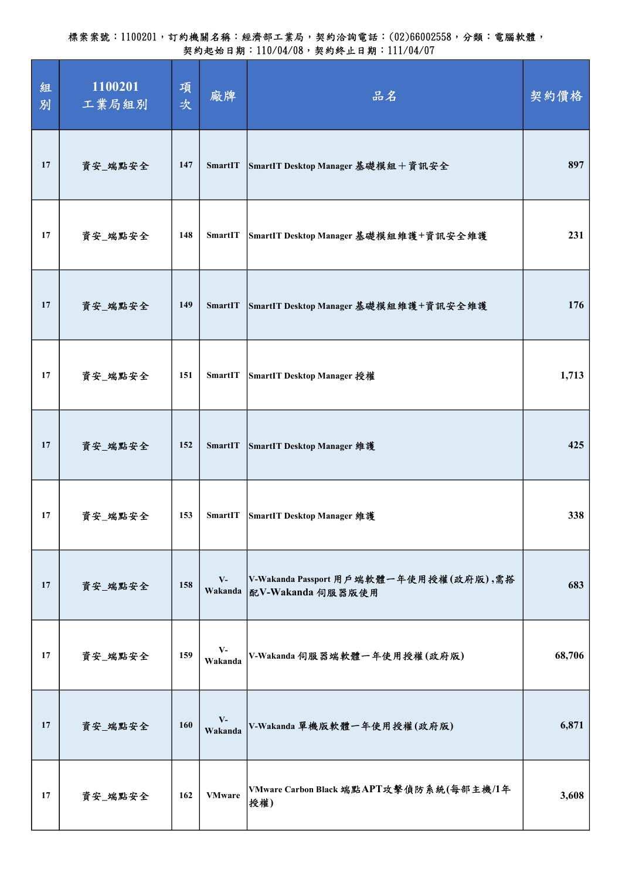| 組<br>別 | 1100201<br>工業局組別 | 項<br>次 | 廠牌               | 品名                                                          | 契約價格   |
|--------|------------------|--------|------------------|-------------------------------------------------------------|--------|
| 17     | 資安_端點安全          | 147    | SmartIT          | SmartIT Desktop Manager 基礎模組+資訊安全                           | 897    |
| 17     | 資安_端點安全          | 148    | <b>SmartIT</b>   | SmartIT Desktop Manager 基礎模組維護+資訊安全維護                       | 231    |
| 17     | 資安_端點安全          | 149    | SmartIT          | SmartIT Desktop Manager 基礎模組維護+資訊安全維護                       | 176    |
| 17     | 資安_端點安全          | 151    | <b>SmartIT</b>   | SmartIT Desktop Manager 授權                                  | 1,713  |
| 17     | 資安_端點安全          | 152    | <b>SmartIT</b>   | SmartIT Desktop Manager 維護                                  | 425    |
| 17     | 資安_端點安全          | 153    | SmartIT          | SmartIT Desktop Manager 維護                                  | 338    |
| 17     | 資安_端點安全          | 158    | $V -$<br>Wakanda | V-Wakanda Passport 用戶端軟體一年使用授權(政府版),需搭<br>配V-Wakanda 伺服器版使用 | 683    |
| 17     | 資安_端點安全          | 159    | $V -$<br>Wakanda | V-Wakanda 伺服器端軟體一年使用授權(政府版)                                 | 68,706 |
| 17     | 資安_端點安全          | 160    | $V -$<br>Wakanda | V-Wakanda 單機版軟體一年使用授權(政府版)                                  | 6,871  |
| 17     | 資安_端點安全          | 162    | <b>VMware</b>    | VMware Carbon Black 端點APT攻擊偵防系統(每部主機/1年<br>授權)              | 3,608  |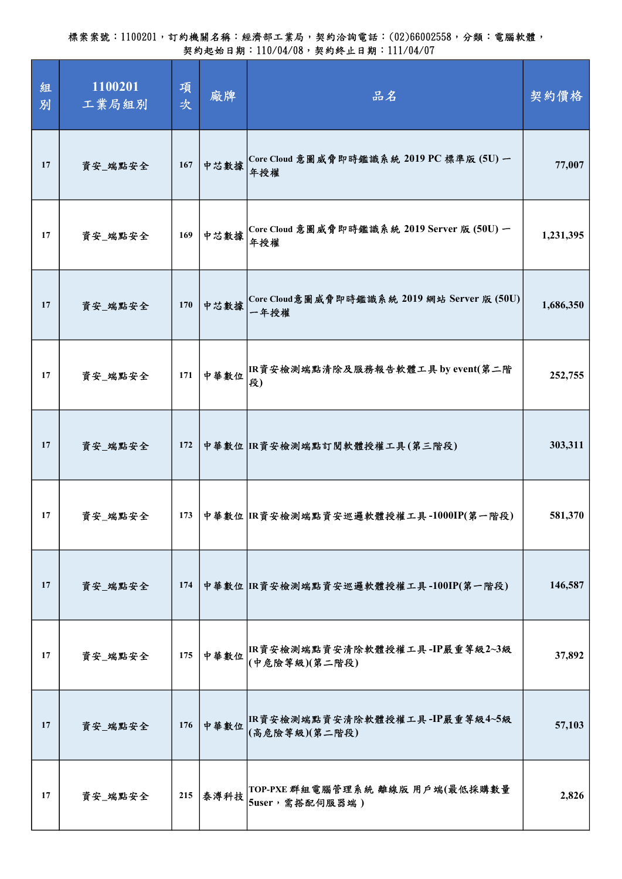| 組<br>別 | 1100201<br>工業局組別 | 項<br>次 | 廠牌   | 品名                                                  | 契約價格      |
|--------|------------------|--------|------|-----------------------------------------------------|-----------|
| 17     | 資安_端點安全          | 167    | 中芯數據 | Core Cloud 意圖威脅即時鑑識系統 2019 PC 標準版 (5U) 一<br>年授權     | 77,007    |
| 17     | 資安_端點安全          | 169    | 中芯數據 | Core Cloud 意圖威脅即時鑑識系統 2019 Server 版 (50U) 一<br>年授權  | 1,231,395 |
| 17     | 資安_端點安全          | 170    | 中芯數據 | Core Cloud意圖威脅即時鑑識系統 2019 網站 Server 版 (50U)<br>一年授權 | 1,686,350 |
| 17     | 資安_端點安全          | 171    | 中華數位 | IR資安檢測端點清除及服務報告軟體工具 by event(第二階<br>段)              | 252,755   |
| 17     | 資安_端點安全          | 172    |      | 中華數位 IR資安檢測端點訂閱軟體授權工具(第三階段)                         | 303,311   |
| 17     | 資安_端點安全          | 173    |      | 中華數位   IR資安檢測端點資安巡邏軟體授權工具-1000IP(第一階段)              | 581,370   |
| 17     | 資安_端點安全          | 174    |      | 中華數位 IR資安檢測端點資安巡邏軟體授權工具-100IP(第一階段)                 | 146,587   |
| 17     | 資安_端點安全          | 175    | 中華數位 | IR資安檢測端點資安清除軟體授權工具-IP嚴重等級2~3級<br>(中危險等級)(第二階段)      | 37,892    |
| 17     | 資安_端點安全          | 176    | 中華數位 | IR資安檢測端點資安清除軟體授權工具-IP嚴重等級4~5級<br>(高危險等級)(第二階段)      | 57,103    |
| 17     | 資安_端點安全          | 215    | 泰溥科技 | TOP-PXE 群組電腦管理系統 離線版 用戶端(最低採購數量<br>5user, 需搭配伺服器端)  | 2,826     |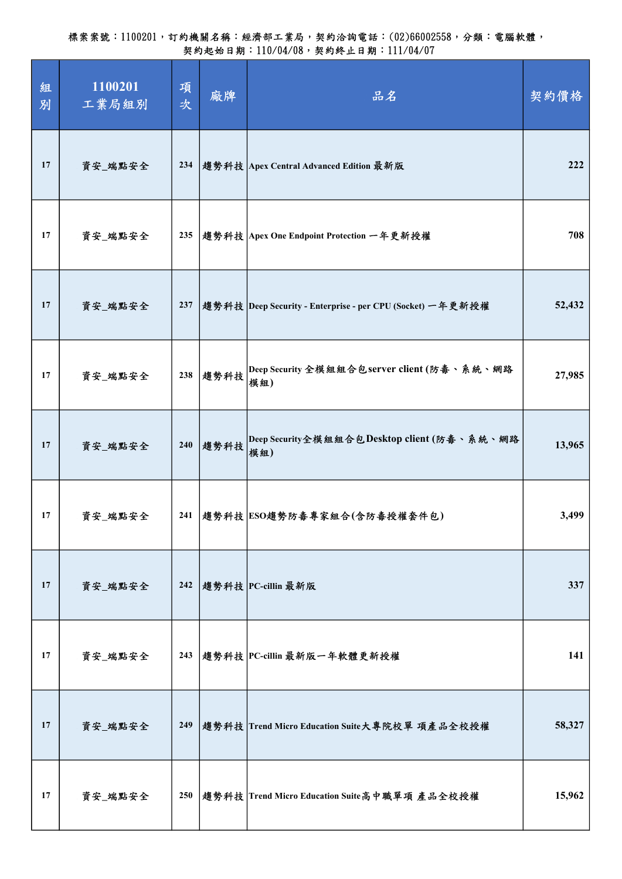| 組<br>別 | 1100201<br>工業局組別 | 項<br>次 | 廠牌   | 品名                                                         | 契約價格   |
|--------|------------------|--------|------|------------------------------------------------------------|--------|
| 17     | 資安_端點安全          | 234    |      | 趨勢科技   Apex Central Advanced Edition 最新版                   | 222    |
| 17     | 資安_端點安全          |        |      | 235   趨勢科技   Apex One Endpoint Protection 一年更新授權           | 708    |
| 17     | 資安_端點安全          | 237    |      | 趨勢科技  Deep Security - Enterprise - per CPU (Socket) 一年更新授權 | 52,432 |
| 17     | 資安_端點安全          | 238    | 趨勢科技 | Deep Security 全模組組合包server client (防毒、系統、網路<br>模組)         | 27,985 |
| 17     | 資安_端點安全          | 240    | 趨勢科技 | Deep Security全模組組合包Desktop client (防毒、系統、網路<br>模組)         | 13,965 |
| 17     | 資安_端點安全          |        |      | 241  趨勢科技  ESO趨勢防毒專家組合(含防毒授權套件包)                           | 3,499  |
| 17     | 資安_端點安全          |        |      | 242   趨勢科技   PC-cillin 最新版                                 | 337    |
| 17     | 資安_端點安全          |        |      | 243   趨勢科技 PC-cillin 最新版一年軟體更新授權                           | 141    |
| 17     | 資安_端點安全          | 249    |      | 趨勢科技 Trend Micro Education Suite大專院校單 項產品全校授權              | 58,327 |
| 17     | 資安_端點安全          |        |      | 250  趨勢科技  Trend Micro Education Suite高中職單項 產品全校授權         | 15,962 |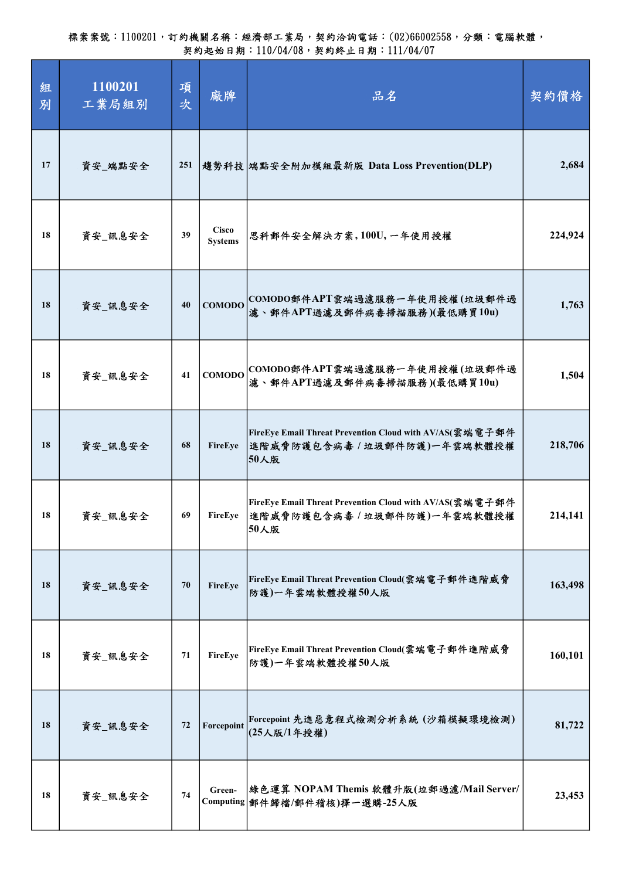| 組<br>別 | 1100201<br>工業局組別 | 項<br>次 | 廠牌                             | 品名                                                                                              | 契約價格    |
|--------|------------------|--------|--------------------------------|-------------------------------------------------------------------------------------------------|---------|
| 17     | 資安_端點安全          | 251    |                                | 趨勢科技 端點安全附加模組最新版 Data Loss Prevention(DLP)                                                      | 2,684   |
| 18     | 資安_訊息安全          | 39     | <b>Cisco</b><br><b>Systems</b> | 思科郵件安全解決方案,100U,一年使用授權                                                                          | 224,924 |
| 18     | 資安_訊息安全          | 40     | <b>COMODO</b>                  | COMODO郵件APT雲端過濾服務一年使用授權(垃圾郵件過<br>濾、郵件APT過濾及郵件病毒掃描服務)(最低購買10u)                                   | 1,763   |
| 18     | 資安_訊息安全          | 41     | <b>COMODO</b>                  | COMODO郵件APT雲端過濾服務一年使用授權(垃圾郵件過<br>濾、郵件APT過濾及郵件病毒掃描服務)(最低購買10u)                                   | 1,504   |
| 18     | 資安_訊息安全          | 68     | FireEye                        | FireEye Email Threat Prevention Cloud with AV/AS(雲端電子郵件<br>進階威脅防護包含病毒 / 垃圾郵件防護)一年雲端軟體授權<br>50人版 | 218,706 |
| 18     | 資安_訊息安全          | 69     | FireEye                        | FireEye Email Threat Prevention Cloud with AV/AS(雲端電子郵件<br>進階威脅防護包含病毒 / 垃圾郵件防護)一年雲端軟體授權<br>50人版 | 214,141 |
| 18     | 資安_訊息安全          | 70     | FireEye                        | FireEye Email Threat Prevention Cloud(雲端電子郵件進階威脅<br>防護)一年雲端軟體授權50人版                             | 163,498 |
| 18     | 資安_訊息安全          | 71     | FireEye                        | FireEye Email Threat Prevention Cloud(雲端電子郵件進階威脅<br>防護)一年雲端軟體授權50人版                             | 160,101 |
| 18     | 資安_訊息安全          | 72     | Forcepoint                     | Forcepoint 先進惡意程式檢測分析系統(沙箱模擬環境檢測)<br>(25人版/1年授權)                                                | 81,722  |
| 18     | 資安_訊息安全          | 74     | Green-                         | 綠色運算 NOPAM Themis 軟體升版(垃郵過濾/Mail Server/<br>Computing 郵件歸檔/郵件稽核)擇一選購-25人版                       | 23,453  |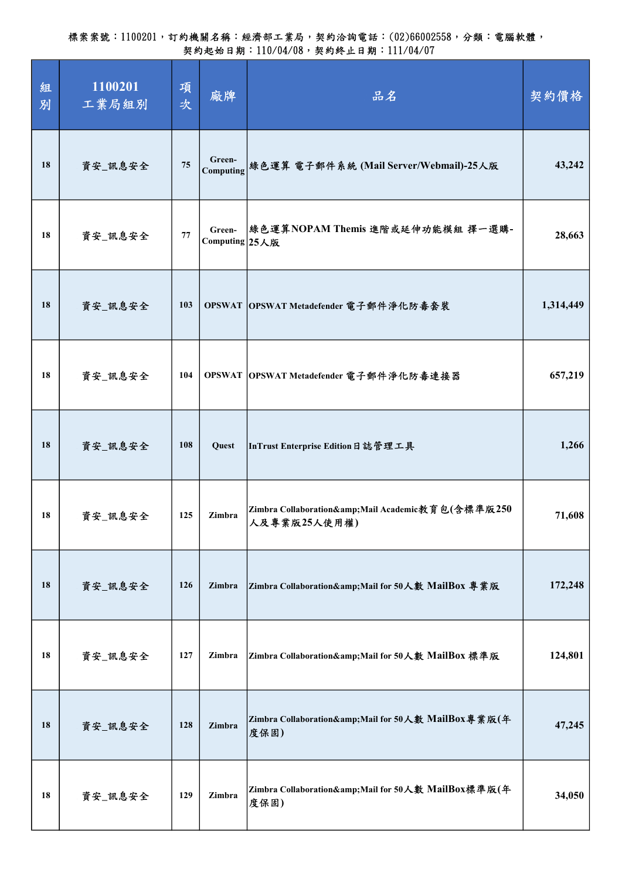| 組<br>別 | 1100201<br>工業局組別 | 項<br>次 | 廠牌                       | 品名                                                            | 契約價格      |
|--------|------------------|--------|--------------------------|---------------------------------------------------------------|-----------|
| 18     | 資安_訊息安全          | 75     |                          | Computing 絲色運算 電子郵件系統 (Mail Server/Webmail)-25人版              | 43,242    |
| 18     | 資安_訊息安全          | 77     | Green-<br>Computing 25人版 | 綠色運算NOPAM Themis 進階或延伸功能模組 擇一選購-                              | 28,663    |
| 18     | 資安_訊息安全          | 103    |                          | OPSWAT OPSWAT Metadefender 電子郵件净化防毒套裝                         | 1,314,449 |
| 18     | 資安_訊息安全          | 104    |                          | OPSWAT OPSWAT Metadefender 電子郵件淨化防毒連接器                        | 657,219   |
| 18     | 資安_訊息安全          | 108    | Quest                    | InTrust Enterprise Edition日誌管理工具                              | 1,266     |
| 18     | 資安_訊息安全          | 125    | Zimbra                   | Zimbra Collaboration&Mail Academic教育包(含標準版250<br>人及專業版25人使用權) | 71,608    |
| 18     | 資安_訊息安全          | 126    | Zimbra                   | Zimbra Collaboration&Mail for 50人數 MailBox 專業版                | 172,248   |
| 18     | 資安_訊息安全          | 127    | Zimbra                   | Zimbra Collaboration&Mail for 50人數 MailBox 標準版                | 124,801   |
| 18     | 資安_訊息安全          | 128    | Zimbra                   | Zimbra Collaboration&Mail for 50人數 MailBox專業版(年<br>度保固)       | 47,245    |
| 18     | 資安_訊息安全          | 129    | Zimbra                   | Zimbra Collaboration&Mail for 50人數 MailBox標準版(年<br>度保固)       | 34,050    |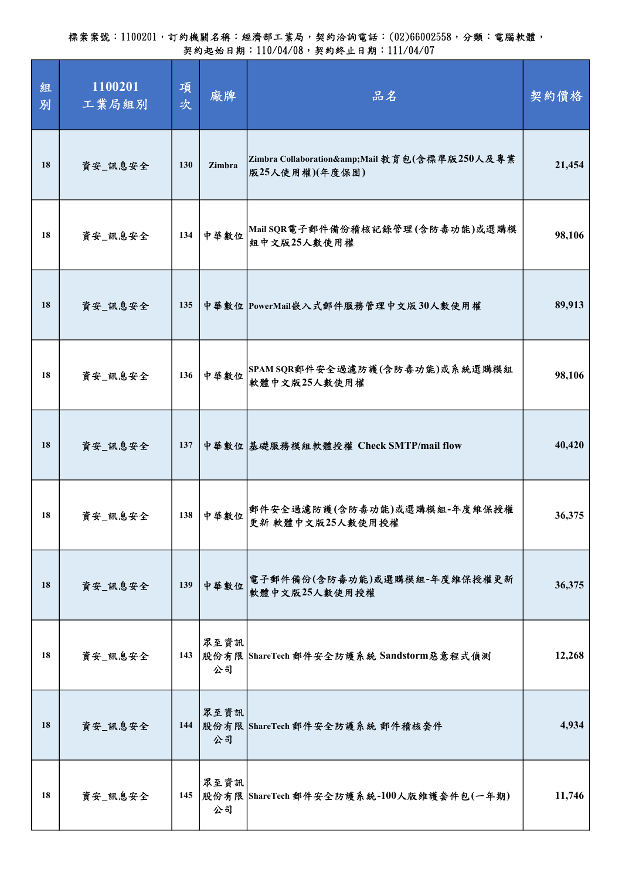| 組<br>別 | 1100201<br>工業局組別 | 項<br>次 | 廠牌         | 品名                                                           | 契約價格   |
|--------|------------------|--------|------------|--------------------------------------------------------------|--------|
| 18     | 資安_訊息安全          | 130    | Zimbra     | Zimbra Collaboration&Mail 教育包(含標準版250人及專業<br> 版25人使用權)(年度保固) | 21,454 |
| 18     | 資安_訊息安全          | 134    | 中華數位       | Mail SQR電子郵件備份稽核記錄管理(含防毒功能)或選購模<br>組中文版25人數使用權               | 98,106 |
| 18     | 資安_訊息安全          | 135    |            | 中華數位 PowerMail嵌入式郵件服務管理中文版30人數使用權                            | 89,913 |
| 18     | 資安_訊息安全          | 136    | 中華數位       | SPAM SQR郵件安全過濾防護(含防毒功能)或系統選購模組<br>軟體中文版25人數使用權               | 98,106 |
| 18     | 資安_訊息安全          | 137    |            | 中華數位 基礎服務模組軟體授權 Check SMTP/mail flow                         | 40,420 |
| 18     | 資安_訊息安全          | 138    | 中華數位       | 郵件安全過濾防護(含防毒功能)或選購模組-年度維保授權<br>更新 軟體中文版25人數使用授權              | 36,375 |
| 18     | 資安_訊息安全          | 139    | 中華數位       | 電子郵件備份(含防毒功能)或選購模組-年度維保授權更新<br>軟體中文版25人數使用授權                 | 36,375 |
| 18     | 資安_訊息安全          | 143    | 眾至資訊<br>公司 | 股份有限 ShareTech 郵件安全防護系統 Sandstorm惡意程式偵測                      | 12,268 |
| 18     | 資安_訊息安全          |        | 眾至資訊<br>公司 | 144 股份有限 ShareTech 郵件安全防護系統 郵件稽核套件                           | 4,934  |
| 18     | 資安_訊息安全          |        | 眾至資訊<br>公司 | 145  股份有限  ShareTech 郵件安全防護系統-100人版維護套件包(一年期)                | 11,746 |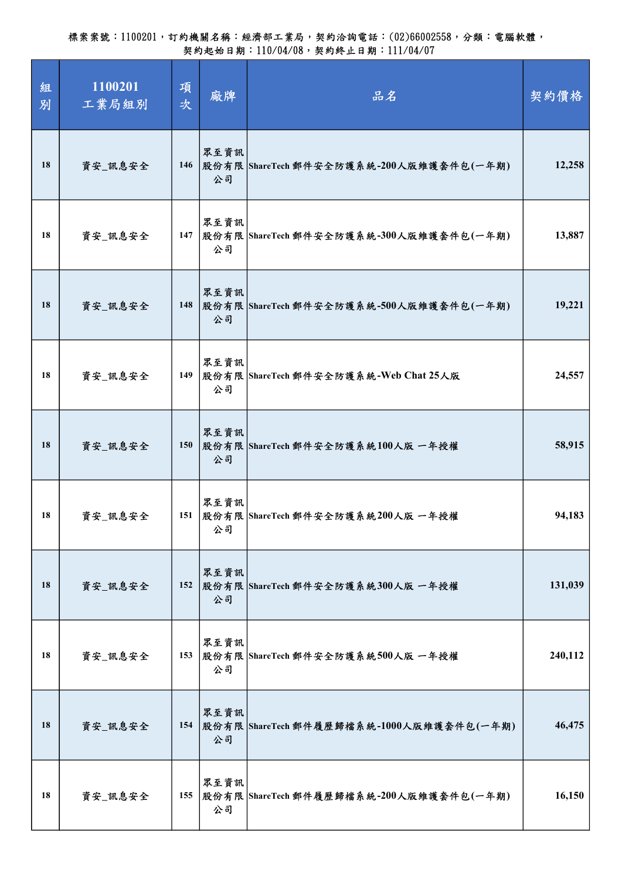| 組<br>別 | 1100201<br>工業局組別 | 項<br>次     | 廠牌         | 品名                                             | 契約價格    |
|--------|------------------|------------|------------|------------------------------------------------|---------|
| 18     | 資安_訊息安全          | 146        | 眾至資訊<br>公司 | 股份有限  ShareTech 郵件安全防護系統-200人版維護套件包(一年期)       | 12,258  |
| 18     | 資安_訊息安全          | 147        | 眾至資訊<br>公司 | 股份有限 ShareTech 郵件安全防護系統-300人版維護套件包(一年期)        | 13,887  |
| 18     | 資安_訊息安全          | 148        | 眾至資訊<br>公司 | 股份有限  ShareTech 郵件安全防護系統-500人版維護套件包(一年期)       | 19,221  |
| 18     | 資安_訊息安全          | 149        | 眾至資訊<br>公司 | 股份有限 ShareTech 郵件安全防護系統-Web Chat 25人版          | 24,557  |
| 18     | 資安_訊息安全          | <b>150</b> | 眾至資訊<br>公司 | 股份有限 ShareTech 郵件安全防護系統100人版 一年授權              | 58,915  |
| 18     | 資安_訊息安全          | 151        | 眾至資訊<br>公司 | 股份有限 ShareTech 郵件安全防護系統200人版 一年授權              | 94,183  |
| 18     | 資安_訊息安全          | 152        | 眾至資訊<br>公司 | 股份有限  ShareTech 郵件安全防護系統300人版 一年授權             | 131,039 |
| 18     | 資安_訊息安全          | 153        | 眾至資訊<br>公司 | 股份有限 ShareTech 郵件安全防護系統500人版 一年授權              | 240,112 |
| 18     | 資安_訊息安全          |            | 眾至資訊<br>公司 | 154  股份有限  ShareTech 郵件履歷歸檔系統-1000人版維護套件包(一年期) | 46,475  |
| 18     | 資安_訊息安全          | 155        | 眾至資訊<br>公司 | 股份有限 ShareTech 郵件履歷歸檔系統-200人版維護套件包(一年期)        | 16,150  |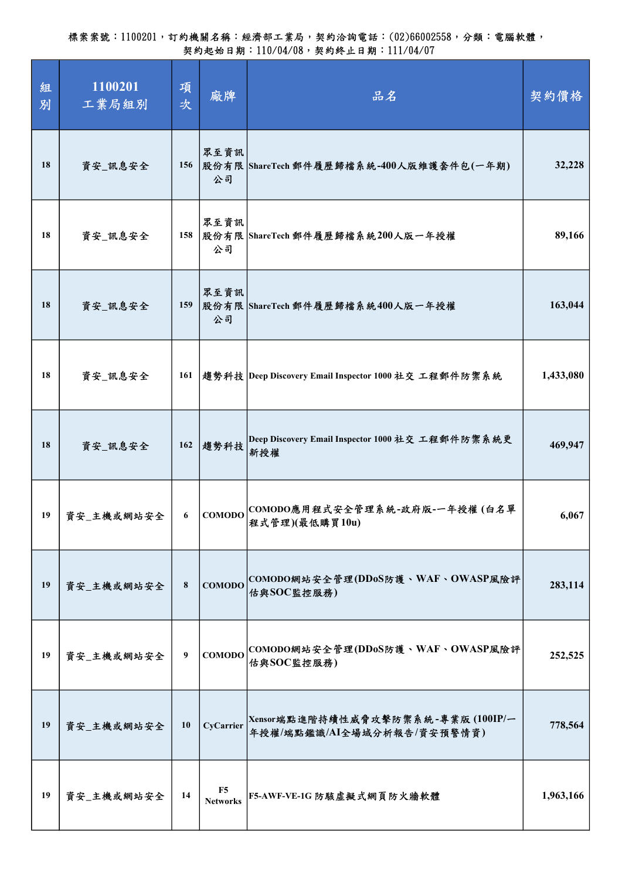| 組<br>別 | 1100201<br>工業局組別 | 項<br>次 | 廠牌                                | 品名                                                               | 契約價格      |
|--------|------------------|--------|-----------------------------------|------------------------------------------------------------------|-----------|
| 18     | 資安_訊息安全          | 156    | 眾至資訊<br>公司                        | 股份有限 ShareTech 郵件履歷歸檔系統-400人版維護套件包(一年期)                          | 32,228    |
| 18     | 資安_訊息安全          | 158    | 眾至資訊<br>公司                        | 股份有限 ShareTech 郵件履歷歸檔系統200人版一年授權                                 | 89,166    |
| 18     | 資安_訊息安全          | 159    | 眾至資訊<br>公司                        | 股份有限 ShareTech 郵件履歷歸檔系統400人版一年授權                                 | 163,044   |
| 18     | 資安_訊息安全          | 161    |                                   | 趨勢科技  Deep Discovery Email Inspector 1000 社交 工程郵件防禦系統            | 1,433,080 |
| 18     | 資安_訊息安全          | 162    | 趨勢科技                              | Deep Discovery Email Inspector 1000 社交 工程郵件防禦系統更<br>新授權          | 469,947   |
| 19     | 資安_主機或網站安全       | 6      | <b>COMODO</b>                     | COMODO應用程式安全管理系統-政府版-一年授權(白名單<br>程式管理)(最低購買10u)                  | 6,067     |
| 19     | 資安_主機或網站安全       | 8      | <b>COMODO</b>                     | COMODO網站安全管理(DDoS防護、WAF、OWASP風險評<br>估與SOC監控服務)                   | 283,114   |
| 19     | 資安_主機或網站安全       | 9      | <b>COMODO</b>                     | COMODO網站安全管理(DDoS防護、WAF、OWASP風險評<br>估與SOC監控服務)                   | 252,525   |
| 19     | 資安_主機或網站安全       | 10     | CyCarrier                         | Xensor端點進階持續性威脅攻擊防禦系統-專業版 (100IP/一<br>年授權/端點鑑識/AI全場域分析報告/資安預警情資) | 778,564   |
| 19     | 資安_主機或網站安全       | 14     | F <sub>5</sub><br><b>Networks</b> | F5-AWF-VE-1G 防駭虛擬式網頁防火牆軟體                                        | 1,963,166 |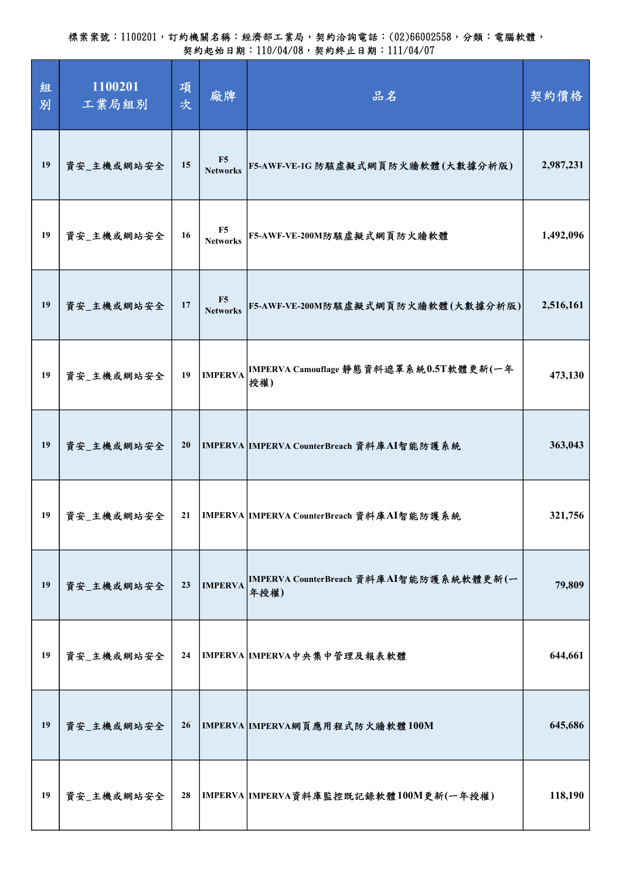| 組<br>別 | 1100201<br>工業局組別 | 項<br>次 | 廠牌                                | 品名                                              | 契約價格      |
|--------|------------------|--------|-----------------------------------|-------------------------------------------------|-----------|
| 19     | 資安_主機或網站安全       | 15     | F5<br><b>Networks</b>             | F5-AWF-VE-1G 防駭虛擬式網頁防火牆軟體(大數據分析版)               | 2,987,231 |
| 19     | 資安_主機或網站安全       | 16     | F <sub>5</sub><br><b>Networks</b> | F5-AWF-VE-200M防駭虛擬式網頁防火牆軟體                      | 1,492,096 |
| 19     | 資安_主機或網站安全       | 17     | F <sub>5</sub><br><b>Networks</b> | F5-AWF-VE-200M防駭虛擬式網頁防火牆軟體(大數據分析版)              | 2,516,161 |
| 19     | 資安_主機或網站安全       | 19     | <b>IMPERVA</b>                    | IMPERVA Camouflage 静態資料遮罩系統0.5T軟體更新(一年<br>授權)   | 473,130   |
| 19     | 資安_主機或網站安全       | 20     |                                   | IMPERVA  IMPERVA CounterBreach 資料庫AI智能防護系統      | 363,043   |
| 19     | 資安_主機或網站安全       | 21     |                                   | IMPERVA IMPERVA CounterBreach 資料庫AI智能防護系統       | 321,756   |
| 19     | 資安_主機或網站安全       | 23     | <b>IMPERVA</b>                    | IMPERVA CounterBreach 資料庫AI智能防護系統軟體更新(一<br>年授權) | 79,809    |
| 19     | 資安_主機或網站安全       | 24     |                                   | IMPERVA IMPERVA中央集中管理及報表軟體                      | 644,661   |
| 19     | 資安_主機或網站安全       | 26     |                                   | IMPERVA IMPERVA網頁應用程式防火牆軟體100M                  | 645,686   |
| 19     | 資安_主機或網站安全       | 28     |                                   | IMPERVA IMPERVA資料庫監控既記錄軟體100M更新(一年授權)           | 118,190   |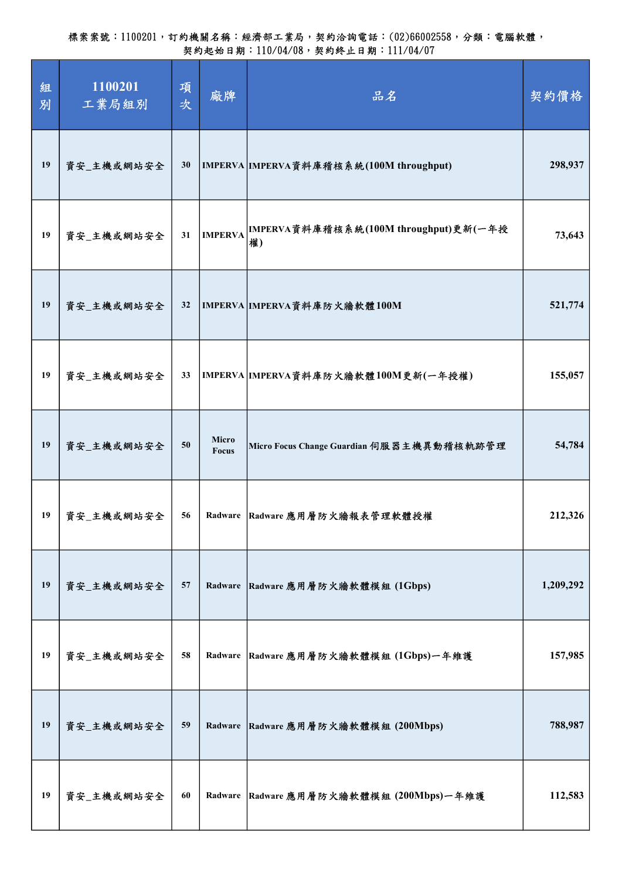| 組<br>別 | 1100201<br>工業局組別 | 項<br>次 | 廠牌             | 品名                                          | 契約價格      |
|--------|------------------|--------|----------------|---------------------------------------------|-----------|
| 19     | 資安_主機或網站安全       | 30     |                | IMPERVA IMPERVA資料庫稽核系統(100M throughput)     | 298,937   |
| 19     | 資安_主機或網站安全       | 31     | <b>IMPERVA</b> | IMPERVA資料庫稽核系統(100M throughput)更新(一年授<br>權) | 73,643    |
| 19     | 資安_主機或網站安全       | 32     |                | IMPERVA IMPERVA資料庫防火牆軟體100M                 | 521,774   |
| 19     | 資安_主機或網站安全       | 33     |                | IMPERVA IMPERVA資料庫防火牆軟體100M更新(一年授權)         | 155,057   |
| 19     | 資安_主機或網站安全       | 50     | Micro<br>Focus | Micro Focus Change Guardian 伺服器主機異動稽核軌跡管理   | 54,784    |
| 19     | 資安_主機或網站安全       | 56     |                | Radware Radware 應用層防火牆報表管理軟體授權              | 212,326   |
| 19     | 資安_主機或網站安全       | 57     | Radware        | Radware 應用層防火牆軟體模組 (1Gbps)                  | 1,209,292 |
| 19     | 資安_主機或網站安全       | 58     | Radware        | Radware 應用層防火牆軟體模組 (1Gbps)一年維護              | 157,985   |
| 19     | 資安_主機或網站安全       | 59     | Radware        | Radware 應用層防火牆軟體模組 (200Mbps)                | 788,987   |
| 19     | 資安_主機或網站安全       | 60     | Radware        | Radware 應用層防火牆軟體模組 (200Mbps)一年維護            | 112,583   |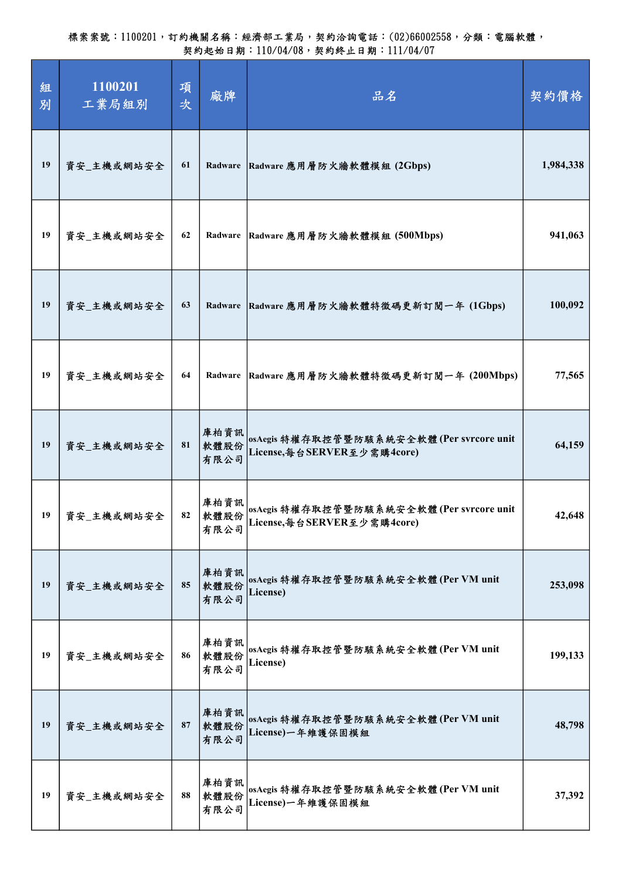| 組<br>別 | 1100201<br>工業局組別 | 項<br>次 | 廠牌                   | 品名                                                                     | 契約價格      |
|--------|------------------|--------|----------------------|------------------------------------------------------------------------|-----------|
| 19     | 資安_主機或網站安全       | 61     | Radware              | Radware 應用層防火牆軟體模組 (2Gbps)                                             | 1,984,338 |
| 19     | 資安_主機或網站安全       | 62     | Radware              | Radware 應用層防火牆軟體模組 (500Mbps)                                           | 941,063   |
| 19     | 資安_主機或網站安全       | 63     | Radware              | Radware 應用層防火牆軟體特徵碼更新訂閱一年 (1Gbps)                                      | 100,092   |
| 19     | 資安_主機或網站安全       | 64     | Radware              | Radware 應用層防火牆軟體特徵碼更新訂閱一年 (200Mbps)                                    | 77,565    |
| 19     | 資安_主機或網站安全       | 81     | 庫柏資訊<br>軟體股份<br>有限公司 | osAegis 特權存取控管暨防駭系統安全軟體(Per svrcore unit<br>License,每台SERVER至少需購4core) | 64,159    |
| 19     | 資安_主機或網站安全       | 82     | 庫柏資訊                 | osAegis 特權存取控管暨防駭系統安全軟體(Per svrcore unit                               | 42,648    |
| 19     | 資安_主機或網站安全       | 85     | 庫柏資訊<br>軟體股份<br>有限公司 | osAegis 特權存取控管暨防駭系統安全軟體(Per VM unit<br>License)                        | 253,098   |
| 19     | 資安_主機或網站安全       | 86     | 庫柏資訊<br>軟體股份<br>有限公司 | osAegis 特權存取控管暨防駭系統安全軟體(Per VM unit<br>License)                        | 199,133   |
| 19     | 資安_主機或網站安全       | 87     | 庫柏資訊<br>軟體股份<br>有限公司 | osAegis 特權存取控管暨防駭系統安全軟體(Per VM unit<br>License)一年維護保固模組                | 48,798    |
| 19     | 資安_主機或網站安全       | 88     | 庫柏資訊<br>軟體股份<br>有限公司 | osAegis 特權存取控管暨防駭系統安全軟體(Per VM unit<br>License)一年維護保固模組                | 37,392    |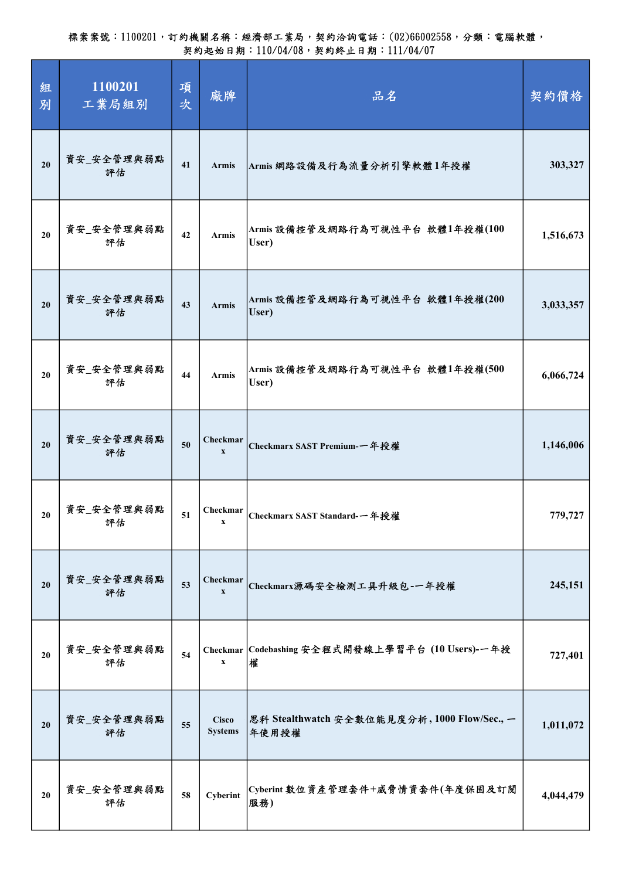| 組<br>別 | 1100201<br>工業局組別 | 項<br>次 | 廠牌                                    | 品名                                                     | 契約價格      |
|--------|------------------|--------|---------------------------------------|--------------------------------------------------------|-----------|
| 20     | 資安_安全管理與弱點<br>評估 | 41     | <b>Armis</b>                          | Armis 網路設備及行為流量分析引擎軟體1年授權                              | 303,327   |
| 20     | 資安_安全管理與弱點<br>評估 | 42     | <b>Armis</b>                          | Armis 設備控管及網路行為可視性平台 軟體1年授權(100<br>User)               | 1,516,673 |
| 20     | 資安_安全管理與弱點<br>評估 | 43     | <b>Armis</b>                          | Armis 設備控管及網路行為可視性平台 軟體1年授權(200<br>User)               | 3,033,357 |
| 20     | 資安_安全管理與弱點<br>評估 | 44     | <b>Armis</b>                          | Armis 設備控管及網路行為可視性平台 軟體1年授權(500<br>User)               | 6,066,724 |
| 20     | 資安_安全管理與弱點<br>評估 | 50     | Checkmar<br>$\mathbf{x}$              | Checkmarx SAST Premium-一年授權                            | 1,146,006 |
| 20     | 資安_安全管理與弱點<br>評估 | 51     | Checkmar<br>$\boldsymbol{\mathrm{X}}$ | Checkmarx SAST Standard-一年授權                           | 779,727   |
| 20     | 資安_安全管理與弱點<br>評估 | 53     | Checkmar<br>$\mathbf{x}$              | Checkmarx源碼安全檢測工具升級包-一年授權                              | 245,151   |
| 20     | 資安_安全管理與弱點<br>評估 | 54     | $\mathbf X$                           | Checkmar Codebashing 安全程式開發線上學習平台 (10 Users)-一年授<br>槯  | 727,401   |
| 20     | 資安_安全管理與弱點<br>評估 | 55     | <b>Cisco</b><br><b>Systems</b>        | 思科 Stealthwatch 安全數位能見度分析, 1000 Flow/Sec., 一<br> 年使用授權 | 1,011,072 |
| 20     | 資安_安全管理與弱點<br>評估 | 58     | Cyberint                              | Cyberint 數位資產管理套件+威脅情資套件(年度保固及訂閱<br>服務)                | 4,044,479 |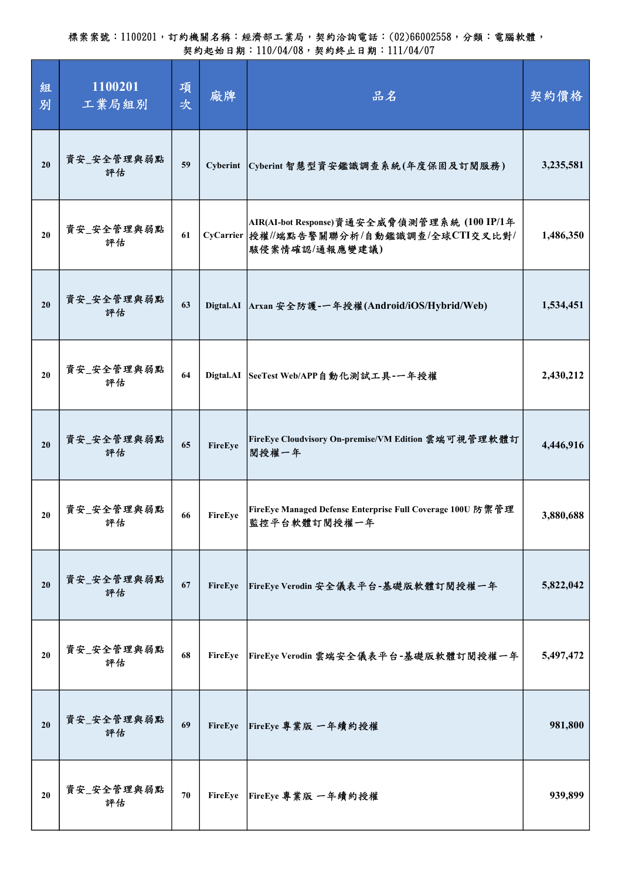| 組<br>別 | 1100201<br>工業局組別 | 項<br>次 | 廠牌      | 品名                                                                                                        | 契約價格      |
|--------|------------------|--------|---------|-----------------------------------------------------------------------------------------------------------|-----------|
| 20     | 資安_安全管理與弱點<br>評估 | 59     |         | Cyberint Cyberint 智慧型資安鑑識調查系統(年度保固及訂閱服務)                                                                  | 3,235,581 |
| 20     | 資安_安全管理與弱點<br>評估 | 61     |         | AIR(AI-bot Response)資通安全威脅偵測管理系統 (100 IP/1年<br>CyCarrier 授權//端點告警關聯分析/自動鑑識調查/全球CTI交叉比對/<br>駭侵案情確認/通報應變建議) | 1,486,350 |
| 20     | 資安_安全管理與弱點<br>評估 | 63     |         | Digtal.AI Arxan 安全防護-一年授權(Android/iOS/Hybrid/Web)                                                         | 1,534,451 |
| 20     | 資安_安全管理與弱點<br>評估 | 64     |         | Digtal.AI SeeTest Web/APP自動化測試工具-一年授權                                                                     | 2,430,212 |
| 20     | 資安_安全管理與弱點<br>評估 | 65     | FireEye | FireEye Cloudvisory On-premise/VM Edition 雲端可視管理軟體訂<br>閱授權一年                                              | 4,446,916 |
| 20     | 資安_安全管理與弱點<br>評估 | 66     | FireEye | FireEye Managed Defense Enterprise Full Coverage 100U 防禦管理<br>監控平台軟體訂閱授權一年                                | 3,880,688 |
| 20     | 資安_安全管理與弱點<br>評估 | 67     | FireEye | FireEye Verodin 安全儀表平台-基礎版軟體訂閱授權一年                                                                        | 5,822,042 |
| 20     | 資安_安全管理與弱點<br>評估 | 68     | FireEye | FireEye Verodin 雲端安全儀表平台-基礎版軟體訂閱授權一年                                                                      | 5,497,472 |
| 20     | 資安_安全管理與弱點<br>評估 | 69     | FireEye | FireEye 專業版 一年續約授權                                                                                        | 981,800   |
| 20     | 資安_安全管理與弱點<br>評估 | 70     | FireEye | FireEye 專業版 一年續約授權                                                                                        | 939,899   |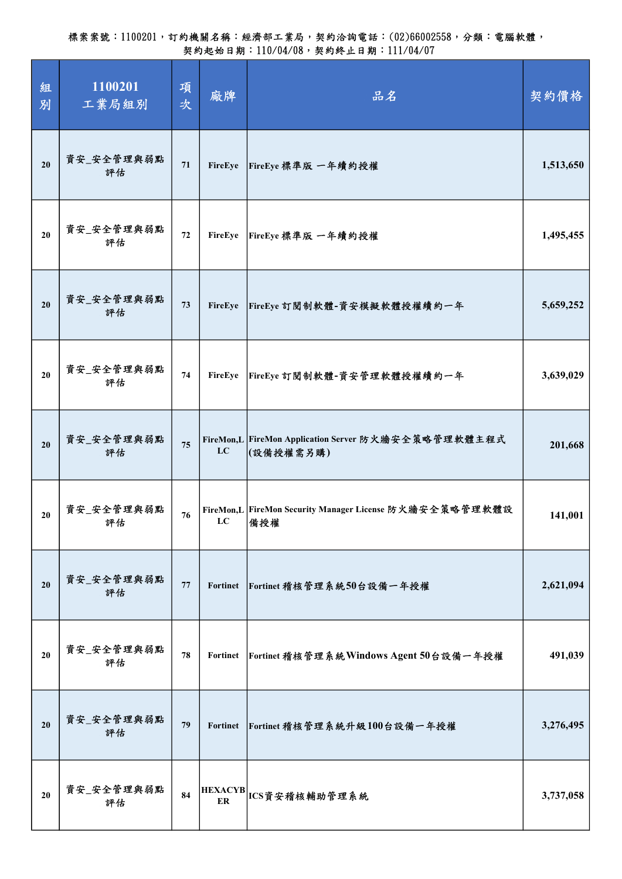| 組<br>別 | 1100201<br>工業局組別 | 項<br>次 | 廠牌                   | 品名                                                               | 契約價格      |
|--------|------------------|--------|----------------------|------------------------------------------------------------------|-----------|
| 20     | 資安_安全管理與弱點<br>評估 | 71     | FireEye              | FireEye 標準版 一年續約授權                                               | 1,513,650 |
| 20     | 資安_安全管理與弱點<br>評估 | 72     | FireEye              | FireEye 標準版 一年續約授權                                               | 1,495,455 |
| 20     | 資安_安全管理與弱點<br>評估 | 73     | FireEye              | FireEye 訂閱制軟體-資安模擬軟體授權續約一年                                       | 5,659,252 |
| 20     | 資安_安全管理與弱點<br>評估 | 74     | FireEye              | FireEye 訂閱制軟體-資安管理軟體授權續約一年                                       | 3,639,029 |
| 20     | 資安_安全管理與弱點<br>評估 | 75     | LC                   | FireMon,L FireMon Application Server 防火牆安全策略管理軟體主程式<br>(設備授權需另購) | 201,668   |
| 20     | 資安_安全管理與弱點<br>評估 | 76     | LC                   | FireMon,L FireMon Security Manager License 防火牆安全策略管理軟體設<br>備授權   | 141,001   |
| 20     | 資安_安全管理與弱點<br>評估 | 77     | <b>Fortinet</b>      | Fortinet 稽核管理系統50台設備一年授權                                         | 2,621,094 |
| 20     | 資安_安全管理與弱點<br>評估 | 78     | <b>Fortinet</b>      | Fortinet 稽核管理系統Windows Agent 50台設備一年授權                           | 491,039   |
| 20     | 資安_安全管理與弱點<br>評估 | 79     | Fortinet             | Fortinet 稽核管理系統升級100台設備一年授權                                      | 3,276,495 |
| 20     | 資安_安全管理與弱點<br>評估 | 84     | <b>HEXACYB</b><br>ER | ICS資安稽核輔助管理系統                                                    | 3,737,058 |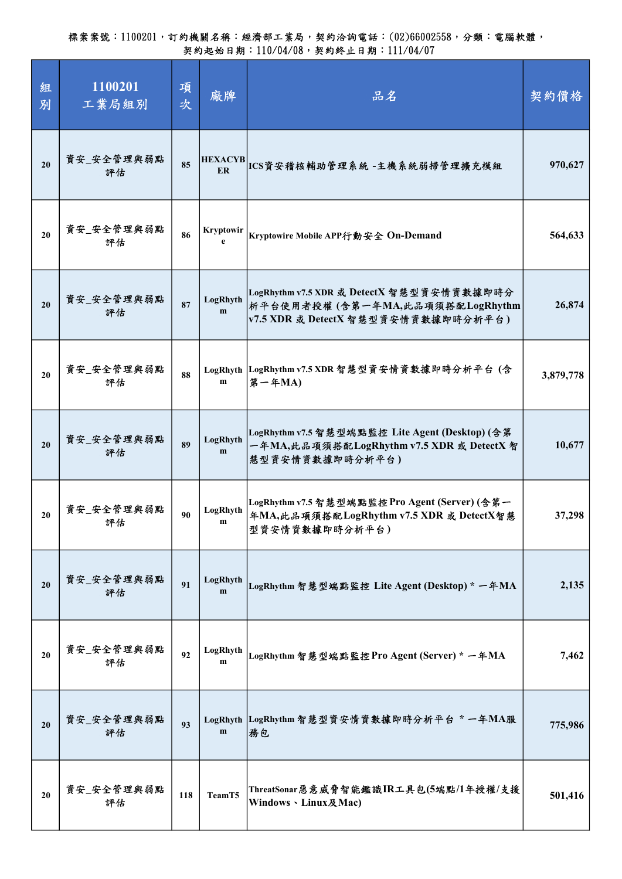| 組<br>別 | 1100201<br>工業局組別 | 項<br>次 | 廠牌                          | 品名                                                                                                                  | 契約價格      |
|--------|------------------|--------|-----------------------------|---------------------------------------------------------------------------------------------------------------------|-----------|
| 20     | 資安_安全管理與弱點<br>評估 | 85     | <b>HEXACYB</b><br><b>ER</b> | ICS資安稽核輔助管理系統 -主機系統弱掃管理擴充模組                                                                                         | 970,627   |
| 20     | 資安_安全管理與弱點<br>評估 | 86     | <b>Kryptowir</b><br>e       | Kryptowire Mobile APP行動安全 On-Demand                                                                                 | 564,633   |
| 20     | 資安_安全管理與弱點<br>評估 | 87     | LogRhyth<br>m               | LogRhythm v7.5 XDR 或 DetectX 智慧型資安情資數據即時分<br>析平台使用者授權(含第一年MA,此品項須搭配LogRhythm<br>v7.5 XDR 或 DetectX 智慧型資安情資數據即時分析平台) | 26,874    |
| 20     | 資安_安全管理與弱點<br>評估 | 88     | $\mathbf m$                 | LogRhyth LogRhythm v7.5 XDR 智慧型資安情資數據即時分析平台 (含<br>第一年MA)                                                            | 3,879,778 |
| 20     | 資安_安全管理與弱點<br>評估 | 89     | LogRhyth<br>m               | LogRhythm v7.5 智慧型端點監控 Lite Agent (Desktop) (含第<br>一年MA,此品項須搭配LogRhythm v7.5 XDR 或 DetectX 智<br>慧型資安情資數據即時分析平台)     | 10,677    |
| 20     | 資安_安全管理與弱點<br>評估 | 90     | LogRhyth<br>$\mathbf{m}$    | LogRhythm v7.5 智慧型端點監控 Pro Agent (Server) (含第一<br>年MA,此品項須搭配LogRhythm v7.5 XDR 或 DetectX智慧<br>型資安情資數據即時分析平台)        | 37,298    |
| 20     | 資安_安全管理與弱點<br>評估 | 91     | LogRhyth<br>m               | LogRhythm 智慧型端點監控 Lite Agent (Desktop) * 一年MA                                                                       | 2,135     |
| 20     | 資安_安全管理與弱點<br>評估 | 92     | LogRhyth<br>m               | LogRhythm 智慧型端點監控 Pro Agent (Server) * 一年MA                                                                         | 7,462     |
| 20     | 資安_安全管理與弱點<br>評估 | 93     | $\mathbf{m}$                | LogRhyth LogRhythm 智慧型資安情資數據即時分析平台 * 一年MA服<br>務包                                                                    | 775,986   |
| 20     | 資安_安全管理與弱點<br>評估 | 118    | TeamT5                      | ThreatSonar惡意威脅智能鑑識IR工具包(5端點/1年授權/支援<br>Windows、Linux及Mac)                                                          | 501,416   |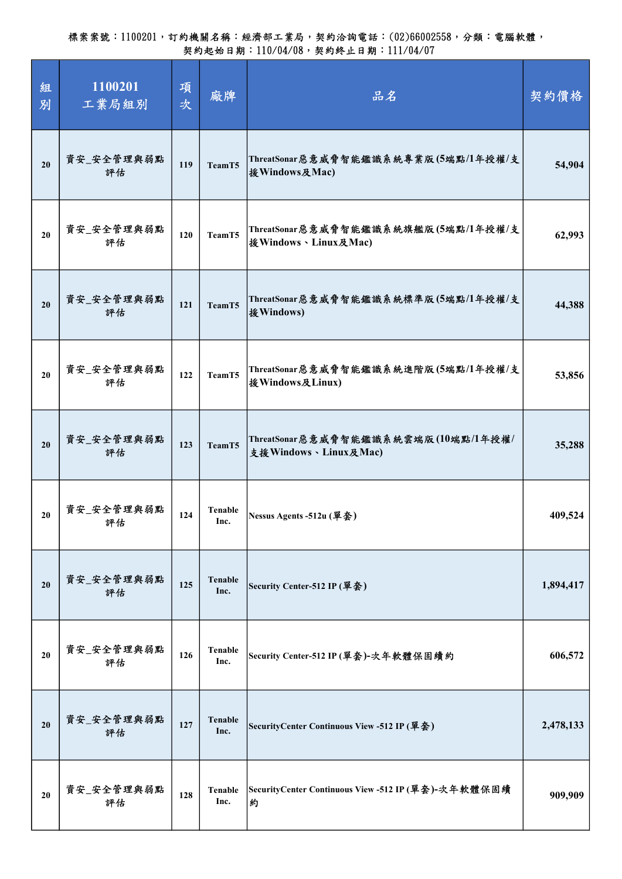| 組<br>別 | 1100201<br>工業局組別 | 項<br>次 | 廠牌                     | 品名                                                          | 契約價格      |
|--------|------------------|--------|------------------------|-------------------------------------------------------------|-----------|
| 20     | 資安_安全管理與弱點<br>評估 | 119    | TeamT5                 | ThreatSonar惡意威脅智能鑑識系統專業版(5端點/1年授權/支<br>接Windows及Mac)        | 54,904    |
| 20     | 資安_安全管理與弱點<br>評估 | 120    | TeamT5                 | ThreatSonar惡意威脅智能鑑識系統旗艦版(5端點/1年授權/支<br>援Windows、Linux及Mac)  | 62,993    |
| 20     | 資安_安全管理與弱點<br>評估 | 121    | TeamT5                 | ThreatSonar惡意威脅智能鑑識系統標準版(5端點/1年授權/支<br>接Windows)            | 44,388    |
| 20     | 資安_安全管理與弱點<br>評估 | 122    | TeamT5                 | ThreatSonar惡意威脅智能鑑識系統進階版(5端點/1年授權/支<br>接Windows及Linux)      | 53,856    |
| 20     | 資安_安全管理與弱點<br>評估 | 123    | TeamT5                 | ThreatSonar惡意威脅智能鑑識系統雲端版(10端點/1年授權/<br>支援Windows、Linux及Mac) | 35,288    |
| 20     | 資安_安全管理與弱點<br>評估 | 124    | Tenable<br>Inc.        | Nessus Agents -512u (單套)                                    | 409,524   |
| 20     | 資安_安全管理與弱點<br>評估 | 125    | <b>Tenable</b><br>Inc. | Security Center-512 IP (單套)                                 | 1,894,417 |
| 20     | 資安_安全管理與弱點<br>評估 | 126    | <b>Tenable</b><br>Inc. | Security Center-512 IP (單套)-次年軟體保固續約                        | 606,572   |
| 20     | 資安_安全管理與弱點<br>評估 | 127    | <b>Tenable</b><br>Inc. | SecurityCenter Continuous View -512 IP (單套)                 | 2,478,133 |
| 20     | 資安_安全管理與弱點<br>評估 | 128    | Tenable<br>Inc.        | SecurityCenter Continuous View -512 IP (單套)-次年軟體保固續<br>約    | 909,909   |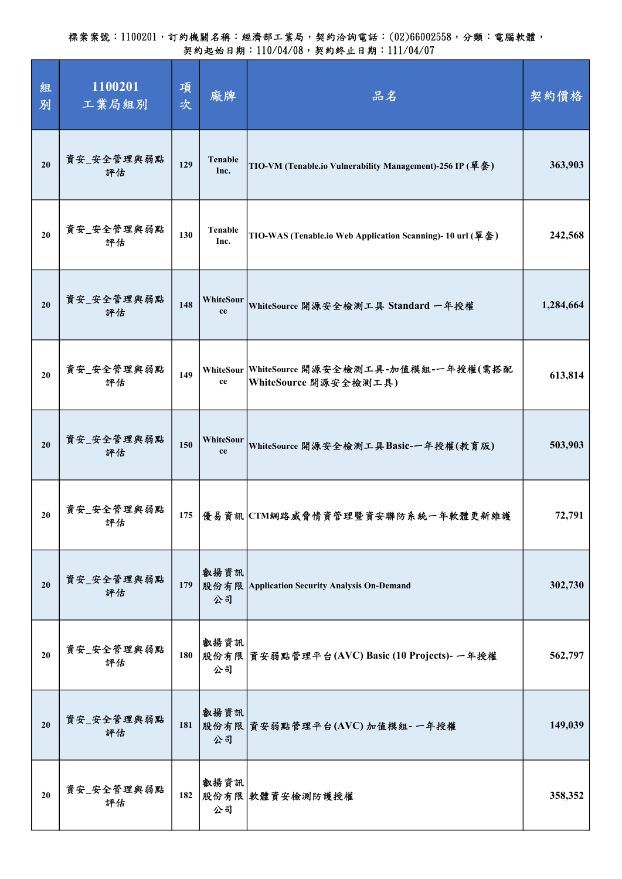| 組<br>別 | 1100201<br>工業局組別 | 項<br>次 | 廠牌                     | 品名                                                                    | 契約價格      |
|--------|------------------|--------|------------------------|-----------------------------------------------------------------------|-----------|
| 20     | 資安_安全管理與弱點<br>評估 | 129    | <b>Tenable</b><br>Inc. | TIO-VM (Tenable.io Vulnerability Management)-256 IP (單套)              | 363,903   |
| 20     | 資安_安全管理與弱點<br>評估 | 130    | Tenable<br>Inc.        | TIO-WAS (Tenable.io Web Application Scanning)- 10 url (單套)            | 242,568   |
| 20     | 資安_安全管理與弱點<br>評估 | 148    | WhiteSour<br>ce        | WhiteSource 開源安全檢測工具 Standard 一年授權                                    | 1,284,664 |
| 20     | 資安_安全管理與弱點<br>評估 | 149    | ce                     | WhiteSour WhiteSource 開源安全檢測工具-加值模組-一年授權(需搭配<br>WhiteSource 開源安全檢測工具) | 613,814   |
| 20     | 資安_安全管理與弱點<br>評估 | 150    | WhiteSour<br>ce        | WhiteSource 開源安全檢測工具Basic-一年授權(教育版)                                   | 503,903   |
| 20     | 資安_安全管理與弱點<br>評估 | 175    |                        | 優易資訊 CTM網路威脅情資管理暨資安聯防系統一年軟體更新維護                                       | 72,791    |
| 20     | 資安_安全管理與弱點<br>評估 | 179    | 叡揚資訊<br>公司             | 股份有限 Application Security Analysis On-Demand                          | 302,730   |
| 20     | 資安_安全管理與弱點<br>評估 | 180    | 叡揚資訊<br>公司             | 股份有限  資安弱點管理平台(AVC) Basic (10 Projects)- 一年授權                         | 562,797   |
| 20     | 資安_安全管理與弱點<br>評估 |        | 叡揚資訊<br>公司             | 181 股份有限 資安弱點管理平台(AVC) 加值模組- 一年授權                                     | 149,039   |
| 20     | 資安_安全管理與弱點<br>評估 | 182    | 叡揚資訊<br>公司             | 股份有限 軟體資安檢測防護授權                                                       | 358,352   |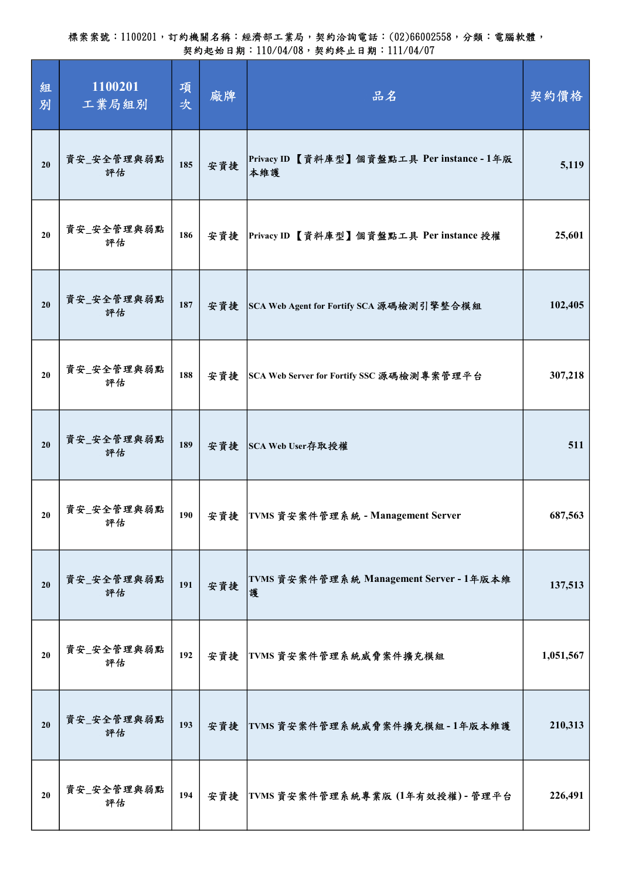| 組<br>別 | 1100201<br>工業局組別 | 項<br>次 | 廠牌  | 品名                                                | 契約價格      |
|--------|------------------|--------|-----|---------------------------------------------------|-----------|
| 20     | 資安_安全管理與弱點<br>評估 | 185    | 安資捷 | Privacy ID 【資料庫型】個資盤點工具 Per instance - 1年版<br>本維護 | 5,119     |
| 20     | 資安_安全管理與弱點<br>評估 | 186    | 安資捷 | Privacy ID 【資料庫型】個資盤點工具 Per instance 授權           | 25,601    |
| 20     | 資安_安全管理與弱點<br>評估 | 187    | 安資捷 | SCA Web Agent for Fortify SCA 源碼檢測引擎整合模組          | 102,405   |
| 20     | 資安_安全管理與弱點<br>評估 | 188    | 安資捷 | SCA Web Server for Fortify SSC 源碼檢測專案管理平台         | 307,218   |
| 20     | 資安_安全管理與弱點<br>評估 | 189    | 安資捷 | SCA Web User存取授權                                  | 511       |
| 20     | 資安_安全管理與弱點<br>評估 | 190    | 安資捷 | TVMS 資安案件管理系統 - Management Server                 | 687,563   |
| 20     | 資安_安全管理與弱點<br>評估 | 191    | 安資捷 | TVMS 資安案件管理系統 Management Server - 1年版本維<br>镬      | 137,513   |
| 20     | 資安_安全管理與弱點<br>評估 | 192    | 安資捷 | TVMS 資安案件管理系統威脅案件擴充模組                             | 1,051,567 |
| 20     | 資安_安全管理與弱點<br>評估 | 193    | 安資捷 | TVMS 資安案件管理系統威脅案件擴充模組-1年版本維護                      | 210,313   |
| 20     | 資安_安全管理與弱點<br>評估 | 194    | 安資捷 | TVMS 資安案件管理系統專業版 (1年有效授權) - 管理平台                  | 226,491   |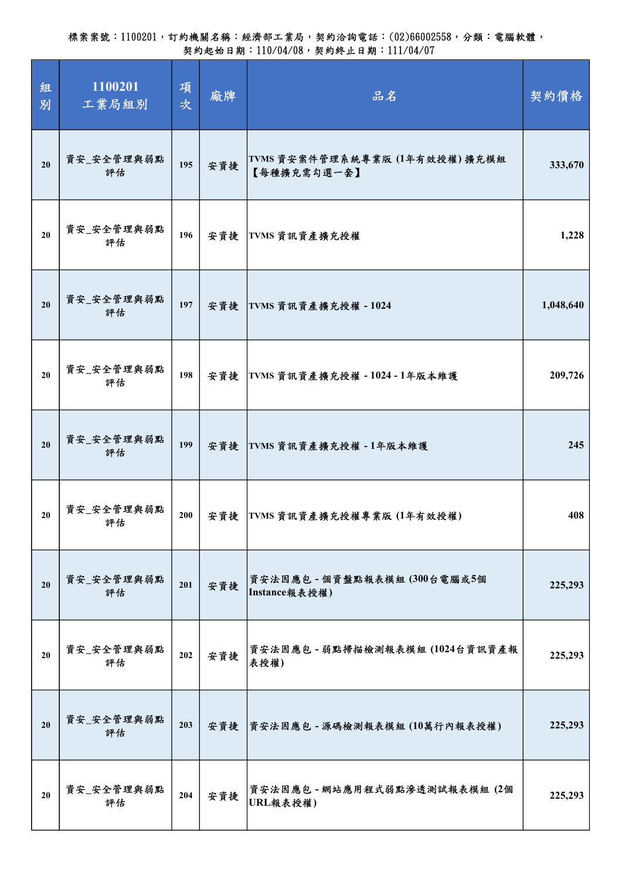| 組<br>別 | 1100201<br>工業局組別 | 項<br>次 | 廠牌  | 品名                                            | 契約價格      |
|--------|------------------|--------|-----|-----------------------------------------------|-----------|
| 20     | 資安_安全管理與弱點<br>評估 | 195    | 安資捷 | TVMS 資安案件管理系統專業版 (1年有效授權) 擴充模組<br>【每種擴充需勾選一套】 | 333,670   |
| 20     | 資安_安全管理與弱點<br>評估 | 196    | 安資捷 | TVMS 資訊資產擴充授權                                 | 1,228     |
| 20     | 資安_安全管理與弱點<br>評估 | 197    | 安資捷 | TVMS 資訊資產擴充授權 - 1024                          | 1,048,640 |
| 20     | 資安_安全管理與弱點<br>評估 | 198    | 安資捷 | TVMS 資訊資產擴充授權 - 1024 - 1年版本維護                 | 209,726   |
| 20     | 資安_安全管理與弱點<br>評估 | 199    | 安資捷 | TVMS 資訊資產擴充授權 - 1年版本維護                        | 245       |
| 20     | 資安_安全管理與弱點<br>評估 | 200    | 安資捷 | TVMS 資訊資產擴充授權專業版(1年有效授權)                      | 408       |
| 20     | 資安_安全管理與弱點<br>評估 | 201    | 安資捷 | 資安法因應包 - 個資盤點報表模組(300台電腦或5個<br>Instance報表授權)  | 225,293   |
| 20     | 資安_安全管理與弱點<br>評估 | 202    | 安資捷 | 資安法因應包 - 弱點掃描檢測報表模組 (1024台資訊資產報<br>表授權)       | 225,293   |
| 20     | 資安_安全管理與弱點<br>評估 | 203    | 安資捷 | 資安法因應包 - 源碼檢測報表模組(10萬行內報表授權)                  | 225,293   |
| 20     | 資安_安全管理與弱點<br>評估 | 204    | 安資捷 | 資安法因應包 - 網站應用程式弱點滲透測試報表模組 (2個<br>URL報表授權)     | 225,293   |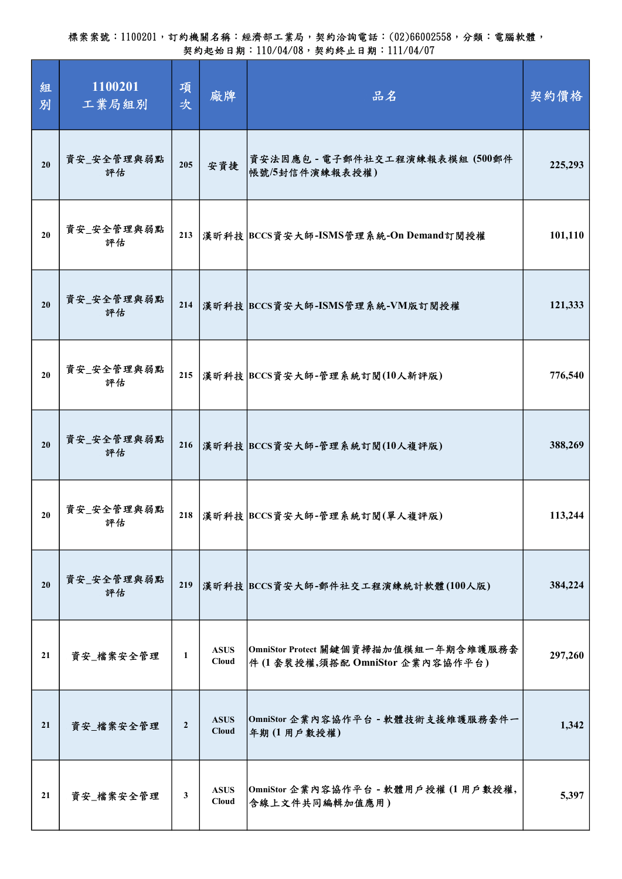| 組<br>別 | 1100201<br>工業局組別 | 項<br>次         | 廠牌                          | 品名                                                                     | 契約價格    |
|--------|------------------|----------------|-----------------------------|------------------------------------------------------------------------|---------|
| 20     | 資安_安全管理與弱點<br>評估 | 205            | 安資捷                         | 資安法因應包 - 電子郵件社交工程演練報表模組(500郵件<br>帳號/5封信件演練報表授權)                        | 225,293 |
| 20     | 資安_安全管理與弱點<br>評估 | 213            |                             | 漢昕科技 BCCS資安大師-ISMS管理系統-On Demand訂閱授權                                   | 101,110 |
| 20     | 資安_安全管理與弱點<br>評估 | 214            |                             | 漢昕科技 BCCS資安大師-ISMS管理系統-VM版訂閱授權                                         | 121,333 |
| 20     | 資安_安全管理與弱點<br>評估 | 215            |                             | 漢昕科技 BCCS資安大師-管理系統訂閱(10人新評版)                                           | 776,540 |
| 20     | 資安_安全管理與弱點<br>評估 | 216            |                             | 漢昕科技 BCCS資安大師-管理系統訂閱(10人複評版)                                           | 388,269 |
| 20     | 資安_安全管理與弱點<br>評估 | 218            |                             | 漢昕科技 BCCS資安大師-管理系統訂閱(單人複評版)                                            | 113,244 |
| 20     | 資安_安全管理與弱點<br>評估 | 219            |                             | 漢昕科技 BCCS資安大師-郵件社交工程演練統計軟體(100人版)                                      | 384,224 |
| 21     | 資安_檔案安全管理        | 1              | <b>ASUS</b><br><b>Cloud</b> | OmniStor Protect 關鍵個資掃描加值模組一年期含維護服務套<br>件(1套装授權,須搭配 OmniStor 企業內容協作平台) | 297,260 |
| 21     | 資安_檔案安全管理        | $\overline{2}$ | <b>ASUS</b><br><b>Cloud</b> | OmniStor 企業內容協作平台 - 軟體技術支援維護服務套件一<br>年期(1用戶數授權)                        | 1,342   |
| 21     | 資安_檔案安全管理        | $\mathbf{3}$   | <b>ASUS</b><br><b>Cloud</b> | OmniStor 企業內容協作平台 - 軟體用戶授權(1用戶數授權,<br>含線上文件共同編輯加值應用)                   | 5,397   |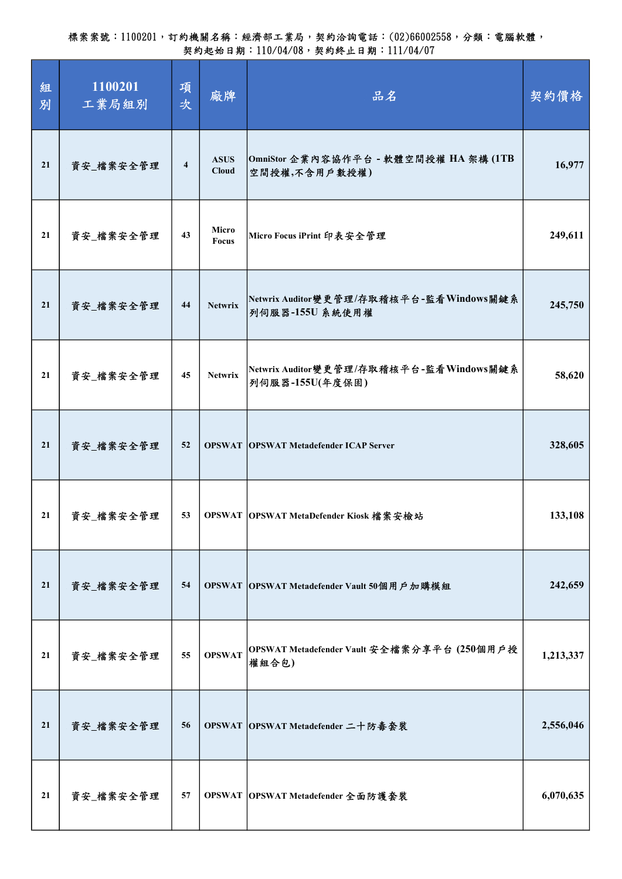| 組<br>別 | 1100201<br>工業局組別 | 項<br>次         | 廠牌                          | 品名                                                         | 契約價格      |
|--------|------------------|----------------|-----------------------------|------------------------------------------------------------|-----------|
| 21     | 資安_檔案安全管理        | $\overline{4}$ | <b>ASUS</b><br><b>Cloud</b> | OmniStor 企業內容協作平台 - 軟體空間授權 HA 架構 (1TB<br>空間授權,不含用戶數授權)     | 16,977    |
| 21     | 資安_檔案安全管理        | 43             | Micro<br>Focus              | Micro Focus iPrint 印表安全管理                                  | 249,611   |
| 21     | 資安_檔案安全管理        | 44             | <b>Netwrix</b>              | Netwrix Auditor變更管理/存取稽核平台-監看Windows關鍵系<br>列伺服器-155U 系統使用權 | 245,750   |
| 21     | 資安_檔案安全管理        | 45             | <b>Netwrix</b>              | Netwrix Auditor變更管理/存取稽核平台-監看Windows關鍵系<br>列伺服器-155U(年度保固) | 58,620    |
| 21     | 資安_檔案安全管理        | 52             |                             | <b>OPSWAT   OPSWAT Metadefender ICAP Server</b>            | 328,605   |
| 21     | 資安_檔案安全管理        | 53             |                             | OPSWAT OPSWAT MetaDefender Kiosk 檔案安檢站                     | 133,108   |
| 21     | 資安_檔案安全管理        | 54             |                             | OPSWAT OPSWAT Metadefender Vault 50個用戶加購模組                 | 242,659   |
| 21     | 資安_檔案安全管理        | 55             | <b>OPSWAT</b>               | OPSWAT Metadefender Vault 安全檔案分享平台 (250個用戶授<br>權組合包)       | 1,213,337 |
| 21     | 資安_檔案安全管理        | 56             |                             | OPSWAT OPSWAT Metadefender 二十防毒套裝                          | 2,556,046 |
| 21     | 資安_檔案安全管理        | 57             |                             | OPSWAT OPSWAT Metadefender 全面防護套裝                          | 6,070,635 |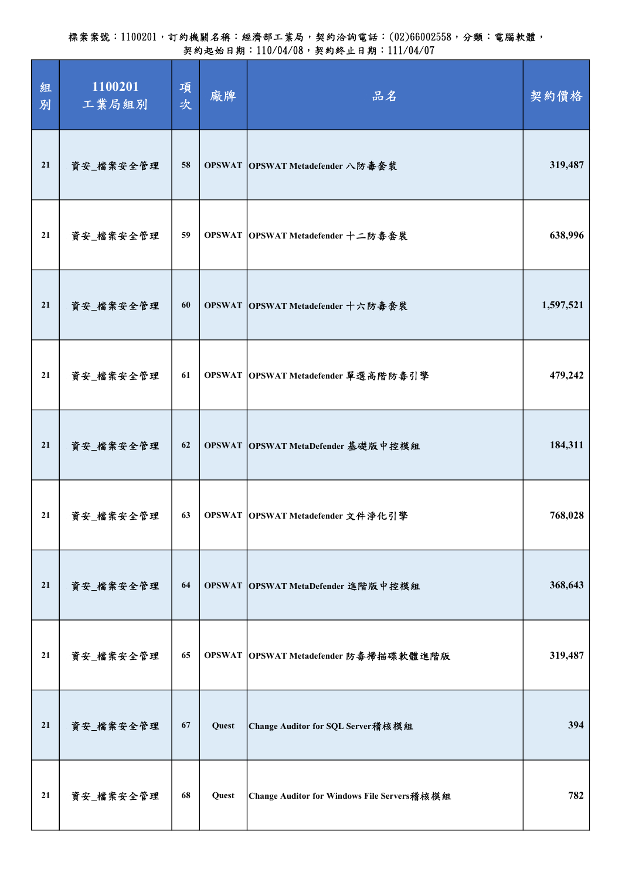| 組<br>別 | 1100201<br>工業局組別 | 項<br>次 | 廠牌    | 品名                                          | 契約價格      |
|--------|------------------|--------|-------|---------------------------------------------|-----------|
| 21     | 資安_檔案安全管理        | 58     |       | OPSWAT OPSWAT Metadefender 八防毒套装            | 319,487   |
| 21     | 資安_檔案安全管理        | 59     |       | OPSWAT OPSWAT Metadefender 十二防毒套裝           | 638,996   |
| 21     | 資安_檔案安全管理        | 60     |       | OPSWAT OPSWAT Metadefender 十六防毒套裝           | 1,597,521 |
| 21     | 資安_檔案安全管理        | 61     |       | OPSWAT OPSWAT Metadefender 單選高階防毒引擎         | 479,242   |
| 21     | 資安_檔案安全管理        | 62     |       | OPSWAT OPSWAT MetaDefender 基礎版中控模組          | 184,311   |
| 21     | 資安_檔案安全管理        | 63     |       | OPSWAT OPSWAT Metadefender 文件净化引擎           | 768,028   |
| 21     | 資安_檔案安全管理        | 64     |       | OPSWAT OPSWAT MetaDefender 進階版中控模組          | 368,643   |
| 21     | 資安_檔案安全管理        | 65     |       | OPSWAT OPSWAT Metadefender 防毒掃描碟軟體進階版       | 319,487   |
| 21     | 資安_檔案安全管理        | 67     | Quest | Change Auditor for SQL Server稽核模組           | 394       |
| 21     | 資安_檔案安全管理        | 68     | Quest | Change Auditor for Windows File Servers稽核模組 | 782       |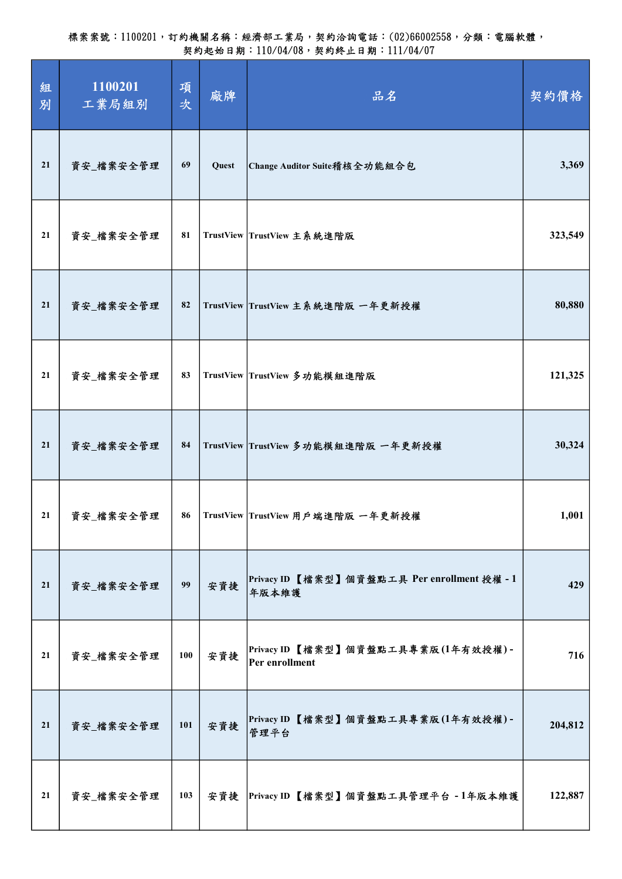| 組<br>別 | 1100201<br>工業局組別 | 項<br>次 | 廠牌    | 品名                                                    | 契約價格    |
|--------|------------------|--------|-------|-------------------------------------------------------|---------|
| 21     | 資安_檔案安全管理        | 69     | Quest | Change Auditor Suite稽核全功能組合包                          | 3,369   |
| 21     | 資安_檔案安全管理        | 81     |       | TrustView TrustView 主系統進階版                            | 323,549 |
| 21     | 資安_檔案安全管理        | 82     |       | TrustView TrustView 主系統進階版 一年更新授權                     | 80,880  |
| 21     | 資安_檔案安全管理        | 83     |       | TrustView TrustView 多功能模組進階版                          | 121,325 |
| 21     | 資安_檔案安全管理        | 84     |       | TrustView TrustView 多功能模組進階版 一年更新授權                   | 30,324  |
| 21     | 資安_檔案安全管理        | 86     |       | TrustView TrustView 用戶端進階版 一年更新授權                     | 1,001   |
| 21     | 資安_檔案安全管理        | 99     | 安資捷   | Privacy ID 【檔案型】個資盤點工具 Per enrollment 授權 - 1<br>年版本維護 | 429     |
| 21     | 資安_檔案安全管理        | 100    | 安資捷   | Privacy ID 【檔案型】個資盤點工具專業版(1年有效授權)-<br>Per enrollment  | 716     |
| 21     | 資安_檔案安全管理        | 101    | 安資捷   | Privacy ID 【檔案型】個資盤點工具專業版(1年有效授權) -<br>管理平台           | 204,812 |
| 21     | 資安_檔案安全管理        | 103    | 安資捷   | Privacy ID 【檔案型】個資盤點工具管理平台 -1年版本維護                    | 122,887 |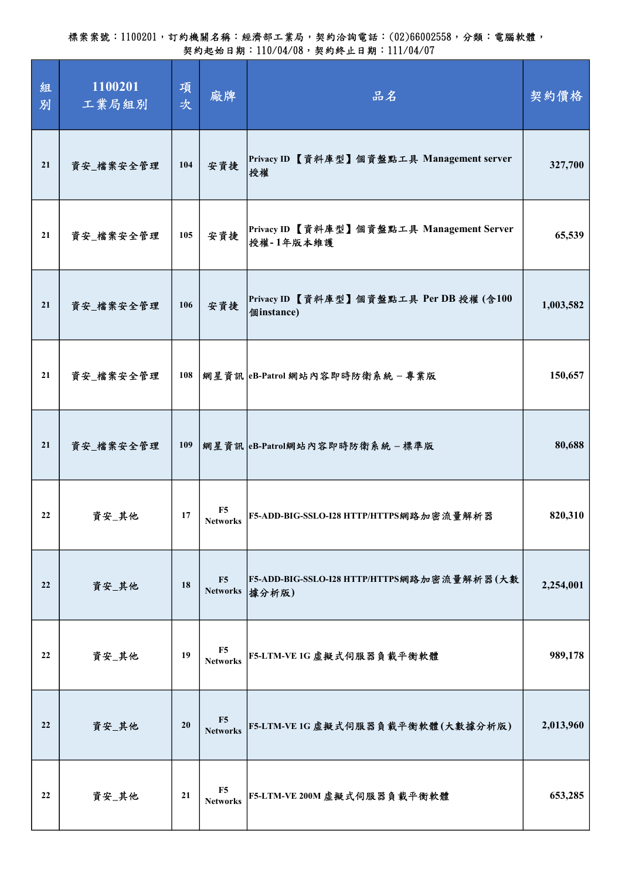| 組<br>別 | 1100201<br>工業局組別 | 項<br>次 | 廠牌                                | 品名                                                     | 契約價格      |
|--------|------------------|--------|-----------------------------------|--------------------------------------------------------|-----------|
| 21     | 資安_檔案安全管理        | 104    | 安資捷                               | Privacy ID 【資料庫型】個資盤點工具 Management server<br>授權        | 327,700   |
| 21     | 資安_檔案安全管理        | 105    | 安資捷                               | Privacy ID 【資料庫型】個資盤點工具 Management Server<br>授權-1年版本維護 | 65,539    |
| 21     | 資安_檔案安全管理        | 106    | 安資捷                               | Privacy ID 【資料庫型】個資盤點工具 Per DB 授權 (含100<br>個instance)  | 1,003,582 |
| 21     | 資安_檔案安全管理        | 108    |                                   | 網星資訊 eB-Patrol 網站內容即時防衛系統 - 專業版                        | 150,657   |
| 21     | 資安_檔案安全管理        | 109    |                                   | 網星資訊 eB-Patrol網站內容即時防衛系統 - 標準版                         | 80,688    |
| 22     | 資安_其他            | 17     | F <sub>5</sub><br><b>Networks</b> | F5-ADD-BIG-SSLO-I28 HTTP/HTTPS網路加密流量解析器                | 820,310   |
| 22     | 資安_其他            | 18     | F5<br><b>Networks</b>             | F5-ADD-BIG-SSLO-I28 HTTP/HTTPS網路加密流量解析器(大數<br>據分析版)    | 2,254,001 |
| 22     | 資安_其他            | 19     | F <sub>5</sub><br><b>Networks</b> | F5-LTM-VE 1G 虛擬式伺服器負載平衡軟體                              | 989,178   |
| 22     | 資安_其他            | 20     | F5<br><b>Networks</b>             | F5-LTM-VE 1G 虚擬式伺服器負載平衡軟體(大數據分析版)                      | 2,013,960 |
| 22     | 資安_其他            | 21     | F5<br><b>Networks</b>             | F5-LTM-VE 200M 虛擬式伺服器負載平衡軟體                            | 653,285   |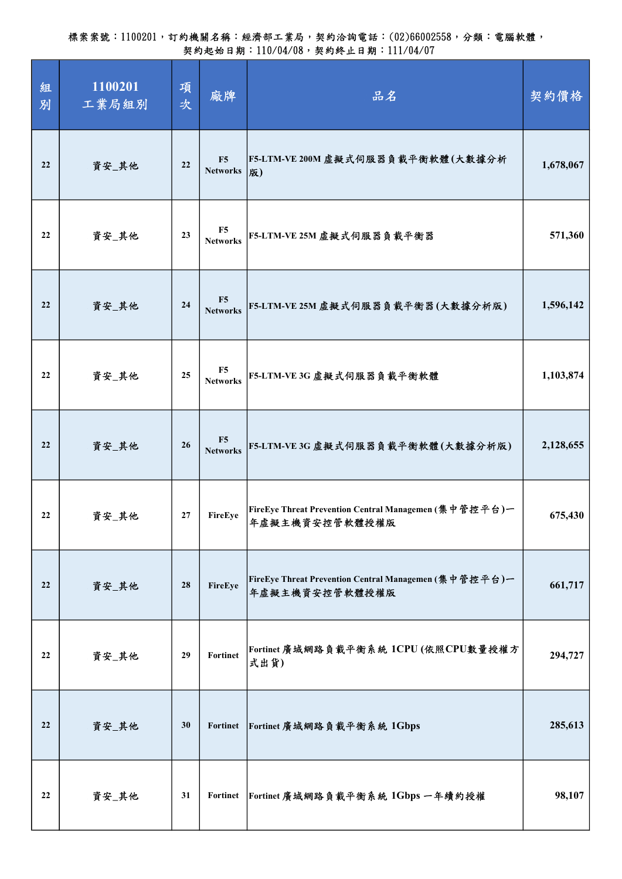| 組<br>別 | 1100201<br>工業局組別 | 項<br>次 | 廠牌                                | 品名                                                                      | 契約價格      |
|--------|------------------|--------|-----------------------------------|-------------------------------------------------------------------------|-----------|
| 22     | 資安_其他            | 22     | F5<br><b>Networks</b>             | F5-LTM-VE 200M 虚擬式伺服器負載平衡軟體(大數據分析<br>版)                                 | 1,678,067 |
| 22     | 資安_其他            | 23     | F <sub>5</sub><br><b>Networks</b> | F5-LTM-VE 25M 虚擬式伺服器負載平衡器                                               | 571,360   |
| 22     | 資安_其他            | 24     | F <sub>5</sub><br><b>Networks</b> | F5-LTM-VE 25M 虚擬式伺服器負載平衡器(大數據分析版)                                       | 1,596,142 |
| 22     | 資安_其他            | 25     | F5<br><b>Networks</b>             | F5-LTM-VE 3G 虛擬式伺服器負載平衡軟體                                               | 1,103,874 |
| 22     | 資安_其他            | 26     | F <sub>5</sub><br><b>Networks</b> | F5-LTM-VE 3G 虚擬式伺服器負載平衡軟體(大數據分析版)                                       | 2,128,655 |
| 22     | 資安_其他            | 27     | FireEye                           | FireEye Threat Prevention Central Managemen (集中管控平台)ー<br>年虛擬主機資安控管軟體授權版 | 675,430   |
| 22     | 資安_其他            | 28     | FireEye                           | FireEye Threat Prevention Central Managemen (集中管控平台)ー<br>年虛擬主機資安控管軟體授權版 | 661,717   |
| 22     | 資安_其他            | 29     | <b>Fortinet</b>                   | Fortinet 廣域網路負載平衡系統 1CPU(依照CPU數量授權方<br>式出貨)                             | 294,727   |
| 22     | 資安_其他            | 30     | <b>Fortinet</b>                   | Fortinet 廣域網路負載平衡系統 1Gbps                                               | 285,613   |
| 22     | 資安_其他            | 31     | Fortinet                          | Fortinet 廣域網路負載平衡系統 1Gbps 一年續約授權                                        | 98,107    |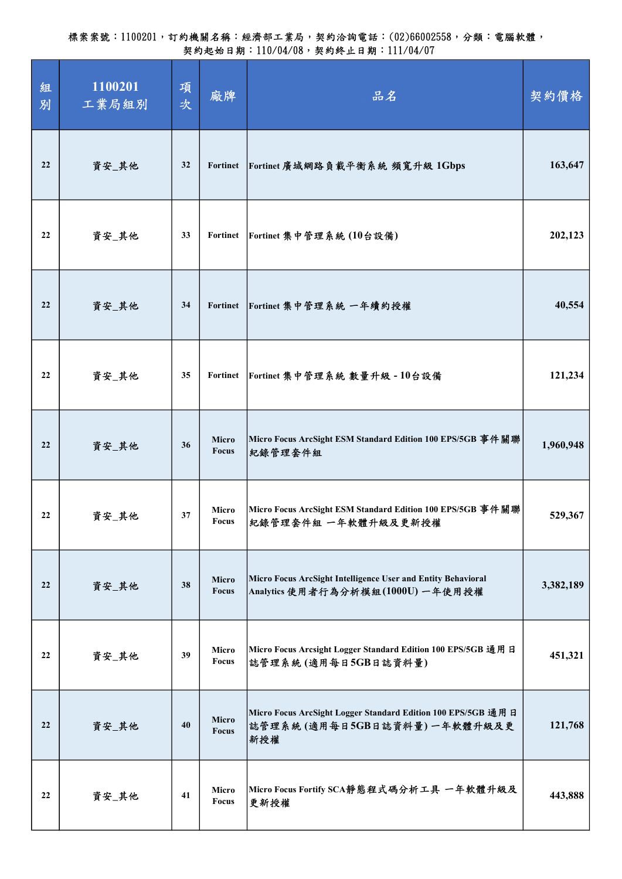| 組<br>別 | 1100201<br>工業局組別 | 項<br>次 | 廠牌                    | 品名                                                                                                 | 契約價格      |
|--------|------------------|--------|-----------------------|----------------------------------------------------------------------------------------------------|-----------|
| 22     | 資安_其他            | 32     | <b>Fortinet</b>       | Fortinet 廣域網路負載平衡系統 頻寬升級 1Gbps                                                                     | 163,647   |
| 22     | 資安_其他            | 33     | <b>Fortinet</b>       | Fortinet 集中管理系統 (10台設備)                                                                            | 202,123   |
| 22     | 資安_其他            | 34     | <b>Fortinet</b>       | Fortinet 集中管理系統 一年續約授權                                                                             | 40,554    |
| 22     | 資安_其他            | 35     | <b>Fortinet</b>       | Fortinet 集中管理系統 數量升級 - 10台設備                                                                       | 121,234   |
| 22     | 資安_其他            | 36     | Micro<br><b>Focus</b> | Micro Focus ArcSight ESM Standard Edition 100 EPS/5GB 事件關聯<br>紀錄管理套件組                              | 1,960,948 |
| 22     | 資安_其他            | 37     | Micro<br><b>Focus</b> | Micro Focus ArcSight ESM Standard Edition 100 EPS/5GB 事件關聯<br>紀錄管理套件組 一年軟體升級及更新授權                  | 529,367   |
| 22     | 資安_其他            | 38     | Micro<br><b>Focus</b> | Micro Focus ArcSight Intelligence User and Entity Behavioral<br>Analytics 使用者行為分析模組(1000U) 一年使用授權  | 3,382,189 |
| 22     | 資安_其他            | 39     | Micro<br>Focus        | Micro Focus Arcsight Logger Standard Edition 100 EPS/5GB 通用日<br>誌管理系統 (適用每日5GB日誌資料量)               | 451,321   |
| 22     | 資安_其他            | 40     | Micro<br>Focus        | Micro Focus ArcSight Logger Standard Edition 100 EPS/5GB 通用日<br>誌管理系統(適用每日5GB日誌資料量)一年軟體升級及更<br>新授權 | 121,768   |
| 22     | 資安_其他            | 41     | Micro<br>Focus        | Micro Focus Fortify SCA静態程式碼分析工具 一年軟體升級及<br>更新授權                                                   | 443,888   |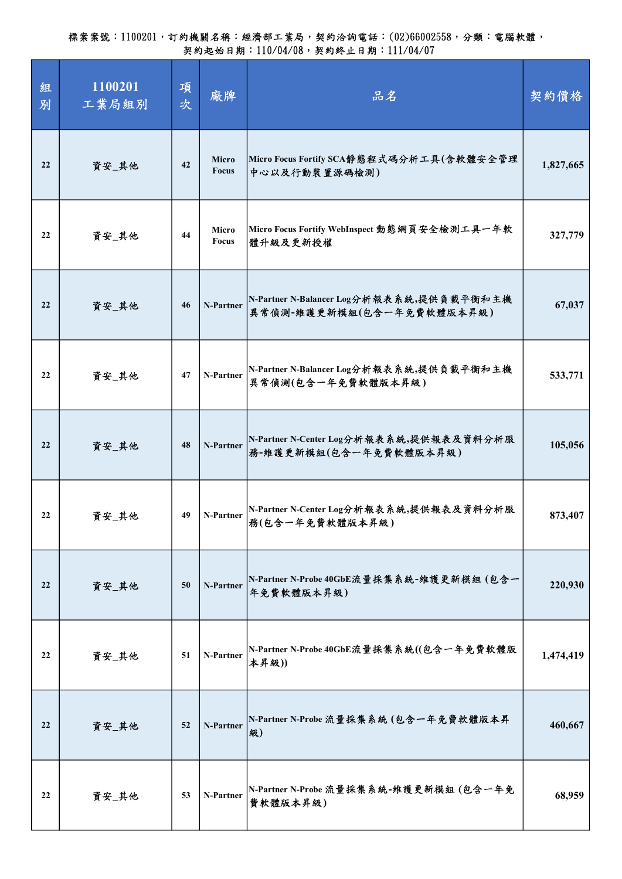| 組<br>別 | 1100201<br>工業局組別 | 項<br>次 | 廠牌                    | 品名                                                                    | 契約價格      |
|--------|------------------|--------|-----------------------|-----------------------------------------------------------------------|-----------|
| 22     | 資安_其他            | 42     | Micro<br><b>Focus</b> | Micro Focus Fortify SCA靜態程式碼分析工具(含軟體安全管理<br>中心以及行動裝置源碼檢測)             | 1,827,665 |
| 22     | 資安_其他            | 44     | Micro<br><b>Focus</b> | Micro Focus Fortify WebInspect 動態網頁安全檢測工具一年軟<br>體升級及更新授權              | 327,779   |
| 22     | 資安_其他            | 46     | N-Partner             | N-Partner N-Balancer Log分析報表系統,提供負載平衡和主機<br>異常偵測-維護更新模組(包含一年免費軟體版本昇級) | 67,037    |
| 22     | 資安_其他            | 47     | N-Partner             | N-Partner N-Balancer Log分析報表系統,提供負載平衡和主機<br>異常偵測(包含一年免費軟體版本昇級)        | 533,771   |
| 22     | 資安_其他            | 48     | N-Partner             | N-Partner N-Center Log分析報表系統,提供報表及資料分析服<br>務-維護更新模組(包含一年免費軟體版本昇級)     | 105,056   |
| 22     | 資安_其他            | 49     | N-Partner             | N-Partner N-Center Log分析報表系統,提供報表及資料分析服<br>務(包含一年免費軟體版本昇級)            | 873,407   |
| 22     | 資安_其他            | 50     | N-Partner             | N-Partner N-Probe 40GbE流量採集系統-維護更新模組 (包含一<br>年免費軟體版本昇級)               | 220,930   |
| 22     | 資安_其他            | 51     | N-Partner             | N-Partner N-Probe 40GbE流量採集系統((包含一年免費軟體版<br>本昇級))                     | 1,474,419 |
| 22     | 資安_其他            | 52     | N-Partner             | N-Partner N-Probe 流量採集系統 (包含一年免費軟體版本昇<br>級)                           | 460,667   |
| 22     | 資安_其他            | 53     | N-Partner             | N-Partner N-Probe 流量採集系統-維護更新模組 (包含一年免<br>費軟體版本昇級)                    | 68,959    |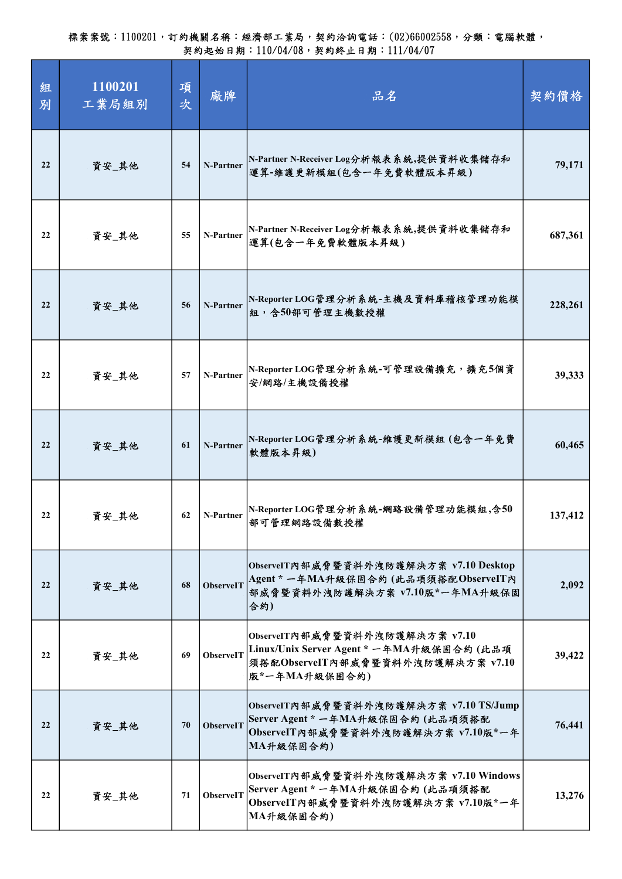| 組<br>別 | 1100201<br>工業局組別 | 項<br>次 | 廠牌        | 品名                                                                                                                                | 契約價格    |
|--------|------------------|--------|-----------|-----------------------------------------------------------------------------------------------------------------------------------|---------|
| 22     | 資安_其他            | 54     | N-Partner | N-Partner N-Receiver Log分析報表系統,提供資料收集儲存和<br>運算-維護更新模組(包含一年免費軟體版本昇級)                                                               | 79,171  |
| 22     | 資安_其他            | 55     | N-Partner | N-Partner N-Receiver Log分析報表系統,提供資料收集儲存和<br>運算(包含一年免費軟體版本昇級)                                                                      | 687,361 |
| 22     | 資安_其他            | 56     | N-Partner | N-Reporter LOG管理分析系統-主機及資料庫稽核管理功能模<br>組,含50部可管理主機數授權                                                                              | 228,261 |
| 22     | 資安_其他            | 57     | N-Partner | N-Reporter LOG管理分析系統-可管理設備擴充,擴充5個資<br>安/網路/主機設備授權                                                                                 | 39,333  |
| 22     | 資安_其他            | 61     | N-Partner | N-Reporter LOG管理分析系統-維護更新模組 (包含一年免費<br>軟體版本昇級)                                                                                    | 60,465  |
| 22     | 資安_其他            | 62     | N-Partner | N-Reporter LOG管理分析系統-網路設備管理功能模組,含50<br>部可管理網路設備數授權                                                                                | 137,412 |
| 22     | 資安_其他            | 68     | ObserveIT | ObserveIT内部威脅暨資料外洩防護解決方案 v7.10 Desktop<br>Agent * 一年MA升級保固合約 (此品項須搭配ObserveIT內<br>部威脅暨資料外洩防護解決方案 v7.10版*一年MA升級保固<br>合約)           | 2,092   |
| 22     | 資安_其他            | 69     | ObserveIT | ObserveIT内部威脅暨資料外洩防護解決方案 v7.10<br>Linux/Unix Server Agent * 一年MA升級保固合約 (此品項<br>須搭配ObserveIT內部威脅暨資料外洩防護解決方案 v7.10<br>版*一年MA升級保固合約) | 39,422  |
| 22     | 資安_其他            | 70     | ObserveIT | ObservelT内部威脅暨資料外洩防護解決方案 v7.10 TS/Jump<br>Server Agent * 一年MA升級保固合約 (此品項須搭配<br>ObserveIT内部威脅暨資料外洩防護解決方案 v7.10版*一年<br>MA升級保固合約)    | 76,441  |
| 22     | 資安_其他            | 71     | ObserveIT | ObserveIT内部威脅暨資料外洩防護解決方案 v7.10 Windows <br>Server Agent * 一年MA升級保固合約 (此品項須搭配<br>ObserveIT内部威脅暨資料外洩防護解決方案 v7.10版*一年<br>MA升級保固合約)   | 13,276  |